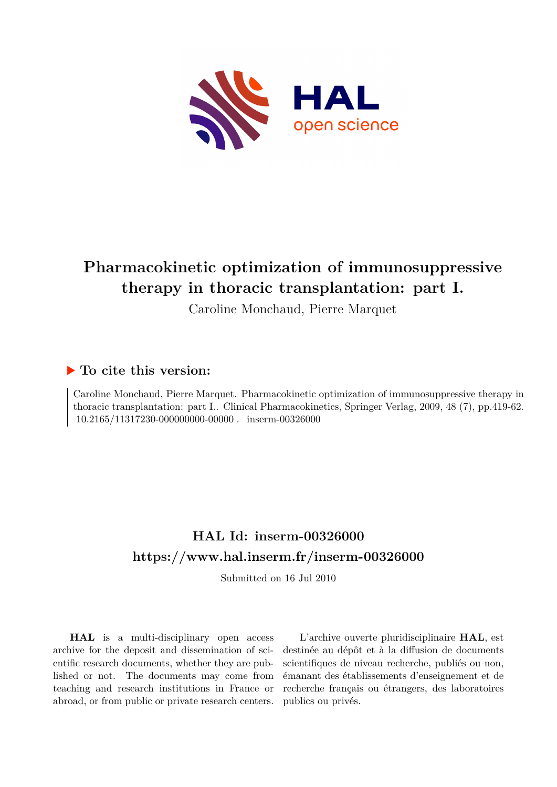

# **Pharmacokinetic optimization of immunosuppressive therapy in thoracic transplantation: part I.**

Caroline Monchaud, Pierre Marquet

# **To cite this version:**

Caroline Monchaud, Pierre Marquet. Pharmacokinetic optimization of immunosuppressive therapy in thoracic transplantation: part I.. Clinical Pharmacokinetics, Springer Verlag, 2009, 48 (7), pp.419-62.  $10.2165/11317230-000000000-00000$ . inserm-00326000

# **HAL Id: inserm-00326000 <https://www.hal.inserm.fr/inserm-00326000>**

Submitted on 16 Jul 2010

**HAL** is a multi-disciplinary open access archive for the deposit and dissemination of scientific research documents, whether they are published or not. The documents may come from teaching and research institutions in France or abroad, or from public or private research centers.

L'archive ouverte pluridisciplinaire **HAL**, est destinée au dépôt et à la diffusion de documents scientifiques de niveau recherche, publiés ou non, émanant des établissements d'enseignement et de recherche français ou étrangers, des laboratoires publics ou privés.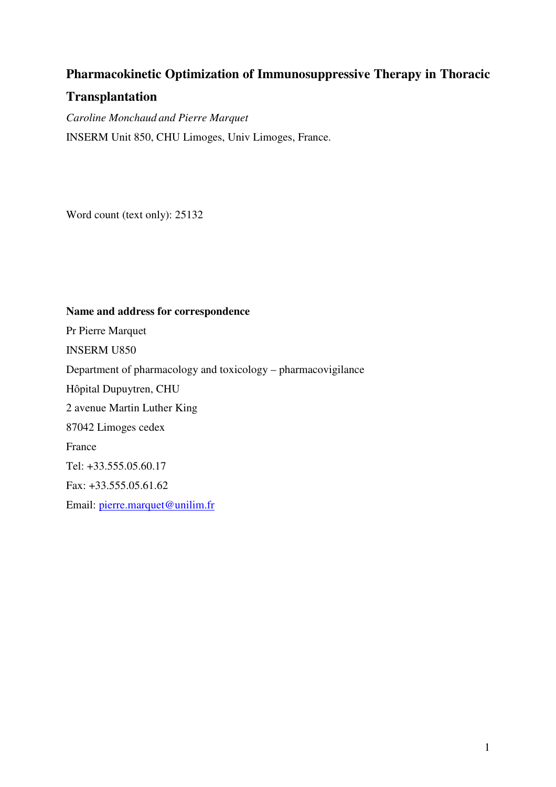# **Pharmacokinetic Optimization of Immunosuppressive Therapy in Thoracic**

# **Transplantation**

*Caroline Monchaud and Pierre Marquet*  INSERM Unit 850, CHU Limoges, Univ Limoges, France.

Word count (text only): 25132

# **Name and address for correspondence**

Pr Pierre Marquet INSERM U850 Department of pharmacology and toxicology – pharmacovigilance Hôpital Dupuytren, CHU 2 avenue Martin Luther King 87042 Limoges cedex France Tel: +33.555.05.60.17 Fax: +33.555.05.61.62 Email: pierre.marquet@unilim.fr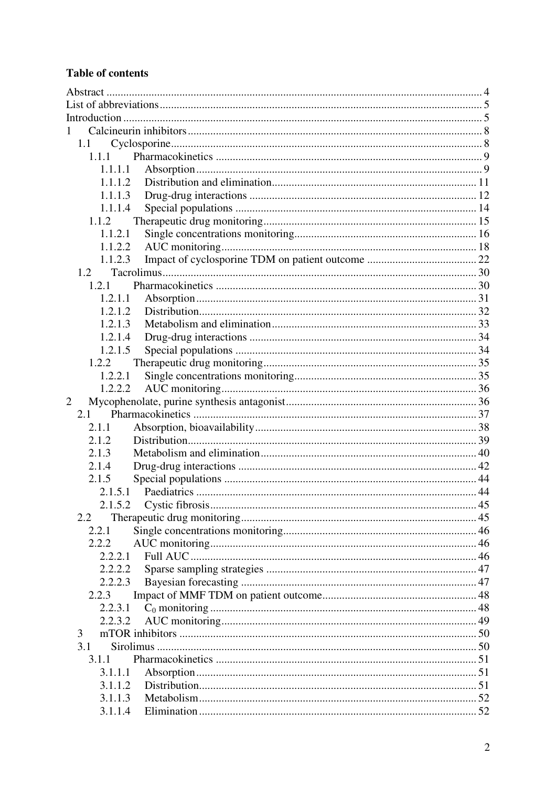# **Table of contents**

| 1              |  |
|----------------|--|
| 1.1            |  |
| 1.1.1          |  |
| 1.1.1.1        |  |
| 1.1.1.2        |  |
| 1.1.1.3        |  |
| 1.1.1.4        |  |
| 1.1.2          |  |
| 1.1.2.1        |  |
| 1.1.2.2        |  |
| 1.1.2.3        |  |
| 1.2            |  |
| 1.2.1          |  |
| 1.2.1.1        |  |
| 1.2.1.2        |  |
| 1.2.1.3        |  |
| 1.2.1.4        |  |
| 1.2.1.5        |  |
| 1.2.2          |  |
| 1.2.2.1        |  |
| 1.2.2.2        |  |
| $\overline{2}$ |  |
| 2.1            |  |
| 2.1.1          |  |
| 2.1.2          |  |
| 2.1.3          |  |
| 2.1.4          |  |
| 2.1.5          |  |
| 2.1.5.1        |  |
|                |  |
| 2.2            |  |
| 2.2.1          |  |
| 2.2.2          |  |
| 2.2.2.1        |  |
| 2.2.2.2        |  |
| 2.2.2.3        |  |
| 2.2.3          |  |
| 2.2.3.1        |  |
| 2.2.3.2        |  |
| 3              |  |
| 3.1            |  |
| 3.1.1          |  |
| 3.1.1.1        |  |
| 3.1.1.2        |  |
| 3.1.1.3        |  |
| 3.1.1.4        |  |
|                |  |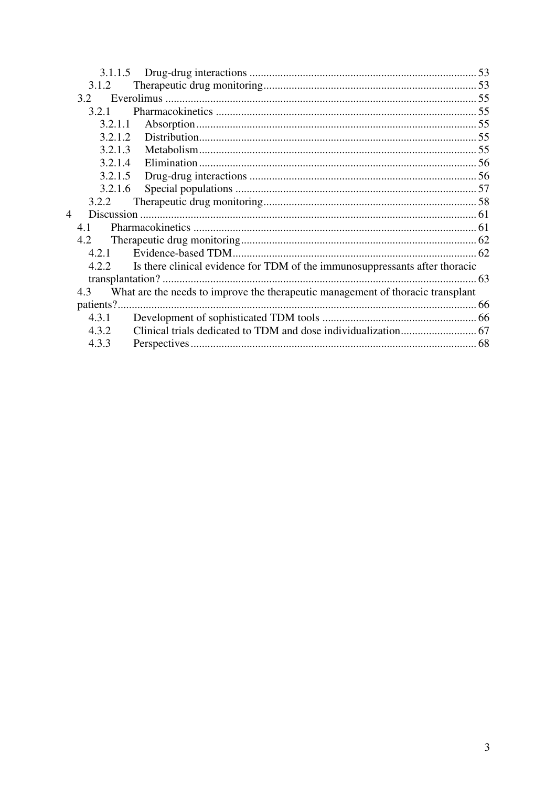| 3.1.1.5                  |                                                                                 |  |
|--------------------------|---------------------------------------------------------------------------------|--|
| 3.1.2                    |                                                                                 |  |
| 3.2                      |                                                                                 |  |
| 3.2.1                    |                                                                                 |  |
| 3.2.1.1                  |                                                                                 |  |
| 3.2.1.2                  |                                                                                 |  |
| 3.2.1.3                  |                                                                                 |  |
| 3.2.1.4                  |                                                                                 |  |
| 3.2.1.5                  |                                                                                 |  |
| 3.2.1.6                  |                                                                                 |  |
| 3.2.2                    |                                                                                 |  |
| $\overline{\mathcal{A}}$ |                                                                                 |  |
| 4.1                      |                                                                                 |  |
| 4.2                      |                                                                                 |  |
| 4.2.1                    |                                                                                 |  |
| 4.2.2                    | Is there clinical evidence for TDM of the immunosuppressants after thoracic     |  |
|                          |                                                                                 |  |
| 4.3                      | What are the needs to improve the therapeutic management of thoracic transplant |  |
|                          |                                                                                 |  |
| 4.3.1                    |                                                                                 |  |
| 4.3.2                    |                                                                                 |  |
| 4.3.3                    |                                                                                 |  |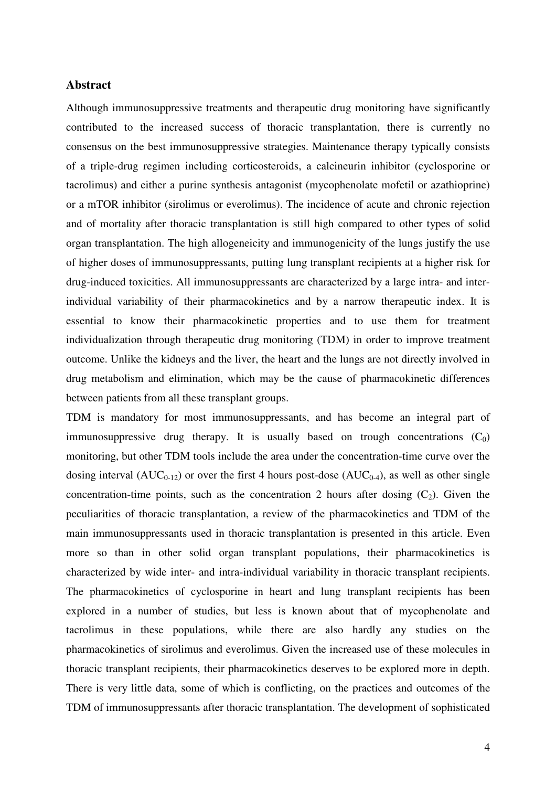#### **Abstract**

Although immunosuppressive treatments and therapeutic drug monitoring have significantly contributed to the increased success of thoracic transplantation, there is currently no consensus on the best immunosuppressive strategies. Maintenance therapy typically consists of a triple-drug regimen including corticosteroids, a calcineurin inhibitor (cyclosporine or tacrolimus) and either a purine synthesis antagonist (mycophenolate mofetil or azathioprine) or a mTOR inhibitor (sirolimus or everolimus). The incidence of acute and chronic rejection and of mortality after thoracic transplantation is still high compared to other types of solid organ transplantation. The high allogeneicity and immunogenicity of the lungs justify the use of higher doses of immunosuppressants, putting lung transplant recipients at a higher risk for drug-induced toxicities. All immunosuppressants are characterized by a large intra- and interindividual variability of their pharmacokinetics and by a narrow therapeutic index. It is essential to know their pharmacokinetic properties and to use them for treatment individualization through therapeutic drug monitoring (TDM) in order to improve treatment outcome. Unlike the kidneys and the liver, the heart and the lungs are not directly involved in drug metabolism and elimination, which may be the cause of pharmacokinetic differences between patients from all these transplant groups.

TDM is mandatory for most immunosuppressants, and has become an integral part of immunosuppressive drug therapy. It is usually based on trough concentrations  $(C_0)$ monitoring, but other TDM tools include the area under the concentration-time curve over the dosing interval  $(AUC_{0-12})$  or over the first 4 hours post-dose  $(AUC_{0-4})$ , as well as other single concentration-time points, such as the concentration 2 hours after dosing  $(C_2)$ . Given the peculiarities of thoracic transplantation, a review of the pharmacokinetics and TDM of the main immunosuppressants used in thoracic transplantation is presented in this article. Even more so than in other solid organ transplant populations, their pharmacokinetics is characterized by wide inter- and intra-individual variability in thoracic transplant recipients. The pharmacokinetics of cyclosporine in heart and lung transplant recipients has been explored in a number of studies, but less is known about that of mycophenolate and tacrolimus in these populations, while there are also hardly any studies on the pharmacokinetics of sirolimus and everolimus. Given the increased use of these molecules in thoracic transplant recipients, their pharmacokinetics deserves to be explored more in depth. There is very little data, some of which is conflicting, on the practices and outcomes of the TDM of immunosuppressants after thoracic transplantation. The development of sophisticated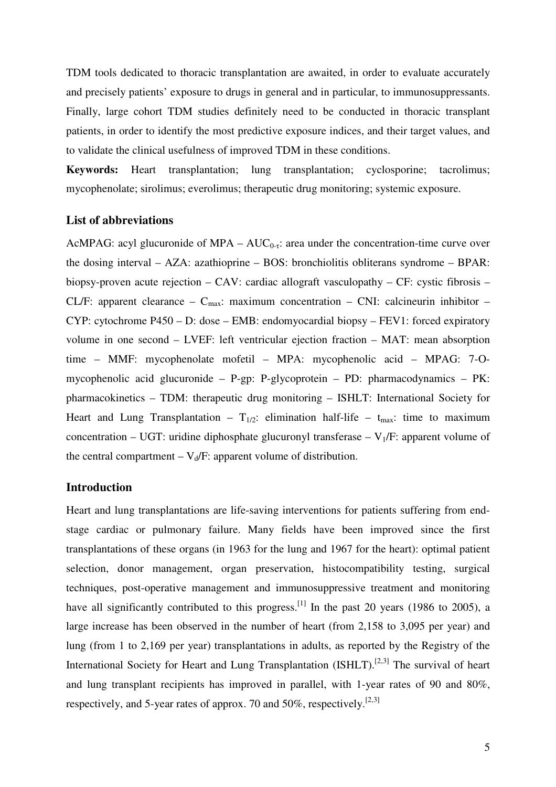TDM tools dedicated to thoracic transplantation are awaited, in order to evaluate accurately and precisely patients' exposure to drugs in general and in particular, to immunosuppressants. Finally, large cohort TDM studies definitely need to be conducted in thoracic transplant patients, in order to identify the most predictive exposure indices, and their target values, and to validate the clinical usefulness of improved TDM in these conditions.

**Keywords:** Heart transplantation; lung transplantation; cyclosporine; tacrolimus; mycophenolate; sirolimus; everolimus; therapeutic drug monitoring; systemic exposure.

# **List of abbreviations**

AcMPAG: acyl glucuronide of MPA –  $AUC_{0-\tau}$ : area under the concentration-time curve over the dosing interval – AZA: azathioprine – BOS: bronchiolitis obliterans syndrome – BPAR: biopsy-proven acute rejection – CAV: cardiac allograft vasculopathy – CF: cystic fibrosis – CL/F: apparent clearance –  $C_{\text{max}}$ : maximum concentration – CNI: calcineurin inhibitor – CYP: cytochrome P450 – D: dose – EMB: endomyocardial biopsy – FEV1: forced expiratory volume in one second – LVEF: left ventricular ejection fraction – MAT: mean absorption time – MMF: mycophenolate mofetil – MPA: mycophenolic acid – MPAG: 7-Omycophenolic acid glucuronide – P-gp: P-glycoprotein – PD: pharmacodynamics – PK: pharmacokinetics – TDM: therapeutic drug monitoring – ISHLT: International Society for Heart and Lung Transplantation –  $T_{1/2}$ : elimination half-life –  $t_{\text{max}}$ : time to maximum concentration – UGT: uridine diphosphate glucuronyl transferase –  $V_1/F$ : apparent volume of the central compartment  $-V_d/F$ : apparent volume of distribution.

# **Introduction**

Heart and lung transplantations are life-saving interventions for patients suffering from endstage cardiac or pulmonary failure. Many fields have been improved since the first transplantations of these organs (in 1963 for the lung and 1967 for the heart): optimal patient selection, donor management, organ preservation, histocompatibility testing, surgical techniques, post-operative management and immunosuppressive treatment and monitoring have all significantly contributed to this progress. <sup>[1]</sup> In the past 20 years (1986 to 2005), a large increase has been observed in the number of heart (from 2,158 to 3,095 per year) and lung (from 1 to 2,169 per year) transplantations in adults, as reported by the Registry of the International Society for Heart and Lung Transplantation  $(ISHLT)$ .<sup>[2,3]</sup> The survival of heart and lung transplant recipients has improved in parallel, with 1-year rates of 90 and 80%, respectively, and 5-year rates of approx. 70 and 50%, respectively.[2,3]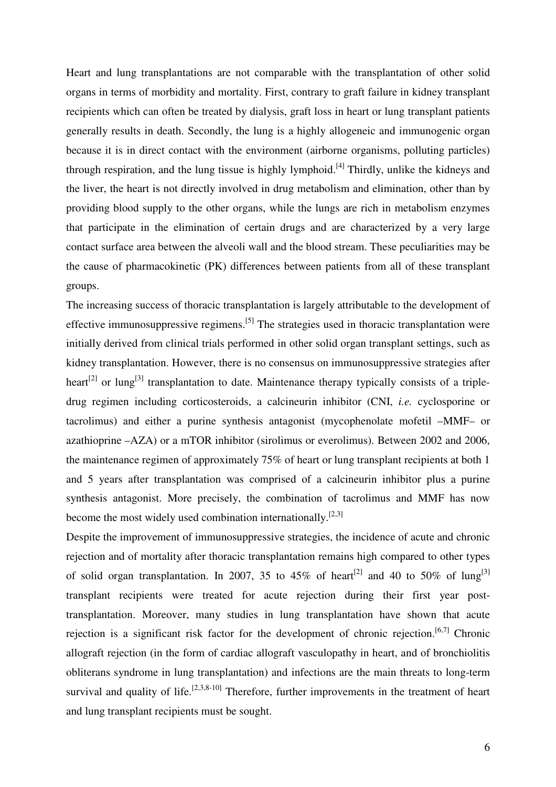Heart and lung transplantations are not comparable with the transplantation of other solid organs in terms of morbidity and mortality. First, contrary to graft failure in kidney transplant recipients which can often be treated by dialysis, graft loss in heart or lung transplant patients generally results in death. Secondly, the lung is a highly allogeneic and immunogenic organ because it is in direct contact with the environment (airborne organisms, polluting particles) through respiration, and the lung tissue is highly lymphoid.<sup>[4]</sup> Thirdly, unlike the kidneys and the liver, the heart is not directly involved in drug metabolism and elimination, other than by providing blood supply to the other organs, while the lungs are rich in metabolism enzymes that participate in the elimination of certain drugs and are characterized by a very large contact surface area between the alveoli wall and the blood stream. These peculiarities may be the cause of pharmacokinetic (PK) differences between patients from all of these transplant groups.

The increasing success of thoracic transplantation is largely attributable to the development of effective immunosuppressive regimens.<sup>[5]</sup> The strategies used in thoracic transplantation were initially derived from clinical trials performed in other solid organ transplant settings, such as kidney transplantation. However, there is no consensus on immunosuppressive strategies after heart<sup>[2]</sup> or lung<sup>[3]</sup> transplantation to date. Maintenance therapy typically consists of a tripledrug regimen including corticosteroids, a calcineurin inhibitor (CNI, *i.e.* cyclosporine or tacrolimus) and either a purine synthesis antagonist (mycophenolate mofetil –MMF– or azathioprine –AZA) or a mTOR inhibitor (sirolimus or everolimus). Between 2002 and 2006, the maintenance regimen of approximately 75% of heart or lung transplant recipients at both 1 and 5 years after transplantation was comprised of a calcineurin inhibitor plus a purine synthesis antagonist. More precisely, the combination of tacrolimus and MMF has now become the most widely used combination internationally.<sup>[2,3]</sup>

Despite the improvement of immunosuppressive strategies, the incidence of acute and chronic rejection and of mortality after thoracic transplantation remains high compared to other types of solid organ transplantation. In 2007, 35 to 45% of heart<sup>[2]</sup> and 40 to 50% of lung<sup>[3]</sup> transplant recipients were treated for acute rejection during their first year posttransplantation. Moreover, many studies in lung transplantation have shown that acute rejection is a significant risk factor for the development of chronic rejection.<sup>[6,7]</sup> Chronic allograft rejection (in the form of cardiac allograft vasculopathy in heart, and of bronchiolitis obliterans syndrome in lung transplantation) and infections are the main threats to long-term survival and quality of life.<sup>[2,3,8-10]</sup> Therefore, further improvements in the treatment of heart and lung transplant recipients must be sought.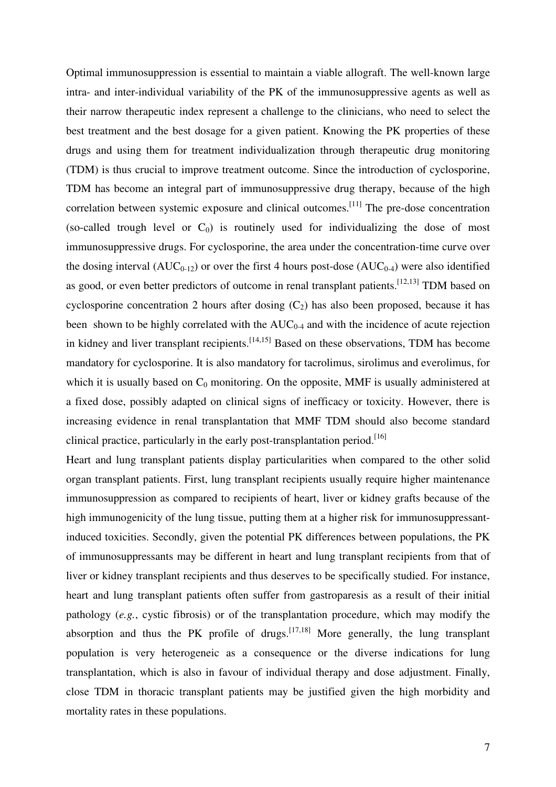Optimal immunosuppression is essential to maintain a viable allograft. The well-known large intra- and inter-individual variability of the PK of the immunosuppressive agents as well as their narrow therapeutic index represent a challenge to the clinicians, who need to select the best treatment and the best dosage for a given patient. Knowing the PK properties of these drugs and using them for treatment individualization through therapeutic drug monitoring (TDM) is thus crucial to improve treatment outcome. Since the introduction of cyclosporine, TDM has become an integral part of immunosuppressive drug therapy, because of the high correlation between systemic exposure and clinical outcomes.<sup>[11]</sup> The pre-dose concentration (so-called trough level or  $C_0$ ) is routinely used for individualizing the dose of most immunosuppressive drugs. For cyclosporine, the area under the concentration-time curve over the dosing interval  $(AUC_{0-12})$  or over the first 4 hours post-dose  $(AUC_{0-4})$  were also identified as good, or even better predictors of outcome in renal transplant patients.<sup>[12,13]</sup> TDM based on cyclosporine concentration 2 hours after dosing  $(C_2)$  has also been proposed, because it has been shown to be highly correlated with the  $AUC_{0.4}$  and with the incidence of acute rejection in kidney and liver transplant recipients.<sup>[14,15]</sup> Based on these observations, TDM has become mandatory for cyclosporine. It is also mandatory for tacrolimus, sirolimus and everolimus, for which it is usually based on  $C_0$  monitoring. On the opposite, MMF is usually administered at a fixed dose, possibly adapted on clinical signs of inefficacy or toxicity. However, there is increasing evidence in renal transplantation that MMF TDM should also become standard clinical practice, particularly in the early post-transplantation period.<sup>[16]</sup>

Heart and lung transplant patients display particularities when compared to the other solid organ transplant patients. First, lung transplant recipients usually require higher maintenance immunosuppression as compared to recipients of heart, liver or kidney grafts because of the high immunogenicity of the lung tissue, putting them at a higher risk for immunosuppressantinduced toxicities. Secondly, given the potential PK differences between populations, the PK of immunosuppressants may be different in heart and lung transplant recipients from that of liver or kidney transplant recipients and thus deserves to be specifically studied. For instance, heart and lung transplant patients often suffer from gastroparesis as a result of their initial pathology (*e.g.*, cystic fibrosis) or of the transplantation procedure, which may modify the absorption and thus the PK profile of drugs.<sup>[17,18]</sup> More generally, the lung transplant population is very heterogeneic as a consequence or the diverse indications for lung transplantation, which is also in favour of individual therapy and dose adjustment. Finally, close TDM in thoracic transplant patients may be justified given the high morbidity and mortality rates in these populations.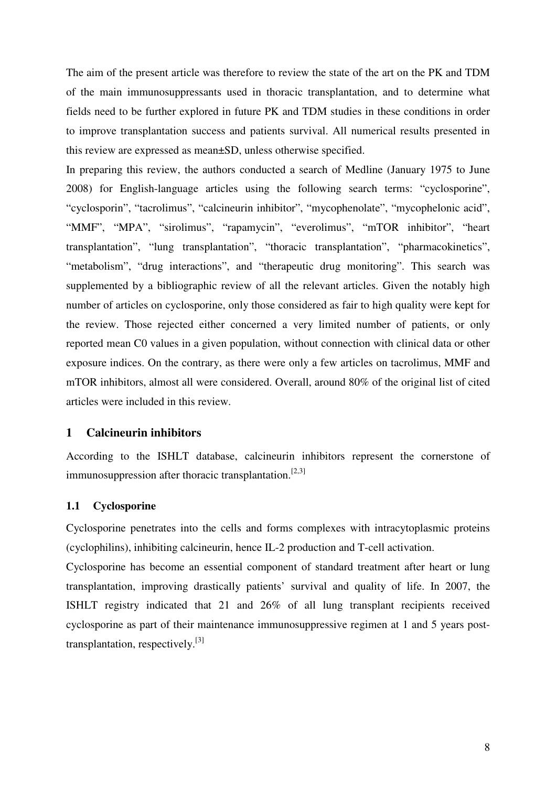The aim of the present article was therefore to review the state of the art on the PK and TDM of the main immunosuppressants used in thoracic transplantation, and to determine what fields need to be further explored in future PK and TDM studies in these conditions in order to improve transplantation success and patients survival. All numerical results presented in this review are expressed as mean±SD, unless otherwise specified.

In preparing this review, the authors conducted a search of Medline (January 1975 to June 2008) for English-language articles using the following search terms: "cyclosporine", "cyclosporin", "tacrolimus", "calcineurin inhibitor", "mycophenolate", "mycophelonic acid", "MMF", "MPA", "sirolimus", "rapamycin", "everolimus", "mTOR inhibitor", "heart transplantation", "lung transplantation", "thoracic transplantation", "pharmacokinetics", "metabolism", "drug interactions", and "therapeutic drug monitoring". This search was supplemented by a bibliographic review of all the relevant articles. Given the notably high number of articles on cyclosporine, only those considered as fair to high quality were kept for the review. Those rejected either concerned a very limited number of patients, or only reported mean C0 values in a given population, without connection with clinical data or other exposure indices. On the contrary, as there were only a few articles on tacrolimus, MMF and mTOR inhibitors, almost all were considered. Overall, around 80% of the original list of cited articles were included in this review.

# **1 Calcineurin inhibitors**

According to the ISHLT database, calcineurin inhibitors represent the cornerstone of immunosuppression after thoracic transplantation.<sup>[2,3]</sup>

# **1.1 Cyclosporine**

Cyclosporine penetrates into the cells and forms complexes with intracytoplasmic proteins (cyclophilins), inhibiting calcineurin, hence IL-2 production and T-cell activation.

Cyclosporine has become an essential component of standard treatment after heart or lung transplantation, improving drastically patients' survival and quality of life. In 2007, the ISHLT registry indicated that 21 and 26% of all lung transplant recipients received cyclosporine as part of their maintenance immunosuppressive regimen at 1 and 5 years posttransplantation, respectively.[3]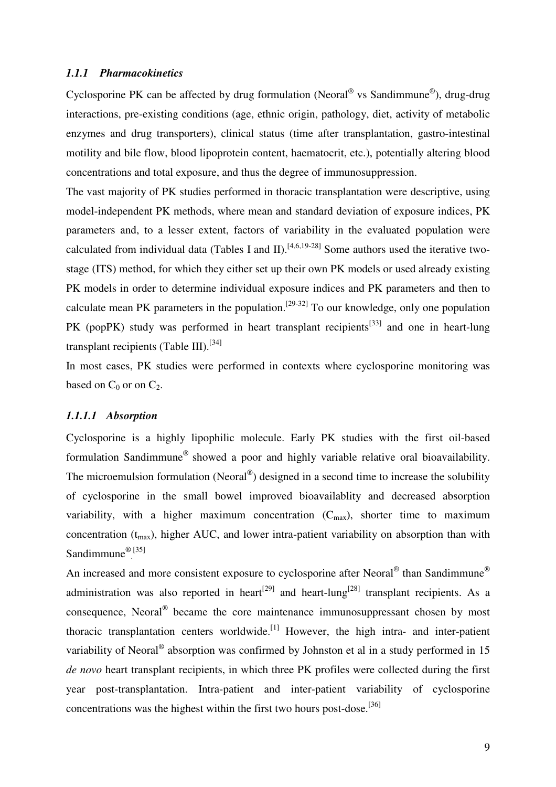#### *1.1.1 Pharmacokinetics*

Cyclosporine PK can be affected by drug formulation (Neoral<sup>®</sup> vs Sandimmune<sup>®</sup>), drug-drug interactions, pre-existing conditions (age, ethnic origin, pathology, diet, activity of metabolic enzymes and drug transporters), clinical status (time after transplantation, gastro-intestinal motility and bile flow, blood lipoprotein content, haematocrit, etc.), potentially altering blood concentrations and total exposure, and thus the degree of immunosuppression.

The vast majority of PK studies performed in thoracic transplantation were descriptive, using model-independent PK methods, where mean and standard deviation of exposure indices, PK parameters and, to a lesser extent, factors of variability in the evaluated population were calculated from individual data (Tables I and II).<sup>[4,6,19-28]</sup> Some authors used the iterative twostage (ITS) method, for which they either set up their own PK models or used already existing PK models in order to determine individual exposure indices and PK parameters and then to calculate mean PK parameters in the population.<sup>[29-32]</sup> To our knowledge, only one population PK (popPK) study was performed in heart transplant recipients<sup>[33]</sup> and one in heart-lung transplant recipients (Table III).<sup>[34]</sup>

In most cases, PK studies were performed in contexts where cyclosporine monitoring was based on  $C_0$  or on  $C_2$ .

# *1.1.1.1 Absorption*

Cyclosporine is a highly lipophilic molecule. Early PK studies with the first oil-based formulation Sandimmune® showed a poor and highly variable relative oral bioavailability. The microemulsion formulation (Neoral<sup>®</sup>) designed in a second time to increase the solubility of cyclosporine in the small bowel improved bioavailablity and decreased absorption variability, with a higher maximum concentration  $(C_{\text{max}})$ , shorter time to maximum concentration  $(t_{max})$ , higher AUC, and lower intra-patient variability on absorption than with Sandimmune<sup>®[35]</sup>

An increased and more consistent exposure to cyclosporine after Neoral<sup>®</sup> than Sandimmune<sup>®</sup> administration was also reported in heart<sup>[29]</sup> and heart-lung<sup>[28]</sup> transplant recipients. As a consequence, Neoral<sup>®</sup> became the core maintenance immunosuppressant chosen by most thoracic transplantation centers worldwide.<sup>[1]</sup> However, the high intra- and inter-patient variability of Neoral<sup>®</sup> absorption was confirmed by Johnston et al in a study performed in 15 *de novo* heart transplant recipients, in which three PK profiles were collected during the first year post-transplantation. Intra-patient and inter-patient variability of cyclosporine concentrations was the highest within the first two hours post-dose.<sup>[36]</sup>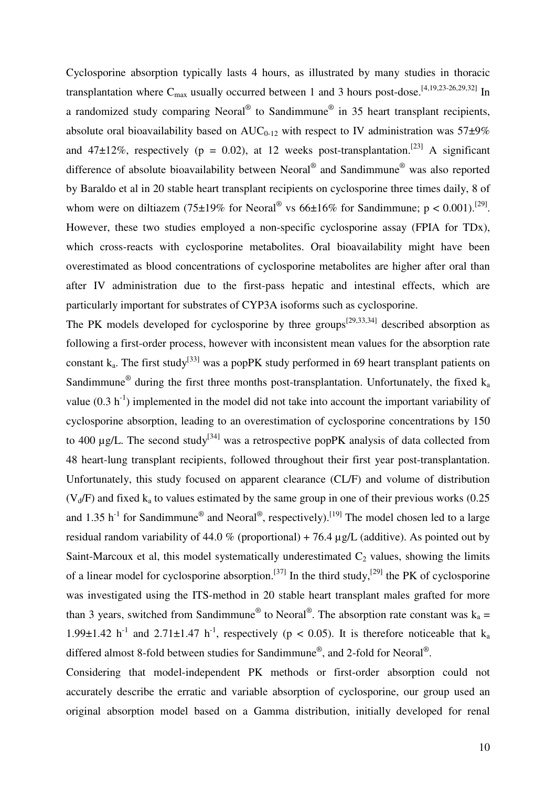Cyclosporine absorption typically lasts 4 hours, as illustrated by many studies in thoracic transplantation where  $C_{\text{max}}$  usually occurred between 1 and 3 hours post-dose.<sup>[4,19,23-26,29,32]</sup> In a randomized study comparing Neoral<sup>®</sup> to Sandimmune<sup>®</sup> in 35 heart transplant recipients, absolute oral bioavailability based on  $AUC_{0-12}$  with respect to IV administration was 57 $\pm 9\%$ and 47 $\pm$ 12%, respectively (p = 0.02), at 12 weeks post-transplantation.<sup>[23]</sup> A significant difference of absolute bioavailability between Neoral<sup>®</sup> and Sandimmune<sup>®</sup> was also reported by Baraldo et al in 20 stable heart transplant recipients on cyclosporine three times daily, 8 of whom were on diltiazem (75±19% for Neoral<sup>®</sup> vs 66±16% for Sandimmune;  $p < 0.001$ ).<sup>[29]</sup>. However, these two studies employed a non-specific cyclosporine assay (FPIA for TDx), which cross-reacts with cyclosporine metabolites. Oral bioavailability might have been overestimated as blood concentrations of cyclosporine metabolites are higher after oral than after IV administration due to the first-pass hepatic and intestinal effects, which are particularly important for substrates of CYP3A isoforms such as cyclosporine.

The PK models developed for cyclosporine by three groups<sup>[29,33,34]</sup> described absorption as following a first-order process, however with inconsistent mean values for the absorption rate constant  $k_a$ . The first study<sup>[33]</sup> was a popPK study performed in 69 heart transplant patients on Sandimmune<sup>®</sup> during the first three months post-transplantation. Unfortunately, the fixed  $k_a$ value  $(0.3 h<sup>-1</sup>)$  implemented in the model did not take into account the important variability of cyclosporine absorption, leading to an overestimation of cyclosporine concentrations by 150 to 400  $\mu$ g/L. The second study<sup>[34]</sup> was a retrospective popPK analysis of data collected from 48 heart-lung transplant recipients, followed throughout their first year post-transplantation. Unfortunately, this study focused on apparent clearance (CL/F) and volume of distribution  $(V_d/F)$  and fixed k<sub>a</sub> to values estimated by the same group in one of their previous works (0.25) and 1.35 h<sup>-1</sup> for Sandimmune<sup>®</sup> and Neoral<sup>®</sup>, respectively).<sup>[19]</sup> The model chosen led to a large residual random variability of 44.0 % (proportional) + 76.4  $\mu$ g/L (additive). As pointed out by Saint-Marcoux et al, this model systematically underestimated  $C_2$  values, showing the limits of a linear model for cyclosporine absorption.<sup>[37]</sup> In the third study,<sup>[29]</sup> the PK of cyclosporine was investigated using the ITS-method in 20 stable heart transplant males grafted for more than 3 years, switched from Sandimmune<sup>®</sup> to Neoral<sup>®</sup>. The absorption rate constant was  $k_a =$ 1.99 $\pm$ 1.42 h<sup>-1</sup> and 2.71 $\pm$ 1.47 h<sup>-1</sup>, respectively (p < 0.05). It is therefore noticeable that k<sub>a</sub> differed almost 8-fold between studies for Sandimmune®, and 2-fold for Neoral®.

Considering that model-independent PK methods or first-order absorption could not accurately describe the erratic and variable absorption of cyclosporine, our group used an original absorption model based on a Gamma distribution, initially developed for renal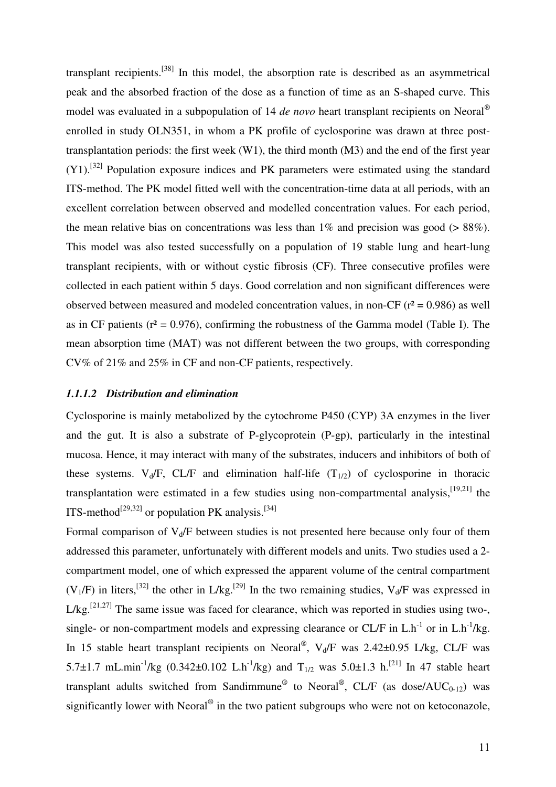transplant recipients.[38] In this model, the absorption rate is described as an asymmetrical peak and the absorbed fraction of the dose as a function of time as an S-shaped curve. This model was evaluated in a subpopulation of 14 *de novo* heart transplant recipients on Neoral® enrolled in study OLN351, in whom a PK profile of cyclosporine was drawn at three posttransplantation periods: the first week (W1), the third month (M3) and the end of the first year  $(Y1)$ .<sup>[32]</sup> Population exposure indices and PK parameters were estimated using the standard ITS-method. The PK model fitted well with the concentration-time data at all periods, with an excellent correlation between observed and modelled concentration values. For each period, the mean relative bias on concentrations was less than  $1\%$  and precision was good ( $> 88\%$ ). This model was also tested successfully on a population of 19 stable lung and heart-lung transplant recipients, with or without cystic fibrosis (CF). Three consecutive profiles were collected in each patient within 5 days. Good correlation and non significant differences were observed between measured and modeled concentration values, in non-CF ( $r^2 = 0.986$ ) as well as in CF patients ( $r^2 = 0.976$ ), confirming the robustness of the Gamma model (Table I). The mean absorption time (MAT) was not different between the two groups, with corresponding CV% of 21% and 25% in CF and non-CF patients, respectively.

#### *1.1.1.2 Distribution and elimination*

Cyclosporine is mainly metabolized by the cytochrome P450 (CYP) 3A enzymes in the liver and the gut. It is also a substrate of P-glycoprotein (P-gp), particularly in the intestinal mucosa. Hence, it may interact with many of the substrates, inducers and inhibitors of both of these systems.  $V_d/F$ , CL/F and elimination half-life  $(T_{1/2})$  of cyclosporine in thoracic transplantation were estimated in a few studies using non-compartmental analysis,  $[19,21]$  the ITS-method<sup>[29,32]</sup> or population PK analysis.<sup>[34]</sup>

Formal comparison of  $V_d/F$  between studies is not presented here because only four of them addressed this parameter, unfortunately with different models and units. Two studies used a 2 compartment model, one of which expressed the apparent volume of the central compartment  $(V_1/F)$  in liters,<sup>[32]</sup> the other in L/kg.<sup>[29]</sup> In the two remaining studies,  $V_d/F$  was expressed in  $L/kg$ <sup>[21,27]</sup> The same issue was faced for clearance, which was reported in studies using two-, single- or non-compartment models and expressing clearance or  $CL/F$  in  $L.h^{-1}$  or in  $L.h^{-1}/kg$ . In 15 stable heart transplant recipients on Neoral<sup>®</sup>, V<sub>d</sub>/F was 2.42±0.95 L/kg, CL/F was 5.7±1.7 mL.min<sup>-1</sup>/kg (0.342±0.102 L.h<sup>-1</sup>/kg) and T<sub>1/2</sub> was 5.0±1.3 h.<sup>[21]</sup> In 47 stable heart transplant adults switched from Sandimmune<sup>®</sup> to Neoral<sup>®</sup>, CL/F (as dose/AUC<sub>0-12</sub>) was significantly lower with Neoral $^{\circledR}$  in the two patient subgroups who were not on ketoconazole,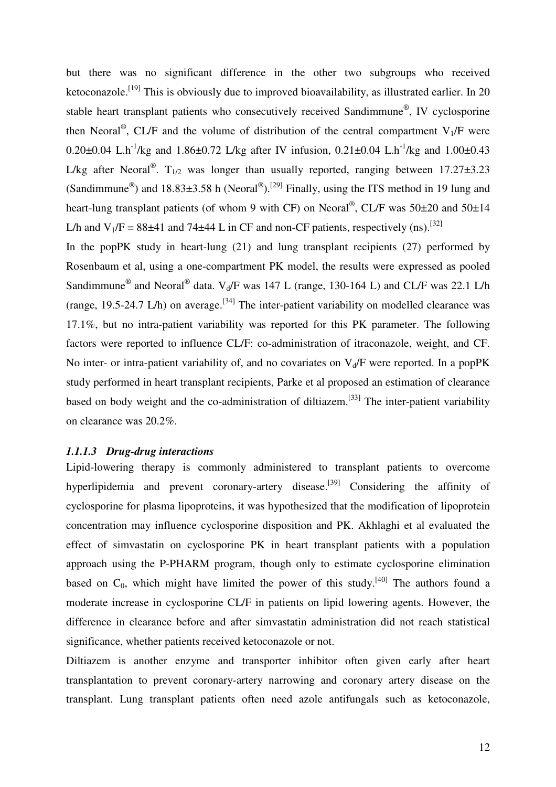but there was no significant difference in the other two subgroups who received ketoconazole.<sup>[19]</sup> This is obviously due to improved bioavailability, as illustrated earlier. In 20 stable heart transplant patients who consecutively received Sandimmune®, IV cyclosporine then Neoral<sup>®</sup>, CL/F and the volume of distribution of the central compartment  $V_1/F$  were 0.20 $\pm$ 0.04 L.h<sup>-1</sup>/kg and 1.86 $\pm$ 0.72 L/kg after IV infusion, 0.21 $\pm$ 0.04 L.h<sup>-1</sup>/kg and 1.00 $\pm$ 0.43 L/kg after Neoral<sup>®</sup>. T<sub>1/2</sub> was longer than usually reported, ranging between  $17.27\pm3.23$ (Sandimmune<sup>®</sup>) and 18.83 $\pm$ 3.58 h (Neoral<sup>®</sup>).<sup>[29]</sup> Finally, using the ITS method in 19 lung and heart-lung transplant patients (of whom 9 with CF) on Neoral<sup>®</sup>, CL/F was 50±20 and 50±14 L/h and  $V_1/F = 88\pm41$  and 74 $\pm 44$  L in CF and non-CF patients, respectively (ns).<sup>[32]</sup>

In the popPK study in heart-lung (21) and lung transplant recipients (27) performed by Rosenbaum et al, using a one-compartment PK model, the results were expressed as pooled Sandimmune<sup>®</sup> and Neoral<sup>®</sup> data.  $V_d/F$  was 147 L (range, 130-164 L) and CL/F was 22.1 L/h (range, 19.5-24.7 L/h) on average.<sup>[34]</sup> The inter-patient variability on modelled clearance was 17.1%, but no intra-patient variability was reported for this PK parameter. The following factors were reported to influence CL/F: co-administration of itraconazole, weight, and CF. No inter- or intra-patient variability of, and no covariates on  $V_d/F$  were reported. In a popPK study performed in heart transplant recipients, Parke et al proposed an estimation of clearance based on body weight and the co-administration of diltiazem.<sup>[33]</sup> The inter-patient variability on clearance was 20.2%.

# *1.1.1.3 Drug-drug interactions*

Lipid-lowering therapy is commonly administered to transplant patients to overcome hyperlipidemia and prevent coronary-artery disease.<sup>[39]</sup> Considering the affinity of cyclosporine for plasma lipoproteins, it was hypothesized that the modification of lipoprotein concentration may influence cyclosporine disposition and PK. Akhlaghi et al evaluated the effect of simvastatin on cyclosporine PK in heart transplant patients with a population approach using the P-PHARM program, though only to estimate cyclosporine elimination based on  $C_0$ , which might have limited the power of this study.<sup>[40]</sup> The authors found a moderate increase in cyclosporine CL/F in patients on lipid lowering agents. However, the difference in clearance before and after simvastatin administration did not reach statistical significance, whether patients received ketoconazole or not.

Diltiazem is another enzyme and transporter inhibitor often given early after heart transplantation to prevent coronary-artery narrowing and coronary artery disease on the transplant. Lung transplant patients often need azole antifungals such as ketoconazole,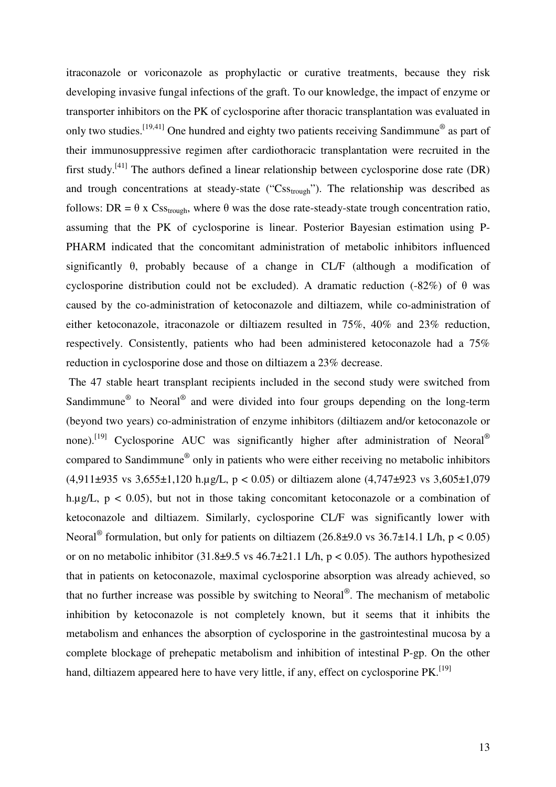itraconazole or voriconazole as prophylactic or curative treatments, because they risk developing invasive fungal infections of the graft. To our knowledge, the impact of enzyme or transporter inhibitors on the PK of cyclosporine after thoracic transplantation was evaluated in only two studies.  $^{[19,41]}$  One hundred and eighty two patients receiving Sandimmune<sup>®</sup> as part of their immunosuppressive regimen after cardiothoracic transplantation were recruited in the first study.<sup>[41]</sup> The authors defined a linear relationship between cyclosporine dose rate (DR) and trough concentrations at steady-state (" $\text{Cs}_{\text{trough}}$ "). The relationship was described as follows: DR =  $\theta$  x Css<sub>trough</sub>, where  $\theta$  was the dose rate-steady-state trough concentration ratio, assuming that the PK of cyclosporine is linear. Posterior Bayesian estimation using P-PHARM indicated that the concomitant administration of metabolic inhibitors influenced significantly θ, probably because of a change in CL/F (although a modification of cyclosporine distribution could not be excluded). A dramatic reduction (-82%) of  $\theta$  was caused by the co-administration of ketoconazole and diltiazem, while co-administration of either ketoconazole, itraconazole or diltiazem resulted in 75%, 40% and 23% reduction, respectively. Consistently, patients who had been administered ketoconazole had a 75% reduction in cyclosporine dose and those on diltiazem a 23% decrease.

 The 47 stable heart transplant recipients included in the second study were switched from Sandimmune<sup>®</sup> to Neoral<sup>®</sup> and were divided into four groups depending on the long-term (beyond two years) co-administration of enzyme inhibitors (diltiazem and/or ketoconazole or none).<sup>[19]</sup> Cyclosporine AUC was significantly higher after administration of Neoral<sup>®</sup> compared to Sandimmune® only in patients who were either receiving no metabolic inhibitors  $(4.911\pm935 \text{ vs } 3.655\pm1.120 \text{ h.ug/L}, p < 0.05)$  or diltiazem alone  $(4.747\pm923 \text{ vs } 3.605\pm1.079$ h.µg/L,  $p < 0.05$ ), but not in those taking concomitant ketoconazole or a combination of ketoconazole and diltiazem. Similarly, cyclosporine CL/F was significantly lower with Neoral<sup>®</sup> formulation, but only for patients on diltiazem (26.8±9.0 vs 36.7±14.1 L/h, p < 0.05) or on no metabolic inhibitor  $(31.8\pm9.5 \text{ vs } 46.7\pm21.1 \text{ L/h}, p < 0.05)$ . The authors hypothesized that in patients on ketoconazole, maximal cyclosporine absorption was already achieved, so that no further increase was possible by switching to Neoral<sup>®</sup>. The mechanism of metabolic inhibition by ketoconazole is not completely known, but it seems that it inhibits the metabolism and enhances the absorption of cyclosporine in the gastrointestinal mucosa by a complete blockage of prehepatic metabolism and inhibition of intestinal P-gp. On the other hand, diltiazem appeared here to have very little, if any, effect on cyclosporine  $PK$ .<sup>[19]</sup>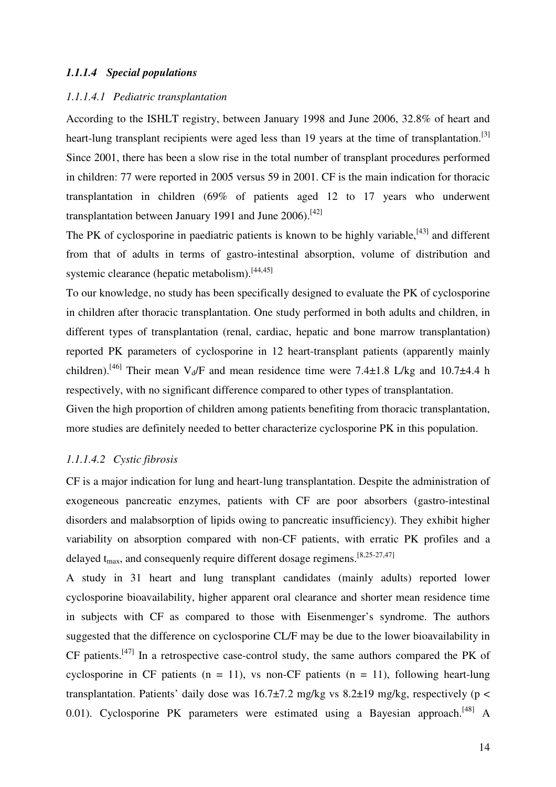# *1.1.1.4 Special populations*

#### *1.1.1.4.1 Pediatric transplantation*

According to the ISHLT registry, between January 1998 and June 2006, 32.8% of heart and heart-lung transplant recipients were aged less than 19 years at the time of transplantation.<sup>[3]</sup> Since 2001, there has been a slow rise in the total number of transplant procedures performed in children: 77 were reported in 2005 versus 59 in 2001. CF is the main indication for thoracic transplantation in children (69% of patients aged 12 to 17 years who underwent transplantation between January 1991 and June 2006).<sup>[42]</sup>

The PK of cyclosporine in paediatric patients is known to be highly variable, $[43]$  and different from that of adults in terms of gastro-intestinal absorption, volume of distribution and systemic clearance (hepatic metabolism).<sup>[44,45]</sup>

To our knowledge, no study has been specifically designed to evaluate the PK of cyclosporine in children after thoracic transplantation. One study performed in both adults and children, in different types of transplantation (renal, cardiac, hepatic and bone marrow transplantation) reported PK parameters of cyclosporine in 12 heart-transplant patients (apparently mainly children).<sup>[46]</sup> Their mean V<sub>d</sub>/F and mean residence time were 7.4 $\pm$ 1.8 L/kg and 10.7 $\pm$ 4.4 h respectively, with no significant difference compared to other types of transplantation.

Given the high proportion of children among patients benefiting from thoracic transplantation, more studies are definitely needed to better characterize cyclosporine PK in this population.

# *1.1.1.4.2 Cystic fibrosis*

CF is a major indication for lung and heart-lung transplantation. Despite the administration of exogeneous pancreatic enzymes, patients with CF are poor absorbers (gastro-intestinal disorders and malabsorption of lipids owing to pancreatic insufficiency). They exhibit higher variability on absorption compared with non-CF patients, with erratic PK profiles and a delayed  $t_{max}$ , and consequenly require different dosage regimens. [8,25-27,47]

A study in 31 heart and lung transplant candidates (mainly adults) reported lower cyclosporine bioavailability, higher apparent oral clearance and shorter mean residence time in subjects with CF as compared to those with Eisenmenger's syndrome. The authors suggested that the difference on cyclosporine CL/F may be due to the lower bioavailability in  $CF$  patients.<sup>[47]</sup> In a retrospective case-control study, the same authors compared the PK of cyclosporine in CF patients ( $n = 11$ ), vs non-CF patients ( $n = 11$ ), following heart-lung transplantation. Patients' daily dose was  $16.7\pm7.2$  mg/kg vs  $8.2\pm19$  mg/kg, respectively (p < 0.01). Cyclosporine PK parameters were estimated using a Bayesian approach.<sup>[48]</sup> A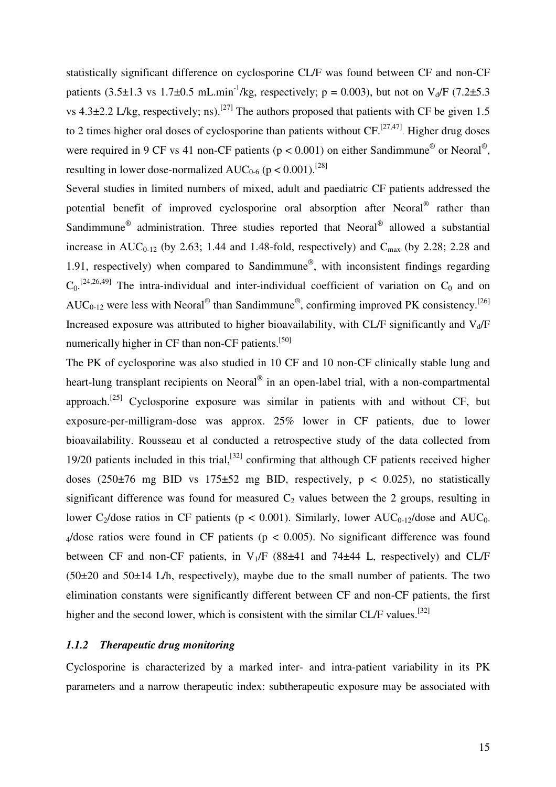statistically significant difference on cyclosporine CL/F was found between CF and non-CF patients (3.5±1.3 vs 1.7±0.5 mL.min<sup>-1</sup>/kg, respectively; p = 0.003), but not on V<sub>d</sub>/F (7.2±5.3) vs 4.3 $\pm$ 2.2 L/kg, respectively; ns).<sup>[27]</sup> The authors proposed that patients with CF be given 1.5 to 2 times higher oral doses of cyclosporine than patients without  $CF$ .<sup>[27,47]</sup>. Higher drug doses were required in 9 CF vs 41 non-CF patients ( $p < 0.001$ ) on either Sandimmune<sup>®</sup> or Neoral<sup>®</sup>, resulting in lower dose-normalized  $AUC_{0.6}$  (p < 0.001).<sup>[28]</sup>

Several studies in limited numbers of mixed, adult and paediatric CF patients addressed the potential benefit of improved cyclosporine oral absorption after Neoral<sup>®</sup> rather than Sandimmune<sup>®</sup> administration. Three studies reported that Neoral<sup>®</sup> allowed a substantial increase in AUC<sub>0-12</sub> (by 2.63; 1.44 and 1.48-fold, respectively) and C<sub>max</sub> (by 2.28; 2.28 and 1.91, respectively) when compared to Sandimmune® , with inconsistent findings regarding  $C_0$ .<sup>[24,26,49]</sup> The intra-individual and inter-individual coefficient of variation on  $C_0$  and on AUC<sub>0-12</sub> were less with Neoral<sup>®</sup> than Sandimmune<sup>®</sup>, confirming improved PK consistency.<sup>[26]</sup> Increased exposure was attributed to higher bioavailability, with CL/F significantly and  $V_d/F$ numerically higher in CF than non-CF patients.<sup>[50]</sup>

The PK of cyclosporine was also studied in 10 CF and 10 non-CF clinically stable lung and heart-lung transplant recipients on Neoral® in an open-label trial, with a non-compartmental approach.<sup>[25]</sup> Cyclosporine exposure was similar in patients with and without CF, but exposure-per-milligram-dose was approx. 25% lower in CF patients, due to lower bioavailability. Rousseau et al conducted a retrospective study of the data collected from 19/20 patients included in this trial,  $[32]$  confirming that although CF patients received higher doses  $(250\pm76 \text{ mg } BID \text{ vs } 175\pm52 \text{ mg } BID$ , respectively,  $p < 0.025$ ), no statistically significant difference was found for measured  $C_2$  values between the 2 groups, resulting in lower C<sub>2</sub>/dose ratios in CF patients ( $p < 0.001$ ). Similarly, lower AUC<sub>0-12</sub>/dose and AUC<sub>0-1</sub>  $_4$ /dose ratios were found in CF patients (p < 0.005). No significant difference was found between CF and non-CF patients, in  $V_1/F$  (88 $\pm$ 41 and 74 $\pm$ 44 L, respectively) and CL/F  $(50\pm20)$  and  $50\pm14$  L/h, respectively), maybe due to the small number of patients. The two elimination constants were significantly different between CF and non-CF patients, the first higher and the second lower, which is consistent with the similar CL/F values.<sup>[32]</sup>

#### *1.1.2 Therapeutic drug monitoring*

Cyclosporine is characterized by a marked inter- and intra-patient variability in its PK parameters and a narrow therapeutic index: subtherapeutic exposure may be associated with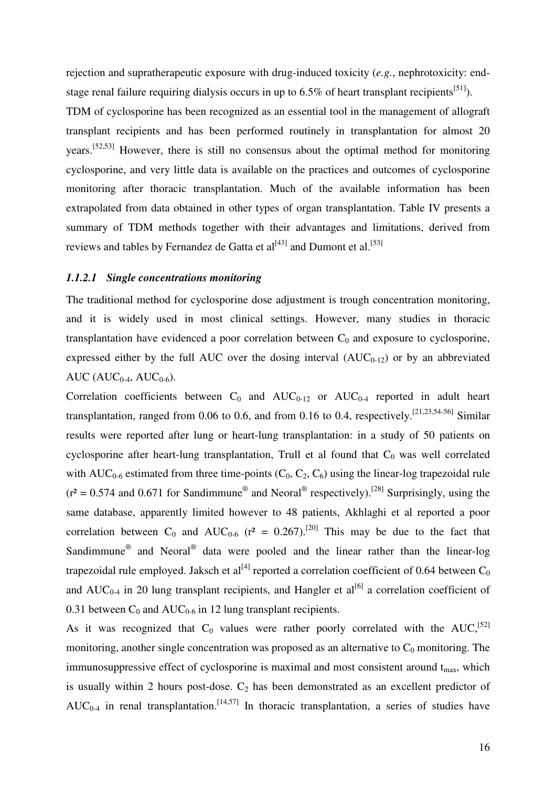rejection and supratherapeutic exposure with drug-induced toxicity (*e.g.*, nephrotoxicity: endstage renal failure requiring dialysis occurs in up to 6.5% of heart transplant recipients<sup>[51]</sup>).

TDM of cyclosporine has been recognized as an essential tool in the management of allograft transplant recipients and has been performed routinely in transplantation for almost 20 years.[52,53] However, there is still no consensus about the optimal method for monitoring cyclosporine, and very little data is available on the practices and outcomes of cyclosporine monitoring after thoracic transplantation. Much of the available information has been extrapolated from data obtained in other types of organ transplantation. Table IV presents a summary of TDM methods together with their advantages and limitations, derived from reviews and tables by Fernandez de Gatta et al $^{[43]}$  and Dumont et al.<sup>[53]</sup>

#### *1.1.2.1 Single concentrations monitoring*

The traditional method for cyclosporine dose adjustment is trough concentration monitoring, and it is widely used in most clinical settings. However, many studies in thoracic transplantation have evidenced a poor correlation between  $C_0$  and exposure to cyclosporine, expressed either by the full AUC over the dosing interval  $(AUC_{0-12})$  or by an abbreviated AUC ( $AUC_{0-4}$ ,  $AUC_{0-6}$ ).

Correlation coefficients between  $C_0$  and  $AUC_{0-12}$  or  $AUC_{0-4}$  reported in adult heart transplantation, ranged from 0.06 to 0.6, and from 0.16 to 0.4, respectively.<sup>[21,23,54-56]</sup> Similar results were reported after lung or heart-lung transplantation: in a study of 50 patients on cyclosporine after heart-lung transplantation, Trull et al found that  $C_0$  was well correlated with  $AUC_{0.6}$  estimated from three time-points  $(C_0, C_2, C_6)$  using the linear-log trapezoidal rule  $(r^2 = 0.574$  and 0.671 for Sandimmune<sup>®</sup> and Neoral<sup>®</sup> respectively).<sup>[28]</sup> Surprisingly, using the same database, apparently limited however to 48 patients, Akhlaghi et al reported a poor correlation between C<sub>0</sub> and AUC<sub>0-6</sub> ( $r^2 = 0.267$ ).<sup>[20]</sup> This may be due to the fact that Sandimmune<sup>®</sup> and Neoral<sup>®</sup> data were pooled and the linear rather than the linear-log trapezoidal rule employed. Jaksch et al<sup>[4]</sup> reported a correlation coefficient of 0.64 between  $C_0$ and  $AUC_{0-4}$  in 20 lung transplant recipients, and Hangler et al<sup>[6]</sup> a correlation coefficient of 0.31 between  $C_0$  and AU $C_{0.6}$  in 12 lung transplant recipients.

As it was recognized that  $C_0$  values were rather poorly correlated with the AUC,<sup>[52]</sup> monitoring, another single concentration was proposed as an alternative to  $C_0$  monitoring. The immunosuppressive effect of cyclosporine is maximal and most consistent around  $t_{\text{max}}$ , which is usually within 2 hours post-dose.  $C_2$  has been demonstrated as an excellent predictor of  $AUC_{0-4}$  in renal transplantation.<sup>[14,57]</sup> In thoracic transplantation, a series of studies have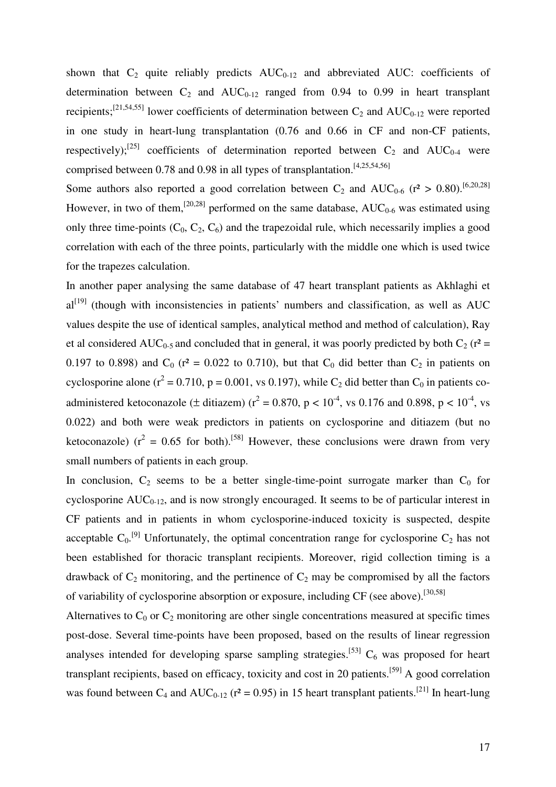shown that  $C_2$  quite reliably predicts  $AUC_{0-12}$  and abbreviated AUC: coefficients of determination between  $C_2$  and  $AUC_{0-12}$  ranged from 0.94 to 0.99 in heart transplant recipients;<sup>[21,54,55]</sup> lower coefficients of determination between  $C_2$  and  $AUC_{0-12}$  were reported in one study in heart-lung transplantation (0.76 and 0.66 in CF and non-CF patients, respectively);<sup>[25]</sup> coefficients of determination reported between  $C_2$  and  $AUC_{0-4}$  were comprised between 0.78 and 0.98 in all types of transplantation.<sup>[4,25,54,56]</sup>

Some authors also reported a good correlation between C<sub>2</sub> and AUC<sub>0-6</sub> ( $r^2 > 0.80$ ).<sup>[6,20,28]</sup> However, in two of them,<sup>[20,28]</sup> performed on the same database,  $AUC_{0.6}$  was estimated using only three time-points  $(C_0, C_2, C_6)$  and the trapezoidal rule, which necessarily implies a good correlation with each of the three points, particularly with the middle one which is used twice for the trapezes calculation.

In another paper analysing the same database of 47 heart transplant patients as Akhlaghi et  $al^{[19]}$  (though with inconsistencies in patients' numbers and classification, as well as AUC values despite the use of identical samples, analytical method and method of calculation), Ray et al considered AUC<sub>0-5</sub> and concluded that in general, it was poorly predicted by both C<sub>2</sub> ( $r^2$  = 0.197 to 0.898) and  $C_0$  (r<sup>2</sup> = 0.022 to 0.710), but that  $C_0$  did better than  $C_2$  in patients on cyclosporine alone ( $r^2$  = 0.710, p = 0.001, vs 0.197), while C<sub>2</sub> did better than C<sub>0</sub> in patients coadministered ketoconazole ( $\pm$  ditiazem) ( $r^2 = 0.870$ ,  $p < 10^{-4}$ , vs 0.176 and 0.898,  $p < 10^{-4}$ , vs 0.022) and both were weak predictors in patients on cyclosporine and ditiazem (but no ketoconazole) ( $r^2 = 0.65$  for both).<sup>[58]</sup> However, these conclusions were drawn from very small numbers of patients in each group.

In conclusion,  $C_2$  seems to be a better single-time-point surrogate marker than  $C_0$  for cyclosporine  $AUC_{0-12}$ , and is now strongly encouraged. It seems to be of particular interest in CF patients and in patients in whom cyclosporine-induced toxicity is suspected, despite acceptable  $C_0$ .<sup>[9]</sup> Unfortunately, the optimal concentration range for cyclosporine  $C_2$  has not been established for thoracic transplant recipients. Moreover, rigid collection timing is a drawback of  $C_2$  monitoring, and the pertinence of  $C_2$  may be compromised by all the factors of variability of cyclosporine absorption or exposure, including  $CF$  (see above).<sup>[30,58]</sup>

Alternatives to  $C_0$  or  $C_2$  monitoring are other single concentrations measured at specific times post-dose. Several time-points have been proposed, based on the results of linear regression analyses intended for developing sparse sampling strategies.<sup>[53]</sup>  $C_6$  was proposed for heart transplant recipients, based on efficacy, toxicity and cost in 20 patients.[59] A good correlation was found between  $C_4$  and  $AUC_{0-12}$  ( $r^2 = 0.95$ ) in 15 heart transplant patients.<sup>[21]</sup> In heart-lung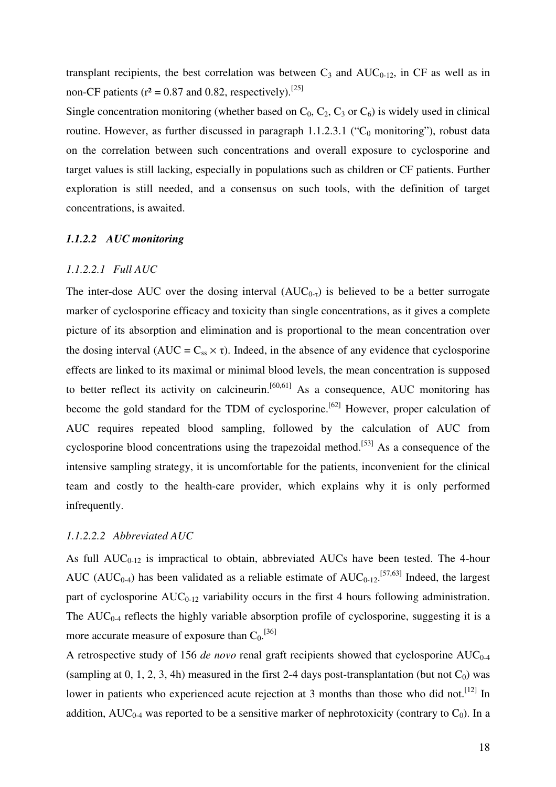transplant recipients, the best correlation was between  $C_3$  and  $AUC_{0-12}$ , in CF as well as in non-CF patients ( $r^2 = 0.87$  and 0.82, respectively).<sup>[25]</sup>

Single concentration monitoring (whether based on  $C_0$ ,  $C_2$ ,  $C_3$  or  $C_6$ ) is widely used in clinical routine. However, as further discussed in paragraph  $1.1.2.3.1$  ("C<sub>0</sub> monitoring"), robust data on the correlation between such concentrations and overall exposure to cyclosporine and target values is still lacking, especially in populations such as children or CF patients. Further exploration is still needed, and a consensus on such tools, with the definition of target concentrations, is awaited.

#### *1.1.2.2 AUC monitoring*

# *1.1.2.2.1 Full AUC*

The inter-dose AUC over the dosing interval  $(AUC_{0-t})$  is believed to be a better surrogate marker of cyclosporine efficacy and toxicity than single concentrations, as it gives a complete picture of its absorption and elimination and is proportional to the mean concentration over the dosing interval (AUC =  $C_{ss} \times \tau$ ). Indeed, in the absence of any evidence that cyclosporine effects are linked to its maximal or minimal blood levels, the mean concentration is supposed to better reflect its activity on calcineurin.<sup>[60,61]</sup> As a consequence, AUC monitoring has become the gold standard for the TDM of cyclosporine.<sup>[62]</sup> However, proper calculation of AUC requires repeated blood sampling, followed by the calculation of AUC from cyclosporine blood concentrations using the trapezoidal method.<sup>[53]</sup> As a consequence of the intensive sampling strategy, it is uncomfortable for the patients, inconvenient for the clinical team and costly to the health-care provider, which explains why it is only performed infrequently.

### *1.1.2.2.2 Abbreviated AUC*

As full  $AUC_{0-12}$  is impractical to obtain, abbreviated  $AUCs$  have been tested. The 4-hour AUC (AUC<sub>0-4</sub>) has been validated as a reliable estimate of  $AUC_{0-12}$ .<sup>[57,63]</sup> Indeed, the largest part of cyclosporine  $AUC_{0-12}$  variability occurs in the first 4 hours following administration. The  $AUC_{0-4}$  reflects the highly variable absorption profile of cyclosporine, suggesting it is a more accurate measure of exposure than  $C_0$ .<sup>[36]</sup>

A retrospective study of 156 *de novo* renal graft recipients showed that cyclosporine  $AUC_{0-4}$ (sampling at 0, 1, 2, 3, 4h) measured in the first 2-4 days post-transplantation (but not  $C_0$ ) was lower in patients who experienced acute rejection at 3 months than those who did not.<sup>[12]</sup> In addition,  $AUC_{0-4}$  was reported to be a sensitive marker of nephrotoxicity (contrary to  $C_0$ ). In a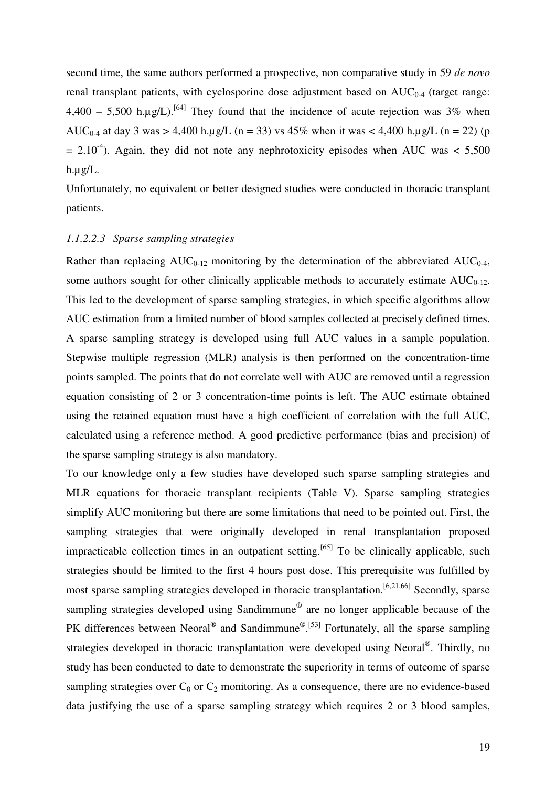second time, the same authors performed a prospective, non comparative study in 59 *de novo* renal transplant patients, with cyclosporine dose adjustment based on  $AUC_{0.4}$  (target range:  $4,400 - 5,500$  h.µg/L).<sup>[64]</sup> They found that the incidence of acute rejection was 3% when AUC<sub>0-4</sub> at day 3 was > 4,400 h.µg/L (n = 33) vs 45% when it was < 4,400 h.µg/L (n = 22) (p  $= 2.10^{-4}$ ). Again, they did not note any nephrotoxicity episodes when AUC was < 5,500 h.µg/L.

Unfortunately, no equivalent or better designed studies were conducted in thoracic transplant patients.

#### *1.1.2.2.3 Sparse sampling strategies*

Rather than replacing  $AUC_{0-12}$  monitoring by the determination of the abbreviated  $AUC_{0-4}$ , some authors sought for other clinically applicable methods to accurately estimate  $AUC_{0-12}$ . This led to the development of sparse sampling strategies, in which specific algorithms allow AUC estimation from a limited number of blood samples collected at precisely defined times. A sparse sampling strategy is developed using full AUC values in a sample population. Stepwise multiple regression (MLR) analysis is then performed on the concentration-time points sampled. The points that do not correlate well with AUC are removed until a regression equation consisting of 2 or 3 concentration-time points is left. The AUC estimate obtained using the retained equation must have a high coefficient of correlation with the full AUC, calculated using a reference method. A good predictive performance (bias and precision) of the sparse sampling strategy is also mandatory.

To our knowledge only a few studies have developed such sparse sampling strategies and MLR equations for thoracic transplant recipients (Table V). Sparse sampling strategies simplify AUC monitoring but there are some limitations that need to be pointed out. First, the sampling strategies that were originally developed in renal transplantation proposed impracticable collection times in an outpatient setting.<sup>[65]</sup> To be clinically applicable, such strategies should be limited to the first 4 hours post dose. This prerequisite was fulfilled by most sparse sampling strategies developed in thoracic transplantation.<sup>[6,21,66]</sup> Secondly, sparse sampling strategies developed using Sandimmune<sup>®</sup> are no longer applicable because of the PK differences between Neoral<sup>®</sup> and Sandimmune<sup>® [53]</sup> Fortunately, all the sparse sampling strategies developed in thoracic transplantation were developed using Neoral®. Thirdly, no study has been conducted to date to demonstrate the superiority in terms of outcome of sparse sampling strategies over  $C_0$  or  $C_2$  monitoring. As a consequence, there are no evidence-based data justifying the use of a sparse sampling strategy which requires 2 or 3 blood samples,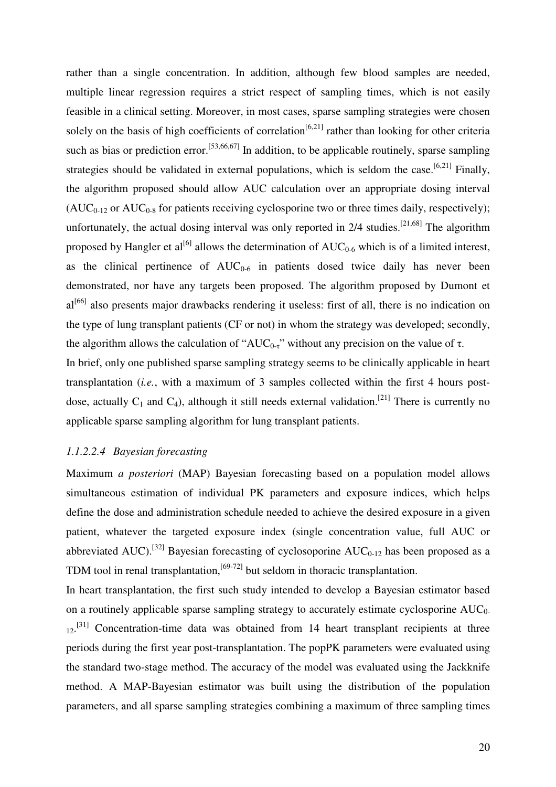rather than a single concentration. In addition, although few blood samples are needed, multiple linear regression requires a strict respect of sampling times, which is not easily feasible in a clinical setting. Moreover, in most cases, sparse sampling strategies were chosen solely on the basis of high coefficients of correlation<sup>[6,21]</sup> rather than looking for other criteria such as bias or prediction error.<sup>[53,66,67]</sup> In addition, to be applicable routinely, sparse sampling strategies should be validated in external populations, which is seldom the case.<sup>[6,21]</sup> Finally, the algorithm proposed should allow AUC calculation over an appropriate dosing interval  $(AUC_{0-12}$  or  $AUC_{0-8}$  for patients receiving cyclosporine two or three times daily, respectively); unfortunately, the actual dosing interval was only reported in  $2/4$  studies.<sup>[21,68]</sup> The algorithm proposed by Hangler et al<sup>[6]</sup> allows the determination of  $AUC_{0-6}$  which is of a limited interest, as the clinical pertinence of  $AUC_{0.6}$  in patients dosed twice daily has never been demonstrated, nor have any targets been proposed. The algorithm proposed by Dumont et al<sup>[66]</sup> also presents major drawbacks rendering it useless: first of all, there is no indication on the type of lung transplant patients (CF or not) in whom the strategy was developed; secondly, the algorithm allows the calculation of "AUC<sub>0-τ</sub>" without any precision on the value of  $\tau$ . In brief, only one published sparse sampling strategy seems to be clinically applicable in heart transplantation (*i.e.*, with a maximum of 3 samples collected within the first 4 hours postdose, actually  $C_1$  and  $C_4$ ), although it still needs external validation.<sup>[21]</sup> There is currently no applicable sparse sampling algorithm for lung transplant patients.

### *1.1.2.2.4 Bayesian forecasting*

Maximum *a posteriori* (MAP) Bayesian forecasting based on a population model allows simultaneous estimation of individual PK parameters and exposure indices, which helps define the dose and administration schedule needed to achieve the desired exposure in a given patient, whatever the targeted exposure index (single concentration value, full AUC or abbreviated AUC).<sup>[32]</sup> Bayesian forecasting of cyclosoporine  $AUC_{0-12}$  has been proposed as a TDM tool in renal transplantation, $[69-72]$  but seldom in thoracic transplantation.

In heart transplantation, the first such study intended to develop a Bayesian estimator based on a routinely applicable sparse sampling strategy to accurately estimate cyclosporine  $AUC_0$ - $12$ <sup>[31]</sup> Concentration-time data was obtained from 14 heart transplant recipients at three periods during the first year post-transplantation. The popPK parameters were evaluated using the standard two-stage method. The accuracy of the model was evaluated using the Jackknife method. A MAP-Bayesian estimator was built using the distribution of the population parameters, and all sparse sampling strategies combining a maximum of three sampling times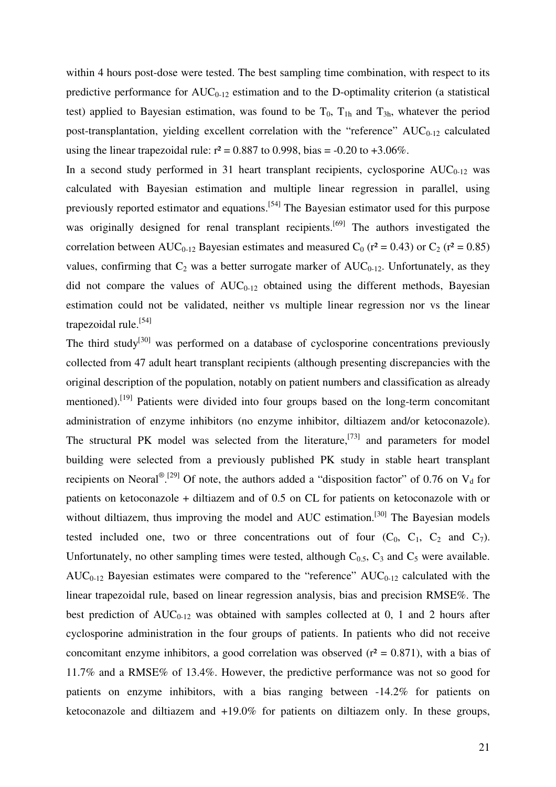within 4 hours post-dose were tested. The best sampling time combination, with respect to its predictive performance for  $AUC_{0-12}$  estimation and to the D-optimality criterion (a statistical test) applied to Bayesian estimation, was found to be  $T_0$ ,  $T_{1h}$  and  $T_{3h}$ , whatever the period post-transplantation, yielding excellent correlation with the "reference"  $AUC_{0-12}$  calculated using the linear trapezoidal rule:  $r^2 = 0.887$  to 0.998, bias = -0.20 to +3.06%.

In a second study performed in 31 heart transplant recipients, cyclosporine  $AUC_{0-12}$  was calculated with Bayesian estimation and multiple linear regression in parallel, using previously reported estimator and equations.[54] The Bayesian estimator used for this purpose was originally designed for renal transplant recipients.<sup>[69]</sup> The authors investigated the correlation between AUC<sub>0-12</sub> Bayesian estimates and measured C<sub>0</sub> ( $r^2 = 0.43$ ) or C<sub>2</sub> ( $r^2 = 0.85$ ) values, confirming that  $C_2$  was a better surrogate marker of  $AUC_{0-12}$ . Unfortunately, as they did not compare the values of  $AUC_{0-12}$  obtained using the different methods, Bayesian estimation could not be validated, neither vs multiple linear regression nor vs the linear trapezoidal rule.<sup>[54]</sup>

The third study<sup>[30]</sup> was performed on a database of cyclosporine concentrations previously collected from 47 adult heart transplant recipients (although presenting discrepancies with the original description of the population, notably on patient numbers and classification as already mentioned).<sup>[19]</sup> Patients were divided into four groups based on the long-term concomitant administration of enzyme inhibitors (no enzyme inhibitor, diltiazem and/or ketoconazole). The structural PK model was selected from the literature,<sup>[73]</sup> and parameters for model building were selected from a previously published PK study in stable heart transplant recipients on Neoral<sup>® [29]</sup> Of note, the authors added a "disposition factor" of 0.76 on  $V_d$  for patients on ketoconazole + diltiazem and of 0.5 on CL for patients on ketoconazole with or without diltiazem, thus improving the model and  $AUC$  estimation.<sup>[30]</sup> The Bayesian models tested included one, two or three concentrations out of four  $(C_0, C_1, C_2, C_1)$  and  $C_7$ ). Unfortunately, no other sampling times were tested, although  $C_{0.5}$ ,  $C_3$  and  $C_5$  were available.  $AUC_{0-12}$  Bayesian estimates were compared to the "reference"  $AUC_{0-12}$  calculated with the linear trapezoidal rule, based on linear regression analysis, bias and precision RMSE%. The best prediction of  $AUC_{0-12}$  was obtained with samples collected at 0, 1 and 2 hours after cyclosporine administration in the four groups of patients. In patients who did not receive concomitant enzyme inhibitors, a good correlation was observed  $(r^2 = 0.871)$ , with a bias of 11.7% and a RMSE% of 13.4%. However, the predictive performance was not so good for patients on enzyme inhibitors, with a bias ranging between -14.2% for patients on ketoconazole and diltiazem and +19.0% for patients on diltiazem only. In these groups,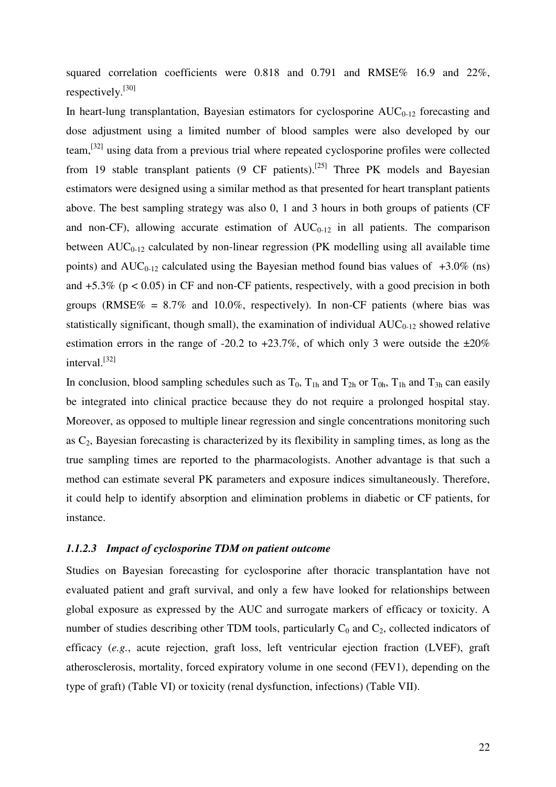squared correlation coefficients were 0.818 and 0.791 and RMSE% 16.9 and 22%, respectively.<sup>[30]</sup>

In heart-lung transplantation, Bayesian estimators for cyclosporine  $AUC_{0-12}$  forecasting and dose adjustment using a limited number of blood samples were also developed by our team,[32] using data from a previous trial where repeated cyclosporine profiles were collected from 19 stable transplant patients  $(9 \text{ CF patients})$ .<sup>[25]</sup> Three PK models and Bayesian estimators were designed using a similar method as that presented for heart transplant patients above. The best sampling strategy was also 0, 1 and 3 hours in both groups of patients (CF and non-CF), allowing accurate estimation of  $AUC_{0-12}$  in all patients. The comparison between  $AUC_{0-12}$  calculated by non-linear regression (PK modelling using all available time points) and  $AUC_{0-12}$  calculated using the Bayesian method found bias values of  $+3.0\%$  (ns) and  $+5.3\%$  ( $p < 0.05$ ) in CF and non-CF patients, respectively, with a good precision in both groups (RMSE% =  $8.7\%$  and  $10.0\%$ , respectively). In non-CF patients (where bias was statistically significant, though small), the examination of individual  $AUC_{0-12}$  showed relative estimation errors in the range of -20.2 to  $+23.7\%$ , of which only 3 were outside the  $\pm 20\%$ interval.[32]

In conclusion, blood sampling schedules such as  $T_0$ ,  $T_{1h}$  and  $T_{2h}$  or  $T_{0h}$ ,  $T_{1h}$  and  $T_{3h}$  can easily be integrated into clinical practice because they do not require a prolonged hospital stay. Moreover, as opposed to multiple linear regression and single concentrations monitoring such as  $C_2$ , Bayesian forecasting is characterized by its flexibility in sampling times, as long as the true sampling times are reported to the pharmacologists. Another advantage is that such a method can estimate several PK parameters and exposure indices simultaneously. Therefore, it could help to identify absorption and elimination problems in diabetic or CF patients, for instance.

## *1.1.2.3 Impact of cyclosporine TDM on patient outcome*

Studies on Bayesian forecasting for cyclosporine after thoracic transplantation have not evaluated patient and graft survival, and only a few have looked for relationships between global exposure as expressed by the AUC and surrogate markers of efficacy or toxicity. A number of studies describing other TDM tools, particularly  $C_0$  and  $C_2$ , collected indicators of efficacy (*e.g.*, acute rejection, graft loss, left ventricular ejection fraction (LVEF), graft atherosclerosis, mortality, forced expiratory volume in one second (FEV1), depending on the type of graft) (Table VI) or toxicity (renal dysfunction, infections) (Table VII).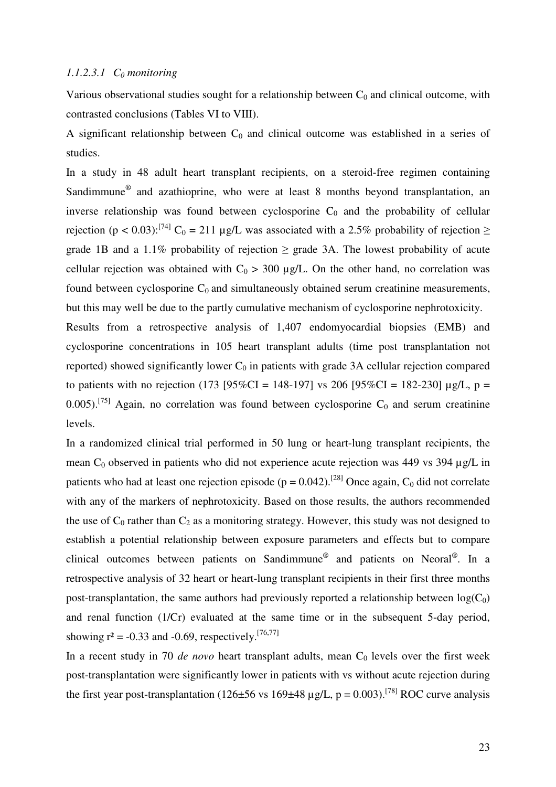# *1.1.2.3.1 C0 monitoring*

Various observational studies sought for a relationship between  $C_0$  and clinical outcome, with contrasted conclusions (Tables VI to VIII).

A significant relationship between  $C_0$  and clinical outcome was established in a series of studies.

In a study in 48 adult heart transplant recipients, on a steroid-free regimen containing Sandimmune<sup>®</sup> and azathioprine, who were at least 8 months beyond transplantation, an inverse relationship was found between cyclosporine  $C_0$  and the probability of cellular rejection (p < 0.03):<sup>[74]</sup> C<sub>0</sub> = 211 µg/L was associated with a 2.5% probability of rejection  $\ge$ grade 1B and a 1.1% probability of rejection  $\geq$  grade 3A. The lowest probability of acute cellular rejection was obtained with  $C_0 > 300 \mu g/L$ . On the other hand, no correlation was found between cyclosporine  $C_0$  and simultaneously obtained serum creatinine measurements, but this may well be due to the partly cumulative mechanism of cyclosporine nephrotoxicity.

Results from a retrospective analysis of 1,407 endomyocardial biopsies (EMB) and cyclosporine concentrations in 105 heart transplant adults (time post transplantation not reported) showed significantly lower  $C_0$  in patients with grade 3A cellular rejection compared to patients with no rejection (173 [95%CI = 148-197] vs 206 [95%CI = 182-230]  $\mu$ g/L, p = 0.005).<sup>[75]</sup> Again, no correlation was found between cyclosporine  $C_0$  and serum creatinine levels.

In a randomized clinical trial performed in 50 lung or heart-lung transplant recipients, the mean  $C_0$  observed in patients who did not experience acute rejection was 449 vs 394  $\mu$ g/L in patients who had at least one rejection episode ( $p = 0.042$ ).<sup>[28]</sup> Once again, C<sub>0</sub> did not correlate with any of the markers of nephrotoxicity. Based on those results, the authors recommended the use of  $C_0$  rather than  $C_2$  as a monitoring strategy. However, this study was not designed to establish a potential relationship between exposure parameters and effects but to compare clinical outcomes between patients on Sandimmune<sup>®</sup> and patients on Neoral<sup>®</sup>. In a retrospective analysis of 32 heart or heart-lung transplant recipients in their first three months post-transplantation, the same authors had previously reported a relationship between  $log(C_0)$ and renal function (1/Cr) evaluated at the same time or in the subsequent 5-day period, showing  $r^2 = -0.33$  and  $-0.69$ , respectively.<sup>[76,77]</sup>

In a recent study in 70  $de novo$  heart transplant adults, mean  $C_0$  levels over the first week post-transplantation were significantly lower in patients with vs without acute rejection during the first year post-transplantation (126±56 vs 169±48 µg/L,  $p = 0.003$ ).<sup>[78]</sup> ROC curve analysis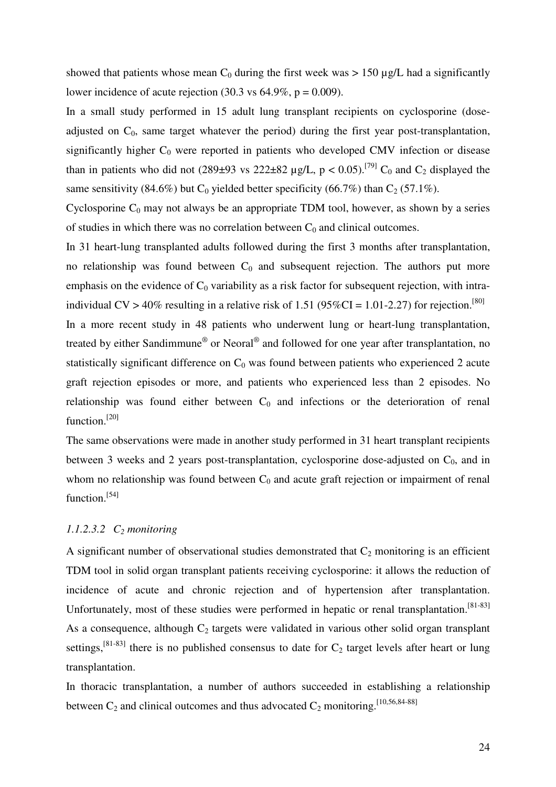showed that patients whose mean  $C_0$  during the first week was  $> 150 \mu g/L$  had a significantly lower incidence of acute rejection (30.3 vs  $64.9\%$ , p = 0.009).

In a small study performed in 15 adult lung transplant recipients on cyclosporine (doseadjusted on  $C_0$ , same target whatever the period) during the first year post-transplantation, significantly higher  $C_0$  were reported in patients who developed CMV infection or disease than in patients who did not (289±93 vs 222±82 µg/L,  $p < 0.05$ ).<sup>[79]</sup> C<sub>0</sub> and C<sub>2</sub> displayed the same sensitivity (84.6%) but  $C_0$  yielded better specificity (66.7%) than  $C_2$  (57.1%).

Cyclosporine  $C_0$  may not always be an appropriate TDM tool, however, as shown by a series of studies in which there was no correlation between  $C_0$  and clinical outcomes.

In 31 heart-lung transplanted adults followed during the first 3 months after transplantation, no relationship was found between  $C_0$  and subsequent rejection. The authors put more emphasis on the evidence of  $C_0$  variability as a risk factor for subsequent rejection, with intraindividual CV > 40% resulting in a relative risk of 1.51 (95%CI = 1.01-2.27) for rejection.<sup>[80]</sup>

In a more recent study in 48 patients who underwent lung or heart-lung transplantation, treated by either Sandimmune® or Neoral® and followed for one year after transplantation, no statistically significant difference on  $C_0$  was found between patients who experienced 2 acute graft rejection episodes or more, and patients who experienced less than 2 episodes. No relationship was found either between  $C_0$  and infections or the deterioration of renal function.<sup>[20]</sup>

The same observations were made in another study performed in 31 heart transplant recipients between 3 weeks and 2 years post-transplantation, cyclosporine dose-adjusted on  $C_0$ , and in whom no relationship was found between  $C_0$  and acute graft rejection or impairment of renal function.<sup>[54]</sup>

# *1.1.2.3.2 C2 monitoring*

A significant number of observational studies demonstrated that  $C_2$  monitoring is an efficient TDM tool in solid organ transplant patients receiving cyclosporine: it allows the reduction of incidence of acute and chronic rejection and of hypertension after transplantation. Unfortunately, most of these studies were performed in hepatic or renal transplantation.[81-83] As a consequence, although  $C_2$  targets were validated in various other solid organ transplant settings,<sup>[81-83]</sup> there is no published consensus to date for  $C_2$  target levels after heart or lung transplantation.

In thoracic transplantation, a number of authors succeeded in establishing a relationship between  $C_2$  and clinical outcomes and thus advocated  $C_2$  monitoring.<sup>[10,56,84-88]</sup>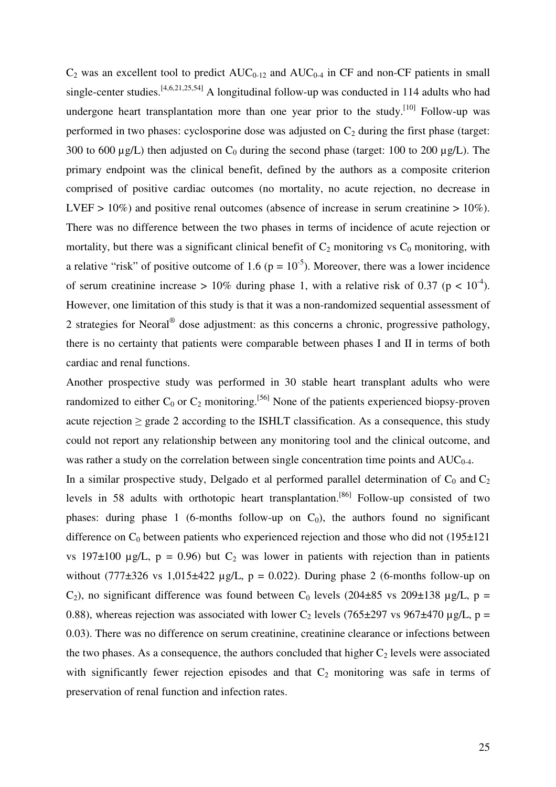$C_2$  was an excellent tool to predict  $AUC_{0-12}$  and  $AUC_{0-4}$  in CF and non-CF patients in small single-center studies.<sup>[4,6,21,25,54]</sup> A longitudinal follow-up was conducted in 114 adults who had undergone heart transplantation more than one year prior to the study.<sup>[10]</sup> Follow-up was performed in two phases: cyclosporine dose was adjusted on  $C_2$  during the first phase (target: 300 to 600  $\mu$ g/L) then adjusted on C<sub>0</sub> during the second phase (target: 100 to 200  $\mu$ g/L). The primary endpoint was the clinical benefit, defined by the authors as a composite criterion comprised of positive cardiac outcomes (no mortality, no acute rejection, no decrease in LVEF  $> 10\%$ ) and positive renal outcomes (absence of increase in serum creatinine  $> 10\%$ ). There was no difference between the two phases in terms of incidence of acute rejection or mortality, but there was a significant clinical benefit of  $C_2$  monitoring vs  $C_0$  monitoring, with a relative "risk" of positive outcome of 1.6 ( $p = 10^{-5}$ ). Moreover, there was a lower incidence of serum creatinine increase > 10% during phase 1, with a relative risk of 0.37 ( $p < 10^{-4}$ ). However, one limitation of this study is that it was a non-randomized sequential assessment of 2 strategies for Neoral<sup>®</sup> dose adjustment: as this concerns a chronic, progressive pathology, there is no certainty that patients were comparable between phases I and II in terms of both cardiac and renal functions.

Another prospective study was performed in 30 stable heart transplant adults who were randomized to either  $C_0$  or  $C_2$  monitoring.<sup>[56]</sup> None of the patients experienced biopsy-proven acute rejection  $\geq$  grade 2 according to the ISHLT classification. As a consequence, this study could not report any relationship between any monitoring tool and the clinical outcome, and was rather a study on the correlation between single concentration time points and  $AUC_{0-4}$ .

In a similar prospective study, Delgado et al performed parallel determination of  $C_0$  and  $C_2$ levels in 58 adults with orthotopic heart transplantation.<sup>[86]</sup> Follow-up consisted of two phases: during phase 1 (6-months follow-up on  $C_0$ ), the authors found no significant difference on  $C_0$  between patients who experienced rejection and those who did not (195 $\pm$ 121) vs 197 $\pm$ 100 µg/L, p = 0.96) but C<sub>2</sub> was lower in patients with rejection than in patients without (777 $\pm$ 326 vs 1,015 $\pm$ 422 µg/L, p = 0.022). During phase 2 (6-months follow-up on C<sub>2</sub>), no significant difference was found between C<sub>0</sub> levels (204 $\pm$ 85 vs 209 $\pm$ 138 µg/L, p = 0.88), whereas rejection was associated with lower C<sub>2</sub> levels (765 $\pm$ 297 vs 967 $\pm$ 470 µg/L, p = 0.03). There was no difference on serum creatinine, creatinine clearance or infections between the two phases. As a consequence, the authors concluded that higher  $C_2$  levels were associated with significantly fewer rejection episodes and that  $C_2$  monitoring was safe in terms of preservation of renal function and infection rates.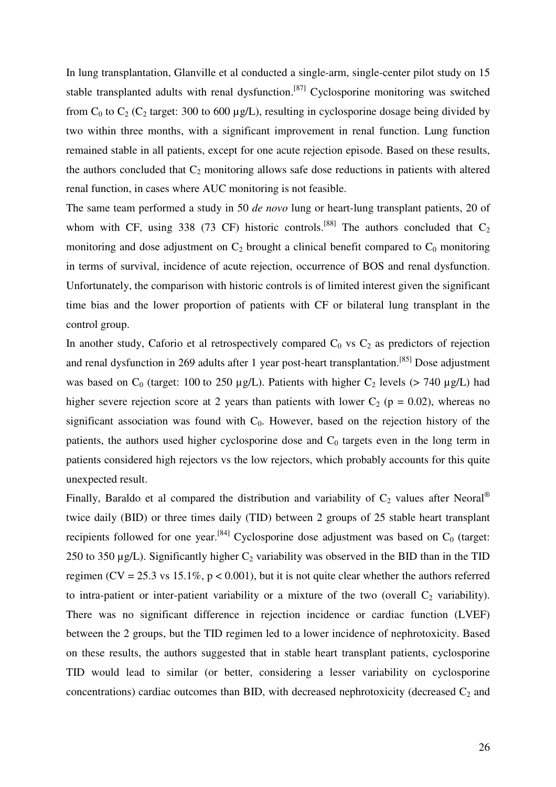In lung transplantation, Glanville et al conducted a single-arm, single-center pilot study on 15 stable transplanted adults with renal dysfunction.<sup>[87]</sup> Cyclosporine monitoring was switched from  $C_0$  to  $C_2$  ( $C_2$  target: 300 to 600 µg/L), resulting in cyclosporine dosage being divided by two within three months, with a significant improvement in renal function. Lung function remained stable in all patients, except for one acute rejection episode. Based on these results, the authors concluded that  $C_2$  monitoring allows safe dose reductions in patients with altered renal function, in cases where AUC monitoring is not feasible.

The same team performed a study in 50 *de novo* lung or heart-lung transplant patients, 20 of whom with CF, using 338 (73 CF) historic controls.<sup>[88]</sup> The authors concluded that  $C_2$ monitoring and dose adjustment on  $C_2$  brought a clinical benefit compared to  $C_0$  monitoring in terms of survival, incidence of acute rejection, occurrence of BOS and renal dysfunction. Unfortunately, the comparison with historic controls is of limited interest given the significant time bias and the lower proportion of patients with CF or bilateral lung transplant in the control group.

In another study, Caforio et al retrospectively compared  $C_0$  vs  $C_2$  as predictors of rejection and renal dysfunction in 269 adults after 1 year post-heart transplantation.<sup>[85]</sup> Dose adjustment was based on  $C_0$  (target: 100 to 250 µg/L). Patients with higher  $C_2$  levels (> 740 µg/L) had higher severe rejection score at 2 years than patients with lower  $C_2$  ( $p = 0.02$ ), whereas no significant association was found with  $C_0$ . However, based on the rejection history of the patients, the authors used higher cyclosporine dose and  $C_0$  targets even in the long term in patients considered high rejectors vs the low rejectors, which probably accounts for this quite unexpected result.

Finally, Baraldo et al compared the distribution and variability of  $C_2$  values after Neoral<sup>®</sup> twice daily (BID) or three times daily (TID) between 2 groups of 25 stable heart transplant recipients followed for one year.<sup>[84]</sup> Cyclosporine dose adjustment was based on  $C_0$  (target: 250 to 350  $\mu$ g/L). Significantly higher C<sub>2</sub> variability was observed in the BID than in the TID regimen (CV = 25.3 vs 15.1%, p < 0.001), but it is not quite clear whether the authors referred to intra-patient or inter-patient variability or a mixture of the two (overall  $C_2$  variability). There was no significant difference in rejection incidence or cardiac function (LVEF) between the 2 groups, but the TID regimen led to a lower incidence of nephrotoxicity. Based on these results, the authors suggested that in stable heart transplant patients, cyclosporine TID would lead to similar (or better, considering a lesser variability on cyclosporine concentrations) cardiac outcomes than BID, with decreased nephrotoxicity (decreased  $C_2$  and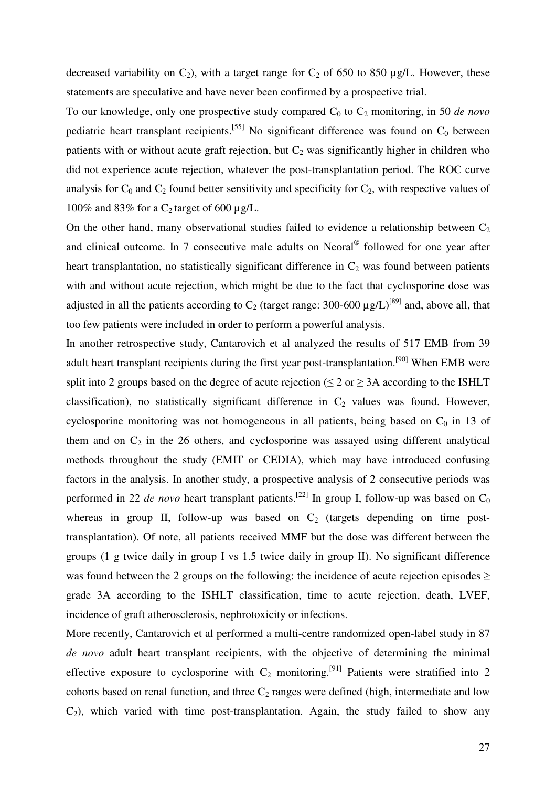decreased variability on  $C_2$ ), with a target range for  $C_2$  of 650 to 850 µg/L. However, these statements are speculative and have never been confirmed by a prospective trial.

To our knowledge, only one prospective study compared C<sub>0</sub> to C<sub>2</sub> monitoring, in 50 *de novo* pediatric heart transplant recipients.<sup>[55]</sup> No significant difference was found on  $C_0$  between patients with or without acute graft rejection, but  $C_2$  was significantly higher in children who did not experience acute rejection, whatever the post-transplantation period. The ROC curve analysis for  $C_0$  and  $C_2$  found better sensitivity and specificity for  $C_2$ , with respective values of 100% and 83% for a  $C_2$  target of 600 µg/L.

On the other hand, many observational studies failed to evidence a relationship between  $C_2$ and clinical outcome. In 7 consecutive male adults on Neoral<sup>®</sup> followed for one year after heart transplantation, no statistically significant difference in  $C_2$  was found between patients with and without acute rejection, which might be due to the fact that cyclosporine dose was adjusted in all the patients according to  $C_2$  (target range: 300-600  $\mu$ g/L)<sup>[89]</sup> and, above all, that too few patients were included in order to perform a powerful analysis.

In another retrospective study, Cantarovich et al analyzed the results of 517 EMB from 39 adult heart transplant recipients during the first year post-transplantation.[90] When EMB were split into 2 groups based on the degree of acute rejection ( $\leq$  2 or  $\geq$  3A according to the ISHLT classification), no statistically significant difference in  $C_2$  values was found. However, cyclosporine monitoring was not homogeneous in all patients, being based on  $C_0$  in 13 of them and on  $C_2$  in the 26 others, and cyclosporine was assayed using different analytical methods throughout the study (EMIT or CEDIA), which may have introduced confusing factors in the analysis. In another study, a prospective analysis of 2 consecutive periods was performed in 22 *de novo* heart transplant patients.<sup>[22]</sup> In group I, follow-up was based on  $C_0$ whereas in group II, follow-up was based on  $C_2$  (targets depending on time posttransplantation). Of note, all patients received MMF but the dose was different between the groups (1 g twice daily in group I vs 1.5 twice daily in group II). No significant difference was found between the 2 groups on the following: the incidence of acute rejection episodes  $\geq$ grade 3A according to the ISHLT classification, time to acute rejection, death, LVEF, incidence of graft atherosclerosis, nephrotoxicity or infections.

More recently, Cantarovich et al performed a multi-centre randomized open-label study in 87 *de novo* adult heart transplant recipients, with the objective of determining the minimal effective exposure to cyclosporine with  $C_2$  monitoring.<sup>[91]</sup> Patients were stratified into 2 cohorts based on renal function, and three  $C_2$  ranges were defined (high, intermediate and low  $C_2$ ), which varied with time post-transplantation. Again, the study failed to show any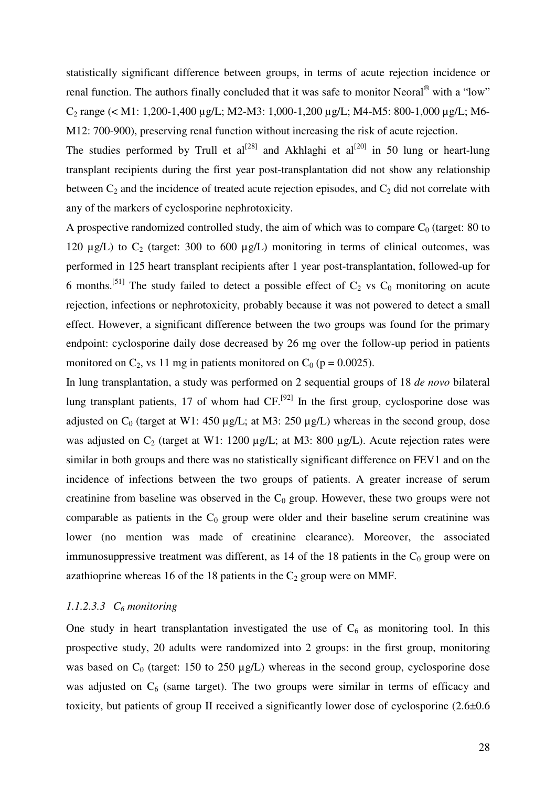statistically significant difference between groups, in terms of acute rejection incidence or renal function. The authors finally concluded that it was safe to monitor Neoral<sup>®</sup> with a "low" C<sub>2</sub> range (< M1: 1,200-1,400 µg/L; M2-M3: 1,000-1,200 µg/L; M4-M5: 800-1,000 µg/L; M6-M12: 700-900), preserving renal function without increasing the risk of acute rejection.

The studies performed by Trull et  $al^{[28]}$  and Akhlaghi et  $al^{[20]}$  in 50 lung or heart-lung transplant recipients during the first year post-transplantation did not show any relationship between  $C_2$  and the incidence of treated acute rejection episodes, and  $C_2$  did not correlate with any of the markers of cyclosporine nephrotoxicity.

A prospective randomized controlled study, the aim of which was to compare  $C_0$  (target: 80 to 120  $\mu$ g/L) to C<sub>2</sub> (target: 300 to 600  $\mu$ g/L) monitoring in terms of clinical outcomes, was performed in 125 heart transplant recipients after 1 year post-transplantation, followed-up for 6 months.<sup>[51]</sup> The study failed to detect a possible effect of  $C_2$  vs  $C_0$  monitoring on acute rejection, infections or nephrotoxicity, probably because it was not powered to detect a small effect. However, a significant difference between the two groups was found for the primary endpoint: cyclosporine daily dose decreased by 26 mg over the follow-up period in patients monitored on  $C_2$ , vs 11 mg in patients monitored on  $C_0$  (p = 0.0025).

In lung transplantation, a study was performed on 2 sequential groups of 18 *de novo* bilateral lung transplant patients, 17 of whom had  $CF<sub>1</sub><sup>[92]</sup>$  In the first group, cyclosporine dose was adjusted on  $C_0$  (target at W1: 450 µg/L; at M3: 250 µg/L) whereas in the second group, dose was adjusted on  $C_2$  (target at W1: 1200 µg/L; at M3: 800 µg/L). Acute rejection rates were similar in both groups and there was no statistically significant difference on FEV1 and on the incidence of infections between the two groups of patients. A greater increase of serum creatinine from baseline was observed in the  $C_0$  group. However, these two groups were not comparable as patients in the  $C_0$  group were older and their baseline serum creatinine was lower (no mention was made of creatinine clearance). Moreover, the associated immunosuppressive treatment was different, as  $14$  of the 18 patients in the  $C_0$  group were on azathioprine whereas 16 of the 18 patients in the  $C_2$  group were on MMF.

# *1.1.2.3.3 C6 monitoring*

One study in heart transplantation investigated the use of  $C_6$  as monitoring tool. In this prospective study, 20 adults were randomized into 2 groups: in the first group, monitoring was based on  $C_0$  (target: 150 to 250  $\mu$ g/L) whereas in the second group, cyclosporine dose was adjusted on  $C_6$  (same target). The two groups were similar in terms of efficacy and toxicity, but patients of group II received a significantly lower dose of cyclosporine (2.6±0.6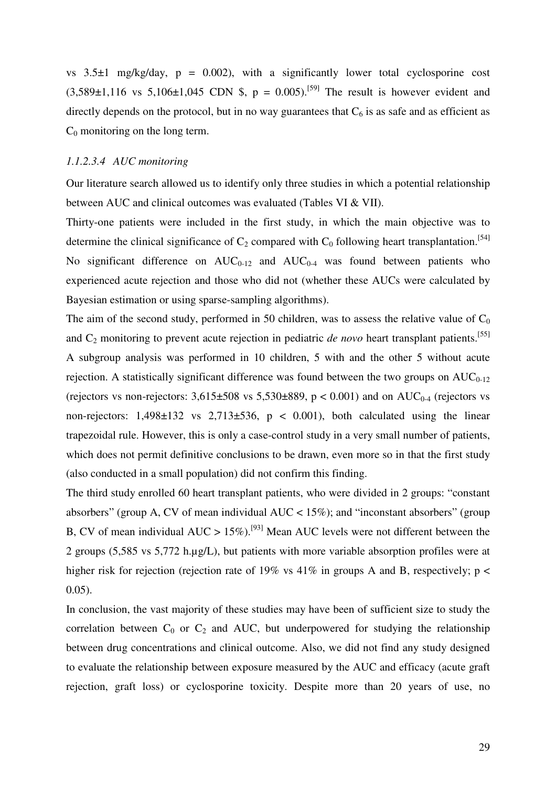vs  $3.5\pm1$  mg/kg/day,  $p = 0.002$ ), with a significantly lower total cyclosporine cost  $(3,589\pm1,116 \text{ vs } 5,106\pm1,045 \text{ CDN }$ \$, p = 0.005).<sup>[59]</sup> The result is however evident and directly depends on the protocol, but in no way guarantees that  $C_6$  is as safe and as efficient as  $C_0$  monitoring on the long term.

# *1.1.2.3.4 AUC monitoring*

Our literature search allowed us to identify only three studies in which a potential relationship between AUC and clinical outcomes was evaluated (Tables VI & VII).

Thirty-one patients were included in the first study, in which the main objective was to determine the clinical significance of  $C_2$  compared with  $C_0$  following heart transplantation.<sup>[54]</sup> No significant difference on  $AUC_{0-12}$  and  $AUC_{0-4}$  was found between patients who experienced acute rejection and those who did not (whether these AUCs were calculated by Bayesian estimation or using sparse-sampling algorithms).

The aim of the second study, performed in 50 children, was to assess the relative value of  $C_0$ and C<sub>2</sub> monitoring to prevent acute rejection in pediatric *de novo* heart transplant patients.<sup>[55]</sup> A subgroup analysis was performed in 10 children, 5 with and the other 5 without acute rejection. A statistically significant difference was found between the two groups on  $AUC_{0-12}$ (rejectors vs non-rejectors:  $3,615\pm508$  vs  $5,530\pm889$ , p < 0.001) and on AUC<sub>0-4</sub> (rejectors vs non-rejectors:  $1,498\pm132$  vs  $2,713\pm536$ ,  $p < 0.001$ ), both calculated using the linear trapezoidal rule. However, this is only a case-control study in a very small number of patients, which does not permit definitive conclusions to be drawn, even more so in that the first study (also conducted in a small population) did not confirm this finding.

The third study enrolled 60 heart transplant patients, who were divided in 2 groups: "constant absorbers" (group A, CV of mean individual AUC  $<$  15%); and "inconstant absorbers" (group B, CV of mean individual AUC > 15%).<sup>[93]</sup> Mean AUC levels were not different between the 2 groups (5,585 vs 5,772 h.µg/L), but patients with more variable absorption profiles were at higher risk for rejection (rejection rate of 19% vs  $41\%$  in groups A and B, respectively; p < 0.05).

In conclusion, the vast majority of these studies may have been of sufficient size to study the correlation between  $C_0$  or  $C_2$  and AUC, but underpowered for studying the relationship between drug concentrations and clinical outcome. Also, we did not find any study designed to evaluate the relationship between exposure measured by the AUC and efficacy (acute graft rejection, graft loss) or cyclosporine toxicity. Despite more than 20 years of use, no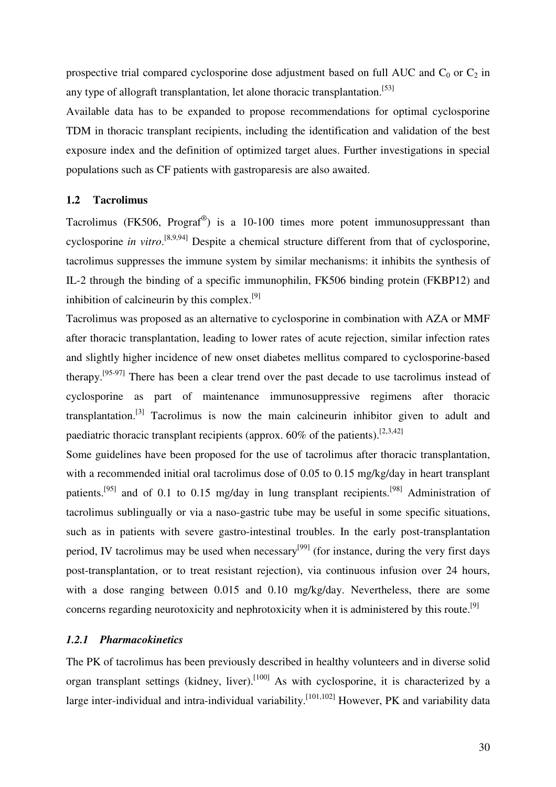prospective trial compared cyclosporine dose adjustment based on full AUC and  $C_0$  or  $C_2$  in any type of allograft transplantation, let alone thoracic transplantation.<sup>[53]</sup>

Available data has to be expanded to propose recommendations for optimal cyclosporine TDM in thoracic transplant recipients, including the identification and validation of the best exposure index and the definition of optimized target alues. Further investigations in special populations such as CF patients with gastroparesis are also awaited.

# **1.2 Tacrolimus**

Tacrolimus (FK506, Prograf<sup>®</sup>) is a 10-100 times more potent immunosuppressant than cyclosporine *in vitro*. [8,9,94] Despite a chemical structure different from that of cyclosporine, tacrolimus suppresses the immune system by similar mechanisms: it inhibits the synthesis of IL-2 through the binding of a specific immunophilin, FK506 binding protein (FKBP12) and inhibition of calcineurin by this complex.<sup>[9]</sup>

Tacrolimus was proposed as an alternative to cyclosporine in combination with AZA or MMF after thoracic transplantation, leading to lower rates of acute rejection, similar infection rates and slightly higher incidence of new onset diabetes mellitus compared to cyclosporine-based therapy.[95-97] There has been a clear trend over the past decade to use tacrolimus instead of cyclosporine as part of maintenance immunosuppressive regimens after thoracic transplantation.[3] Tacrolimus is now the main calcineurin inhibitor given to adult and paediatric thoracic transplant recipients (approx.  $60\%$  of the patients).<sup>[2,3,42]</sup>

Some guidelines have been proposed for the use of tacrolimus after thoracic transplantation, with a recommended initial oral tacrolimus dose of 0.05 to 0.15 mg/kg/day in heart transplant patients.<sup>[95]</sup> and of 0.1 to 0.15 mg/day in lung transplant recipients.<sup>[98]</sup> Administration of tacrolimus sublingually or via a naso-gastric tube may be useful in some specific situations, such as in patients with severe gastro-intestinal troubles. In the early post-transplantation period, IV tacrolimus may be used when necessary<sup>[99]</sup> (for instance, during the very first days post-transplantation, or to treat resistant rejection), via continuous infusion over 24 hours, with a dose ranging between 0.015 and 0.10 mg/kg/day. Nevertheless, there are some concerns regarding neurotoxicity and nephrotoxicity when it is administered by this route.<sup>[9]</sup>

### *1.2.1 Pharmacokinetics*

The PK of tacrolimus has been previously described in healthy volunteers and in diverse solid organ transplant settings (kidney, liver).<sup>[100]</sup> As with cyclosporine, it is characterized by a large inter-individual and intra-individual variability.<sup>[101,102]</sup> However, PK and variability data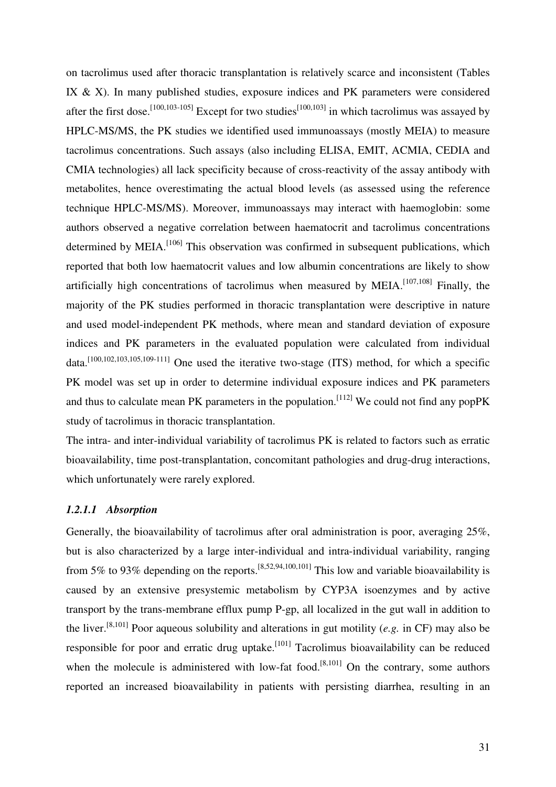on tacrolimus used after thoracic transplantation is relatively scarce and inconsistent (Tables IX & X). In many published studies, exposure indices and PK parameters were considered after the first dose.<sup>[100,103-105]</sup> Except for two studies<sup>[100,103]</sup> in which tacrolimus was assayed by HPLC-MS/MS, the PK studies we identified used immunoassays (mostly MEIA) to measure tacrolimus concentrations. Such assays (also including ELISA, EMIT, ACMIA, CEDIA and CMIA technologies) all lack specificity because of cross-reactivity of the assay antibody with metabolites, hence overestimating the actual blood levels (as assessed using the reference technique HPLC-MS/MS). Moreover, immunoassays may interact with haemoglobin: some authors observed a negative correlation between haematocrit and tacrolimus concentrations determined by MEIA.<sup>[106]</sup> This observation was confirmed in subsequent publications, which reported that both low haematocrit values and low albumin concentrations are likely to show artificially high concentrations of tacrolimus when measured by MEIA.<sup>[107,108]</sup> Finally, the majority of the PK studies performed in thoracic transplantation were descriptive in nature and used model-independent PK methods, where mean and standard deviation of exposure indices and PK parameters in the evaluated population were calculated from individual data.[100,102,103,105,109-111] One used the iterative two-stage (ITS) method, for which a specific PK model was set up in order to determine individual exposure indices and PK parameters and thus to calculate mean PK parameters in the population.<sup>[112]</sup> We could not find any popPK study of tacrolimus in thoracic transplantation.

The intra- and inter-individual variability of tacrolimus PK is related to factors such as erratic bioavailability, time post-transplantation, concomitant pathologies and drug-drug interactions, which unfortunately were rarely explored.

# *1.2.1.1 Absorption*

Generally, the bioavailability of tacrolimus after oral administration is poor, averaging 25%, but is also characterized by a large inter-individual and intra-individual variability, ranging from 5% to 93% depending on the reports.<sup>[8,52,94,100,101]</sup> This low and variable bioavailability is caused by an extensive presystemic metabolism by CYP3A isoenzymes and by active transport by the trans-membrane efflux pump P-gp, all localized in the gut wall in addition to the liver.[8,101] Poor aqueous solubility and alterations in gut motility (*e.g.* in CF) may also be responsible for poor and erratic drug uptake.<sup>[101]</sup> Tacrolimus bioavailability can be reduced when the molecule is administered with low-fat food.<sup>[8,101]</sup> On the contrary, some authors reported an increased bioavailability in patients with persisting diarrhea, resulting in an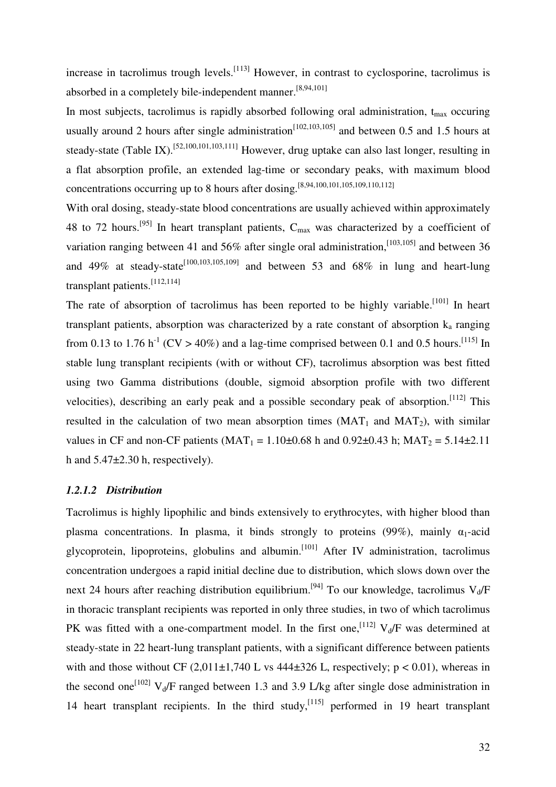increase in tacrolimus trough levels.<sup>[113]</sup> However, in contrast to cyclosporine, tacrolimus is absorbed in a completely bile-independent manner.<sup>[8,94,101]</sup>

In most subjects, tacrolimus is rapidly absorbed following oral administration,  $t_{\text{max}}$  occuring usually around 2 hours after single administration<sup>[102,103,105]</sup> and between 0.5 and 1.5 hours at steady-state (Table IX).<sup>[52,100,101,103,111]</sup> However, drug uptake can also last longer, resulting in a flat absorption profile, an extended lag-time or secondary peaks, with maximum blood concentrations occurring up to 8 hours after dosing.<sup>[8,94,100,101,105,109,110,112]</sup>

With oral dosing, steady-state blood concentrations are usually achieved within approximately 48 to 72 hours.<sup>[95]</sup> In heart transplant patients,  $C_{\text{max}}$  was characterized by a coefficient of variation ranging between 41 and 56% after single oral administration, [103,105] and between 36 and 49% at steady-state<sup>[100,103,105,109]</sup> and between 53 and 68% in lung and heart-lung transplant patients.[112,114]

The rate of absorption of tacrolimus has been reported to be highly variable.<sup>[101]</sup> In heart transplant patients, absorption was characterized by a rate constant of absorption  $k_a$  ranging from 0.13 to 1.76 h<sup>-1</sup> (CV > 40%) and a lag-time comprised between 0.1 and 0.5 hours.<sup>[115]</sup> In stable lung transplant recipients (with or without CF), tacrolimus absorption was best fitted using two Gamma distributions (double, sigmoid absorption profile with two different velocities), describing an early peak and a possible secondary peak of absorption.<sup>[112]</sup> This resulted in the calculation of two mean absorption times  $(MAT_1$  and  $MAT_2)$ , with similar values in CF and non-CF patients (MAT<sub>1</sub> = 1.10 $\pm$ 0.68 h and 0.92 $\pm$ 0.43 h; MAT<sub>2</sub> = 5.14 $\pm$ 2.11 h and 5.47±2.30 h, respectively).

#### *1.2.1.2 Distribution*

Tacrolimus is highly lipophilic and binds extensively to erythrocytes, with higher blood than plasma concentrations. In plasma, it binds strongly to proteins (99%), mainly  $\alpha_1$ -acid glycoprotein, lipoproteins, globulins and albumin.<sup>[101]</sup> After IV administration, tacrolimus concentration undergoes a rapid initial decline due to distribution, which slows down over the next 24 hours after reaching distribution equilibrium.<sup>[94]</sup> To our knowledge, tacrolimus  $V_d/F$ in thoracic transplant recipients was reported in only three studies, in two of which tacrolimus PK was fitted with a one-compartment model. In the first one, <sup>[112]</sup>  $V_d$  was determined at steady-state in 22 heart-lung transplant patients, with a significant difference between patients with and those without CF  $(2,011\pm1,740 \text{ L} \text{ vs } 444\pm326 \text{ L} \text{, respectively}; p < 0.01)$ , whereas in the second one<sup>[102]</sup>  $V_d$ /F ranged between 1.3 and 3.9 L/kg after single dose administration in 14 heart transplant recipients. In the third study,  $[115]$  performed in 19 heart transplant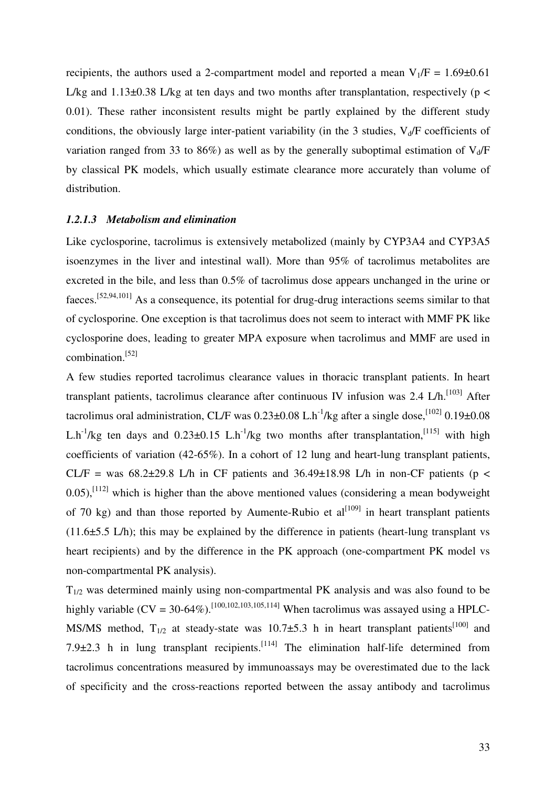recipients, the authors used a 2-compartment model and reported a mean  $V_1/F = 1.69\pm0.61$ L/kg and  $1.13\pm0.38$  L/kg at ten days and two months after transplantation, respectively (p < 0.01). These rather inconsistent results might be partly explained by the different study conditions, the obviously large inter-patient variability (in the 3 studies,  $V_d/F$  coefficients of variation ranged from 33 to 86%) as well as by the generally suboptimal estimation of  $V_d/F$ by classical PK models, which usually estimate clearance more accurately than volume of distribution.

#### *1.2.1.3 Metabolism and elimination*

Like cyclosporine, tacrolimus is extensively metabolized (mainly by CYP3A4 and CYP3A5 isoenzymes in the liver and intestinal wall). More than 95% of tacrolimus metabolites are excreted in the bile, and less than 0.5% of tacrolimus dose appears unchanged in the urine or faeces.[52,94,101] As a consequence, its potential for drug-drug interactions seems similar to that of cyclosporine. One exception is that tacrolimus does not seem to interact with MMF PK like cyclosporine does, leading to greater MPA exposure when tacrolimus and MMF are used in combination.[52]

A few studies reported tacrolimus clearance values in thoracic transplant patients. In heart transplant patients, tacrolimus clearance after continuous IV infusion was 2.4  $L/h$ .<sup>[103]</sup> After tacrolimus oral administration, CL/F was  $0.23\pm0.08$  L.h<sup>-1</sup>/kg after a single dose,<sup>[102]</sup> 0.19 $\pm$ 0.08 L.h<sup>-1</sup>/kg ten days and  $0.23\pm0.15$  L.h<sup>-1</sup>/kg two months after transplantation,<sup>[115]</sup> with high coefficients of variation (42-65%). In a cohort of 12 lung and heart-lung transplant patients, CL/F = was  $68.2\pm29.8$  L/h in CF patients and  $36.49\pm18.98$  L/h in non-CF patients (p <  $0.05$ ),<sup>[112]</sup> which is higher than the above mentioned values (considering a mean bodyweight of 70 kg) and than those reported by Aumente-Rubio et  $al^{[109]}$  in heart transplant patients  $(11.6\pm5.5 \text{ L/h})$ ; this may be explained by the difference in patients (heart-lung transplant vs heart recipients) and by the difference in the PK approach (one-compartment PK model vs non-compartmental PK analysis).

 $T_{1/2}$  was determined mainly using non-compartmental PK analysis and was also found to be highly variable  $(CV = 30-64\%)$ .<sup>[100,102,103,105,114]</sup> When tacrolimus was assayed using a HPLC-MS/MS method,  $T_{1/2}$  at steady-state was 10.7 $\pm$ 5.3 h in heart transplant patients<sup>[100]</sup> and 7.9 $\pm$ 2.3 h in lung transplant recipients.<sup>[114]</sup> The elimination half-life determined from tacrolimus concentrations measured by immunoassays may be overestimated due to the lack of specificity and the cross-reactions reported between the assay antibody and tacrolimus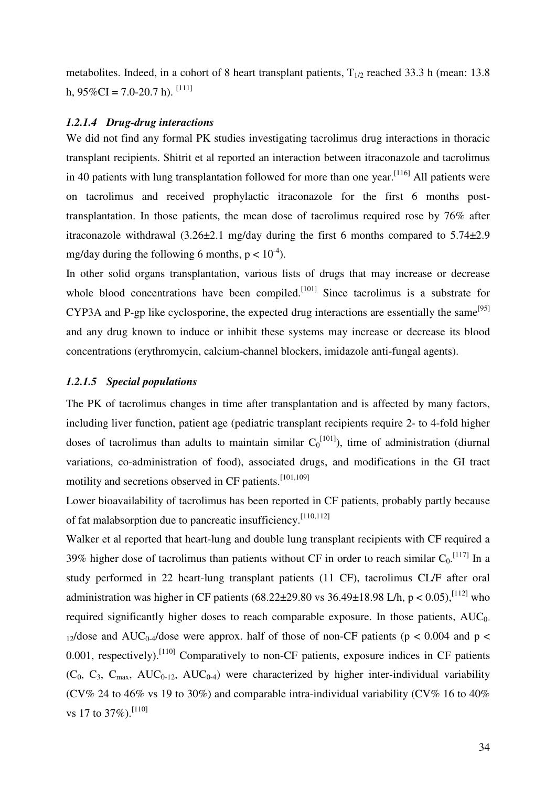metabolites. Indeed, in a cohort of 8 heart transplant patients,  $T_{1/2}$  reached 33.3 h (mean: 13.8) h,  $95\%CI = 7.0-20.7$  h). <sup>[111]</sup>

# *1.2.1.4 Drug-drug interactions*

We did not find any formal PK studies investigating tacrolimus drug interactions in thoracic transplant recipients. Shitrit et al reported an interaction between itraconazole and tacrolimus in 40 patients with lung transplantation followed for more than one year.<sup>[116]</sup> All patients were on tacrolimus and received prophylactic itraconazole for the first 6 months posttransplantation. In those patients, the mean dose of tacrolimus required rose by 76% after itraconazole withdrawal  $(3.26\pm2.1 \text{ mg/day}$  during the first 6 months compared to  $5.74\pm2.9$ mg/day during the following 6 months,  $p < 10^{-4}$ ).

In other solid organs transplantation, various lists of drugs that may increase or decrease whole blood concentrations have been compiled.<sup>[101]</sup> Since tacrolimus is a substrate for CYP3A and P-gp like cyclosporine, the expected drug interactions are essentially the same<sup>[95]</sup> and any drug known to induce or inhibit these systems may increase or decrease its blood concentrations (erythromycin, calcium-channel blockers, imidazole anti-fungal agents).

#### *1.2.1.5 Special populations*

The PK of tacrolimus changes in time after transplantation and is affected by many factors, including liver function, patient age (pediatric transplant recipients require 2- to 4-fold higher doses of tacrolimus than adults to maintain similar  $C_0^{[101]}$ ), time of administration (diurnal variations, co-administration of food), associated drugs, and modifications in the GI tract motility and secretions observed in CF patients.<sup>[101,109]</sup>

Lower bioavailability of tacrolimus has been reported in CF patients, probably partly because of fat malabsorption due to pancreatic insufficiency.<sup>[110,112]</sup>

Walker et al reported that heart-lung and double lung transplant recipients with CF required a 39% higher dose of tacrolimus than patients without CF in order to reach similar  $C_0$ . [117] In a study performed in 22 heart-lung transplant patients (11 CF), tacrolimus CL/F after oral administration was higher in CF patients (68.22±29.80 vs 36.49±18.98 L/h, p < 0.05),<sup>[112]</sup> who required significantly higher doses to reach comparable exposure. In those patients,  $AUC_0$ - $12$ /dose and AUC<sub>0-4</sub>/dose were approx. half of those of non-CF patients (p < 0.004 and p < 0.001, respectively).  $\left[110\right]$  Comparatively to non-CF patients, exposure indices in CF patients  $(C_0, C_3, C_{\text{max}}$ , AUC<sub>0-12</sub>, AUC<sub>0-4</sub>) were characterized by higher inter-individual variability (CV% 24 to 46% vs 19 to 30%) and comparable intra-individual variability (CV% 16 to 40%) vs 17 to 37%).<sup>[110]</sup>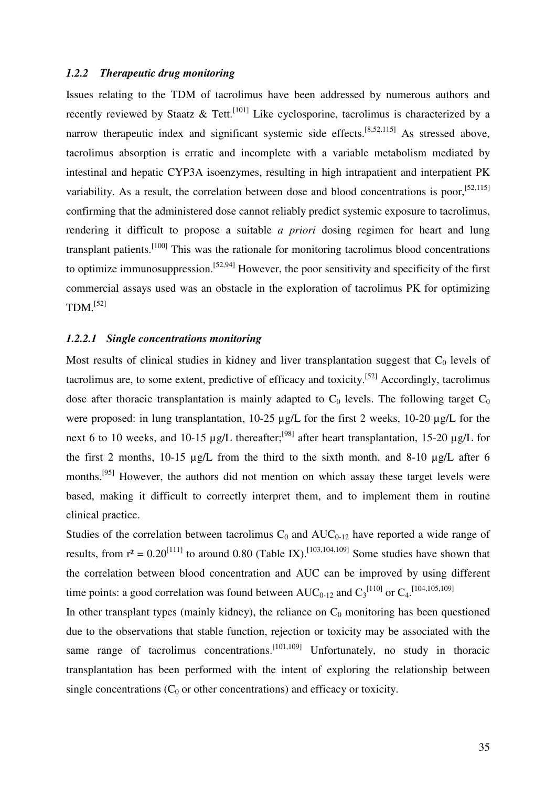## *1.2.2 Therapeutic drug monitoring*

Issues relating to the TDM of tacrolimus have been addressed by numerous authors and recently reviewed by Staatz & Tett.<sup>[101]</sup> Like cyclosporine, tacrolimus is characterized by a narrow therapeutic index and significant systemic side effects.<sup>[8,52,115]</sup> As stressed above, tacrolimus absorption is erratic and incomplete with a variable metabolism mediated by intestinal and hepatic CYP3A isoenzymes, resulting in high intrapatient and interpatient PK variability. As a result, the correlation between dose and blood concentrations is poor,<sup>[52,115]</sup> confirming that the administered dose cannot reliably predict systemic exposure to tacrolimus, rendering it difficult to propose a suitable *a priori* dosing regimen for heart and lung transplant patients.<sup>[100]</sup> This was the rationale for monitoring tacrolimus blood concentrations to optimize immunosuppression.<sup>[52,94]</sup> However, the poor sensitivity and specificity of the first commercial assays used was an obstacle in the exploration of tacrolimus PK for optimizing  $TDM.<sup>[52]</sup>$ 

# *1.2.2.1 Single concentrations monitoring*

Most results of clinical studies in kidney and liver transplantation suggest that  $C_0$  levels of tacrolimus are, to some extent, predictive of efficacy and toxicity.[52] Accordingly, tacrolimus dose after thoracic transplantation is mainly adapted to  $C_0$  levels. The following target  $C_0$ were proposed: in lung transplantation, 10-25  $\mu$ g/L for the first 2 weeks, 10-20  $\mu$ g/L for the next 6 to 10 weeks, and 10-15  $\mu$ g/L thereafter;<sup>[98]</sup> after heart transplantation, 15-20  $\mu$ g/L for the first 2 months,  $10-15 \mu g/L$  from the third to the sixth month, and  $8-10 \mu g/L$  after 6 months.[95] However, the authors did not mention on which assay these target levels were based, making it difficult to correctly interpret them, and to implement them in routine clinical practice.

Studies of the correlation between tacrolimus  $C_0$  and  $AUC_{0-12}$  have reported a wide range of results, from  $r^2 = 0.20^{[111]}$  to around 0.80 (Table IX).<sup>[103,104,109]</sup> Some studies have shown that the correlation between blood concentration and AUC can be improved by using different time points: a good correlation was found between  $AUC_{0-12}$  and  $C_3^{[110]}$  or  $C_4$ <sup>[104,105,109]</sup>

In other transplant types (mainly kidney), the reliance on  $C_0$  monitoring has been questioned due to the observations that stable function, rejection or toxicity may be associated with the same range of tacrolimus concentrations.<sup>[101,109]</sup> Unfortunately, no study in thoracic transplantation has been performed with the intent of exploring the relationship between single concentrations  $(C_0$  or other concentrations) and efficacy or toxicity.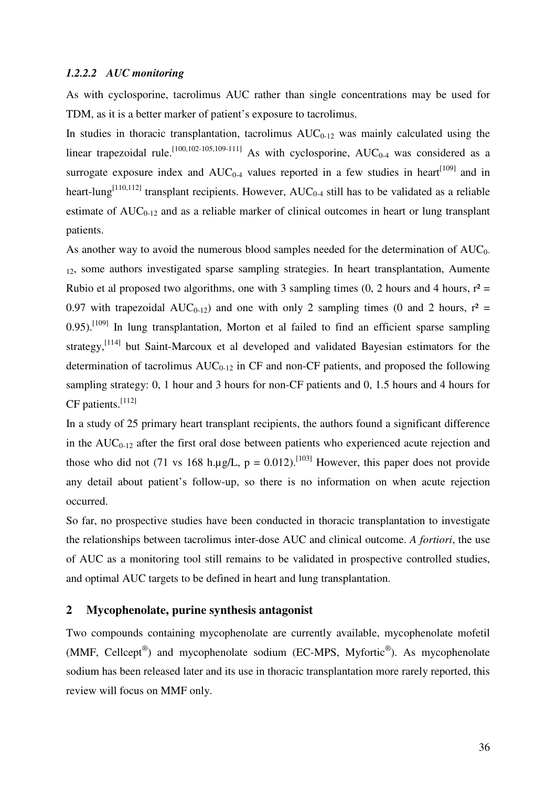# *1.2.2.2 AUC monitoring*

As with cyclosporine, tacrolimus AUC rather than single concentrations may be used for TDM, as it is a better marker of patient's exposure to tacrolimus.

In studies in thoracic transplantation, tacrolimus  $AUC_{0-12}$  was mainly calculated using the linear trapezoidal rule.<sup>[100,102-105,109-111]</sup> As with cyclosporine,  $AUC_{0-4}$  was considered as a surrogate exposure index and  $AUC_{0-4}$  values reported in a few studies in heart<sup>[109]</sup> and in heart-lung<sup>[110,112]</sup> transplant recipients. However,  $AUC_{0.4}$  still has to be validated as a reliable estimate of  $AUC_{0-12}$  and as a reliable marker of clinical outcomes in heart or lung transplant patients.

As another way to avoid the numerous blood samples needed for the determination of  $AUC_0$ . <sup>12</sup>, some authors investigated sparse sampling strategies. In heart transplantation, Aumente Rubio et al proposed two algorithms, one with 3 sampling times (0, 2 hours and 4 hours,  $r^2 =$ 0.97 with trapezoidal AUC<sub>0-12</sub>) and one with only 2 sampling times (0 and 2 hours,  $r^2 =$  $0.95$ ).<sup>[109]</sup> In lung transplantation, Morton et al failed to find an efficient sparse sampling strategy,<sup>[114]</sup> but Saint-Marcoux et al developed and validated Bayesian estimators for the determination of tacrolimus  $AUC_{0-12}$  in CF and non-CF patients, and proposed the following sampling strategy: 0, 1 hour and 3 hours for non-CF patients and 0, 1.5 hours and 4 hours for  $CF$  patients.<sup>[112]</sup>

In a study of 25 primary heart transplant recipients, the authors found a significant difference in the  $AUC_{0-12}$  after the first oral dose between patients who experienced acute rejection and those who did not (71 vs 168 h.µg/L,  $p = 0.012$ ).<sup>[103]</sup> However, this paper does not provide any detail about patient's follow-up, so there is no information on when acute rejection occurred.

So far, no prospective studies have been conducted in thoracic transplantation to investigate the relationships between tacrolimus inter-dose AUC and clinical outcome. *A fortiori*, the use of AUC as a monitoring tool still remains to be validated in prospective controlled studies, and optimal AUC targets to be defined in heart and lung transplantation.

# **2 Mycophenolate, purine synthesis antagonist**

Two compounds containing mycophenolate are currently available, mycophenolate mofetil (MMF, Cellcept®) and mycophenolate sodium (EC-MPS, Myfortic®). As mycophenolate sodium has been released later and its use in thoracic transplantation more rarely reported, this review will focus on MMF only.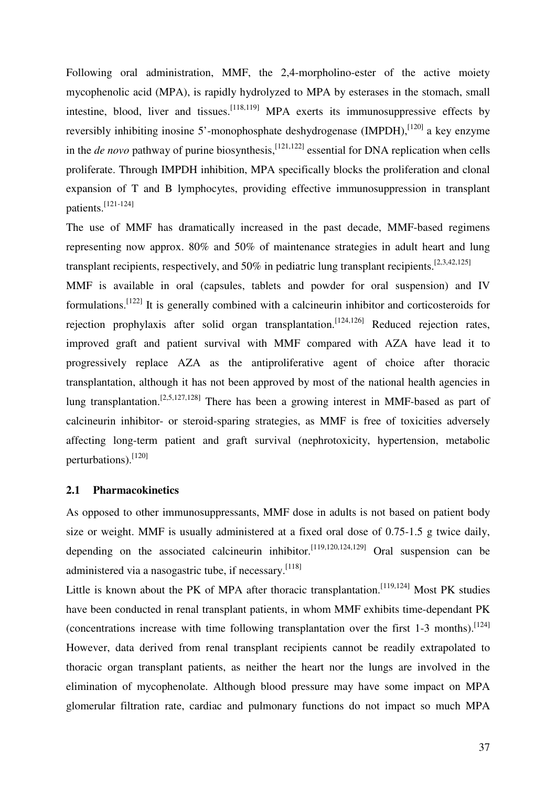Following oral administration, MMF, the 2,4-morpholino-ester of the active moiety mycophenolic acid (MPA), is rapidly hydrolyzed to MPA by esterases in the stomach, small intestine, blood, liver and tissues.  $[118,119]$  MPA exerts its immunosuppressive effects by reversibly inhibiting inosine 5'-monophosphate deshydrogenase (IMPDH), $^{[120]}$  a key enzyme in the *de novo* pathway of purine biosynthesis,  $[121,122]$  essential for DNA replication when cells proliferate. Through IMPDH inhibition, MPA specifically blocks the proliferation and clonal expansion of T and B lymphocytes, providing effective immunosuppression in transplant patients.<sup>[121-124]</sup>

The use of MMF has dramatically increased in the past decade, MMF-based regimens representing now approx. 80% and 50% of maintenance strategies in adult heart and lung transplant recipients, respectively, and 50% in pediatric lung transplant recipients.  $^{[2,3,42,125]}$ 

MMF is available in oral (capsules, tablets and powder for oral suspension) and IV formulations.[122] It is generally combined with a calcineurin inhibitor and corticosteroids for rejection prophylaxis after solid organ transplantation.<sup>[124,126]</sup> Reduced rejection rates, improved graft and patient survival with MMF compared with AZA have lead it to progressively replace AZA as the antiproliferative agent of choice after thoracic transplantation, although it has not been approved by most of the national health agencies in lung transplantation.<sup>[2,5,127,128]</sup> There has been a growing interest in MMF-based as part of calcineurin inhibitor- or steroid-sparing strategies, as MMF is free of toxicities adversely affecting long-term patient and graft survival (nephrotoxicity, hypertension, metabolic perturbations).<sup>[120]</sup>

#### **2.1 Pharmacokinetics**

As opposed to other immunosuppressants, MMF dose in adults is not based on patient body size or weight. MMF is usually administered at a fixed oral dose of 0.75-1.5 g twice daily, depending on the associated calcineurin inhibitor.<sup>[119,120,124,129]</sup> Oral suspension can be administered via a nasogastric tube, if necessary.<sup>[118]</sup>

Little is known about the PK of MPA after thoracic transplantation.<sup>[119,124]</sup> Most PK studies have been conducted in renal transplant patients, in whom MMF exhibits time-dependant PK (concentrations increase with time following transplantation over the first 1-3 months).<sup>[124]</sup> However, data derived from renal transplant recipients cannot be readily extrapolated to thoracic organ transplant patients, as neither the heart nor the lungs are involved in the elimination of mycophenolate. Although blood pressure may have some impact on MPA glomerular filtration rate, cardiac and pulmonary functions do not impact so much MPA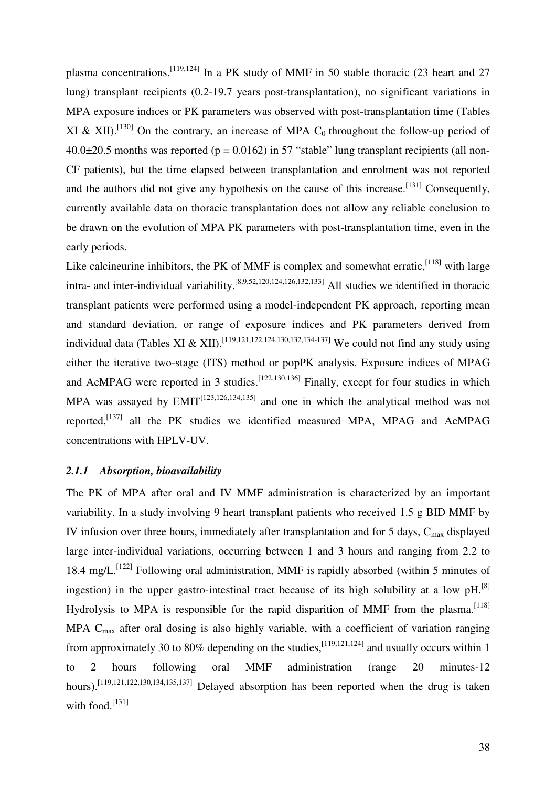plasma concentrations.<sup>[119,124]</sup> In a PK study of MMF in 50 stable thoracic (23 heart and 27 lung) transplant recipients (0.2-19.7 years post-transplantation), no significant variations in MPA exposure indices or PK parameters was observed with post-transplantation time (Tables XI & XII).<sup>[130]</sup> On the contrary, an increase of MPA C<sub>0</sub> throughout the follow-up period of  $40.0\pm20.5$  months was reported (p = 0.0162) in 57 "stable" lung transplant recipients (all non-CF patients), but the time elapsed between transplantation and enrolment was not reported and the authors did not give any hypothesis on the cause of this increase.<sup>[131]</sup> Consequently, currently available data on thoracic transplantation does not allow any reliable conclusion to be drawn on the evolution of MPA PK parameters with post-transplantation time, even in the early periods.

Like calcineurine inhibitors, the PK of MMF is complex and somewhat erratic,  $[118]$  with large intra- and inter-individual variability.[8,9,52,120,124,126,132,133] All studies we identified in thoracic transplant patients were performed using a model-independent PK approach, reporting mean and standard deviation, or range of exposure indices and PK parameters derived from individual data (Tables XI & XII).<sup>[119,121,122,124,130,132,134-137]</sup> We could not find any study using either the iterative two-stage (ITS) method or popPK analysis. Exposure indices of MPAG and AcMPAG were reported in 3 studies.<sup>[122,130,136]</sup> Finally, except for four studies in which MPA was assayed by  $EMIT^{[123,126,134,135]}$  and one in which the analytical method was not reported,<sup>[137]</sup> all the PK studies we identified measured MPA, MPAG and AcMPAG concentrations with HPLV-UV.

#### *2.1.1 Absorption, bioavailability*

The PK of MPA after oral and IV MMF administration is characterized by an important variability. In a study involving 9 heart transplant patients who received 1.5 g BID MMF by IV infusion over three hours, immediately after transplantation and for 5 days,  $C_{\text{max}}$  displayed large inter-individual variations, occurring between 1 and 3 hours and ranging from 2.2 to 18.4 mg/L.<sup>[122]</sup> Following oral administration, MMF is rapidly absorbed (within 5 minutes of ingestion) in the upper gastro-intestinal tract because of its high solubility at a low  $pH$ .<sup>[8]</sup> Hydrolysis to MPA is responsible for the rapid disparition of MMF from the plasma.<sup>[118]</sup> MPA  $C_{\text{max}}$  after oral dosing is also highly variable, with a coefficient of variation ranging from approximately 30 to 80% depending on the studies,  $[119,121,124]$  and usually occurs within 1 to 2 hours following oral MMF administration (range 20 minutes-12 hours).<sup>[119,121,122,130,134,135,137]</sup> Delayed absorption has been reported when the drug is taken with food. $^{[131]}$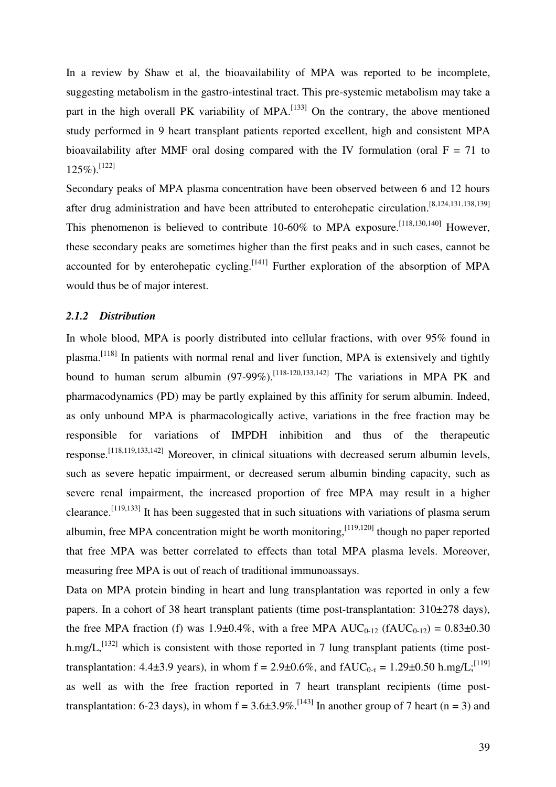In a review by Shaw et al, the bioavailability of MPA was reported to be incomplete, suggesting metabolism in the gastro-intestinal tract. This pre-systemic metabolism may take a part in the high overall PK variability of MPA.<sup>[133]</sup> On the contrary, the above mentioned study performed in 9 heart transplant patients reported excellent, high and consistent MPA bioavailability after MMF oral dosing compared with the IV formulation (oral  $F = 71$  to  $125\%)$ . [122]

Secondary peaks of MPA plasma concentration have been observed between 6 and 12 hours after drug administration and have been attributed to enterohepatic circulation.[8,124,131,138,139] This phenomenon is believed to contribute  $10\n-60\%$  to MPA exposure.<sup>[118,130,140]</sup> However, these secondary peaks are sometimes higher than the first peaks and in such cases, cannot be accounted for by enterohepatic cycling.<sup>[141]</sup> Further exploration of the absorption of MPA would thus be of major interest.

#### *2.1.2 Distribution*

In whole blood, MPA is poorly distributed into cellular fractions, with over 95% found in plasma.<sup>[118]</sup> In patients with normal renal and liver function, MPA is extensively and tightly bound to human serum albumin (97-99%).<sup>[118-120,133,142]</sup> The variations in MPA PK and pharmacodynamics (PD) may be partly explained by this affinity for serum albumin. Indeed, as only unbound MPA is pharmacologically active, variations in the free fraction may be responsible for variations of IMPDH inhibition and thus of the therapeutic response.[118,119,133,142] Moreover, in clinical situations with decreased serum albumin levels, such as severe hepatic impairment, or decreased serum albumin binding capacity, such as severe renal impairment, the increased proportion of free MPA may result in a higher clearance.[119,133] It has been suggested that in such situations with variations of plasma serum albumin, free MPA concentration might be worth monitoring,  $[119,120]$  though no paper reported that free MPA was better correlated to effects than total MPA plasma levels. Moreover, measuring free MPA is out of reach of traditional immunoassays.

Data on MPA protein binding in heart and lung transplantation was reported in only a few papers. In a cohort of 38 heart transplant patients (time post-transplantation: 310±278 days), the free MPA fraction (f) was 1.9±0.4%, with a free MPA  $AUC_{0-12}$  (f $AUC_{0-12}$ ) = 0.83±0.30 h.mg/L,<sup>[132]</sup> which is consistent with those reported in 7 lung transplant patients (time posttransplantation: 4.4 $\pm$ 3.9 years), in whom f = 2.9 $\pm$ 0.6%, and fAUC<sub>0-τ</sub> = 1.29 $\pm$ 0.50 h.mg/L;<sup>[119]</sup> as well as with the free fraction reported in 7 heart transplant recipients (time posttransplantation: 6-23 days), in whom  $f = 3.6\pm 3.9\%$ . [143] In another group of 7 heart (n = 3) and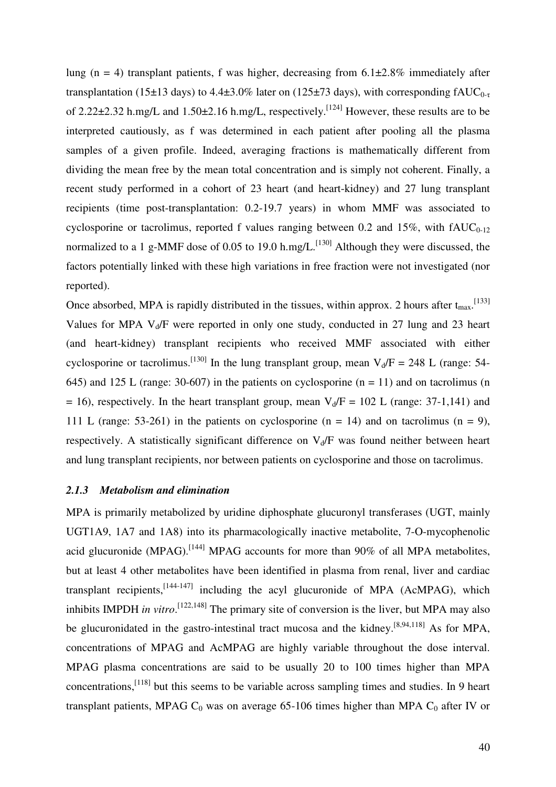lung (n = 4) transplant patients, f was higher, decreasing from  $6.1\pm2.8\%$  immediately after transplantation (15±13 days) to 4.4±3.0% later on (125±73 days), with corresponding  $fAUC_{0-\tau}$ of 2.22±2.32 h.mg/L and 1.50±2.16 h.mg/L, respectively.[124] However, these results are to be interpreted cautiously, as f was determined in each patient after pooling all the plasma samples of a given profile. Indeed, averaging fractions is mathematically different from dividing the mean free by the mean total concentration and is simply not coherent. Finally, a recent study performed in a cohort of 23 heart (and heart-kidney) and 27 lung transplant recipients (time post-transplantation: 0.2-19.7 years) in whom MMF was associated to cyclosporine or tacrolimus, reported f values ranging between 0.2 and 15%, with  $fAUC_{0-12}$ normalized to a 1 g-MMF dose of 0.05 to 19.0 h.mg/L.<sup>[130]</sup> Although they were discussed, the factors potentially linked with these high variations in free fraction were not investigated (nor reported).

Once absorbed, MPA is rapidly distributed in the tissues, within approx. 2 hours after  $t_{\text{max}}$ . [133] Values for MPA  $V_d$  were reported in only one study, conducted in 27 lung and 23 heart (and heart-kidney) transplant recipients who received MMF associated with either cyclosporine or tacrolimus.<sup>[130]</sup> In the lung transplant group, mean  $V_d/F = 248$  L (range: 54-645) and 125 L (range: 30-607) in the patients on cyclosporine  $(n = 11)$  and on tacrolimus (n = 16), respectively. In the heart transplant group, mean  $V_d/F = 102$  L (range: 37-1,141) and 111 L (range: 53-261) in the patients on cyclosporine (n = 14) and on tacrolimus (n = 9), respectively. A statistically significant difference on  $V_d/F$  was found neither between heart and lung transplant recipients, nor between patients on cyclosporine and those on tacrolimus.

#### *2.1.3 Metabolism and elimination*

MPA is primarily metabolized by uridine diphosphate glucuronyl transferases (UGT, mainly UGT1A9, 1A7 and 1A8) into its pharmacologically inactive metabolite, 7-O-mycophenolic acid glucuronide (MPAG).<sup>[144]</sup> MPAG accounts for more than  $90\%$  of all MPA metabolites, but at least 4 other metabolites have been identified in plasma from renal, liver and cardiac transplant recipients, $[144-147]$  including the acyl glucuronide of MPA (AcMPAG), which inhibits IMPDH *in vitro*. [122,148] The primary site of conversion is the liver, but MPA may also be glucuronidated in the gastro-intestinal tract mucosa and the kidney.<sup>[8,94,118]</sup> As for MPA, concentrations of MPAG and AcMPAG are highly variable throughout the dose interval. MPAG plasma concentrations are said to be usually 20 to 100 times higher than MPA concentrations,[118] but this seems to be variable across sampling times and studies. In 9 heart transplant patients, MPAG  $C_0$  was on average 65-106 times higher than MPA  $C_0$  after IV or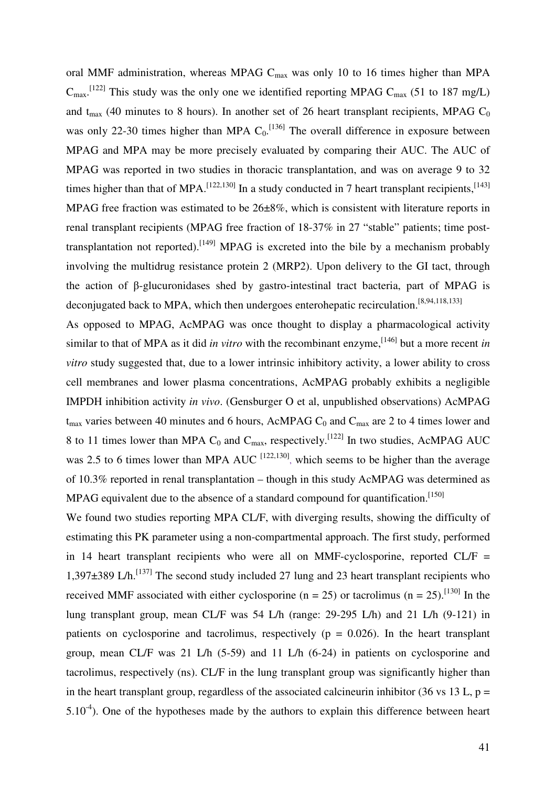oral MMF administration, whereas MPAG  $C_{\text{max}}$  was only 10 to 16 times higher than MPA  $C_{\text{max}}$ .<sup>[122]</sup> This study was the only one we identified reporting MPAG  $C_{\text{max}}$  (51 to 187 mg/L) and  $t_{\text{max}}$  (40 minutes to 8 hours). In another set of 26 heart transplant recipients, MPAG C<sub>0</sub> was only 22-30 times higher than MPA  $C_0$ . [136] The overall difference in exposure between MPAG and MPA may be more precisely evaluated by comparing their AUC. The AUC of MPAG was reported in two studies in thoracic transplantation, and was on average 9 to 32 times higher than that of MPA.<sup>[122,130]</sup> In a study conducted in 7 heart transplant recipients,<sup>[143]</sup> MPAG free fraction was estimated to be 26±8%, which is consistent with literature reports in renal transplant recipients (MPAG free fraction of 18-37% in 27 "stable" patients; time posttransplantation not reported).<sup>[149]</sup> MPAG is excreted into the bile by a mechanism probably involving the multidrug resistance protein 2 (MRP2). Upon delivery to the GI tact, through the action of β-glucuronidases shed by gastro-intestinal tract bacteria, part of MPAG is deconjugated back to MPA, which then undergoes enterohepatic recirculation.<sup>[8,94,118,133]</sup>

As opposed to MPAG, AcMPAG was once thought to display a pharmacological activity similar to that of MPA as it did *in vitro* with the recombinant enzyme,<sup>[146]</sup> but a more recent *in vitro* study suggested that, due to a lower intrinsic inhibitory activity, a lower ability to cross cell membranes and lower plasma concentrations, AcMPAG probably exhibits a negligible IMPDH inhibition activity *in vivo*. (Gensburger O et al, unpublished observations) AcMPAG  $t_{\text{max}}$  varies between 40 minutes and 6 hours, AcMPAG C<sub>0</sub> and C<sub>max</sub> are 2 to 4 times lower and 8 to 11 times lower than MPA  $C_0$  and  $C_{\text{max}}$ , respectively.<sup>[122]</sup> In two studies, AcMPAG AUC was 2.5 to 6 times lower than MPA AUC  $^{[122,130]}$ , which seems to be higher than the average of 10.3% reported in renal transplantation – though in this study AcMPAG was determined as MPAG equivalent due to the absence of a standard compound for quantification.<sup>[150]</sup>

We found two studies reporting MPA CL/F, with diverging results, showing the difficulty of estimating this PK parameter using a non-compartmental approach. The first study, performed in 14 heart transplant recipients who were all on MMF-cyclosporine, reported  $CL/F =$ 1,397 $\pm$ 389 L/h.<sup>[137]</sup> The second study included 27 lung and 23 heart transplant recipients who received MMF associated with either cyclosporine (n = 25) or tacrolimus (n = 25).<sup>[130]</sup> In the lung transplant group, mean CL/F was 54 L/h (range: 29-295 L/h) and 21 L/h (9-121) in patients on cyclosporine and tacrolimus, respectively ( $p = 0.026$ ). In the heart transplant group, mean CL/F was 21 L/h (5-59) and 11 L/h (6-24) in patients on cyclosporine and tacrolimus, respectively (ns). CL/F in the lung transplant group was significantly higher than in the heart transplant group, regardless of the associated calcineurin inhibitor (36 vs 13 L,  $p =$  $5.10^{-4}$ ). One of the hypotheses made by the authors to explain this difference between heart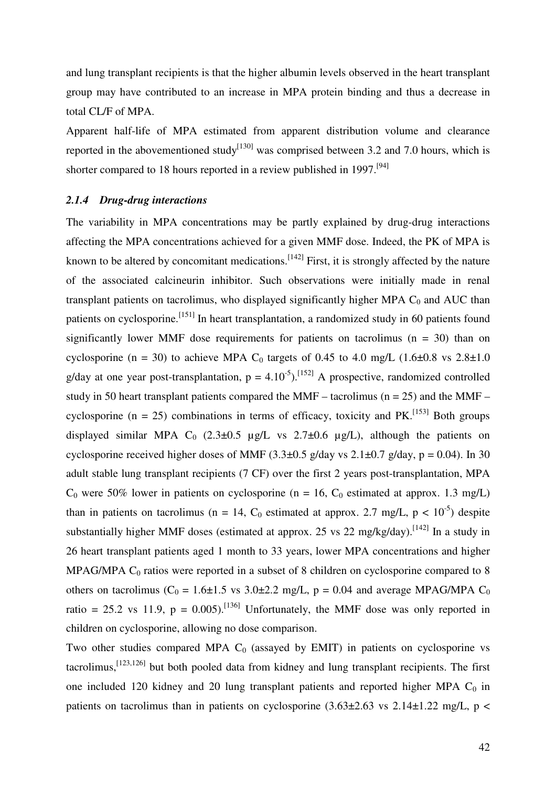and lung transplant recipients is that the higher albumin levels observed in the heart transplant group may have contributed to an increase in MPA protein binding and thus a decrease in total CL/F of MPA.

Apparent half-life of MPA estimated from apparent distribution volume and clearance reported in the abovementioned study<sup>[130]</sup> was comprised between 3.2 and 7.0 hours, which is shorter compared to 18 hours reported in a review published in 1997.<sup>[94]</sup>

# *2.1.4 Drug-drug interactions*

The variability in MPA concentrations may be partly explained by drug-drug interactions affecting the MPA concentrations achieved for a given MMF dose. Indeed, the PK of MPA is known to be altered by concomitant medications.<sup>[142]</sup> First, it is strongly affected by the nature of the associated calcineurin inhibitor. Such observations were initially made in renal transplant patients on tacrolimus, who displayed significantly higher MPA  $C_0$  and AUC than patients on cyclosporine.<sup>[151]</sup> In heart transplantation, a randomized study in 60 patients found significantly lower MMF dose requirements for patients on tacrolimus  $(n = 30)$  than on cyclosporine (n = 30) to achieve MPA C<sub>0</sub> targets of 0.45 to 4.0 mg/L (1.6 $\pm$ 0.8 vs 2.8 $\pm$ 1.0 g/day at one year post-transplantation,  $p = 4.10^{-5}$ . [152] A prospective, randomized controlled study in 50 heart transplant patients compared the MMF – tacrolimus ( $n = 25$ ) and the MMF – cyclosporine (n = 25) combinations in terms of efficacy, toxicity and  $PK$ <sup>[153]</sup> Both groups displayed similar MPA C<sub>0</sub> (2.3 $\pm$ 0.5 µg/L vs 2.7 $\pm$ 0.6 µg/L), although the patients on cyclosporine received higher doses of MMF  $(3.3\pm0.5 \text{ g/day vs } 2.1\pm0.7 \text{ g/day}, p = 0.04)$ . In 30 adult stable lung transplant recipients (7 CF) over the first 2 years post-transplantation, MPA  $C_0$  were 50% lower in patients on cyclosporine (n = 16,  $C_0$  estimated at approx. 1.3 mg/L) than in patients on tacrolimus (n = 14,  $C_0$  estimated at approx. 2.7 mg/L, p < 10<sup>-5</sup>) despite substantially higher MMF doses (estimated at approx. 25 vs 22 mg/kg/day).<sup>[142]</sup> In a study in 26 heart transplant patients aged 1 month to 33 years, lower MPA concentrations and higher MPAG/MPA  $C_0$  ratios were reported in a subset of 8 children on cyclosporine compared to 8 others on tacrolimus ( $C_0 = 1.6 \pm 1.5$  vs 3.0 $\pm 2.2$  mg/L, p = 0.04 and average MPAG/MPA  $C_0$ ratio = 25.2 vs 11.9,  $p = 0.005$ .<sup>[136]</sup> Unfortunately, the MMF dose was only reported in children on cyclosporine, allowing no dose comparison.

Two other studies compared MPA  $C_0$  (assayed by EMIT) in patients on cyclosporine vs tacrolimus,[123,126] but both pooled data from kidney and lung transplant recipients. The first one included 120 kidney and 20 lung transplant patients and reported higher MPA  $C_0$  in patients on tacrolimus than in patients on cyclosporine  $(3.63\pm2.63 \text{ vs } 2.14\pm1.22 \text{ mg/L}, p <$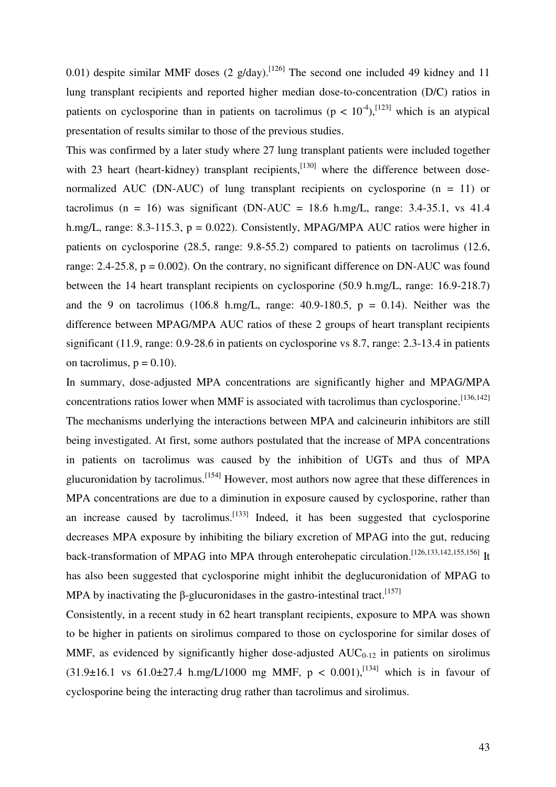0.01) despite similar MMF doses (2 g/day).<sup>[126]</sup> The second one included 49 kidney and 11 lung transplant recipients and reported higher median dose-to-concentration (D/C) ratios in patients on cyclosporine than in patients on tacrolimus ( $p < 10^{-4}$ ), [123] which is an atypical presentation of results similar to those of the previous studies.

This was confirmed by a later study where 27 lung transplant patients were included together with 23 heart (heart-kidney) transplant recipients,<sup>[130]</sup> where the difference between dosenormalized AUC (DN-AUC) of lung transplant recipients on cyclosporine  $(n = 11)$  or tacrolimus (n = 16) was significant (DN-AUC = 18.6 h.mg/L, range: 3.4-35.1, vs 41.4 h.mg/L, range: 8.3-115.3,  $p = 0.022$ ). Consistently, MPAG/MPA AUC ratios were higher in patients on cyclosporine (28.5, range: 9.8-55.2) compared to patients on tacrolimus (12.6, range: 2.4-25.8,  $p = 0.002$ ). On the contrary, no significant difference on DN-AUC was found between the 14 heart transplant recipients on cyclosporine (50.9 h.mg/L, range: 16.9-218.7) and the 9 on tacrolimus (106.8 h.mg/L, range: 40.9-180.5,  $p = 0.14$ ). Neither was the difference between MPAG/MPA AUC ratios of these 2 groups of heart transplant recipients significant (11.9, range: 0.9-28.6 in patients on cyclosporine vs 8.7, range: 2.3-13.4 in patients on tacrolimus,  $p = 0.10$ ).

In summary, dose-adjusted MPA concentrations are significantly higher and MPAG/MPA concentrations ratios lower when MMF is associated with tacrolimus than cyclosporine.  $^{[136,142]}$ The mechanisms underlying the interactions between MPA and calcineurin inhibitors are still being investigated. At first, some authors postulated that the increase of MPA concentrations in patients on tacrolimus was caused by the inhibition of UGTs and thus of MPA glucuronidation by tacrolimus.[154] However, most authors now agree that these differences in MPA concentrations are due to a diminution in exposure caused by cyclosporine, rather than an increase caused by tacrolimus.<sup>[133]</sup> Indeed, it has been suggested that cyclosporine decreases MPA exposure by inhibiting the biliary excretion of MPAG into the gut, reducing back-transformation of MPAG into MPA through enterohepatic circulation.<sup>[126,133,142,155,156]</sup> It has also been suggested that cyclosporine might inhibit the deglucuronidation of MPAG to MPA by inactivating the  $\beta$ -glucuronidases in the gastro-intestinal tract.<sup>[157]</sup>

Consistently, in a recent study in 62 heart transplant recipients, exposure to MPA was shown to be higher in patients on sirolimus compared to those on cyclosporine for similar doses of MMF, as evidenced by significantly higher dose-adjusted  $AUC_{0-12}$  in patients on sirolimus (31.9±16.1 vs 61.0±27.4 h.mg/L/1000 mg MMF,  $p < 0.001$ ),<sup>[134]</sup> which is in favour of cyclosporine being the interacting drug rather than tacrolimus and sirolimus.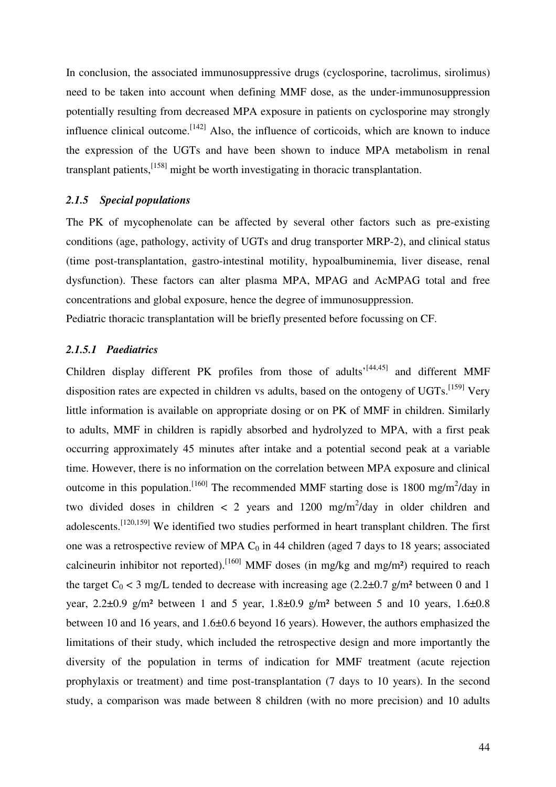In conclusion, the associated immunosuppressive drugs (cyclosporine, tacrolimus, sirolimus) need to be taken into account when defining MMF dose, as the under-immunosuppression potentially resulting from decreased MPA exposure in patients on cyclosporine may strongly influence clinical outcome.  $[142]$  Also, the influence of corticoids, which are known to induce the expression of the UGTs and have been shown to induce MPA metabolism in renal transplant patients,  $^{[158]}$  might be worth investigating in thoracic transplantation.

# *2.1.5 Special populations*

The PK of mycophenolate can be affected by several other factors such as pre-existing conditions (age, pathology, activity of UGTs and drug transporter MRP-2), and clinical status (time post-transplantation, gastro-intestinal motility, hypoalbuminemia, liver disease, renal dysfunction). These factors can alter plasma MPA, MPAG and AcMPAG total and free concentrations and global exposure, hence the degree of immunosuppression.

Pediatric thoracic transplantation will be briefly presented before focussing on CF.

# *2.1.5.1 Paediatrics*

Children display different PK profiles from those of adults<sup>{{44,45}}</sup> and different MMF disposition rates are expected in children vs adults, based on the ontogeny of  $UGTs$ .<sup>[159]</sup> Very little information is available on appropriate dosing or on PK of MMF in children. Similarly to adults, MMF in children is rapidly absorbed and hydrolyzed to MPA, with a first peak occurring approximately 45 minutes after intake and a potential second peak at a variable time. However, there is no information on the correlation between MPA exposure and clinical outcome in this population.<sup>[160]</sup> The recommended MMF starting dose is 1800 mg/m<sup>2</sup>/day in two divided doses in children  $\langle 2 \rangle$  years and 1200 mg/m<sup>2</sup>/day in older children and adolescents.<sup>[120,159]</sup> We identified two studies performed in heart transplant children. The first one was a retrospective review of MPA  $C_0$  in 44 children (aged 7 days to 18 years; associated calcineurin inhibitor not reported).<sup>[160]</sup> MMF doses (in mg/kg and mg/m<sup>2</sup>) required to reach the target  $C_0$  < 3 mg/L tended to decrease with increasing age (2.2 $\pm$ 0.7 g/m<sup>2</sup> between 0 and 1 year,  $2.2\pm0.9$  g/m<sup>2</sup> between 1 and 5 year,  $1.8\pm0.9$  g/m<sup>2</sup> between 5 and 10 years,  $1.6\pm0.8$ between 10 and 16 years, and 1.6±0.6 beyond 16 years). However, the authors emphasized the limitations of their study, which included the retrospective design and more importantly the diversity of the population in terms of indication for MMF treatment (acute rejection prophylaxis or treatment) and time post-transplantation (7 days to 10 years). In the second study, a comparison was made between 8 children (with no more precision) and 10 adults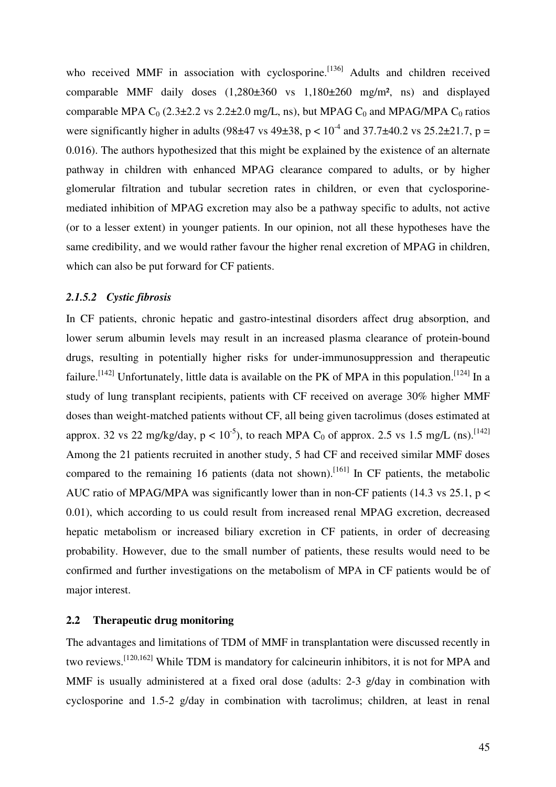who received MMF in association with cyclosporine.<sup>[136]</sup> Adults and children received comparable MMF daily doses (1,280±360 vs 1,180±260 mg/m², ns) and displayed comparable MPA  $C_0$  (2.3±2.2 vs 2.2±2.0 mg/L, ns), but MPAG  $C_0$  and MPAG/MPA  $C_0$  ratios were significantly higher in adults (98 $\pm$ 47 vs 49 $\pm$ 38, p < 10<sup>-4</sup> and 37.7 $\pm$ 40.2 vs 25.2 $\pm$ 21.7, p = 0.016). The authors hypothesized that this might be explained by the existence of an alternate pathway in children with enhanced MPAG clearance compared to adults, or by higher glomerular filtration and tubular secretion rates in children, or even that cyclosporinemediated inhibition of MPAG excretion may also be a pathway specific to adults, not active (or to a lesser extent) in younger patients. In our opinion, not all these hypotheses have the same credibility, and we would rather favour the higher renal excretion of MPAG in children, which can also be put forward for CF patients.

# *2.1.5.2 Cystic fibrosis*

In CF patients, chronic hepatic and gastro-intestinal disorders affect drug absorption, and lower serum albumin levels may result in an increased plasma clearance of protein-bound drugs, resulting in potentially higher risks for under-immunosuppression and therapeutic failure.<sup>[142]</sup> Unfortunately, little data is available on the PK of MPA in this population.<sup>[124]</sup> In a study of lung transplant recipients, patients with CF received on average 30% higher MMF doses than weight-matched patients without CF, all being given tacrolimus (doses estimated at approx. 32 vs 22 mg/kg/day,  $p < 10^{-5}$ ), to reach MPA C<sub>0</sub> of approx. 2.5 vs 1.5 mg/L (ns).<sup>[142]</sup> Among the 21 patients recruited in another study, 5 had CF and received similar MMF doses compared to the remaining 16 patients (data not shown).<sup>[161]</sup> In CF patients, the metabolic AUC ratio of MPAG/MPA was significantly lower than in non-CF patients (14.3 vs 25.1,  $p <$ 0.01), which according to us could result from increased renal MPAG excretion, decreased hepatic metabolism or increased biliary excretion in CF patients, in order of decreasing probability. However, due to the small number of patients, these results would need to be confirmed and further investigations on the metabolism of MPA in CF patients would be of major interest.

# **2.2 Therapeutic drug monitoring**

The advantages and limitations of TDM of MMF in transplantation were discussed recently in two reviews.[120,162] While TDM is mandatory for calcineurin inhibitors, it is not for MPA and MMF is usually administered at a fixed oral dose (adults: 2-3 g/day in combination with cyclosporine and 1.5-2 g/day in combination with tacrolimus; children, at least in renal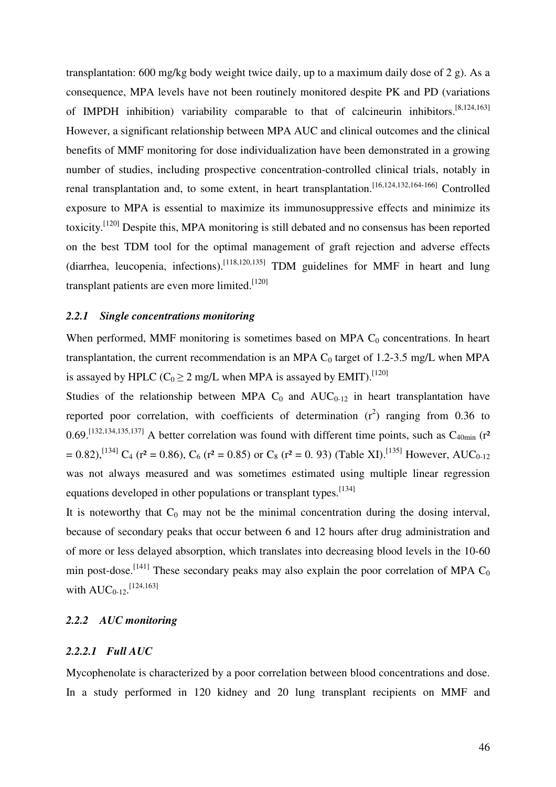transplantation: 600 mg/kg body weight twice daily, up to a maximum daily dose of 2 g). As a consequence, MPA levels have not been routinely monitored despite PK and PD (variations of IMPDH inhibition) variability comparable to that of calcineurin inhibitors.[8,124,163] However, a significant relationship between MPA AUC and clinical outcomes and the clinical benefits of MMF monitoring for dose individualization have been demonstrated in a growing number of studies, including prospective concentration-controlled clinical trials, notably in renal transplantation and, to some extent, in heart transplantation.[16,124,132,164-166] Controlled exposure to MPA is essential to maximize its immunosuppressive effects and minimize its toxicity.[120] Despite this, MPA monitoring is still debated and no consensus has been reported on the best TDM tool for the optimal management of graft rejection and adverse effects (diarrhea, leucopenia, infections).<sup>[118,120,135]</sup> TDM guidelines for MMF in heart and lung transplant patients are even more limited.  $[120]$ 

# *2.2.1 Single concentrations monitoring*

When performed, MMF monitoring is sometimes based on MPA  $C_0$  concentrations. In heart transplantation, the current recommendation is an MPA  $C_0$  target of 1.2-3.5 mg/L when MPA is assayed by HPLC ( $C_0 \ge 2$  mg/L when MPA is assayed by EMIT).<sup>[120]</sup>

Studies of the relationship between MPA  $C_0$  and  $AUC_{0-12}$  in heart transplantation have reported poor correlation, with coefficients of determination  $(r^2)$  ranging from 0.36 to  $0.69$ .<sup>[132,134,135,137]</sup> A better correlation was found with different time points, such as  $C_{40min}$  (r<sup>2</sup>  $= 0.82$ ),<sup>[134]</sup> C<sub>4</sub> (r<sup>2</sup> = 0.86), C<sub>6</sub> (r<sup>2</sup> = 0.85) or C<sub>8</sub> (r<sup>2</sup> = 0.93) (Table XI).<sup>[135]</sup> However, AUC<sub>0-12</sub> was not always measured and was sometimes estimated using multiple linear regression equations developed in other populations or transplant types.<sup>[134]</sup>

It is noteworthy that  $C_0$  may not be the minimal concentration during the dosing interval, because of secondary peaks that occur between 6 and 12 hours after drug administration and of more or less delayed absorption, which translates into decreasing blood levels in the 10-60 min post-dose.<sup>[141]</sup> These secondary peaks may also explain the poor correlation of MPA  $C_0$ with  $AUC_{0-12}$ . [124,163]

# *2.2.2 AUC monitoring*

# *2.2.2.1 Full AUC*

Mycophenolate is characterized by a poor correlation between blood concentrations and dose. In a study performed in 120 kidney and 20 lung transplant recipients on MMF and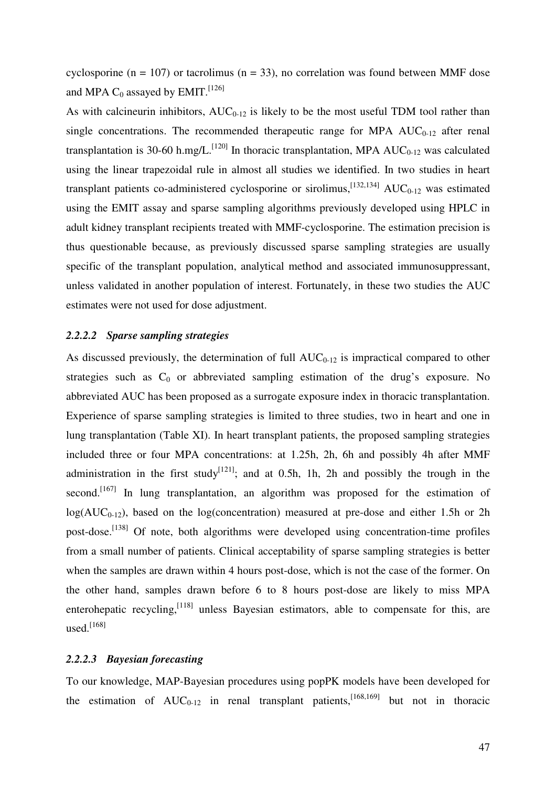cyclosporine ( $n = 107$ ) or tacrolimus ( $n = 33$ ), no correlation was found between MMF dose and MPA  $C_0$  assayed by EMIT.<sup>[126]</sup>

As with calcineurin inhibitors,  $AUC_{0-12}$  is likely to be the most useful TDM tool rather than single concentrations. The recommended therapeutic range for MPA  $AUC_{0-12}$  after renal transplantation is 30-60 h.mg/L.<sup>[120]</sup> In thoracic transplantation, MPA  $AUC_{0-12}$  was calculated using the linear trapezoidal rule in almost all studies we identified. In two studies in heart transplant patients co-administered cyclosporine or sirolimus,  $[132,134]$  AUC<sub>0-12</sub> was estimated using the EMIT assay and sparse sampling algorithms previously developed using HPLC in adult kidney transplant recipients treated with MMF-cyclosporine. The estimation precision is thus questionable because, as previously discussed sparse sampling strategies are usually specific of the transplant population, analytical method and associated immunosuppressant, unless validated in another population of interest. Fortunately, in these two studies the AUC estimates were not used for dose adjustment.

#### *2.2.2.2 Sparse sampling strategies*

As discussed previously, the determination of full  $AUC_{0-12}$  is impractical compared to other strategies such as  $C_0$  or abbreviated sampling estimation of the drug's exposure. No abbreviated AUC has been proposed as a surrogate exposure index in thoracic transplantation. Experience of sparse sampling strategies is limited to three studies, two in heart and one in lung transplantation (Table XI). In heart transplant patients, the proposed sampling strategies included three or four MPA concentrations: at 1.25h, 2h, 6h and possibly 4h after MMF administration in the first study<sup>[121]</sup>; and at 0.5h, 1h, 2h and possibly the trough in the second.<sup>[167]</sup> In lung transplantation, an algorithm was proposed for the estimation of  $log(AUC_{0-12})$ , based on the  $log(concentration)$  measured at pre-dose and either 1.5h or 2h post-dose.<sup>[138]</sup> Of note, both algorithms were developed using concentration-time profiles from a small number of patients. Clinical acceptability of sparse sampling strategies is better when the samples are drawn within 4 hours post-dose, which is not the case of the former. On the other hand, samples drawn before 6 to 8 hours post-dose are likely to miss MPA enterohepatic recycling,  $\left[118\right]$  unless Bayesian estimators, able to compensate for this, are used. $^{[168]}$ 

# *2.2.2.3 Bayesian forecasting*

To our knowledge, MAP-Bayesian procedures using popPK models have been developed for the estimation of  $AUC_{0-12}$  in renal transplant patients,<sup>[168,169]</sup> but not in thoracic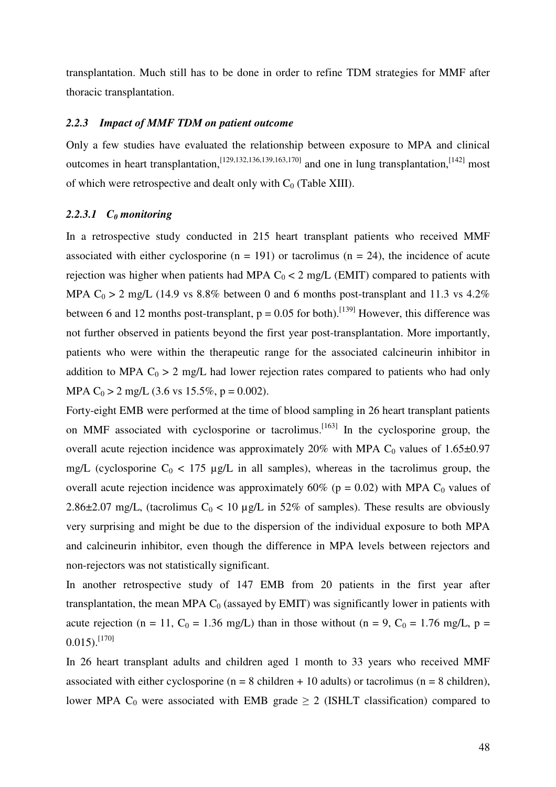transplantation. Much still has to be done in order to refine TDM strategies for MMF after thoracic transplantation.

#### *2.2.3 Impact of MMF TDM on patient outcome*

Only a few studies have evaluated the relationship between exposure to MPA and clinical outcomes in heart transplantation,  $^{[129,132,136,139,163,170]}$  and one in lung transplantation,  $^{[142]}$  most of which were retrospective and dealt only with  $C_0$  (Table XIII).

# *2.2.3.1 C0 monitoring*

In a retrospective study conducted in 215 heart transplant patients who received MMF associated with either cyclosporine  $(n = 191)$  or tacrolimus  $(n = 24)$ , the incidence of acute rejection was higher when patients had MPA  $C_0 < 2$  mg/L (EMIT) compared to patients with MPA  $C_0 > 2$  mg/L (14.9 vs 8.8% between 0 and 6 months post-transplant and 11.3 vs 4.2%) between 6 and 12 months post-transplant,  $p = 0.05$  for both).<sup>[139]</sup> However, this difference was not further observed in patients beyond the first year post-transplantation. More importantly, patients who were within the therapeutic range for the associated calcineurin inhibitor in addition to MPA  $C_0 > 2$  mg/L had lower rejection rates compared to patients who had only MPA C<sub>0</sub> > 2 mg/L (3.6 vs 15.5%, p = 0.002).

Forty-eight EMB were performed at the time of blood sampling in 26 heart transplant patients on MMF associated with cyclosporine or tacrolimus.<sup>[163]</sup> In the cyclosporine group, the overall acute rejection incidence was approximately  $20\%$  with MPA C<sub>0</sub> values of 1.65 $\pm$ 0.97 mg/L (cyclosporine  $C_0$  < 175 µg/L in all samples), whereas in the tacrolimus group, the overall acute rejection incidence was approximately 60% ( $p = 0.02$ ) with MPA C<sub>0</sub> values of 2.86 $\pm$ 2.07 mg/L, (tacrolimus C<sub>0</sub> < 10 µg/L in 52% of samples). These results are obviously very surprising and might be due to the dispersion of the individual exposure to both MPA and calcineurin inhibitor, even though the difference in MPA levels between rejectors and non-rejectors was not statistically significant.

In another retrospective study of 147 EMB from 20 patients in the first year after transplantation, the mean MPA  $C_0$  (assayed by EMIT) was significantly lower in patients with acute rejection (n = 11, C<sub>0</sub> = 1.36 mg/L) than in those without (n = 9, C<sub>0</sub> = 1.76 mg/L, p =  $0.015$ .<sup>[170]</sup>

In 26 heart transplant adults and children aged 1 month to 33 years who received MMF associated with either cyclosporine ( $n = 8$  children + 10 adults) or tacrolimus ( $n = 8$  children), lower MPA C<sub>0</sub> were associated with EMB grade  $\geq 2$  (ISHLT classification) compared to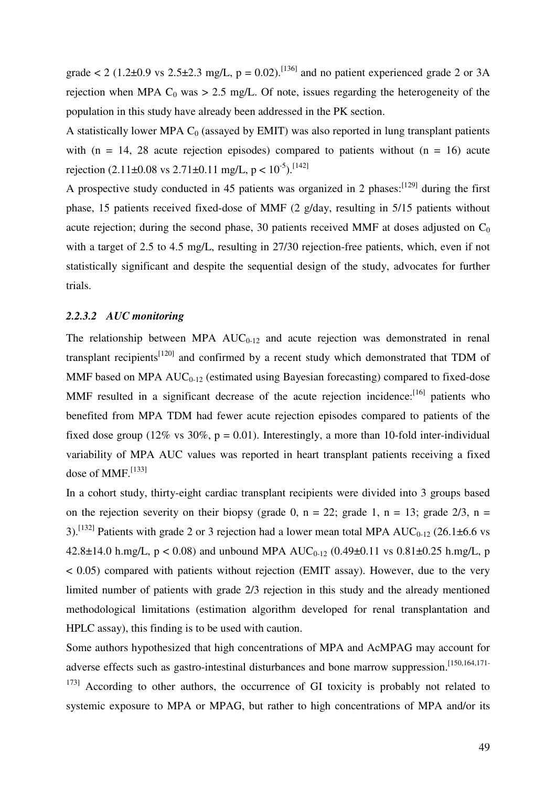grade  $\lt 2$  (1.2±0.9 vs 2.5±2.3 mg/L, p = 0.02).<sup>[136]</sup> and no patient experienced grade 2 or 3A rejection when MPA  $C_0$  was > 2.5 mg/L. Of note, issues regarding the heterogeneity of the population in this study have already been addressed in the PK section.

A statistically lower MPA  $C_0$  (assayed by EMIT) was also reported in lung transplant patients with (n = 14, 28 acute rejection episodes) compared to patients without (n = 16) acute rejection  $(2.11\pm0.08 \text{ vs } 2.71\pm0.11 \text{ mg/L}, p < 10^{-5})$ .<sup>[142]</sup>

A prospective study conducted in 45 patients was organized in 2 phases:  $[129]$  during the first phase, 15 patients received fixed-dose of MMF (2 g/day, resulting in 5/15 patients without acute rejection; during the second phase, 30 patients received MMF at doses adjusted on  $C_0$ with a target of 2.5 to 4.5 mg/L, resulting in 27/30 rejection-free patients, which, even if not statistically significant and despite the sequential design of the study, advocates for further trials.

# *2.2.3.2 AUC monitoring*

The relationship between MPA  $AUC_{0-12}$  and acute rejection was demonstrated in renal transplant recipients<sup> $[120]$ </sup> and confirmed by a recent study which demonstrated that TDM of MMF based on MPA  $AUC_{0-12}$  (estimated using Bayesian forecasting) compared to fixed-dose MMF resulted in a significant decrease of the acute rejection incidence:<sup>[16]</sup> patients who benefited from MPA TDM had fewer acute rejection episodes compared to patients of the fixed dose group (12% vs 30%,  $p = 0.01$ ). Interestingly, a more than 10-fold inter-individual variability of MPA AUC values was reported in heart transplant patients receiving a fixed dose of MMF. $^{[133]}$ 

In a cohort study, thirty-eight cardiac transplant recipients were divided into 3 groups based on the rejection severity on their biopsy (grade 0,  $n = 22$ ; grade 1,  $n = 13$ ; grade 2/3,  $n =$ 3).<sup>[132]</sup> Patients with grade 2 or 3 rejection had a lower mean total MPA  $AUC_{0-12}$  (26.1 $\pm$ 6.6 vs 42.8±14.0 h.mg/L,  $p < 0.08$ ) and unbound MPA AUC<sub>0-12</sub> (0.49±0.11 vs 0.81±0.25 h.mg/L, p  $< 0.05$ ) compared with patients without rejection (EMIT assay). However, due to the very limited number of patients with grade 2/3 rejection in this study and the already mentioned methodological limitations (estimation algorithm developed for renal transplantation and HPLC assay), this finding is to be used with caution.

Some authors hypothesized that high concentrations of MPA and AcMPAG may account for adverse effects such as gastro-intestinal disturbances and bone marrow suppression.[150,164,171-  $173$ ] According to other authors, the occurrence of GI toxicity is probably not related to systemic exposure to MPA or MPAG, but rather to high concentrations of MPA and/or its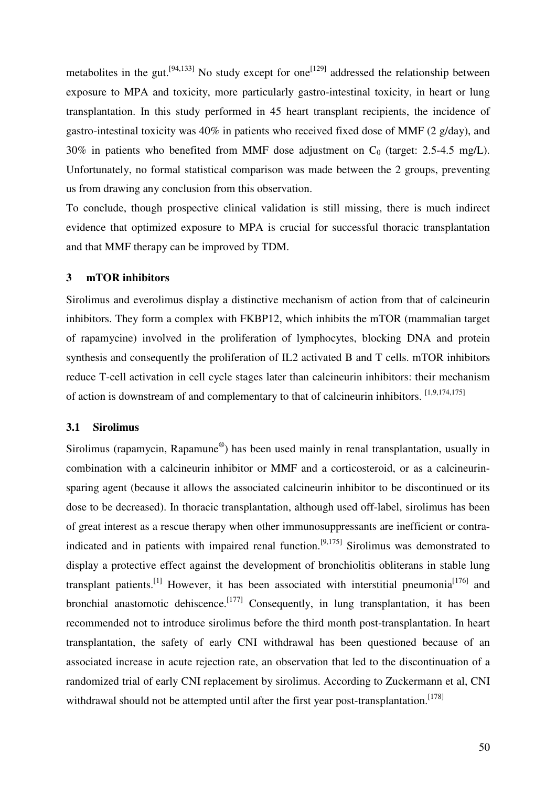metabolites in the gut.<sup>[94,133]</sup> No study except for one<sup>[129]</sup> addressed the relationship between exposure to MPA and toxicity, more particularly gastro-intestinal toxicity, in heart or lung transplantation. In this study performed in 45 heart transplant recipients, the incidence of gastro-intestinal toxicity was 40% in patients who received fixed dose of MMF (2 g/day), and 30% in patients who benefited from MMF dose adjustment on  $C_0$  (target: 2.5-4.5 mg/L). Unfortunately, no formal statistical comparison was made between the 2 groups, preventing us from drawing any conclusion from this observation.

To conclude, though prospective clinical validation is still missing, there is much indirect evidence that optimized exposure to MPA is crucial for successful thoracic transplantation and that MMF therapy can be improved by TDM.

# **3 mTOR inhibitors**

Sirolimus and everolimus display a distinctive mechanism of action from that of calcineurin inhibitors. They form a complex with FKBP12, which inhibits the mTOR (mammalian target of rapamycine) involved in the proliferation of lymphocytes, blocking DNA and protein synthesis and consequently the proliferation of IL2 activated B and T cells. mTOR inhibitors reduce T-cell activation in cell cycle stages later than calcineurin inhibitors: their mechanism of action is downstream of and complementary to that of calcineurin inhibitors. [1,9,174,175]

#### **3.1 Sirolimus**

Sirolimus (rapamycin, Rapamune®) has been used mainly in renal transplantation, usually in combination with a calcineurin inhibitor or MMF and a corticosteroid, or as a calcineurinsparing agent (because it allows the associated calcineurin inhibitor to be discontinued or its dose to be decreased). In thoracic transplantation, although used off-label, sirolimus has been of great interest as a rescue therapy when other immunosuppressants are inefficient or contraindicated and in patients with impaired renal function.[9,175] Sirolimus was demonstrated to display a protective effect against the development of bronchiolitis obliterans in stable lung transplant patients.<sup>[1]</sup> However, it has been associated with interstitial pneumonia<sup>[176]</sup> and bronchial anastomotic dehiscence.<sup>[177]</sup> Consequently, in lung transplantation, it has been recommended not to introduce sirolimus before the third month post-transplantation. In heart transplantation, the safety of early CNI withdrawal has been questioned because of an associated increase in acute rejection rate, an observation that led to the discontinuation of a randomized trial of early CNI replacement by sirolimus. According to Zuckermann et al, CNI withdrawal should not be attempted until after the first year post-transplantation.<sup>[178]</sup>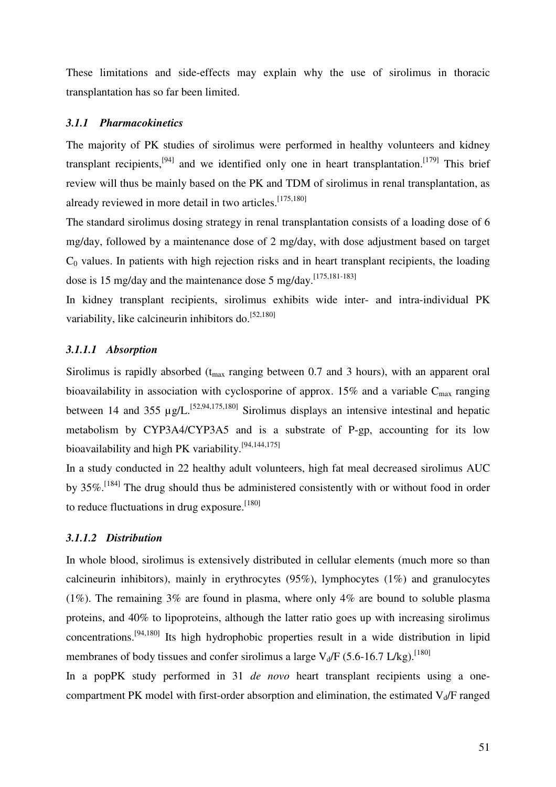These limitations and side-effects may explain why the use of sirolimus in thoracic transplantation has so far been limited.

# *3.1.1 Pharmacokinetics*

The majority of PK studies of sirolimus were performed in healthy volunteers and kidney transplant recipients,<sup>[94]</sup> and we identified only one in heart transplantation.<sup>[179]</sup> This brief review will thus be mainly based on the PK and TDM of sirolimus in renal transplantation, as already reviewed in more detail in two articles.<sup>[175,180]</sup>

The standard sirolimus dosing strategy in renal transplantation consists of a loading dose of 6 mg/day, followed by a maintenance dose of 2 mg/day, with dose adjustment based on target  $C<sub>0</sub>$  values. In patients with high rejection risks and in heart transplant recipients, the loading dose is 15 mg/day and the maintenance dose 5 mg/day.<sup>[175,181-183]</sup>

In kidney transplant recipients, sirolimus exhibits wide inter- and intra-individual PK variability, like calcineurin inhibitors do.<sup>[52,180]</sup>

# *3.1.1.1 Absorption*

Sirolimus is rapidly absorbed  $(t_{max}$  ranging between 0.7 and 3 hours), with an apparent oral bioavailability in association with cyclosporine of approx. 15% and a variable  $C_{\text{max}}$  ranging between 14 and 355  $\mu$ g/L.<sup>[52,94,175,180]</sup> Sirolimus displays an intensive intestinal and hepatic metabolism by CYP3A4/CYP3A5 and is a substrate of P-gp, accounting for its low bioavailability and high PK variability.<sup>[94,144,175]</sup>

In a study conducted in 22 healthy adult volunteers, high fat meal decreased sirolimus AUC by 35%.[184] The drug should thus be administered consistently with or without food in order to reduce fluctuations in drug exposure.  $[180]$ 

# *3.1.1.2 Distribution*

In whole blood, sirolimus is extensively distributed in cellular elements (much more so than calcineurin inhibitors), mainly in erythrocytes  $(95\%)$ , lymphocytes  $(1\%)$  and granulocytes (1%). The remaining  $3\%$  are found in plasma, where only  $4\%$  are bound to soluble plasma proteins, and 40% to lipoproteins, although the latter ratio goes up with increasing sirolimus concentrations.[94,180] Its high hydrophobic properties result in a wide distribution in lipid membranes of body tissues and confer sirolimus a large  $V_d/F$  (5.6-16.7 L/kg).<sup>[180]</sup>

In a popPK study performed in 31 *de novo* heart transplant recipients using a onecompartment PK model with first-order absorption and elimination, the estimated  $V_d/F$  ranged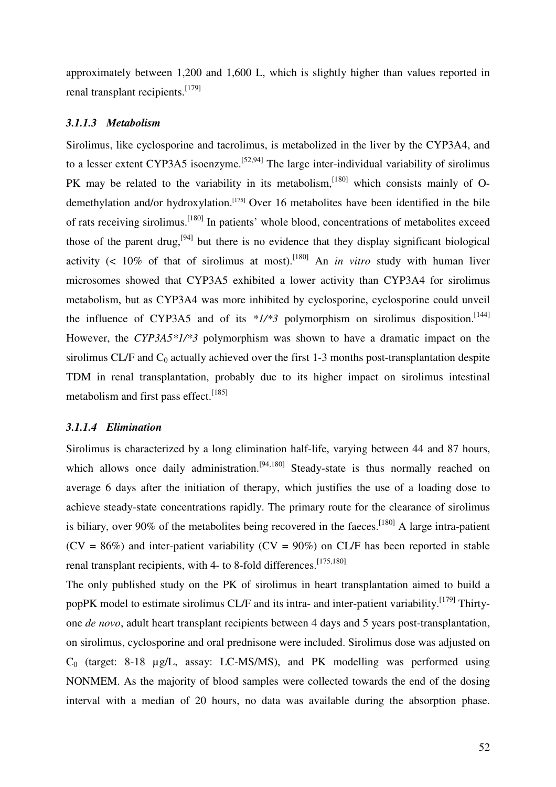approximately between 1,200 and 1,600 L, which is slightly higher than values reported in renal transplant recipients.<sup>[179]</sup>

#### *3.1.1.3 Metabolism*

Sirolimus, like cyclosporine and tacrolimus, is metabolized in the liver by the CYP3A4, and to a lesser extent CYP3A5 isoenzyme.<sup>[52,94]</sup> The large inter-individual variability of sirolimus PK may be related to the variability in its metabolism, [180] which consists mainly of Odemethylation and/or hydroxylation.<sup>[175]</sup> Over 16 metabolites have been identified in the bile of rats receiving sirolimus.[180] In patients' whole blood, concentrations of metabolites exceed those of the parent drug,  $[94]$  but there is no evidence that they display significant biological activity  $\left($  < 10% of that of sirolimus at most).<sup>[180]</sup> An *in vitro* study with human liver microsomes showed that CYP3A5 exhibited a lower activity than CYP3A4 for sirolimus metabolism, but as CYP3A4 was more inhibited by cyclosporine, cyclosporine could unveil the influence of CYP3A5 and of its  $*1/*3$  polymorphism on sirolimus disposition.<sup>[144]</sup> However, the *CYP3A5\*1/\*3* polymorphism was shown to have a dramatic impact on the sirolimus CL/F and  $C_0$  actually achieved over the first 1-3 months post-transplantation despite TDM in renal transplantation, probably due to its higher impact on sirolimus intestinal metabolism and first pass effect.<sup>[185]</sup>

# *3.1.1.4 Elimination*

Sirolimus is characterized by a long elimination half-life, varying between 44 and 87 hours, which allows once daily administration.<sup>[94,180]</sup> Steady-state is thus normally reached on average 6 days after the initiation of therapy, which justifies the use of a loading dose to achieve steady-state concentrations rapidly. The primary route for the clearance of sirolimus is biliary, over 90% of the metabolites being recovered in the faeces.<sup>[180]</sup> A large intra-patient  $(CV = 86%)$  and inter-patient variability  $(CV = 90%)$  on CL/F has been reported in stable renal transplant recipients, with 4- to 8-fold differences.<sup>[175,180]</sup>

The only published study on the PK of sirolimus in heart transplantation aimed to build a popPK model to estimate sirolimus CL/F and its intra- and inter-patient variability.<sup>[179]</sup> Thirtyone *de novo*, adult heart transplant recipients between 4 days and 5 years post-transplantation, on sirolimus, cyclosporine and oral prednisone were included. Sirolimus dose was adjusted on  $C_0$  (target: 8-18 µg/L, assay: LC-MS/MS), and PK modelling was performed using NONMEM. As the majority of blood samples were collected towards the end of the dosing interval with a median of 20 hours, no data was available during the absorption phase.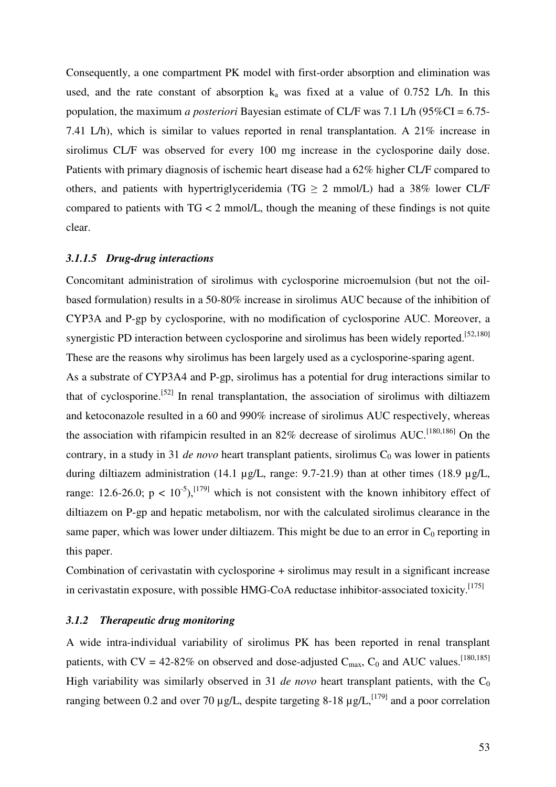Consequently, a one compartment PK model with first-order absorption and elimination was used, and the rate constant of absorption  $k_a$  was fixed at a value of 0.752 L/h. In this population, the maximum *a posteriori* Bayesian estimate of CL/F was 7.1 L/h (95%CI = 6.75- 7.41 L/h), which is similar to values reported in renal transplantation. A 21% increase in sirolimus CL/F was observed for every 100 mg increase in the cyclosporine daily dose. Patients with primary diagnosis of ischemic heart disease had a 62% higher CL/F compared to others, and patients with hypertriglyceridemia (TG  $\geq$  2 mmol/L) had a 38% lower CL/F compared to patients with TG < 2 mmol/L, though the meaning of these findings is not quite clear.

#### *3.1.1.5 Drug-drug interactions*

Concomitant administration of sirolimus with cyclosporine microemulsion (but not the oilbased formulation) results in a 50-80% increase in sirolimus AUC because of the inhibition of CYP3A and P-gp by cyclosporine, with no modification of cyclosporine AUC. Moreover, a synergistic PD interaction between cyclosporine and sirolimus has been widely reported.<sup>[52,180]</sup> These are the reasons why sirolimus has been largely used as a cyclosporine-sparing agent.

As a substrate of CYP3A4 and P-gp, sirolimus has a potential for drug interactions similar to that of cyclosporine.<sup>[52]</sup> In renal transplantation, the association of sirolimus with diltiazem and ketoconazole resulted in a 60 and 990% increase of sirolimus AUC respectively, whereas the association with rifampicin resulted in an  $82\%$  decrease of sirolimus AUC.<sup>[180,186]</sup> On the contrary, in a study in 31 *de novo* heart transplant patients, sirolimus C<sub>0</sub> was lower in patients during diltiazem administration (14.1 µg/L, range: 9.7-21.9) than at other times (18.9 µg/L, range: 12.6-26.0;  $p < 10^{-5}$ ,  $^{[179]}$  which is not consistent with the known inhibitory effect of diltiazem on P-gp and hepatic metabolism, nor with the calculated sirolimus clearance in the same paper, which was lower under diltiazem. This might be due to an error in  $C_0$  reporting in this paper.

Combination of cerivastatin with cyclosporine + sirolimus may result in a significant increase in cerivastatin exposure, with possible HMG-CoA reductase inhibitor-associated toxicity.<sup>[175]</sup>

#### *3.1.2 Therapeutic drug monitoring*

A wide intra-individual variability of sirolimus PK has been reported in renal transplant patients, with  $CV = 42-82\%$  on observed and dose-adjusted  $C_{\text{max}}$ ,  $C_0$  and AUC values.<sup>[180,185]</sup> High variability was similarly observed in 31 *de novo* heart transplant patients, with the  $C_0$ ranging between 0.2 and over 70  $\mu$ g/L, despite targeting 8-18  $\mu$ g/L,<sup>[179]</sup> and a poor correlation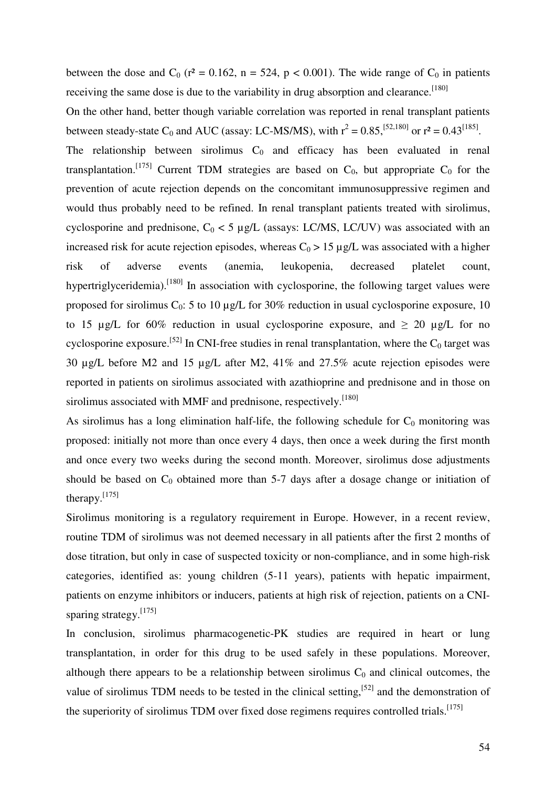between the dose and  $C_0$  ( $r^2 = 0.162$ ,  $n = 524$ ,  $p < 0.001$ ). The wide range of  $C_0$  in patients receiving the same dose is due to the variability in drug absorption and clearance.<sup>[180]</sup>

On the other hand, better though variable correlation was reported in renal transplant patients between steady-state C<sub>0</sub> and AUC (assay: LC-MS/MS), with  $r^2 = 0.85$ , <sup>[52,180]</sup> or  $r^2 = 0.43$ <sup>[185]</sup>.

The relationship between sirolimus  $C_0$  and efficacy has been evaluated in renal transplantation.<sup>[175]</sup> Current TDM strategies are based on  $C_0$ , but appropriate  $C_0$  for the prevention of acute rejection depends on the concomitant immunosuppressive regimen and would thus probably need to be refined. In renal transplant patients treated with sirolimus, cyclosporine and prednisone,  $C_0 < 5 \mu g/L$  (assays: LC/MS, LC/UV) was associated with an increased risk for acute rejection episodes, whereas  $C_0 > 15 \mu g/L$  was associated with a higher risk of adverse events (anemia, leukopenia, decreased platelet count, hypertriglyceridemia).<sup>[180]</sup> In association with cyclosporine, the following target values were proposed for sirolimus  $C_0$ : 5 to 10 µg/L for 30% reduction in usual cyclosporine exposure, 10 to 15 µg/L for 60% reduction in usual cyclosporine exposure, and  $\geq 20$  µg/L for no cyclosporine exposure.<sup>[52]</sup> In CNI-free studies in renal transplantation, where the  $C_0$  target was 30 µg/L before M2 and 15 µg/L after M2, 41% and 27.5% acute rejection episodes were reported in patients on sirolimus associated with azathioprine and prednisone and in those on sirolimus associated with MMF and prednisone, respectively.<sup>[180]</sup>

As sirolimus has a long elimination half-life, the following schedule for  $C_0$  monitoring was proposed: initially not more than once every 4 days, then once a week during the first month and once every two weeks during the second month. Moreover, sirolimus dose adjustments should be based on  $C_0$  obtained more than 5-7 days after a dosage change or initiation of therapy. $^{[175]}$ 

Sirolimus monitoring is a regulatory requirement in Europe. However, in a recent review, routine TDM of sirolimus was not deemed necessary in all patients after the first 2 months of dose titration, but only in case of suspected toxicity or non-compliance, and in some high-risk categories, identified as: young children (5-11 years), patients with hepatic impairment, patients on enzyme inhibitors or inducers, patients at high risk of rejection, patients on a CNIsparing strategy.<sup>[175]</sup>

In conclusion, sirolimus pharmacogenetic-PK studies are required in heart or lung transplantation, in order for this drug to be used safely in these populations. Moreover, although there appears to be a relationship between sirolimus  $C_0$  and clinical outcomes, the value of sirolimus TDM needs to be tested in the clinical setting,  $[52]$  and the demonstration of the superiority of sirolimus TDM over fixed dose regimens requires controlled trials.<sup>[175]</sup>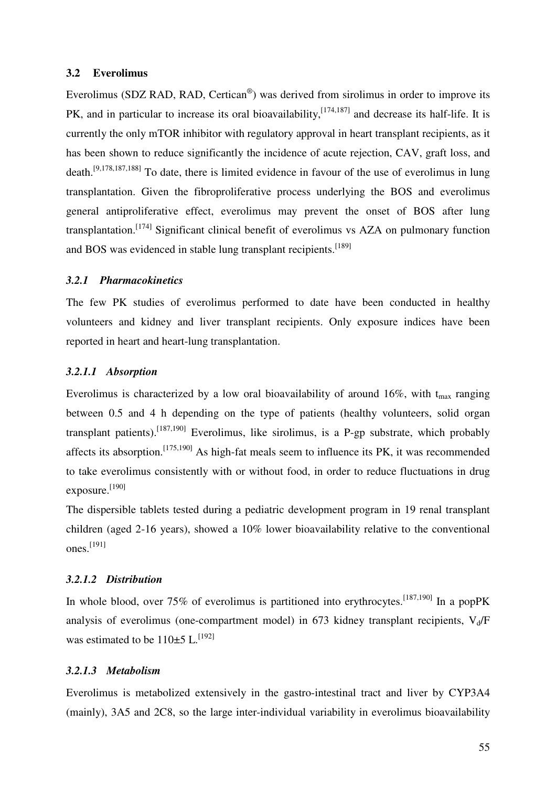#### **3.2 Everolimus**

Everolimus (SDZ RAD, RAD, Certican<sup>®</sup>) was derived from sirolimus in order to improve its PK, and in particular to increase its oral bioavailability,<sup>[174,187]</sup> and decrease its half-life. It is currently the only mTOR inhibitor with regulatory approval in heart transplant recipients, as it has been shown to reduce significantly the incidence of acute rejection, CAV, graft loss, and death.[9,178,187,188] To date, there is limited evidence in favour of the use of everolimus in lung transplantation. Given the fibroproliferative process underlying the BOS and everolimus general antiproliferative effect, everolimus may prevent the onset of BOS after lung transplantation.<sup>[174]</sup> Significant clinical benefit of everolimus vs AZA on pulmonary function and BOS was evidenced in stable lung transplant recipients.<sup>[189]</sup>

# *3.2.1 Pharmacokinetics*

The few PK studies of everolimus performed to date have been conducted in healthy volunteers and kidney and liver transplant recipients. Only exposure indices have been reported in heart and heart-lung transplantation.

# *3.2.1.1 Absorption*

Everolimus is characterized by a low oral bioavailability of around 16%, with  $t_{\text{max}}$  ranging between 0.5 and 4 h depending on the type of patients (healthy volunteers, solid organ transplant patients).<sup>[187,190]</sup> Everolimus, like sirolimus, is a P-gp substrate, which probably affects its absorption.[175,190] As high-fat meals seem to influence its PK, it was recommended to take everolimus consistently with or without food, in order to reduce fluctuations in drug exposure.<sup>[190]</sup>

The dispersible tablets tested during a pediatric development program in 19 renal transplant children (aged 2-16 years), showed a 10% lower bioavailability relative to the conventional ones. [191]

#### *3.2.1.2 Distribution*

In whole blood, over 75% of everolimus is partitioned into erythrocytes.<sup>[187,190]</sup> In a popPK analysis of everolimus (one-compartment model) in 673 kidney transplant recipients,  $V_d/F$ was estimated to be  $110\pm5$  L.<sup>[192]</sup>

# *3.2.1.3 Metabolism*

Everolimus is metabolized extensively in the gastro-intestinal tract and liver by CYP3A4 (mainly), 3A5 and 2C8, so the large inter-individual variability in everolimus bioavailability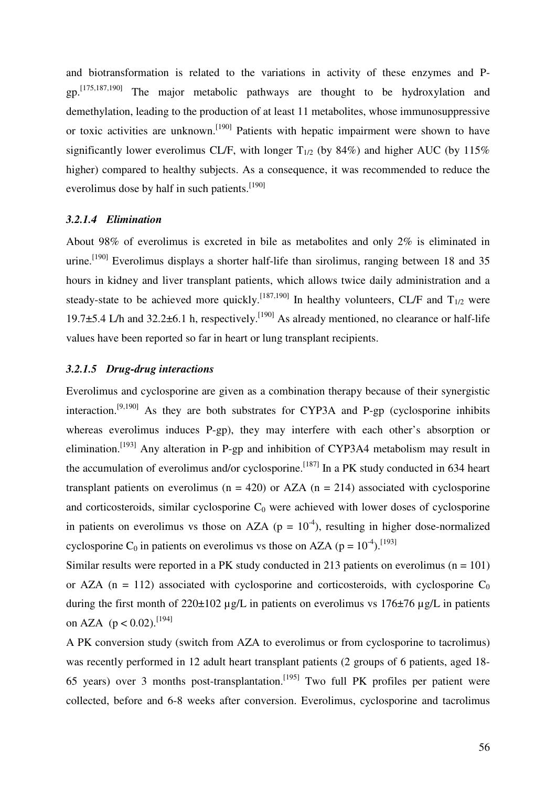and biotransformation is related to the variations in activity of these enzymes and Pgp.[175,187,190] The major metabolic pathways are thought to be hydroxylation and demethylation, leading to the production of at least 11 metabolites, whose immunosuppressive or toxic activities are unknown.<sup>[190]</sup> Patients with hepatic impairment were shown to have significantly lower everolimus CL/F, with longer  $T_{1/2}$  (by 84%) and higher AUC (by 115%) higher) compared to healthy subjects. As a consequence, it was recommended to reduce the everolimus dose by half in such patients.<sup>[190]</sup>

# *3.2.1.4 Elimination*

About 98% of everolimus is excreted in bile as metabolites and only 2% is eliminated in urine.<sup>[190]</sup> Everolimus displays a shorter half-life than sirolimus, ranging between 18 and 35 hours in kidney and liver transplant patients, which allows twice daily administration and a steady-state to be achieved more quickly.<sup>[187,190]</sup> In healthy volunteers, CL/F and  $T_{1/2}$  were 19.7 $\pm$ 5.4 L/h and 32.2 $\pm$ 6.1 h, respectively.<sup>[190]</sup> As already mentioned, no clearance or half-life values have been reported so far in heart or lung transplant recipients.

#### *3.2.1.5 Drug-drug interactions*

Everolimus and cyclosporine are given as a combination therapy because of their synergistic interaction.[9,190] As they are both substrates for CYP3A and P-gp (cyclosporine inhibits whereas everolimus induces P-gp), they may interfere with each other's absorption or elimination.<sup>[193]</sup> Any alteration in P-gp and inhibition of CYP3A4 metabolism may result in the accumulation of everolimus and/or cyclosporine.<sup>[187]</sup> In a PK study conducted in 634 heart transplant patients on everolimus ( $n = 420$ ) or AZA ( $n = 214$ ) associated with cyclosporine and corticosteroids, similar cyclosporine  $C_0$  were achieved with lower doses of cyclosporine in patients on everolimus vs those on AZA ( $p = 10^{-4}$ ), resulting in higher dose-normalized cyclosporine C<sub>0</sub> in patients on everolimus vs those on AZA ( $p = 10^{-4}$ ).<sup>[193]</sup>

Similar results were reported in a PK study conducted in 213 patients on everolimus  $(n = 101)$ or AZA ( $n = 112$ ) associated with cyclosporine and corticosteroids, with cyclosporine C<sub>0</sub> during the first month of  $220\pm102$  µg/L in patients on everolimus vs  $176\pm76$  µg/L in patients on AZA ( $p < 0.02$ ).<sup>[194]</sup>

A PK conversion study (switch from AZA to everolimus or from cyclosporine to tacrolimus) was recently performed in 12 adult heart transplant patients (2 groups of 6 patients, aged 18- 65 years) over 3 months post-transplantation.<sup>[195]</sup> Two full PK profiles per patient were collected, before and 6-8 weeks after conversion. Everolimus, cyclosporine and tacrolimus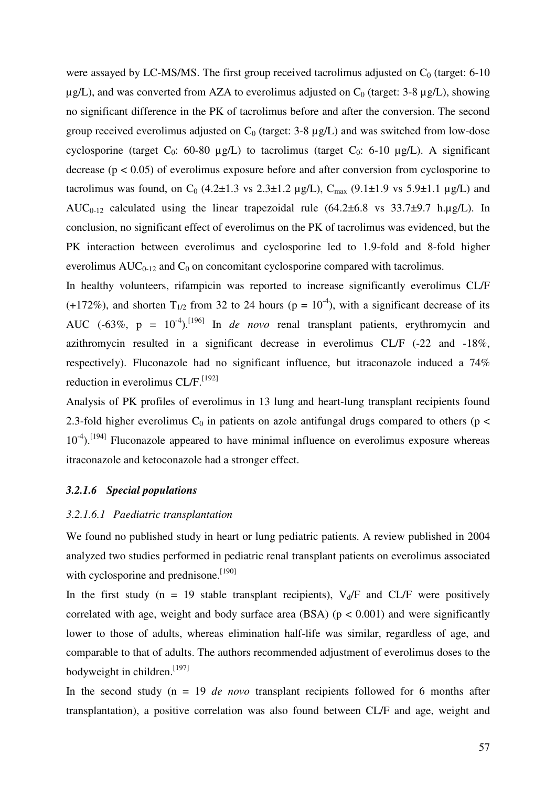were assayed by LC-MS/MS. The first group received tacrolimus adjusted on  $C_0$  (target: 6-10)  $\mu$ g/L), and was converted from AZA to everolimus adjusted on C<sub>0</sub> (target: 3-8  $\mu$ g/L), showing no significant difference in the PK of tacrolimus before and after the conversion. The second group received everolimus adjusted on  $C_0$  (target: 3-8  $\mu$ g/L) and was switched from low-dose cyclosporine (target  $C_0$ : 60-80 µg/L) to tacrolimus (target  $C_0$ : 6-10 µg/L). A significant decrease ( $p < 0.05$ ) of everolimus exposure before and after conversion from cyclosporine to tacrolimus was found, on C<sub>0</sub> (4.2±1.3 vs 2.3±1.2 µg/L), C<sub>max</sub> (9.1±1.9 vs 5.9±1.1 µg/L) and AUC<sub>0-12</sub> calculated using the linear trapezoidal rule  $(64.2\pm6.8 \text{ vs } 33.7\pm9.7 \text{ h.\mu g/L})$ . In conclusion, no significant effect of everolimus on the PK of tacrolimus was evidenced, but the PK interaction between everolimus and cyclosporine led to 1.9-fold and 8-fold higher everolimus  $AUC_{0-12}$  and  $C_0$  on concomitant cyclosporine compared with tacrolimus.

In healthy volunteers, rifampicin was reported to increase significantly everolimus CL/F (+172%), and shorten T<sub>1/2</sub> from 32 to 24 hours (p =  $10^{-4}$ ), with a significant decrease of its AUC (-63%,  $p = 10^{-4}$ ).<sup>[196]</sup> In *de novo* renal transplant patients, erythromycin and azithromycin resulted in a significant decrease in everolimus CL/F (-22 and -18%, respectively). Fluconazole had no significant influence, but itraconazole induced a 74% reduction in everolimus CL/F.<sup>[192]</sup>

Analysis of PK profiles of everolimus in 13 lung and heart-lung transplant recipients found 2.3-fold higher everolimus  $C_0$  in patients on azole antifungal drugs compared to others ( $p <$  $10^{-4}$ ).<sup>[194]</sup> Fluconazole appeared to have minimal influence on everolimus exposure whereas itraconazole and ketoconazole had a stronger effect.

#### *3.2.1.6 Special populations*

#### *3.2.1.6.1 Paediatric transplantation*

We found no published study in heart or lung pediatric patients. A review published in 2004 analyzed two studies performed in pediatric renal transplant patients on everolimus associated with cyclosporine and prednisone.<sup>[190]</sup>

In the first study (n = 19 stable transplant recipients),  $V_d/F$  and CL/F were positively correlated with age, weight and body surface area (BSA) ( $p < 0.001$ ) and were significantly lower to those of adults, whereas elimination half-life was similar, regardless of age, and comparable to that of adults. The authors recommended adjustment of everolimus doses to the bodyweight in children.<sup>[197]</sup>

In the second study (n = 19 *de novo* transplant recipients followed for 6 months after transplantation), a positive correlation was also found between CL/F and age, weight and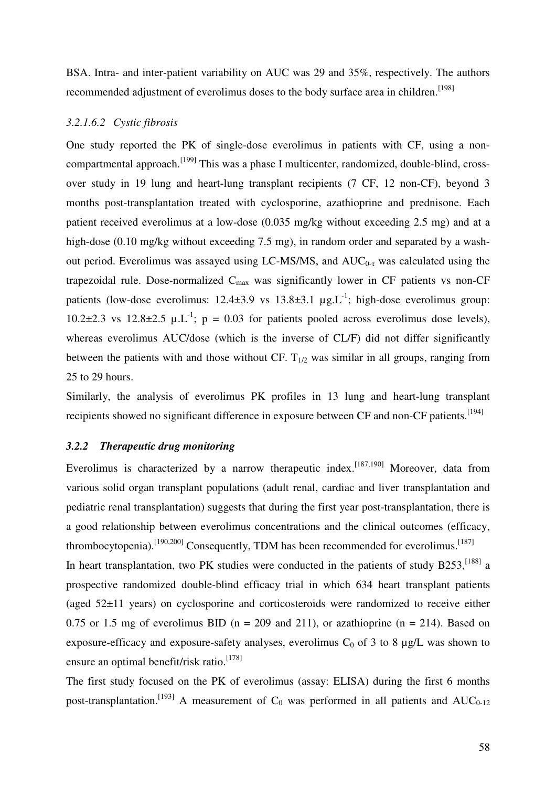BSA. Intra- and inter-patient variability on AUC was 29 and 35%, respectively. The authors recommended adjustment of everolimus doses to the body surface area in children.<sup>[198]</sup>

#### *3.2.1.6.2 Cystic fibrosis*

One study reported the PK of single-dose everolimus in patients with CF, using a noncompartmental approach.[199] This was a phase I multicenter, randomized, double-blind, crossover study in 19 lung and heart-lung transplant recipients (7 CF, 12 non-CF), beyond 3 months post-transplantation treated with cyclosporine, azathioprine and prednisone. Each patient received everolimus at a low-dose (0.035 mg/kg without exceeding 2.5 mg) and at a high-dose (0.10 mg/kg without exceeding 7.5 mg), in random order and separated by a washout period. Everolimus was assayed using LC-MS/MS, and  $AUC_{0-\tau}$  was calculated using the trapezoidal rule. Dose-normalized  $C_{\text{max}}$  was significantly lower in CF patients vs non-CF patients (low-dose everolimus:  $12.4\pm3.9$  vs  $13.8\pm3.1$   $\mu$ g. L<sup>-1</sup>; high-dose everolimus group: 10.2 $\pm$ 2.3 vs 12.8 $\pm$ 2.5 µ.L<sup>-1</sup>; p = 0.03 for patients pooled across everolimus dose levels), whereas everolimus AUC/dose (which is the inverse of CL/F) did not differ significantly between the patients with and those without CF.  $T_{1/2}$  was similar in all groups, ranging from 25 to 29 hours.

Similarly, the analysis of everolimus PK profiles in 13 lung and heart-lung transplant recipients showed no significant difference in exposure between CF and non-CF patients.<sup>[194]</sup>

#### *3.2.2 Therapeutic drug monitoring*

Everolimus is characterized by a narrow therapeutic index.<sup>[187,190]</sup> Moreover, data from various solid organ transplant populations (adult renal, cardiac and liver transplantation and pediatric renal transplantation) suggests that during the first year post-transplantation, there is a good relationship between everolimus concentrations and the clinical outcomes (efficacy, thrombocytopenia).<sup>[190,200]</sup> Consequently, TDM has been recommended for everolimus.<sup>[187]</sup> In heart transplantation, two PK studies were conducted in the patients of study  $B253$ ,  $^{[188]}$  a prospective randomized double-blind efficacy trial in which 634 heart transplant patients (aged 52±11 years) on cyclosporine and corticosteroids were randomized to receive either 0.75 or 1.5 mg of everolimus BID ( $n = 209$  and 211), or azathioprine ( $n = 214$ ). Based on exposure-efficacy and exposure-safety analyses, everolimus  $C_0$  of 3 to 8  $\mu$ g/L was shown to ensure an optimal benefit/risk ratio.<sup>[178]</sup>

The first study focused on the PK of everolimus (assay: ELISA) during the first 6 months post-transplantation.<sup>[193]</sup> A measurement of  $C_0$  was performed in all patients and AUC<sub>0-12</sub>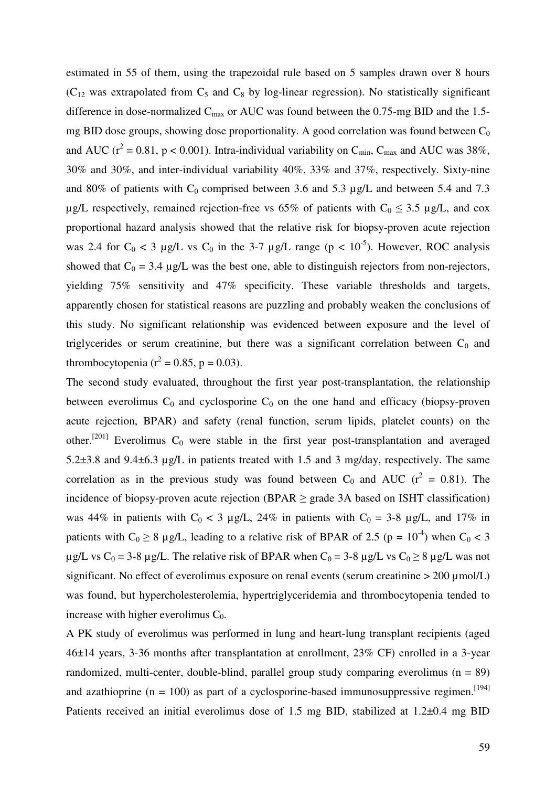estimated in 55 of them, using the trapezoidal rule based on 5 samples drawn over 8 hours  $(C_{12}$  was extrapolated from  $C_5$  and  $C_8$  by log-linear regression). No statistically significant difference in dose-normalized  $C_{\text{max}}$  or AUC was found between the 0.75-mg BID and the 1.5mg BID dose groups, showing dose proportionality. A good correlation was found between  $C_0$ and AUC ( $r^2 = 0.81$ ,  $p < 0.001$ ). Intra-individual variability on  $C_{\text{min}}$ ,  $C_{\text{max}}$  and AUC was 38%, 30% and 30%, and inter-individual variability 40%, 33% and 37%, respectively. Sixty-nine and 80% of patients with  $C_0$  comprised between 3.6 and 5.3 µg/L and between 5.4 and 7.3 µg/L respectively, remained rejection-free vs 65% of patients with  $C_0 \le 3.5$  µg/L, and cox proportional hazard analysis showed that the relative risk for biopsy-proven acute rejection was 2.4 for  $C_0 < 3 \mu g/L$  vs  $C_0$  in the 3-7  $\mu g/L$  range (p < 10<sup>-5</sup>). However, ROC analysis showed that  $C_0 = 3.4 \mu g/L$  was the best one, able to distinguish rejectors from non-rejectors, yielding 75% sensitivity and 47% specificity. These variable thresholds and targets, apparently chosen for statistical reasons are puzzling and probably weaken the conclusions of this study. No significant relationship was evidenced between exposure and the level of triglycerides or serum creatinine, but there was a significant correlation between  $C_0$  and thrombocytopenia ( $r^2 = 0.85$ , p = 0.03).

The second study evaluated, throughout the first year post-transplantation, the relationship between everolimus  $C_0$  and cyclosporine  $C_0$  on the one hand and efficacy (biopsy-proven acute rejection, BPAR) and safety (renal function, serum lipids, platelet counts) on the other.<sup>[201]</sup> Everolimus  $C_0$  were stable in the first year post-transplantation and averaged 5.2±3.8 and 9.4±6.3 µg/L in patients treated with 1.5 and 3 mg/day, respectively. The same correlation as in the previous study was found between  $C_0$  and AUC ( $r^2 = 0.81$ ). The incidence of biopsy-proven acute rejection (BPAR  $\geq$  grade 3A based on ISHT classification) was 44% in patients with  $C_0 < 3$  µg/L, 24% in patients with  $C_0 = 3-8$  µg/L, and 17% in patients with  $C_0 \ge 8$  µg/L, leading to a relative risk of BPAR of 2.5 (p = 10<sup>-4</sup>) when  $C_0 < 3$  $\mu$ g/L vs C<sub>0</sub> = 3-8  $\mu$ g/L. The relative risk of BPAR when C<sub>0</sub> = 3-8  $\mu$ g/L vs C<sub>0</sub> ≥ 8  $\mu$ g/L was not significant. No effect of everolimus exposure on renal events (serum creatinine  $> 200 \mu$ mol/L) was found, but hypercholesterolemia, hypertriglyceridemia and thrombocytopenia tended to increase with higher everolimus  $C_0$ .

A PK study of everolimus was performed in lung and heart-lung transplant recipients (aged 46±14 years, 3-36 months after transplantation at enrollment, 23% CF) enrolled in a 3-year randomized, multi-center, double-blind, parallel group study comparing everolimus ( $n = 89$ ) and azathioprine ( $n = 100$ ) as part of a cyclosporine-based immunosuppressive regimen.<sup>[194]</sup> Patients received an initial everolimus dose of 1.5 mg BID, stabilized at 1.2±0.4 mg BID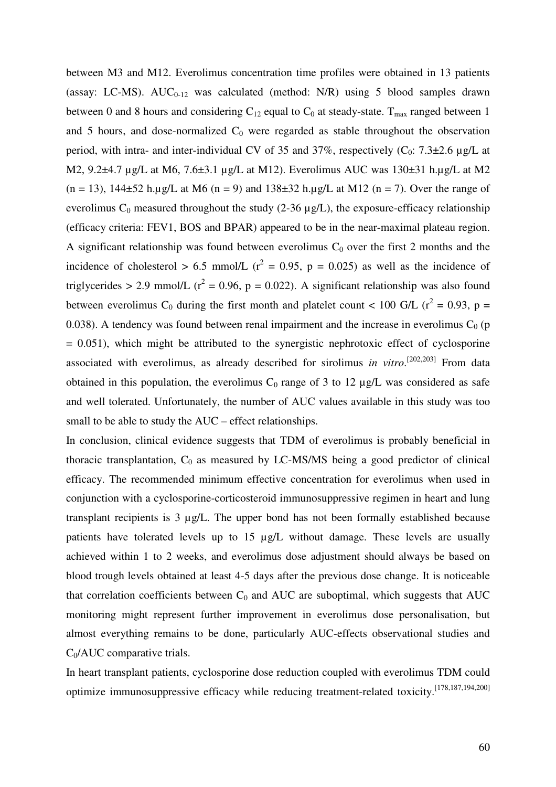between M3 and M12. Everolimus concentration time profiles were obtained in 13 patients (assay: LC-MS).  $AUC_{0-12}$  was calculated (method: N/R) using 5 blood samples drawn between 0 and 8 hours and considering  $C_{12}$  equal to  $C_0$  at steady-state. T<sub>max</sub> ranged between 1 and 5 hours, and dose-normalized  $C_0$  were regarded as stable throughout the observation period, with intra- and inter-individual CV of 35 and 37%, respectively  $(C_0$ : 7.3 $\pm$ 2.6 µg/L at M2, 9.2±4.7 µg/L at M6, 7.6±3.1 µg/L at M12). Everolimus AUC was 130±31 h.µg/L at M2  $(n = 13)$ , 144 $\pm$ 52 h.µg/L at M6  $(n = 9)$  and 138 $\pm$ 32 h.µg/L at M12  $(n = 7)$ . Over the range of everolimus  $C_0$  measured throughout the study (2-36  $\mu$ g/L), the exposure-efficacy relationship (efficacy criteria: FEV1, BOS and BPAR) appeared to be in the near-maximal plateau region. A significant relationship was found between everolimus  $C_0$  over the first 2 months and the incidence of cholesterol > 6.5 mmol/L ( $r^2 = 0.95$ , p = 0.025) as well as the incidence of triglycerides > 2.9 mmol/L ( $r^2$  = 0.96, p = 0.022). A significant relationship was also found between everolimus C<sub>0</sub> during the first month and platelet count < 100 G/L ( $r^2 = 0.93$ , p = 0.038). A tendency was found between renal impairment and the increase in everolimus  $C_0$  (p  $= 0.051$ ), which might be attributed to the synergistic nephrotoxic effect of cyclosporine associated with everolimus, as already described for sirolimus *in vitro*.<sup>[202,203]</sup> From data obtained in this population, the everolimus  $C_0$  range of 3 to 12  $\mu$ g/L was considered as safe and well tolerated. Unfortunately, the number of AUC values available in this study was too small to be able to study the AUC – effect relationships.

In conclusion, clinical evidence suggests that TDM of everolimus is probably beneficial in thoracic transplantation,  $C_0$  as measured by LC-MS/MS being a good predictor of clinical efficacy. The recommended minimum effective concentration for everolimus when used in conjunction with a cyclosporine-corticosteroid immunosuppressive regimen in heart and lung transplant recipients is 3 µg/L. The upper bond has not been formally established because patients have tolerated levels up to 15 µg/L without damage. These levels are usually achieved within 1 to 2 weeks, and everolimus dose adjustment should always be based on blood trough levels obtained at least 4-5 days after the previous dose change. It is noticeable that correlation coefficients between  $C_0$  and AUC are suboptimal, which suggests that AUC monitoring might represent further improvement in everolimus dose personalisation, but almost everything remains to be done, particularly AUC-effects observational studies and  $C_0/AUC$  comparative trials.

In heart transplant patients, cyclosporine dose reduction coupled with everolimus TDM could optimize immunosuppressive efficacy while reducing treatment-related toxicity.[178,187,194,200]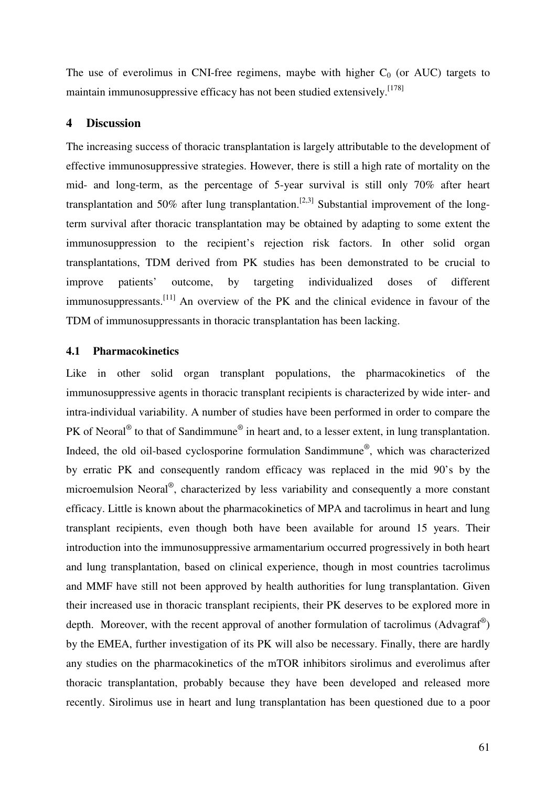The use of everolimus in CNI-free regimens, maybe with higher  $C_0$  (or AUC) targets to maintain immunosuppressive efficacy has not been studied extensively.<sup>[178]</sup>

# **4 Discussion**

The increasing success of thoracic transplantation is largely attributable to the development of effective immunosuppressive strategies. However, there is still a high rate of mortality on the mid- and long-term, as the percentage of 5-year survival is still only 70% after heart transplantation and 50% after lung transplantation.<sup>[2,3]</sup> Substantial improvement of the longterm survival after thoracic transplantation may be obtained by adapting to some extent the immunosuppression to the recipient's rejection risk factors. In other solid organ transplantations, TDM derived from PK studies has been demonstrated to be crucial to improve patients' outcome, by targeting individualized doses of different immunosuppressants.<sup>[11]</sup> An overview of the PK and the clinical evidence in favour of the TDM of immunosuppressants in thoracic transplantation has been lacking.

# **4.1 Pharmacokinetics**

Like in other solid organ transplant populations, the pharmacokinetics of the immunosuppressive agents in thoracic transplant recipients is characterized by wide inter- and intra-individual variability. A number of studies have been performed in order to compare the PK of Neoral<sup>®</sup> to that of Sandimmune<sup>®</sup> in heart and, to a lesser extent, in lung transplantation. Indeed, the old oil-based cyclosporine formulation Sandimmune®, which was characterized by erratic PK and consequently random efficacy was replaced in the mid 90's by the microemulsion Neoral®, characterized by less variability and consequently a more constant efficacy. Little is known about the pharmacokinetics of MPA and tacrolimus in heart and lung transplant recipients, even though both have been available for around 15 years. Their introduction into the immunosuppressive armamentarium occurred progressively in both heart and lung transplantation, based on clinical experience, though in most countries tacrolimus and MMF have still not been approved by health authorities for lung transplantation. Given their increased use in thoracic transplant recipients, their PK deserves to be explored more in depth. Moreover, with the recent approval of another formulation of tacrolimus (Advagraf<sup>®</sup>) by the EMEA, further investigation of its PK will also be necessary. Finally, there are hardly any studies on the pharmacokinetics of the mTOR inhibitors sirolimus and everolimus after thoracic transplantation, probably because they have been developed and released more recently. Sirolimus use in heart and lung transplantation has been questioned due to a poor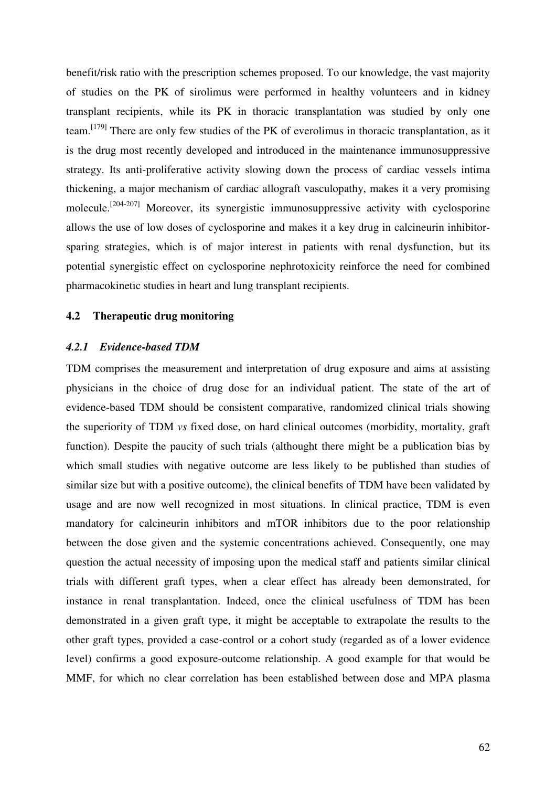benefit/risk ratio with the prescription schemes proposed. To our knowledge, the vast majority of studies on the PK of sirolimus were performed in healthy volunteers and in kidney transplant recipients, while its PK in thoracic transplantation was studied by only one team.[179] There are only few studies of the PK of everolimus in thoracic transplantation, as it is the drug most recently developed and introduced in the maintenance immunosuppressive strategy. Its anti-proliferative activity slowing down the process of cardiac vessels intima thickening, a major mechanism of cardiac allograft vasculopathy, makes it a very promising molecule.<sup>[204-207]</sup> Moreover, its synergistic immunosuppressive activity with cyclosporine allows the use of low doses of cyclosporine and makes it a key drug in calcineurin inhibitorsparing strategies, which is of major interest in patients with renal dysfunction, but its potential synergistic effect on cyclosporine nephrotoxicity reinforce the need for combined pharmacokinetic studies in heart and lung transplant recipients.

#### **4.2 Therapeutic drug monitoring**

#### *4.2.1 Evidence-based TDM*

TDM comprises the measurement and interpretation of drug exposure and aims at assisting physicians in the choice of drug dose for an individual patient. The state of the art of evidence-based TDM should be consistent comparative, randomized clinical trials showing the superiority of TDM *vs* fixed dose, on hard clinical outcomes (morbidity, mortality, graft function). Despite the paucity of such trials (althought there might be a publication bias by which small studies with negative outcome are less likely to be published than studies of similar size but with a positive outcome), the clinical benefits of TDM have been validated by usage and are now well recognized in most situations. In clinical practice, TDM is even mandatory for calcineurin inhibitors and mTOR inhibitors due to the poor relationship between the dose given and the systemic concentrations achieved. Consequently, one may question the actual necessity of imposing upon the medical staff and patients similar clinical trials with different graft types, when a clear effect has already been demonstrated, for instance in renal transplantation. Indeed, once the clinical usefulness of TDM has been demonstrated in a given graft type, it might be acceptable to extrapolate the results to the other graft types, provided a case-control or a cohort study (regarded as of a lower evidence level) confirms a good exposure-outcome relationship. A good example for that would be MMF, for which no clear correlation has been established between dose and MPA plasma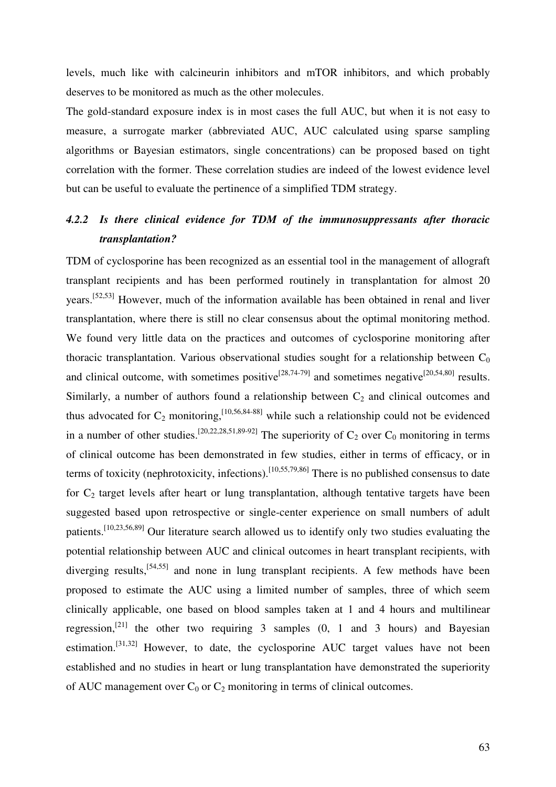levels, much like with calcineurin inhibitors and mTOR inhibitors, and which probably deserves to be monitored as much as the other molecules.

The gold-standard exposure index is in most cases the full AUC, but when it is not easy to measure, a surrogate marker (abbreviated AUC, AUC calculated using sparse sampling algorithms or Bayesian estimators, single concentrations) can be proposed based on tight correlation with the former. These correlation studies are indeed of the lowest evidence level but can be useful to evaluate the pertinence of a simplified TDM strategy.

# *4.2.2 Is there clinical evidence for TDM of the immunosuppressants after thoracic transplantation?*

TDM of cyclosporine has been recognized as an essential tool in the management of allograft transplant recipients and has been performed routinely in transplantation for almost 20 years.[52,53] However, much of the information available has been obtained in renal and liver transplantation, where there is still no clear consensus about the optimal monitoring method. We found very little data on the practices and outcomes of cyclosporine monitoring after thoracic transplantation. Various observational studies sought for a relationship between  $C_0$ and clinical outcome, with sometimes positive<sup>[28,74-79]</sup> and sometimes negative<sup>[20,54,80]</sup> results. Similarly, a number of authors found a relationship between  $C_2$  and clinical outcomes and thus advocated for  $C_2$  monitoring,<sup>[10,56,84-88]</sup> while such a relationship could not be evidenced in a number of other studies.<sup>[20,22,28,51,89-92]</sup> The superiority of  $C_2$  over  $C_0$  monitoring in terms of clinical outcome has been demonstrated in few studies, either in terms of efficacy, or in terms of toxicity (nephrotoxicity, infections).<sup>[10,55,79,86]</sup> There is no published consensus to date for  $C_2$  target levels after heart or lung transplantation, although tentative targets have been suggested based upon retrospective or single-center experience on small numbers of adult patients.[10,23,56,89] Our literature search allowed us to identify only two studies evaluating the potential relationship between AUC and clinical outcomes in heart transplant recipients, with diverging results,<sup>[54,55]</sup> and none in lung transplant recipients. A few methods have been proposed to estimate the AUC using a limited number of samples, three of which seem clinically applicable, one based on blood samples taken at 1 and 4 hours and multilinear regression,<sup>[21]</sup> the other two requiring 3 samples  $(0, 1, 1)$  and 3 hours) and Bayesian estimation.[31,32] However, to date, the cyclosporine AUC target values have not been established and no studies in heart or lung transplantation have demonstrated the superiority of AUC management over  $C_0$  or  $C_2$  monitoring in terms of clinical outcomes.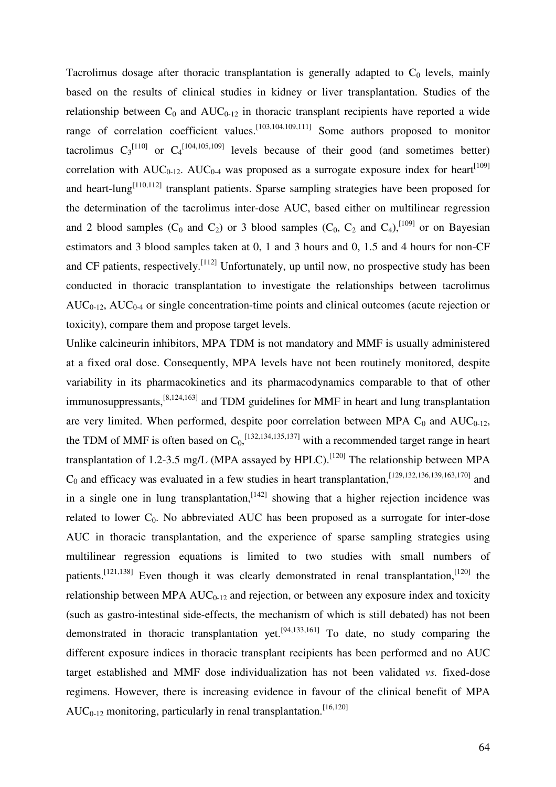Tacrolimus dosage after thoracic transplantation is generally adapted to  $C_0$  levels, mainly based on the results of clinical studies in kidney or liver transplantation. Studies of the relationship between  $C_0$  and  $AUC_{0-12}$  in thoracic transplant recipients have reported a wide range of correlation coefficient values.<sup>[103,104,109,111]</sup> Some authors proposed to monitor tacrolimus  $C_3^{[110]}$  or  $C_4^{[104,105,109]}$  levels because of their good (and sometimes better) correlation with  $AUC_{0-12}$ .  $AUC_{0-4}$  was proposed as a surrogate exposure index for heart<sup>[109]</sup> and heart-lung<sup>[110,112]</sup> transplant patients. Sparse sampling strategies have been proposed for the determination of the tacrolimus inter-dose AUC, based either on multilinear regression and 2 blood samples  $(C_0$  and  $C_2$ ) or 3 blood samples  $(C_0, C_2$  and  $C_4)$ ,  $[109]$  or on Bayesian estimators and 3 blood samples taken at 0, 1 and 3 hours and 0, 1.5 and 4 hours for non-CF and CF patients, respectively.  $\left[112\right]$  Unfortunately, up until now, no prospective study has been conducted in thoracic transplantation to investigate the relationships between tacrolimus  $AUC_{0-12}$ ,  $AUC_{0-4}$  or single concentration-time points and clinical outcomes (acute rejection or toxicity), compare them and propose target levels.

Unlike calcineurin inhibitors, MPA TDM is not mandatory and MMF is usually administered at a fixed oral dose. Consequently, MPA levels have not been routinely monitored, despite variability in its pharmacokinetics and its pharmacodynamics comparable to that of other immunosuppressants,[8,124,163] and TDM guidelines for MMF in heart and lung transplantation are very limited. When performed, despite poor correlation between MPA  $C_0$  and  $AUC_{0-12}$ , the TDM of MMF is often based on  $C_0$ ,  $^{[132,134,135,137]}$  with a recommended target range in heart transplantation of 1.2-3.5 mg/L (MPA assayed by HPLC).<sup>[120]</sup> The relationship between MPA  $C_0$  and efficacy was evaluated in a few studies in heart transplantation,  $^{[129,132,136,139,163,170]}$  and in a single one in lung transplantation,  $[142]$  showing that a higher rejection incidence was related to lower  $C_0$ . No abbreviated AUC has been proposed as a surrogate for inter-dose AUC in thoracic transplantation, and the experience of sparse sampling strategies using multilinear regression equations is limited to two studies with small numbers of patients.<sup>[121,138]</sup> Even though it was clearly demonstrated in renal transplantation,<sup>[120]</sup> the relationship between MPA  $AUC_{0-12}$  and rejection, or between any exposure index and toxicity (such as gastro-intestinal side-effects, the mechanism of which is still debated) has not been demonstrated in thoracic transplantation yet.<sup>[94,133,161]</sup> To date, no study comparing the different exposure indices in thoracic transplant recipients has been performed and no AUC target established and MMF dose individualization has not been validated *vs.* fixed-dose regimens. However, there is increasing evidence in favour of the clinical benefit of MPA  $AUC_{0-12}$  monitoring, particularly in renal transplantation.<sup>[16,120]</sup>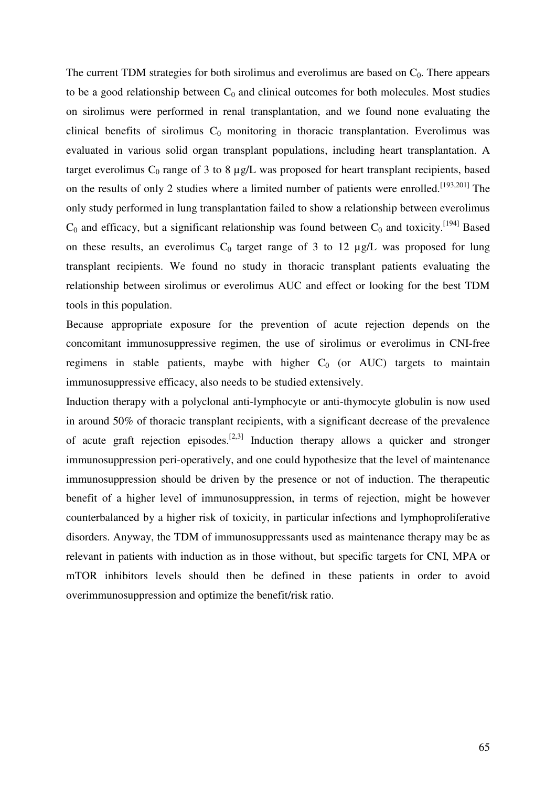The current TDM strategies for both sirolimus and everolimus are based on  $C_0$ . There appears to be a good relationship between  $C_0$  and clinical outcomes for both molecules. Most studies on sirolimus were performed in renal transplantation, and we found none evaluating the clinical benefits of sirolimus  $C_0$  monitoring in thoracic transplantation. Everolimus was evaluated in various solid organ transplant populations, including heart transplantation. A target everolimus  $C_0$  range of 3 to 8  $\mu$ g/L was proposed for heart transplant recipients, based on the results of only 2 studies where a limited number of patients were enrolled.<sup>[193,201]</sup> The only study performed in lung transplantation failed to show a relationship between everolimus  $C_0$  and efficacy, but a significant relationship was found between  $C_0$  and toxicity.<sup>[194]</sup> Based on these results, an everolimus  $C_0$  target range of 3 to 12  $\mu$ g/L was proposed for lung transplant recipients. We found no study in thoracic transplant patients evaluating the relationship between sirolimus or everolimus AUC and effect or looking for the best TDM tools in this population.

Because appropriate exposure for the prevention of acute rejection depends on the concomitant immunosuppressive regimen, the use of sirolimus or everolimus in CNI-free regimens in stable patients, maybe with higher  $C_0$  (or AUC) targets to maintain immunosuppressive efficacy, also needs to be studied extensively.

Induction therapy with a polyclonal anti-lymphocyte or anti-thymocyte globulin is now used in around 50% of thoracic transplant recipients, with a significant decrease of the prevalence of acute graft rejection episodes.<sup>[2,3]</sup> Induction therapy allows a quicker and stronger immunosuppression peri-operatively, and one could hypothesize that the level of maintenance immunosuppression should be driven by the presence or not of induction. The therapeutic benefit of a higher level of immunosuppression, in terms of rejection, might be however counterbalanced by a higher risk of toxicity, in particular infections and lymphoproliferative disorders. Anyway, the TDM of immunosuppressants used as maintenance therapy may be as relevant in patients with induction as in those without, but specific targets for CNI, MPA or mTOR inhibitors levels should then be defined in these patients in order to avoid overimmunosuppression and optimize the benefit/risk ratio.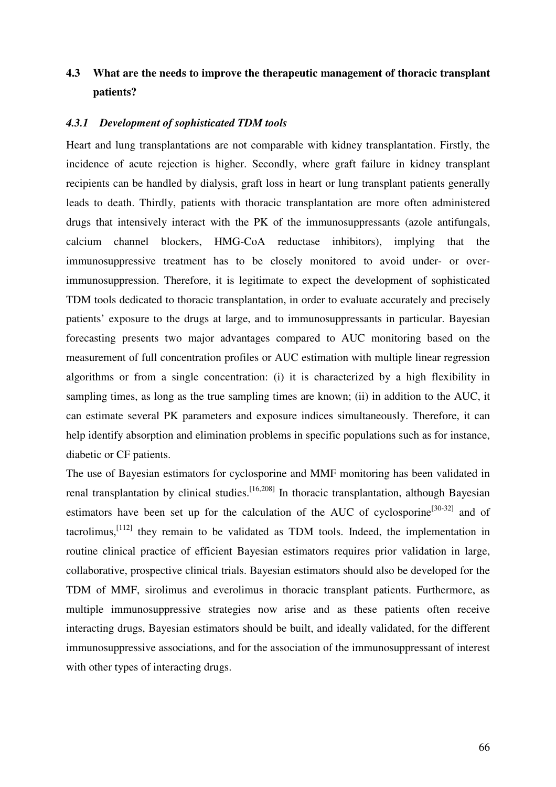# **4.3 What are the needs to improve the therapeutic management of thoracic transplant patients?**

#### *4.3.1 Development of sophisticated TDM tools*

Heart and lung transplantations are not comparable with kidney transplantation. Firstly, the incidence of acute rejection is higher. Secondly, where graft failure in kidney transplant recipients can be handled by dialysis, graft loss in heart or lung transplant patients generally leads to death. Thirdly, patients with thoracic transplantation are more often administered drugs that intensively interact with the PK of the immunosuppressants (azole antifungals, calcium channel blockers, HMG-CoA reductase inhibitors), implying that the immunosuppressive treatment has to be closely monitored to avoid under- or overimmunosuppression. Therefore, it is legitimate to expect the development of sophisticated TDM tools dedicated to thoracic transplantation, in order to evaluate accurately and precisely patients' exposure to the drugs at large, and to immunosuppressants in particular. Bayesian forecasting presents two major advantages compared to AUC monitoring based on the measurement of full concentration profiles or AUC estimation with multiple linear regression algorithms or from a single concentration: (i) it is characterized by a high flexibility in sampling times, as long as the true sampling times are known; (ii) in addition to the AUC, it can estimate several PK parameters and exposure indices simultaneously. Therefore, it can help identify absorption and elimination problems in specific populations such as for instance, diabetic or CF patients.

The use of Bayesian estimators for cyclosporine and MMF monitoring has been validated in renal transplantation by clinical studies.<sup>[16,208]</sup> In thoracic transplantation, although Bayesian estimators have been set up for the calculation of the AUC of cyclosporine<sup>[30-32]</sup> and of tacrolimus, $[112]$  they remain to be validated as TDM tools. Indeed, the implementation in routine clinical practice of efficient Bayesian estimators requires prior validation in large, collaborative, prospective clinical trials. Bayesian estimators should also be developed for the TDM of MMF, sirolimus and everolimus in thoracic transplant patients. Furthermore, as multiple immunosuppressive strategies now arise and as these patients often receive interacting drugs, Bayesian estimators should be built, and ideally validated, for the different immunosuppressive associations, and for the association of the immunosuppressant of interest with other types of interacting drugs.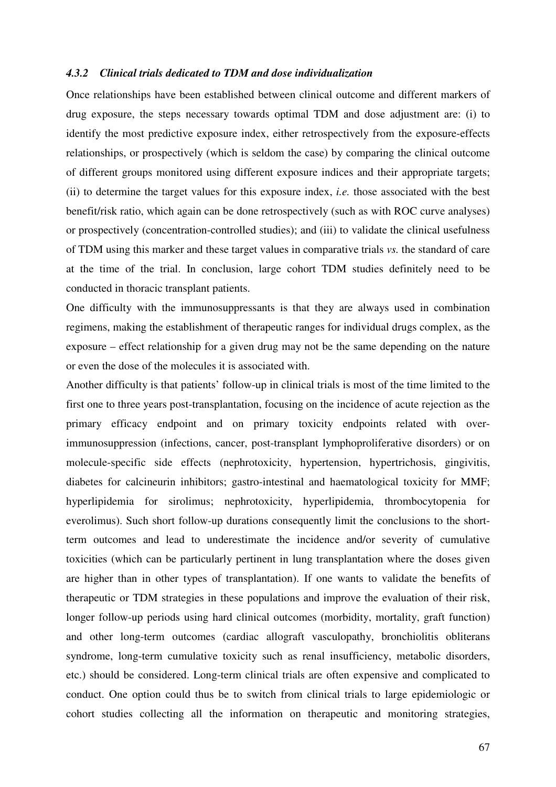# *4.3.2 Clinical trials dedicated to TDM and dose individualization*

Once relationships have been established between clinical outcome and different markers of drug exposure, the steps necessary towards optimal TDM and dose adjustment are: (i) to identify the most predictive exposure index, either retrospectively from the exposure-effects relationships, or prospectively (which is seldom the case) by comparing the clinical outcome of different groups monitored using different exposure indices and their appropriate targets; (ii) to determine the target values for this exposure index, *i.e.* those associated with the best benefit/risk ratio, which again can be done retrospectively (such as with ROC curve analyses) or prospectively (concentration-controlled studies); and (iii) to validate the clinical usefulness of TDM using this marker and these target values in comparative trials *vs.* the standard of care at the time of the trial. In conclusion, large cohort TDM studies definitely need to be conducted in thoracic transplant patients.

One difficulty with the immunosuppressants is that they are always used in combination regimens, making the establishment of therapeutic ranges for individual drugs complex, as the exposure – effect relationship for a given drug may not be the same depending on the nature or even the dose of the molecules it is associated with.

Another difficulty is that patients' follow-up in clinical trials is most of the time limited to the first one to three years post-transplantation, focusing on the incidence of acute rejection as the primary efficacy endpoint and on primary toxicity endpoints related with overimmunosuppression (infections, cancer, post-transplant lymphoproliferative disorders) or on molecule-specific side effects (nephrotoxicity, hypertension, hypertrichosis, gingivitis, diabetes for calcineurin inhibitors; gastro-intestinal and haematological toxicity for MMF; hyperlipidemia for sirolimus; nephrotoxicity, hyperlipidemia, thrombocytopenia for everolimus). Such short follow-up durations consequently limit the conclusions to the shortterm outcomes and lead to underestimate the incidence and/or severity of cumulative toxicities (which can be particularly pertinent in lung transplantation where the doses given are higher than in other types of transplantation). If one wants to validate the benefits of therapeutic or TDM strategies in these populations and improve the evaluation of their risk, longer follow-up periods using hard clinical outcomes (morbidity, mortality, graft function) and other long-term outcomes (cardiac allograft vasculopathy, bronchiolitis obliterans syndrome, long-term cumulative toxicity such as renal insufficiency, metabolic disorders, etc.) should be considered. Long-term clinical trials are often expensive and complicated to conduct. One option could thus be to switch from clinical trials to large epidemiologic or cohort studies collecting all the information on therapeutic and monitoring strategies,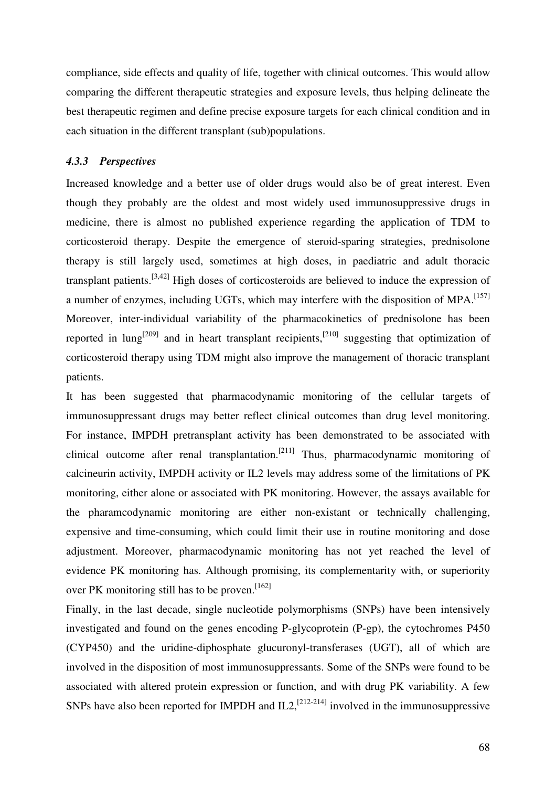compliance, side effects and quality of life, together with clinical outcomes. This would allow comparing the different therapeutic strategies and exposure levels, thus helping delineate the best therapeutic regimen and define precise exposure targets for each clinical condition and in each situation in the different transplant (sub)populations.

#### *4.3.3 Perspectives*

Increased knowledge and a better use of older drugs would also be of great interest. Even though they probably are the oldest and most widely used immunosuppressive drugs in medicine, there is almost no published experience regarding the application of TDM to corticosteroid therapy. Despite the emergence of steroid-sparing strategies, prednisolone therapy is still largely used, sometimes at high doses, in paediatric and adult thoracic transplant patients.  $[3,42]$  High doses of corticosteroids are believed to induce the expression of a number of enzymes, including UGTs, which may interfere with the disposition of MPA.<sup>[157]</sup> Moreover, inter-individual variability of the pharmacokinetics of prednisolone has been reported in lung<sup>[209]</sup> and in heart transplant recipients,<sup>[210]</sup> suggesting that optimization of corticosteroid therapy using TDM might also improve the management of thoracic transplant patients.

It has been suggested that pharmacodynamic monitoring of the cellular targets of immunosuppressant drugs may better reflect clinical outcomes than drug level monitoring. For instance, IMPDH pretransplant activity has been demonstrated to be associated with clinical outcome after renal transplantation.<sup>[211]</sup> Thus, pharmacodynamic monitoring of calcineurin activity, IMPDH activity or IL2 levels may address some of the limitations of PK monitoring, either alone or associated with PK monitoring. However, the assays available for the pharamcodynamic monitoring are either non-existant or technically challenging, expensive and time-consuming, which could limit their use in routine monitoring and dose adjustment. Moreover, pharmacodynamic monitoring has not yet reached the level of evidence PK monitoring has. Although promising, its complementarity with, or superiority over PK monitoring still has to be proven.  $[162]$ 

Finally, in the last decade, single nucleotide polymorphisms (SNPs) have been intensively investigated and found on the genes encoding P-glycoprotein (P-gp), the cytochromes P450 (CYP450) and the uridine-diphosphate glucuronyl-transferases (UGT), all of which are involved in the disposition of most immunosuppressants. Some of the SNPs were found to be associated with altered protein expression or function, and with drug PK variability. A few SNPs have also been reported for IMPDH and IL2,  $^{[212-214]}$  involved in the immunosuppressive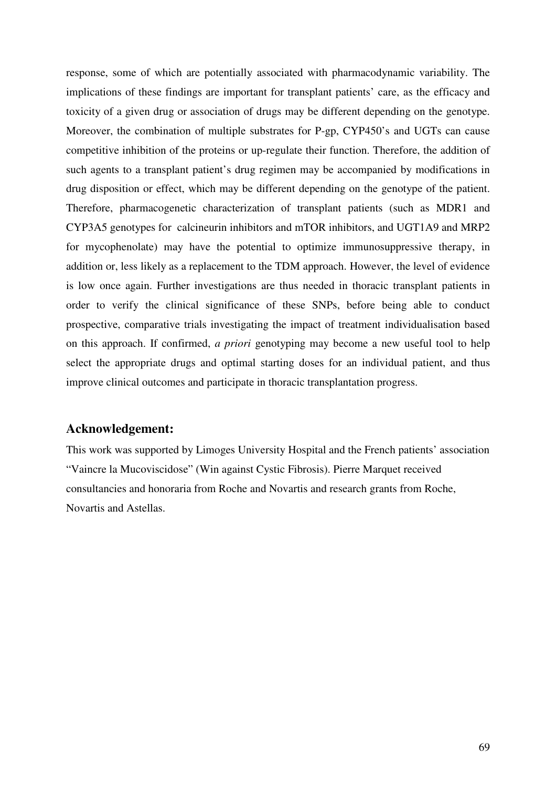response, some of which are potentially associated with pharmacodynamic variability. The implications of these findings are important for transplant patients' care, as the efficacy and toxicity of a given drug or association of drugs may be different depending on the genotype. Moreover, the combination of multiple substrates for P-gp, CYP450's and UGTs can cause competitive inhibition of the proteins or up-regulate their function. Therefore, the addition of such agents to a transplant patient's drug regimen may be accompanied by modifications in drug disposition or effect, which may be different depending on the genotype of the patient. Therefore, pharmacogenetic characterization of transplant patients (such as MDR1 and CYP3A5 genotypes for calcineurin inhibitors and mTOR inhibitors, and UGT1A9 and MRP2 for mycophenolate) may have the potential to optimize immunosuppressive therapy, in addition or, less likely as a replacement to the TDM approach. However, the level of evidence is low once again. Further investigations are thus needed in thoracic transplant patients in order to verify the clinical significance of these SNPs, before being able to conduct prospective, comparative trials investigating the impact of treatment individualisation based on this approach. If confirmed, *a priori* genotyping may become a new useful tool to help select the appropriate drugs and optimal starting doses for an individual patient, and thus improve clinical outcomes and participate in thoracic transplantation progress.

# **Acknowledgement:**

This work was supported by Limoges University Hospital and the French patients' association "Vaincre la Mucoviscidose" (Win against Cystic Fibrosis). Pierre Marquet received consultancies and honoraria from Roche and Novartis and research grants from Roche, Novartis and Astellas.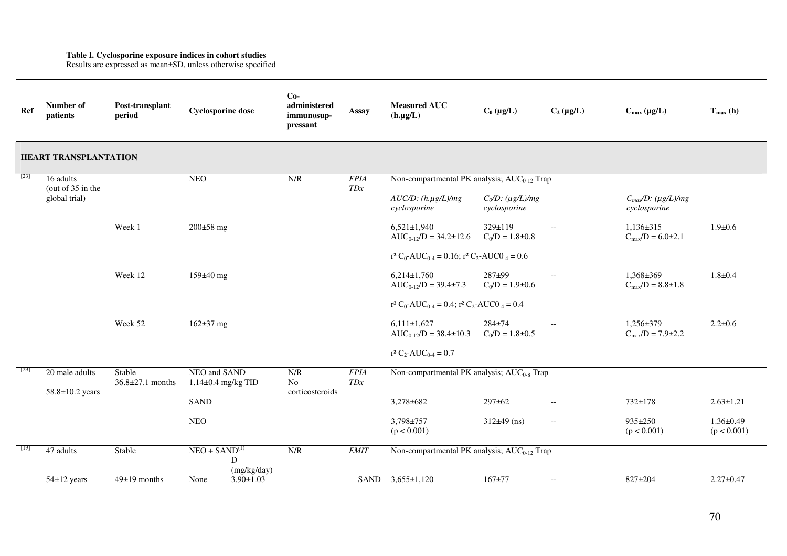**Table I. Cyclosporine exposure indices in cohort studies**  Results are expressed as mean±SD, unless otherwise specified

| Ref  | Number of<br>patients                             | Post-transplant<br>period        | <b>Cyclosporine dose</b>               | $Co-$<br>administered<br>immunosup-<br>pressant | <b>Assay</b>       | <b>Measured AUC</b><br>$(h.\mu g/L)$                                      | $C_0 (\mu g/L)$                     | $C_2(\mu g/L)$                                      | $C_{max} (\mu g/L)$                                 | $T_{max}$ (h)                  |  |
|------|---------------------------------------------------|----------------------------------|----------------------------------------|-------------------------------------------------|--------------------|---------------------------------------------------------------------------|-------------------------------------|-----------------------------------------------------|-----------------------------------------------------|--------------------------------|--|
|      | <b>HEART TRANSPLANTATION</b>                      |                                  |                                        |                                                 |                    |                                                                           |                                     |                                                     |                                                     |                                |  |
| [23] | 16 adults<br>(out of $35$ in the<br>global trial) |                                  | <b>NEO</b>                             | N/R                                             | <b>FPIA</b><br>TDx | Non-compartmental PK analysis; AUC <sub>0-12</sub> Trap                   |                                     |                                                     |                                                     |                                |  |
|      |                                                   |                                  |                                        |                                                 |                    | $AUC/D$ : $(h.\mu g/L)/mg$<br>cyclosporine                                | $C_0/D$ : (µg/L)/mg<br>cyclosporine |                                                     | $C_{max}/D$ : (µg/L)/mg<br>cyclosporine             |                                |  |
|      |                                                   | Week 1                           | $200 \pm 58$ mg                        |                                                 |                    | $6,521 \pm 1,940$<br>$AUC_{0-12}/D = 34.2 \pm 12.6$                       | 329±119<br>$C_0/D = 1.8 \pm 0.8$    | $\overline{\phantom{a}}$                            | $1,136\pm315$<br>$C_{\text{max}}/D = 6.0 \pm 2.1$   | $1.9 + 0.6$                    |  |
|      |                                                   |                                  |                                        |                                                 |                    | $r^2 C_0$ -AUC <sub>0-4</sub> = 0.16; $r^2 C_2$ -AUC0 <sub>-4</sub> = 0.6 |                                     |                                                     |                                                     |                                |  |
|      |                                                   | Week 12                          | $159±40$ mg                            |                                                 |                    | $6,214\pm1,760$<br>$AUC_{0-12}/D = 39.4 \pm 7.3$                          | 287±99<br>$C_0/D = 1.9 \pm 0.6$     | $\hspace{0.05cm} -\hspace{0.05cm} -\hspace{0.05cm}$ | $1,368 \pm 369$<br>$C_{\text{max}}/D = 8.8 \pm 1.8$ | $1.8 + 0.4$                    |  |
|      |                                                   |                                  |                                        |                                                 |                    | $r^2 C_0$ -AUC <sub>0-4</sub> = 0.4; $r^2 C_2$ -AUC0 <sub>-4</sub> = 0.4  |                                     |                                                     |                                                     |                                |  |
|      |                                                   | Week 52                          | $162\pm37$ mg                          |                                                 |                    | $6,111\pm1,627$<br>$AUC_{0-12}/D = 38.4 \pm 10.3$                         | $284 + 74$<br>$C_0/D = 1.8 \pm 0.5$ | $\overline{\phantom{a}}$                            | $1,256 \pm 379$<br>$C_{\text{max}}/D = 7.9 \pm 2.2$ | $2.2 \pm 0.6$                  |  |
|      |                                                   |                                  |                                        |                                                 |                    | $r^2 C_2$ -AUC <sub>0-4</sub> = 0.7                                       |                                     |                                                     |                                                     |                                |  |
| [29] | 20 male adults<br>$58.8 \pm 10.2$ years           | Stable<br>$36.8 \pm 27.1$ months | NEO and SAND<br>$1.14\pm0.4$ mg/kg TID | N/R<br>No<br>corticosteroids                    | <b>FPIA</b><br>TDx | Non-compartmental PK analysis; $AUC_{0.8}$ Trap                           |                                     |                                                     |                                                     |                                |  |
|      |                                                   |                                  | <b>SAND</b>                            |                                                 |                    | 3,278±682                                                                 | 297±62                              | $\overline{\phantom{a}}$                            | $732 \pm 178$                                       | $2.63 \pm 1.21$                |  |
|      |                                                   |                                  | <b>NEO</b>                             |                                                 |                    | 3,798±757<br>(p < 0.001)                                                  | $312\pm 49$ (ns)                    | $\hspace{0.05cm} -\hspace{0.05cm} -\hspace{0.05cm}$ | $935 \pm 250$<br>(p < 0.001)                        | $1.36 \pm 0.49$<br>(p < 0.001) |  |
| [19] | 47 adults                                         | Stable                           | $NEO + SAND(1)$<br>D<br>(mg/kg/day)    | N/R                                             | <b>EMIT</b>        | Non-compartmental PK analysis; AUC <sub>0-12</sub> Trap                   |                                     |                                                     |                                                     |                                |  |
|      | 54±12 years                                       | $49\pm19$ months                 | $3.90 \pm 1.03$<br>None                |                                                 |                    | SAND 3,655±1,120                                                          | $167 + 77$                          | $\hspace{0.05cm} -\hspace{0.05cm} -\hspace{0.05cm}$ | $827 \pm 204$                                       | $2.27 \pm 0.47$                |  |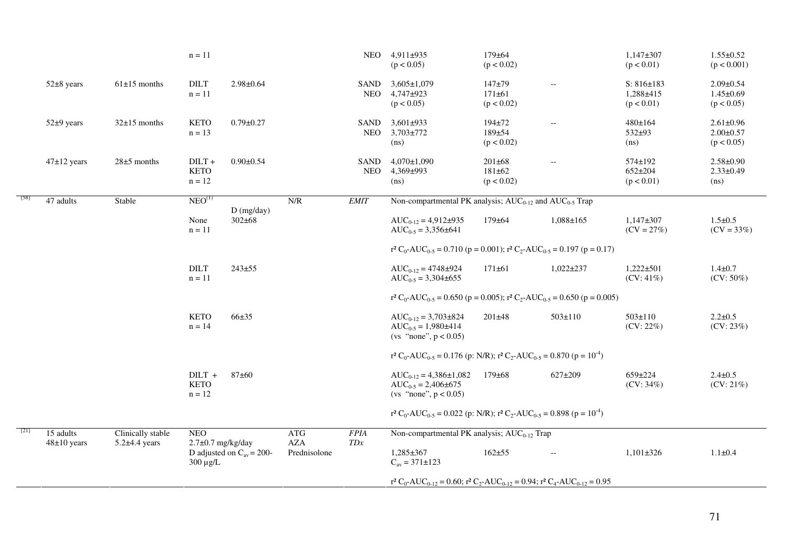|      |                 |                                        | $n = 11$                                                                 |                                           |                                   |                    | NEO 4,911±935<br>(p < 0.05)                                                                                                                           | $179 + 64$<br>(p < 0.02)                   |                 | $1,147+307$<br>(p < 0.01)                       | $1.55 \pm 0.52$<br>(p < 0.001)                   |  |
|------|-----------------|----------------------------------------|--------------------------------------------------------------------------|-------------------------------------------|-----------------------------------|--------------------|-------------------------------------------------------------------------------------------------------------------------------------------------------|--------------------------------------------|-----------------|-------------------------------------------------|--------------------------------------------------|--|
|      | 52±8 years      | $61\pm15$ months                       | $\rm{DILT}$<br>$n = 11$                                                  | $2.98 \pm 0.64$                           |                                   | SAND<br><b>NEO</b> | $3,605 \pm 1,079$<br>$4,747+923$<br>(p < 0.05)                                                                                                        | $147 + 79$<br>$171 \pm 61$<br>(p < 0.02)   | $\overline{a}$  | $S: 816 \pm 183$<br>$1,288 + 415$<br>(p < 0.01) | $2.09 \pm 0.54$<br>$1.45 \pm 0.69$<br>(p < 0.05) |  |
|      | 52±9 years      | $32\pm15$ months                       | <b>KETO</b><br>$n = 13$                                                  | $0.79 \pm 0.27$                           |                                   | SAND<br><b>NEO</b> | $3,601\pm933$<br>$3,703 \pm 772$<br>(ns)                                                                                                              | 194±72<br>189±54<br>(p < 0.02)             | $\overline{a}$  | 480±164<br>$532+93$<br>(ns)                     | $2.61 \pm 0.96$<br>$2.00 \pm 0.57$<br>(p < 0.05) |  |
|      | $47\pm12$ years | $28\pm5$ months                        | $DILT +$<br><b>KETO</b><br>$n = 12$                                      | $0.90 \pm 0.54$                           |                                   | SAND<br><b>NEO</b> | $4,070 \pm 1,090$<br>4,369±993<br>(ns)                                                                                                                | $201 \pm 68$<br>$181 \pm 62$<br>(p < 0.02) | $\overline{a}$  | $574 \pm 192$<br>$652 \pm 204$<br>(p < 0.01)    | $2.58 \pm 0.90$<br>$2.33 \pm 0.49$<br>(ns)       |  |
| [58] | 47 adults       | Stable                                 | NEO <sup>(1)</sup>                                                       |                                           | N/R                               | <b>EMIT</b>        | Non-compartmental PK analysis; $AUC_{0-12}$ and $AUC_{0-5}$ Trap                                                                                      |                                            |                 |                                                 |                                                  |  |
|      |                 |                                        | None<br>$n = 11$                                                         | $D$ (mg/day)<br>$302 \pm 68$              |                                   |                    | $AUC_{0-12} = 4.912 \pm 935$<br>$AUC_{0.5} = 3,356 \pm 641$                                                                                           | $179 \pm 64$                               | $1,088 \pm 165$ | $1,147\pm307$<br>$(CV = 27%)$                   | $1.5 \pm 0.5$<br>$(CV = 33%)$                    |  |
|      |                 |                                        |                                                                          |                                           |                                   |                    | $r^2 C_0$ -AUC <sub>0-5</sub> = 0.710 (p = 0.001); $r^2 C_2$ -AUC <sub>0-5</sub> = 0.197 (p = 0.17)                                                   |                                            |                 |                                                 |                                                  |  |
|      |                 |                                        | $\rm{DILT}$<br>$n = 11$                                                  | $243 + 55$                                |                                   |                    | $AUC_{0-12} = 4748 \pm 924$<br>$AUC_{0.5} = 3,304\pm655$                                                                                              | $171 \pm 61$                               | $1,022 \pm 237$ | $1,222 \pm 501$<br>$(CV: 41\%)$                 | $1.4 + 0.7$<br>$(CV: 50\%)$                      |  |
|      |                 |                                        |                                                                          |                                           |                                   |                    | $r^2 C_0$ -AUC <sub>0-5</sub> = 0.650 (p = 0.005); $r^2 C_2$ -AUC <sub>0-5</sub> = 0.650 (p = 0.005)                                                  |                                            |                 |                                                 |                                                  |  |
|      |                 |                                        | <b>KETO</b><br>$n = 14$                                                  | $66 + 35$                                 |                                   |                    | $AUC_{0-12} = 3,703\pm824$<br>$AUC_{0.5} = 1,980\pm414$<br>(vs "none", $p < 0.05$ )                                                                   | $201 \pm 48$                               | $503 \pm 110$   | $503 \pm 110$<br>$(CV: 22\%)$                   | $2.2 \pm 0.5$<br>(CV: 23%)                       |  |
|      |                 |                                        |                                                                          |                                           |                                   |                    | r <sup>2</sup> C <sub>0</sub> -AUC <sub>0-5</sub> = 0.176 (p: N/R); r <sup>2</sup> C <sub>2</sub> -AUC <sub>0-5</sub> = 0.870 (p = 10 <sup>-4</sup> ) |                                            |                 |                                                 |                                                  |  |
|      |                 |                                        | $DILT +$<br><b>KETO</b><br>$n = 12$                                      | 87±60                                     |                                   |                    | $AUC_{0-12} = 4,386 \pm 1,082$<br>$AUC_{0.5} = 2,406 \pm 675$<br>(vs "none", $p < 0.05$ )                                                             | $179 \pm 68$                               | 627±209         | 659±224<br>$(CV: 34\%)$                         | $2.4 \pm 0.5$<br>$(CV: 21\%)$                    |  |
|      |                 |                                        |                                                                          |                                           |                                   |                    | r <sup>2</sup> C <sub>0</sub> -AUC <sub>0-5</sub> = 0.022 (p: N/R); r <sup>2</sup> C <sub>2</sub> -AUC <sub>0-5</sub> = 0.898 (p = 10 <sup>-4</sup> ) |                                            |                 |                                                 |                                                  |  |
| [21] | 15 adults       | Clinically stable<br>$5.2\pm4.4$ years | <b>NEO</b>                                                               |                                           | ATG<br><b>AZA</b><br>Prednisolone | <b>FPIA</b><br>TDx | Non-compartmental PK analysis; AUC <sub>0-12</sub> Trap                                                                                               |                                            |                 |                                                 |                                                  |  |
|      | $48\pm10$ years |                                        | $2.7\pm0.7$ mg/kg/day<br>D adjusted on $C_{av} = 200$ -<br>$300 \mu g/L$ | $1,285 \pm 367$<br>$C_{av} = 371 \pm 123$ |                                   |                    | $162 + 55$                                                                                                                                            | $\overline{\phantom{a}}$                   | $1,101\pm326$   | $1.1 \pm 0.4$                                   |                                                  |  |
|      |                 |                                        |                                                                          |                                           |                                   |                    | $r^2 C_0$ -AUC <sub>0-12</sub> = 0.60; $r^2 C_2$ -AUC <sub>0-12</sub> = 0.94; $r^2 C_4$ -AUC <sub>0-12</sub> = 0.95                                   |                                            |                 |                                                 |                                                  |  |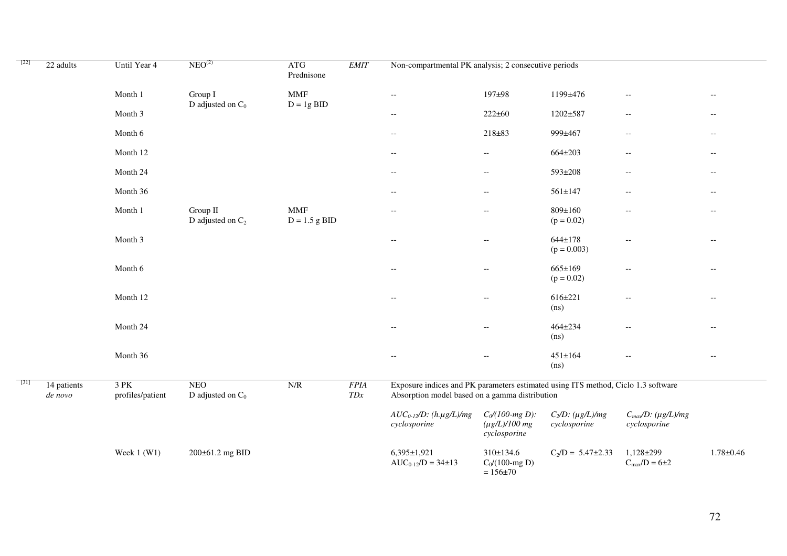| $[22]$ | 22 adults              | Until Year 4             | NEO <sup>(2)</sup>                | <b>ATG</b><br>Prednisone      | <b>EMIT</b>        |                                                                                                                                     | Non-compartmental PK analysis; 2 consecutive periods     |                                     |                                                     |                          |       |
|--------|------------------------|--------------------------|-----------------------------------|-------------------------------|--------------------|-------------------------------------------------------------------------------------------------------------------------------------|----------------------------------------------------------|-------------------------------------|-----------------------------------------------------|--------------------------|-------|
|        |                        | Month 1                  | Group I<br>D adjusted on $C_0$    | $\text{MMF}$<br>$D = 1g BID$  |                    | $\overline{\phantom{a}}$                                                                                                            | 197±98                                                   | 1199±476                            | $- -$                                               | $- -$                    |       |
|        |                        | Month 3                  |                                   |                               |                    | $-\,-$                                                                                                                              | $222 \pm 60$                                             | 1202±587                            | $\overline{\phantom{a}}$                            | $- -$                    |       |
|        |                        | Month 6                  |                                   |                               |                    | $- -$                                                                                                                               | $218 + 83$                                               | 999±467                             | $\overline{\phantom{a}}$                            | $- -$                    |       |
|        |                        | Month 12                 |                                   |                               |                    | $\overline{\phantom{a}}$                                                                                                            | $- -$                                                    | $664 \pm 203$                       | $\overline{\phantom{a}}$                            | $- -$                    |       |
|        |                        | Month 24                 |                                   |                               |                    |                                                                                                                                     | $\overline{\phantom{m}}$                                 | $\overline{\phantom{a}}$            | 593±208                                             | $\overline{\phantom{a}}$ | $- -$ |
|        |                        | Month 36                 |                                   |                               |                    | $-\,-$                                                                                                                              | $-\,-$                                                   | $561 \pm 147$                       | $\overline{\phantom{a}}$                            | $- -$                    |       |
|        |                        | Month 1                  | Group II<br>D adjusted on $C_2$   | <b>MMF</b><br>$D = 1.5$ g BID |                    | $\hspace{0.05cm} -\hspace{0.05cm} -\hspace{0.05cm}$                                                                                 | $\overline{\phantom{a}}$                                 | $809 \pm 160$<br>$(p = 0.02)$       | $-\,-$                                              | $- -$                    |       |
|        |                        | Month 3                  |                                   |                               |                    | $-\,-$                                                                                                                              | $\hspace{0.05cm} -\hspace{0.05cm} -\hspace{0.05cm}$      | $644 \pm 178$<br>$(p = 0.003)$      | $\overline{\phantom{a}}$                            | $- \, -$                 |       |
|        |                        | Month 6                  |                                   |                               |                    | $\hspace{0.05cm} -\hspace{0.05cm} -\hspace{0.05cm}$                                                                                 | $\overline{\phantom{a}}$                                 | $665 \pm 169$<br>$(p = 0.02)$       | $\hspace{0.05cm} -\hspace{0.05cm} -\hspace{0.05cm}$ | $- -$                    |       |
|        |                        | Month 12                 |                                   |                               |                    | $-$                                                                                                                                 | $\overline{\phantom{m}}$                                 | $616 \pm 221$<br>(n <sub>s</sub> )  | $-$                                                 | $\overline{\phantom{a}}$ |       |
|        |                        | Month 24                 |                                   |                               |                    | $-$                                                                                                                                 | $\overline{\phantom{a}}$                                 | $464 + 234$<br>(n <sub>s</sub> )    |                                                     | $-$                      |       |
|        |                        | Month 36                 |                                   |                               |                    | $- -$                                                                                                                               | $\overline{\phantom{a}}$                                 | $451 \pm 164$<br>(ns)               | $-$                                                 | $- -$                    |       |
| [31]   | 14 patients<br>de novo | 3 PK<br>profiles/patient | <b>NEO</b><br>D adjusted on $C_0$ | N/R                           | <b>FPIA</b><br>TDx | Exposure indices and PK parameters estimated using ITS method, Ciclo 1.3 software<br>Absorption model based on a gamma distribution |                                                          |                                     |                                                     |                          |       |
|        |                        |                          |                                   |                               |                    | $AUC_{0-12}/D$ : (h. $\mu$ g/L)/mg<br>cyclosporine                                                                                  | $C_0$ /(100-mg D):<br>$(\mu g/L)/100$ mg<br>cyclosporine | $C_2/D$ : (µg/L)/mg<br>cyclosporine | $C_{max}/D$ : (µg/L)/mg<br>cyclosporine             |                          |       |
|        |                        | Week $1$ (W1)            | 200±61.2 mg BID                   |                               |                    | $6,395 \pm 1,921$<br>$AUC_{0-12}/D = 34 \pm 13$                                                                                     | 310±134.6<br>$C_0/(100$ -mg D)<br>$= 156 \pm 70$         | $C_2/D = 5.47 \pm 2.33$             | $1,128+299$<br>$C_{max}/D = 6 \pm 2$                | $1.78 + 0.46$            |       |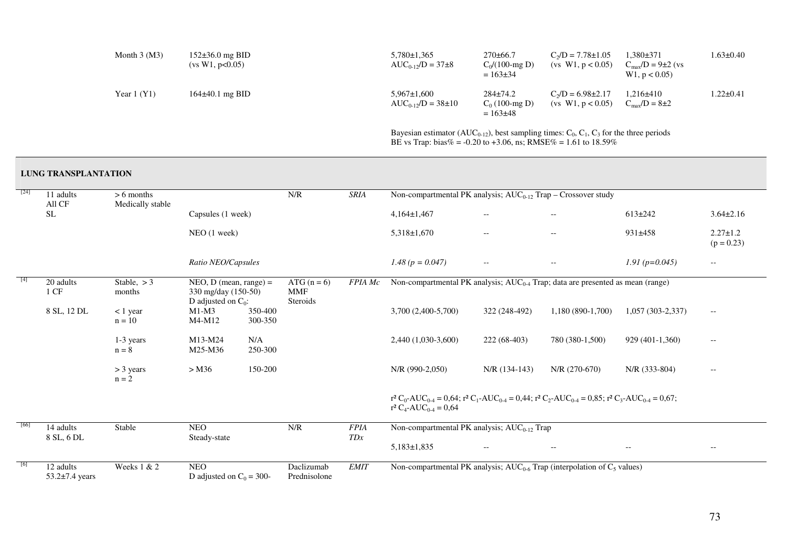| Month $3 \,(M3)$ | $152\pm36.0$ mg BID<br>(vs W1, p<0.05) | $5.780 \pm 1.365$<br>$AUC_{0.12}/D = 37\pm8$                                                                                           | $270\pm 66.7$<br>$C_0/(100$ -mg D)<br>$= 163 \pm 34$ | $C_2/D = 7.78 \pm 1.05$<br>(vs W1, $p < 0.05$ ) | 1.380±371<br>$C_{\text{max}}/D = 9 \pm 2$ (vs<br>W1, p < 0.05 | 1.63±0.40       |
|------------------|----------------------------------------|----------------------------------------------------------------------------------------------------------------------------------------|------------------------------------------------------|-------------------------------------------------|---------------------------------------------------------------|-----------------|
| Year $1 (Y1)$    | $164\pm40.1$ mg BID                    | $5.967 \pm 1.600$<br>$AUC_{0.12}/D = 38 \pm 10$                                                                                        | $284\pm74.2$<br>$C_0$ (100-mg D)<br>$= 163 \pm 48$   | $C_2/D = 6.98 \pm 2.17$<br>(vs W1, $p < 0.05$ ) | $1.216 \pm 410$<br>$C_{\rm max}/D = 8 \pm 2$                  | $1.22 \pm 0.41$ |
|                  |                                        | Bayesian estimator (AUC <sub>0-12</sub> ), best sampling times: C <sub>0</sub> , C <sub>1</sub> , C <sub>3</sub> for the three periods |                                                      |                                                 |                                                               |                 |

BE vs Trap: bias% = -0.20 to +3.06, ns; RMSE% = 1.61 to 18.59%

#### **LUNG TRANSPLANTATION**

| $\lceil 24 \rceil$                       | 11 adults                         | $> 6$ months            |                                                 |                    | N/R                         | <b>SRIA</b>    | Non-compartmental PK analysis; $AUC_{0-12}$ Trap – Crossover study                                                                                              |                          |                                                                                     |                    |                                                     |  |  |
|------------------------------------------|-----------------------------------|-------------------------|-------------------------------------------------|--------------------|-----------------------------|----------------|-----------------------------------------------------------------------------------------------------------------------------------------------------------------|--------------------------|-------------------------------------------------------------------------------------|--------------------|-----------------------------------------------------|--|--|
|                                          | All CF<br><b>SL</b>               | Medically stable        | Capsules (1 week)                               |                    |                             |                | $4,164\pm1,467$                                                                                                                                                 | $\overline{\phantom{a}}$ | $\overline{\phantom{a}}$                                                            | $613 \pm 242$      | $3.64 \pm 2.16$                                     |  |  |
|                                          |                                   |                         | NEO (1 week)                                    |                    |                             |                | $5,318\pm1,670$                                                                                                                                                 | $--$                     | $\overline{\phantom{a}}$                                                            | $931 \pm 458$      | $2.27 \pm 1.2$<br>$(p = 0.23)$                      |  |  |
|                                          |                                   |                         | Ratio NEO/Capsules                              |                    |                             |                | $1.48 (p = 0.047)$                                                                                                                                              | $\sim$ $\sim$            | $\overline{\phantom{m}}$                                                            | $1.91 (p=0.045)$   | $\sim$ $\sim$                                       |  |  |
| $\begin{array}{c} \boxed{4} \end{array}$ | 20 adults<br>1 CF                 | Stable, $> 3$<br>months | NEO, $D$ (mean, range) =<br>330 mg/day (150-50) |                    | ATG $(n = 6)$<br><b>MMF</b> | <b>FPIA</b> Mc |                                                                                                                                                                 |                          | Non-compartmental PK analysis; $AUC_{0.4}$ Trap; data are presented as mean (range) |                    |                                                     |  |  |
|                                          | 8 SL, 12 DL                       | $< 1$ year<br>$n = 10$  | D adjusted on $C_0$ :<br>$M1-M3$<br>M4-M12      | 350-400<br>300-350 | Steroids                    |                | 3,700 (2,400-5,700)                                                                                                                                             | 322 (248-492)            | 1,180 (890-1,700)                                                                   | $1,057(303-2,337)$ | $- -$                                               |  |  |
|                                          |                                   | 1-3 years<br>$n = 8$    | M13-M24<br>M25-M36                              | N/A<br>250-300     |                             |                | 2,440 (1,030-3,600)                                                                                                                                             | 222 (68-403)             | 780 (380-1,500)                                                                     | 929 (401-1,360)    | $\hspace{0.05cm} -\hspace{0.05cm} -\hspace{0.05cm}$ |  |  |
|                                          |                                   | $>$ 3 years<br>$n = 2$  | > M36                                           | 150-200            |                             |                | $N/R$ (990-2,050)                                                                                                                                               | $N/R$ (134-143)          | $N/R$ (270-670)                                                                     | N/R (333-804)      | $-\, -$                                             |  |  |
|                                          |                                   |                         |                                                 |                    |                             |                | $r^2 C_0- AUC_{0.4} = 0.64$ ; $r^2 C_1- AUC_{0.4} = 0.44$ ; $r^2 C_2- AUC_{0.4} = 0.85$ ; $r^2 C_3- AUC_{0.4} = 0.67$ ;<br>$r^2 C_4$ -AUC <sub>0-4</sub> = 0.64 |                          |                                                                                     |                    |                                                     |  |  |
| [66]                                     | 14 adults                         | Stable                  | <b>NEO</b>                                      |                    | N/R                         | <b>FPIA</b>    | Non-compartmental PK analysis; $AUC_{0-12}$ Trap                                                                                                                |                          |                                                                                     |                    |                                                     |  |  |
|                                          | 8 SL, 6 DL                        |                         | Steady-state                                    |                    |                             | TDx            | $5,183\pm1,835$                                                                                                                                                 | $\overline{\phantom{m}}$ | $\overline{\phantom{a}}$                                                            | $--$               | $- -$                                               |  |  |
| $\lceil 6 \rceil$                        | 12 adults<br>$53.2 \pm 7.4$ years | Weeks 1 & 2             | <b>NEO</b><br>D adjusted on $C_0 = 300$ -       |                    | Daclizumab<br>Prednisolone  | <b>EMIT</b>    | Non-compartmental PK analysis; $AUC_{0.6}$ Trap (interpolation of $C_5$ values)                                                                                 |                          |                                                                                     |                    |                                                     |  |  |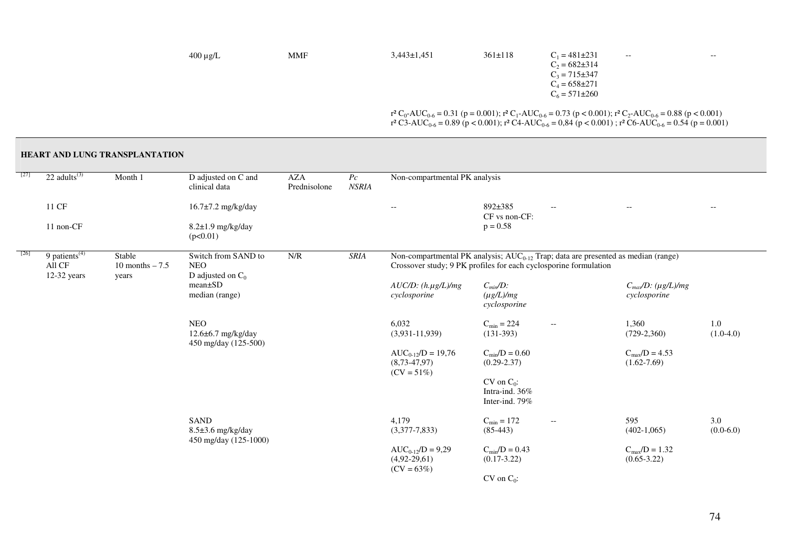| $400 \mu g/L$ | <b>MMF</b> | $3,443\pm1,451$ | $361 \pm 118$ | $C_1 = 481 \pm 231$                                                                         | $\hspace{0.05cm} -\hspace{0.05cm} -\hspace{0.05cm}$ | $- -$ |
|---------------|------------|-----------------|---------------|---------------------------------------------------------------------------------------------|-----------------------------------------------------|-------|
|               |            |                 |               | $C_2 = 682 \pm 314$                                                                         |                                                     |       |
|               |            |                 |               | $C_3 = 715 \pm 347$                                                                         |                                                     |       |
|               |            |                 |               | $C_4 = 658 \pm 271$                                                                         |                                                     |       |
|               |            |                 |               | $C_6 = 571 \pm 260$                                                                         |                                                     |       |
|               |            |                 |               |                                                                                             |                                                     |       |
|               |            |                 |               | $r^2C$ AUC = 0.31 (p = 0.001); $r^2C$ AUC = 0.73 (p < 0.001); $r^2C$ AUC = 0.88 (p < 0.001) |                                                     |       |

 $r^2C_0$ -AUC<sub>0-6</sub> = 0.31 (p = 0.001);  $r^2C_1$ -AUC<sub>0-6</sub> = 0.73 (p < 0.001);  $r^2C_2$ -AUC<sub>0-6</sub> = 0.88 (p < 0.001)<br> $r^2C_3$ -AUC<sub>0-6</sub> = 0.89 (p < 0.001);  $r^2C_4$ -AUC<sub>0-6</sub> = 0,84 (p < 0.001);  $r^2C_6$ -AUC<sub>0-6</sub> = 0.54 (p = 0.

| $[27]$ | $22$ adults <sup>(3)</sup>                         | Month 1                             | D adjusted on C and<br>clinical data                          | <b>AZA</b><br>Prednisolone | $P_{\mathcal{C}}$<br><b>NSRIA</b>                                                                                                                                                | Non-compartmental PK analysis                               |                                                     |                                                     |                                              |                    |
|--------|----------------------------------------------------|-------------------------------------|---------------------------------------------------------------|----------------------------|----------------------------------------------------------------------------------------------------------------------------------------------------------------------------------|-------------------------------------------------------------|-----------------------------------------------------|-----------------------------------------------------|----------------------------------------------|--------------------|
|        | 11 CF                                              |                                     | 16.7±7.2 mg/kg/day                                            |                            |                                                                                                                                                                                  | $\qquad \qquad -$                                           | 892±385<br>CF vs non-CF:                            | $\overline{\phantom{m}}$                            | $-$                                          | $-\, -$            |
|        | 11 non-CF                                          |                                     | 8.2±1.9 mg/kg/day<br>(p<0.01)                                 |                            |                                                                                                                                                                                  |                                                             | $p = 0.58$                                          |                                                     |                                              |                    |
| [26]   | 9 patients <sup>(4)</sup><br>All CF<br>12-32 years | Stable<br>10 months $-7.5$<br>years | Switch from SAND to<br><b>NEO</b><br>D adjusted on $C_0$      | N/R                        | <b>SRIA</b><br>Non-compartmental PK analysis; AUC <sub>0-12</sub> Trap; data are presented as median (range)<br>Crossover study; 9 PK profiles for each cyclosporine formulation |                                                             |                                                     |                                                     |                                              |                    |
|        |                                                    |                                     | $mean \pm SD$<br>median (range)                               |                            |                                                                                                                                                                                  | $AUC/D$ : $(h.\mu g/L)/mg$<br>cyclosporine                  | $C_{min}/D$ :<br>$(\mu g/L)/mg$<br>cyclosporine     |                                                     | $C_{max}/D$ : (µg/L)/mg<br>cyclosporine      |                    |
|        |                                                    |                                     | <b>NEO</b><br>$12.6\pm 6.7$ mg/kg/day<br>450 mg/day (125-500) |                            |                                                                                                                                                                                  | 6,032<br>$(3,931-11,939)$                                   | $C_{\min} = 224$<br>$(131-393)$                     | $\hspace{0.05cm} -\hspace{0.05cm} -\hspace{0.05cm}$ | 1,360<br>$(729-2,360)$                       | 1.0<br>$(1.0-4.0)$ |
|        |                                                    |                                     |                                                               |                            |                                                                                                                                                                                  | $AUC_{0-12}/D = 19,76$<br>$(8, 73-47, 97)$<br>$(CV = 51\%)$ | $C_{\text{min}}/D = 0.60$<br>$(0.29 - 2.37)$        |                                                     | $C_{\text{max}}/D = 4.53$<br>$(1.62 - 7.69)$ |                    |
|        |                                                    |                                     |                                                               |                            |                                                                                                                                                                                  |                                                             | $CV$ on $C_0$ :<br>Intra-ind. 36%<br>Inter-ind. 79% |                                                     |                                              |                    |
|        |                                                    |                                     | SAND<br>$8.5\pm3.6$ mg/kg/day<br>450 mg/day (125-1000)        |                            |                                                                                                                                                                                  | 4,179<br>$(3,377-7,833)$                                    | $C_{\min} = 172$<br>$(85-443)$                      | $\overline{\phantom{a}}$                            | 595<br>$(402-1,065)$                         | 3.0<br>$(0.0-6.0)$ |
|        |                                                    |                                     |                                                               |                            |                                                                                                                                                                                  | $AUC_{0-12}/D = 9,29$<br>$(4,92-29,61)$<br>$(CV = 63\%)$    | $C_{\text{min}}/D = 0.43$<br>$(0.17 - 3.22)$        |                                                     | $C_{\text{max}}/D = 1.32$<br>$(0.65 - 3.22)$ |                    |
|        |                                                    |                                     |                                                               |                            |                                                                                                                                                                                  |                                                             | $CV$ on $C_0$ :                                     |                                                     |                                              |                    |

# 74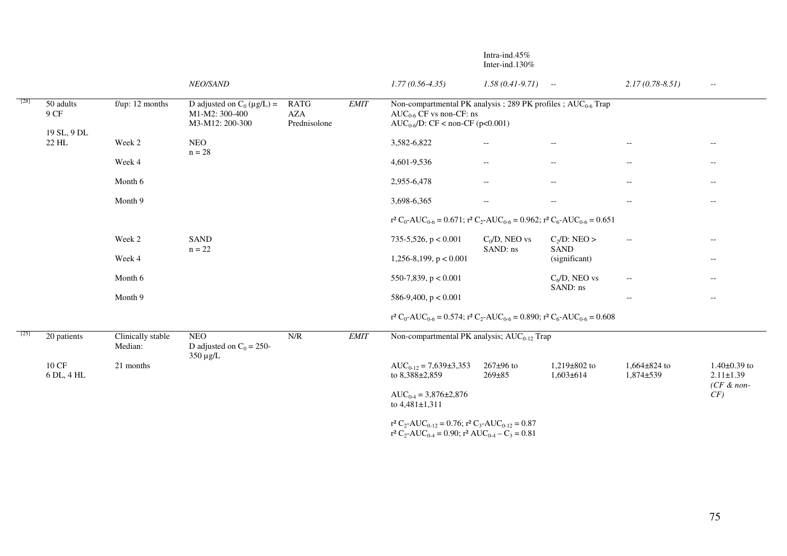|        |                                  |                              |                                                                      |                                                             |        |                                                                                                                                           | Inter-ind.130\%                                     |                                     |                                                     |                                                      |
|--------|----------------------------------|------------------------------|----------------------------------------------------------------------|-------------------------------------------------------------|--------|-------------------------------------------------------------------------------------------------------------------------------------------|-----------------------------------------------------|-------------------------------------|-----------------------------------------------------|------------------------------------------------------|
|        |                                  |                              | NEO/SAND                                                             |                                                             |        | $1.77(0.56-4.35)$                                                                                                                         | $1.58(0.41-9.71)$ --                                |                                     | $2.17(0.78 - 8.51)$                                 | $\sim$ $\sim$                                        |
| [28]   | 50 adults<br>9 CF                | $f/\mu p$ : 12 months        | D adjusted on $C_0 (\mu g/L)$ =<br>M1-M2: 300-400<br>M3-M12: 200-300 | <b>RATG</b><br><b>AZA</b><br>Prednisolone                   | EMIT   | Non-compartmental PK analysis; 289 PK profiles; $AUC_{0.6}$ Trap<br>$AUC_{0.6}$ CF vs non-CF: ns<br>$AUC_{0.6}/D$ : CF < non-CF (p<0.001) |                                                     |                                     |                                                     |                                                      |
|        | 19 SL, 9 DL<br>22 HL             | Week 2                       | <b>NEO</b><br>$n = 28$                                               |                                                             |        | 3,582-6,822                                                                                                                               | $\overline{\phantom{a}}$                            | $\overline{\phantom{m}}$            | $\overline{\phantom{a}}$                            | $- -$                                                |
|        |                                  | Week 4                       |                                                                      |                                                             |        | 4,601-9,536                                                                                                                               | $\overline{\phantom{a}}$                            | $\overline{\phantom{m}}$            | $\hspace{0.05cm} -\hspace{0.05cm} -\hspace{0.05cm}$ | $- -$                                                |
|        |                                  | Month 6                      |                                                                      |                                                             |        | 2,955-6,478                                                                                                                               | $\overline{\phantom{a}}$                            | $\overline{\phantom{m}}$            | $\hspace{0.05cm} -\hspace{0.05cm} -\hspace{0.05cm}$ | $- -$                                                |
|        |                                  | Month 9                      |                                                                      |                                                             |        | 3,698-6,365                                                                                                                               | $\hspace{0.05cm} -\hspace{0.05cm} -\hspace{0.05cm}$ | $- -$                               | $- -$                                               | $- -$                                                |
|        |                                  |                              |                                                                      |                                                             |        | $r^2 C_0$ -AUC <sub>0-6</sub> = 0.671; $r^2 C_2$ -AUC <sub>0-6</sub> = 0.962; $r^2 C_6$ -AUC <sub>0-6</sub> = 0.651                       |                                                     |                                     |                                                     |                                                      |
|        |                                  | Week 2                       | <b>SAND</b><br>$n = 22$                                              |                                                             |        | 735-5,526, $p < 0.001$                                                                                                                    | $C_0/D$ , NEO vs<br>SAND: ns                        | $C_2/D$ : NEO ><br><b>SAND</b>      | $\hspace{0.05cm} -\hspace{0.05cm} -\hspace{0.05cm}$ | $\hspace{0.05cm} -\hspace{0.05cm} -\hspace{0.05cm}$  |
|        |                                  | Week 4                       |                                                                      |                                                             |        | $1,256-8,199, p < 0.001$                                                                                                                  |                                                     | (significant)                       |                                                     | $-\,-$                                               |
|        |                                  | Month 6                      |                                                                      |                                                             |        | 550-7,839, $p < 0.001$                                                                                                                    |                                                     | $C_6/D$ , NEO vs<br>SAND: ns        |                                                     | $-\,-$                                               |
|        |                                  | Month 9                      |                                                                      |                                                             |        | 586-9,400, $p < 0.001$                                                                                                                    |                                                     |                                     | $- -$                                               | $\overline{\phantom{m}}$                             |
|        |                                  |                              |                                                                      |                                                             |        | $r^2 C_0$ -AUC <sub>0-6</sub> = 0.574; $r^2 C_2$ -AUC <sub>0-6</sub> = 0.890; $r^2 C_6$ -AUC <sub>0-6</sub> = 0.608                       |                                                     |                                     |                                                     |                                                      |
| $[25]$ | 20 patients                      | Clinically stable<br>Median: | <b>NEO</b><br>D adjusted on $C_0 = 250$ -<br>$350 \mu g/L$           | $\ensuremath{\text{N}}\xspace/\ensuremath{\text{R}}\xspace$ | $EMIT$ | Non-compartmental PK analysis; AUC <sub>0-12</sub> Trap                                                                                   |                                                     |                                     |                                                     |                                                      |
|        | $10$ $\mathrm{CF}$<br>6 DL, 4 HL | 21 months                    |                                                                      |                                                             |        | $AUC_{0-12} = 7,639\pm3,353$<br>to 8,388±2,859                                                                                            | $267 \pm 96$ to<br>$269 \pm 85$                     | $1,219\pm802$ to<br>$1,603 \pm 614$ | $1,664\pm824$ to<br>$1,874 \pm 539$                 | $1.40\pm0.39$ to<br>$2.11 \pm 1.39$<br>$(CF \& non-$ |
|        |                                  |                              |                                                                      |                                                             |        | $AUC_{0.4} = 3,876 \pm 2,876$<br>to $4,481\pm1,311$                                                                                       |                                                     |                                     |                                                     | CF)                                                  |
|        |                                  |                              |                                                                      |                                                             |        | $r^2 C_2$ -AUC <sub>0-12</sub> = 0.76; $r^2 C_3$ -AUC <sub>0-12</sub> = 0.87                                                              |                                                     |                                     |                                                     |                                                      |

 $r^2 C_2$ -AUC<sub>0-4</sub> = 0.90;  $r^2$  AUC<sub>0-4</sub> – C<sub>3</sub> = 0.81

Intra-ind.45%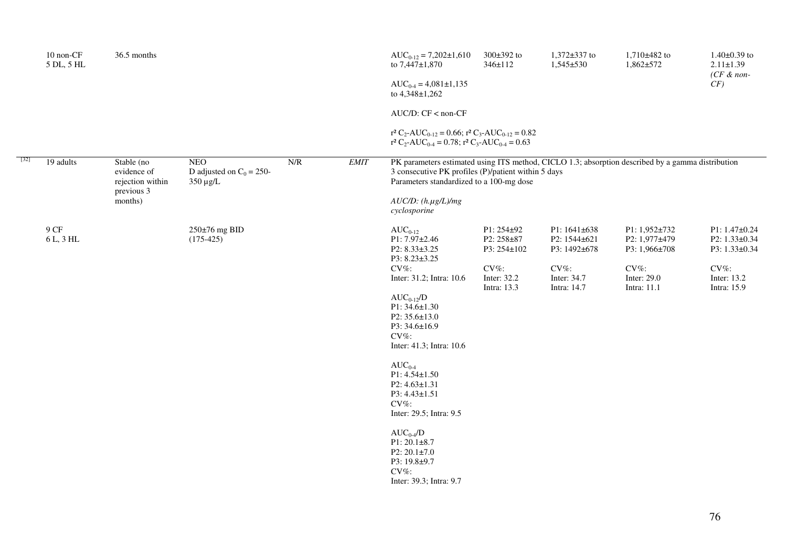|      | 10 non-CF<br>5 DL, 5 HL | 36.5 months                                                            |                                                            |     |             | $AUC_{0-12} = 7,202 \pm 1,610$<br>to 7,447±1,870<br>$AUC_{0.4} = 4,081 \pm 1,135$<br>to 4,348±1,262                                                                                                                                                                                                                    | 300±392 to<br>346±112                   | $1,372\pm337$ to<br>$1,545+530$              | $1,710\pm482$ to<br>$1,862 + 572$               | $1.40\pm0.39$ to<br>$2.11 \pm 1.39$<br>$(CF \& non-$<br>CF) |
|------|-------------------------|------------------------------------------------------------------------|------------------------------------------------------------|-----|-------------|------------------------------------------------------------------------------------------------------------------------------------------------------------------------------------------------------------------------------------------------------------------------------------------------------------------------|-----------------------------------------|----------------------------------------------|-------------------------------------------------|-------------------------------------------------------------|
|      |                         |                                                                        |                                                            |     |             | $AUC/D$ : $CF <$ non- $CF$                                                                                                                                                                                                                                                                                             |                                         |                                              |                                                 |                                                             |
|      |                         |                                                                        |                                                            |     |             | $r^2 C_2$ -AUC <sub>0-12</sub> = 0.66; $r^2 C_3$ -AUC <sub>0-12</sub> = 0.82<br>$r^2 C_2$ -AUC <sub>0-4</sub> = 0.78; $r^2 C_3$ -AUC <sub>0-4</sub> = 0.63                                                                                                                                                             |                                         |                                              |                                                 |                                                             |
| [32] | 19 adults               | Stable (no<br>evidence of<br>rejection within<br>previous 3<br>months) | <b>NEO</b><br>D adjusted on $C_0 = 250$ -<br>$350 \mu g/L$ | N/R | <b>EMIT</b> | PK parameters estimated using ITS method, CICLO 1.3; absorption described by a gamma distribution<br>3 consecutive PK profiles (P)/patient within 5 days<br>Parameters standardized to a 100-mg dose<br>$AUC/D$ : $(h.\mu g/L)/mg$<br>cyclosporine                                                                     |                                         |                                              |                                                 |                                                             |
|      | 9 CF<br>6 L, 3 HL       |                                                                        | 250±76 mg BID<br>$(175-425)$                               |     |             | $AUC_{0-12}$<br>P1: 7.97±2.46<br>P2: 8.33±3.25<br>P3: 8.23±3.25                                                                                                                                                                                                                                                        | P1: 254±92<br>P2: 258±87<br>P3: 254±102 | P1: 1641±638<br>P2: 1544±621<br>P3: 1492±678 | P1: 1,952±732<br>P2: 1,977±479<br>P3: 1,966±708 | $P1: 1.47 \pm 0.24$<br>P2: 1.33±0.34<br>P3: 1.33±0.34       |
|      |                         |                                                                        |                                                            |     |             | $CV\%$ :<br>Inter: 31.2; Intra: 10.6<br>$AUC_{0-12}/D$<br>P1: 34.6±1.30<br>P2: 35.6±13.0<br>P3: 34.6±16.9<br>CV%:<br>Inter: 41.3; Intra: 10.6<br>$AUC_{0.4}$<br>$P1: 4.54 \pm 1.50$<br>$P2: 4.63 \pm 1.31$<br>P3: 4.43±1.51<br>$CV\%$ :<br>Inter: 29.5; Intra: 9.5<br>$AUC_{0.4}/D$<br>$P1:20.1\pm8.7$<br>P2: 20.1±7.0 | $CV\%$ :<br>Inter: 32.2<br>Intra: 13.3  | $CV\%$ :<br>Inter: 34.7<br>Intra: 14.7       | $CV\%$ :<br>Inter: 29.0<br>Intra: 11.1          | $CV\%$ :<br>Inter: 13.2<br>Intra: 15.9                      |
|      |                         |                                                                        |                                                            |     |             | P3: 19.8±9.7<br>CV%:<br>Inter: 39.3; Intra: 9.7                                                                                                                                                                                                                                                                        |                                         |                                              |                                                 |                                                             |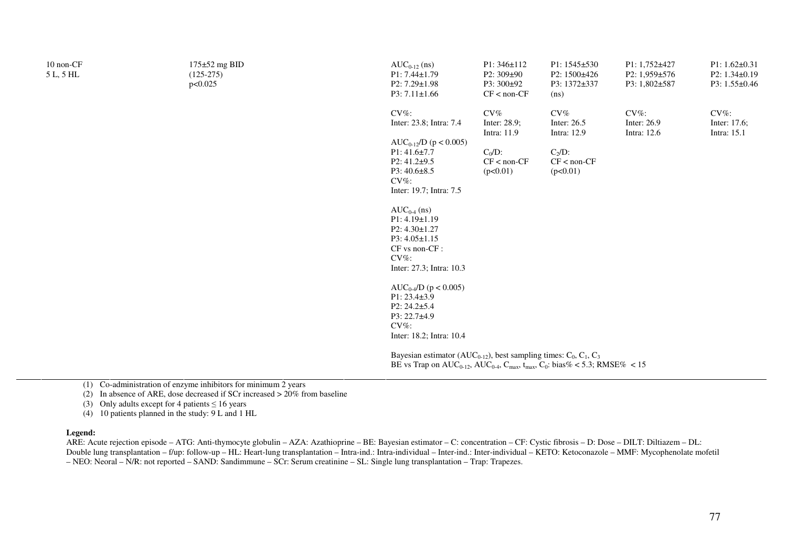| 10 non-CF<br>5 L, 5 HL | $175 \pm 52$ mg BID<br>$(125-275)$<br>p<0.025 | $AUC_{0-12}$ (ns)<br>$P1: 7.44 \pm 1.79$<br>P2: 7.29±1.98<br>$P3: 7.11 \pm 1.66$                                                                                                                                                                                                                              | $P1:346 \pm 112$<br>$P2:309\pm90$<br>P3: 300±92<br>$CF < non-CF$             | P1: 1545±530<br>P2: 1500±426<br>P3: 1372±337<br>(ns)                        | P1: 1,752±427<br>P2: 1,959±576<br>P3: 1,802±587 | $P1: 1.62 \pm 0.31$<br>$P2: 1.34 \pm 0.19$<br>P3: $1.55 \pm 0.46$ |
|------------------------|-----------------------------------------------|---------------------------------------------------------------------------------------------------------------------------------------------------------------------------------------------------------------------------------------------------------------------------------------------------------------|------------------------------------------------------------------------------|-----------------------------------------------------------------------------|-------------------------------------------------|-------------------------------------------------------------------|
|                        |                                               | $CV\%$ :<br>Inter: 23.8; Intra: 7.4<br>$AUC_{0-12}/D$ (p < 0.005)<br>$P1:41.6\pm7.7$<br>$P2: 41.2+9.5$<br>$P3:40.6\pm8.5$<br>$CV\%$ :<br>Inter: 19.7; Intra: 7.5<br>$AUC_{0-4}$ (ns)<br>P1: 4.19±1.19<br>$P2: 4.30 \pm 1.27$<br>$P3: 4.05 \pm 1.15$<br>CF vs non-CF :<br>$CV\%$ :<br>Inter: 27.3; Intra: 10.3 | CV%<br>Inter: 28.9;<br>Intra: 11.9<br>$C_0/D$ :<br>$CF < non-CF$<br>(p<0.01) | CV%<br>Inter: 26.5<br>Intra: 12.9<br>$C_2/D$ :<br>$CF < non-CF$<br>(p<0.01) | $CV\%$ :<br>Inter: 26.9<br>Intra: 12.6          | $CV\%$ :<br>Inter: 17.6;<br>Intra: 15.1                           |
|                        |                                               | $AUC_{0.4}/D$ (p < 0.005)<br>$P1: 23.4 \pm 3.9$<br>$P2: 24.2 \pm 5.4$<br>P3: 22.7±4.9<br>$CV\%$ :<br>Inter: 18.2; Intra: 10.4                                                                                                                                                                                 |                                                                              |                                                                             |                                                 |                                                                   |
|                        |                                               | Bayesian estimator (AUC <sub>0-12</sub> ), best sampling times: $C_0$ , $C_1$ , $C_3$<br>BE vs Trap on $AUC_{0.12}$ , $AUC_{0.4}$ , $C_{max}$ , $t_{max}$ , $C_0$ : bias% < 5.3; RMSE% < 15                                                                                                                   |                                                                              |                                                                             |                                                 |                                                                   |

(1) Co-administration of enzyme inhibitors for minimum 2 years

(2) In absence of ARE, dose decreased if SCr increased > 20% from baseline

(3) Only adults except for 4 patients  $\leq 16$  years

(4) 10 patients planned in the study: 9 L and 1 HL

#### **Legend:**

 ARE: Acute rejection episode – ATG: Anti-thymocyte globulin – AZA: Azathioprine – BE: Bayesian estimator – C: concentration – CF: Cystic fibrosis – D: Dose – DILT: Diltiazem – DL: Double lung transplantation – f/up: follow-up – HL: Heart-lung transplantation – Intra-ind.: Intra-individual – Inter-ind.: Inter-individual – KETO: Ketoconazole – MMF: Mycophenolate mofetil – NEO: Neoral – N/R: not reported – SAND: Sandimmune – SCr: Serum creatinine – SL: Single lung transplantation – Trap: Trapezes.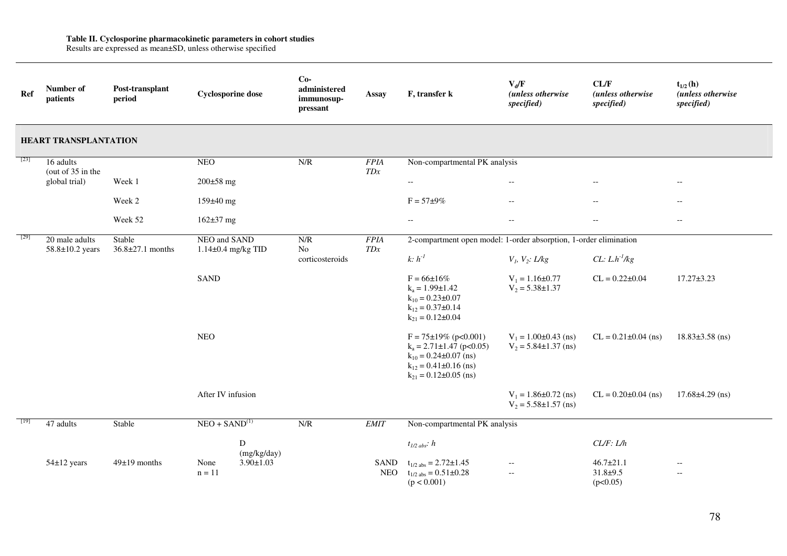**Table II. Cyclosporine pharmacokinetic parameters in cohort studies**  Results are expressed as mean±SD, unless otherwise specified

| Ref    | Number of<br>patients             | Post-transplant<br>period        | <b>Cyclosporine dose</b>               |                  | $Co-$<br>administered<br>immunosup-<br>pressant | <b>Assay</b>       | F, transfer k                                                                                                                                                    | $V_d/F$<br>(unless otherwise<br>specified)                                      | CL/F<br>(unless otherwise<br>specified)     | $t_{1/2}$ (h)<br>(unless otherwise<br>specified) |
|--------|-----------------------------------|----------------------------------|----------------------------------------|------------------|-------------------------------------------------|--------------------|------------------------------------------------------------------------------------------------------------------------------------------------------------------|---------------------------------------------------------------------------------|---------------------------------------------|--------------------------------------------------|
|        | <b>HEART TRANSPLANTATION</b>      |                                  |                                        |                  |                                                 |                    |                                                                                                                                                                  |                                                                                 |                                             |                                                  |
| $[23]$ | 16 adults<br>(out of 35 in the    |                                  | <b>NEO</b>                             |                  | N/R                                             | <b>FPIA</b><br>TDx | Non-compartmental PK analysis                                                                                                                                    |                                                                                 |                                             |                                                  |
|        | global trial)                     | Week 1                           | $200 \pm 58$ mg                        |                  |                                                 |                    | $\hspace{0.05cm} -\hspace{0.05cm} -\hspace{0.05cm}$                                                                                                              | $\overline{\phantom{a}}$                                                        | $-\, -$                                     | $- -$                                            |
|        |                                   | Week 2                           | 159±40 mg                              |                  |                                                 |                    | $F = 57 \pm 9\%$                                                                                                                                                 | $\overline{\phantom{a}}$                                                        | $\overline{\phantom{a}}$                    | $\overline{\phantom{a}}$                         |
|        |                                   | Week 52                          | $162 \pm 37$ mg                        |                  |                                                 |                    | $\overline{\phantom{m}}$                                                                                                                                         | $\overline{\phantom{a}}$                                                        | $\overline{\phantom{a}}$                    | $- -$                                            |
| [29]   | 20 male adults<br>58.8±10.2 years | Stable<br>$36.8 \pm 27.1$ months | NEO and SAND<br>$1.14\pm0.4$ mg/kg TID |                  | N/R<br>No                                       | <b>FPIA</b><br>TDx | 2-compartment open model: 1-order absorption, 1-order elimination                                                                                                |                                                                                 |                                             |                                                  |
|        |                                   |                                  |                                        |                  | corticosteroids                                 |                    | $k: h-1$                                                                                                                                                         | $V_1$ , $V_2$ : L/kg                                                            | CL: $L \cdot h^{-1}/kg$                     |                                                  |
|        |                                   |                                  | <b>SAND</b>                            |                  |                                                 |                    | $F = 66 \pm 16\%$<br>$k_a = 1.99 \pm 1.42$<br>$k_{10} = 0.23 \pm 0.07$<br>$k_{12} = 0.37 \pm 0.14$<br>$k_{21} = 0.12 \pm 0.04$                                   | $V_1 = 1.16 \pm 0.77$<br>$V_2 = 5.38 \pm 1.37$                                  | $CL = 0.22 \pm 0.04$                        | $17.27 \pm 3.23$                                 |
|        |                                   |                                  | <b>NEO</b>                             |                  |                                                 |                    | $F = 75 \pm 19\%$ (p<0.001)<br>$k_a = 2.71 \pm 1.47$ (p<0.05)<br>$k_{10} = 0.24 \pm 0.07$ (ns)<br>$k_{12} = 0.41 \pm 0.16$ (ns)<br>$k_{21} = 0.12 \pm 0.05$ (ns) | $V_1 = 1.00 \pm 0.43$ (ns)<br>$V_2 = 5.84 \pm 1.37$ (ns)                        | $CL = 0.21 \pm 0.04$ (ns)                   | $18.83 \pm 3.58$ (ns)                            |
|        |                                   |                                  | After IV infusion                      |                  |                                                 |                    |                                                                                                                                                                  | $V_1 = 1.86 \pm 0.72$ (ns)<br>$V_2 = 5.58 \pm 1.57$ (ns)                        | $CL = 0.20 \pm 0.04$ (ns)                   | $17.68 \pm 4.29$ (ns)                            |
| $[19]$ | 47 adults                         | Stable                           | $NEO + SAND(1)$                        |                  | N/R                                             | <b>EMIT</b>        | Non-compartmental PK analysis                                                                                                                                    |                                                                                 |                                             |                                                  |
|        |                                   |                                  |                                        | D<br>(mg/kg/day) |                                                 |                    | $t_{1/2 \, abs}$ : h                                                                                                                                             |                                                                                 | CL/F: L/h                                   |                                                  |
|        | 54±12 years                       | $49±19$ months                   | None<br>$n = 11$                       | $3.90 \pm 1.03$  |                                                 | SAND<br><b>NEO</b> | $t_{1/2,abs} = 2.72 \pm 1.45$<br>$t_{1/2 \text{ abs}} = 0.51 \pm 0.28$<br>(p < 0.001)                                                                            | $\overline{\phantom{a}}$<br>$\hspace{0.05cm} -\hspace{0.05cm} -\hspace{0.05cm}$ | $46.7 \pm 21.1$<br>$31.8 + 9.5$<br>(p<0.05) | $- -$<br>$- -$                                   |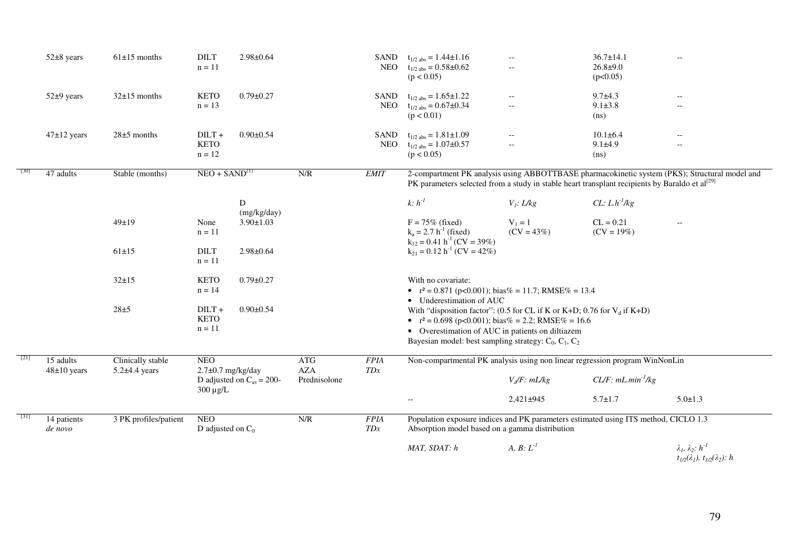| $52\pm 8$ years              | $61\pm15$ months                       | <b>DILT</b><br>$n = 11$                                               | $2.98 \pm 0.64$                |                                   | SAND               | $t_{1/2 \text{ abs}} = 1.44 \pm 1.16$<br>NEO $t_{1/2 \text{ abs}} = 0.58 \pm 0.62$<br>(p < 0.05)                                                                                                                                                        | $-$<br>$\qquad \qquad -$                                                        | $36.7 \pm 14.1$<br>$26.8 + 9.0$<br>(p<0.05)       | $-$                                                                                           |
|------------------------------|----------------------------------------|-----------------------------------------------------------------------|--------------------------------|-----------------------------------|--------------------|---------------------------------------------------------------------------------------------------------------------------------------------------------------------------------------------------------------------------------------------------------|---------------------------------------------------------------------------------|---------------------------------------------------|-----------------------------------------------------------------------------------------------|
| 52±9 years                   | $32\pm15$ months                       | <b>KETO</b><br>$n = 13$                                               | $0.79 \pm 0.27$                |                                   | SAND<br>NEO        | $t_{1/2 \text{ abs}} = 1.65 \pm 1.22$<br>$t_{1/2 \text{ abs}} = 0.67 \pm 0.34$<br>(p < 0.01)                                                                                                                                                            | $\overline{\phantom{m}}$<br>$\hspace{0.05cm} -\hspace{0.05cm} -\hspace{0.05cm}$ | $9.7 + 4.3$<br>$9.1 \pm 3.8$<br>(ns)              | $-\,-$<br>$\overline{\phantom{a}}$                                                            |
| $47\pm12$ years              | $28\pm5$ months                        | $DILT +$<br><b>KETO</b><br>$n = 12$                                   | $0.90 \pm 0.54$                |                                   | SAND<br><b>NEO</b> | $t_{1/2 \text{ abs}} = 1.81 \pm 1.09$<br>$t_{1/2 \text{ abs}} = 1.07 \pm 0.57$<br>(p < 0.05)                                                                                                                                                            | $\overline{\phantom{a}}$<br>$\overline{\phantom{a}}$                            | $10.1 \pm 6.4$<br>$9.1 + 4.9$<br>(ns)             | $--$<br>$\overline{\phantom{a}}$                                                              |
| 47 adults                    | Stable (months)                        | $NEO + SAND(1)$                                                       |                                | N/R                               | <b>EMIT</b>        | PK parameters selected from a study in stable heart transplant recipients by Baraldo et $al^{[29]}$                                                                                                                                                     |                                                                                 |                                                   | 2-compartment PK analysis using ABBOTTBASE pharmacokinetic system (PKS); Structural model and |
|                              | 49±19                                  | D<br>None<br>$n = 11$                                                 | (mg/kg/day)<br>$3.90 \pm 1.03$ |                                   |                    | $k: h^{-1}$<br>$F = 75\%$ (fixed)<br>$k_a = 2.7 h^{-1}$ (fixed)<br>$k_{12} = 0.41 h^{-1} (CV = 39\%)$                                                                                                                                                   | $V_i$ : L/kg<br>$V_1 = 1$<br>$(CV = 43\%)$                                      | $CL: L.h^{-1}/kg$<br>$CL = 0.21$<br>$(CV = 19\%)$ |                                                                                               |
|                              | $61 \pm 15$                            | <b>DILT</b><br>$n = 11$                                               | $2.98 \pm 0.64$                |                                   |                    | $k_{21} = 0.12 h^{-1} (CV = 42\%)$                                                                                                                                                                                                                      |                                                                                 |                                                   |                                                                                               |
|                              | $32+15$                                | <b>KETO</b><br>$n = 14$                                               | $0.79 \pm 0.27$                |                                   |                    | With no covariate:<br>• $r^2 = 0.871$ (p<0.001); bias% = 11.7; RMSE% = 13.4<br>• Underestimation of AUC                                                                                                                                                 |                                                                                 |                                                   |                                                                                               |
|                              | $28 + 5$                               | $DILT +$<br><b>KETO</b><br>$n = 11$                                   | $0.90 \pm 0.54$                |                                   |                    | With "disposition factor": (0.5 for CL if K or K+D; 0.76 for $V_d$ if K+D)<br>• $r^2 = 0.698$ (p<0.001); bias% = 2.2; RMSE% = 16.6<br>• Overestimation of AUC in patients on diltiazem<br>Bayesian model: best sampling strategy: $C_0$ , $C_1$ , $C_2$ |                                                                                 |                                                   |                                                                                               |
| 15 adults<br>$48\pm10$ years | Clinically stable<br>$5.2\pm4.4$ years | <b>NEO</b><br>$2.7\pm0.7$ mg/kg/day<br>D adjusted on $C_{av} = 200$ - |                                | ATG<br><b>AZA</b><br>Prednisolone | <b>FPIA</b><br>TDx | Non-compartmental PK analysis using non linear regression program WinNonLin                                                                                                                                                                             | $Vd/F$ : $mL/kg$                                                                | $CL/F$ : mL.min <sup>-1</sup> /kg                 |                                                                                               |
|                              |                                        | $300 \mu g/L$                                                         |                                |                                   |                    | $\overline{\phantom{a}}$                                                                                                                                                                                                                                | 2,421±945                                                                       | $5.7 \pm 1.7$                                     | $5.0 \pm 1.3$                                                                                 |
| 14 patients<br>de novo       | 3 PK profiles/patient                  | <b>NEO</b><br>D adjusted on $C_0$                                     |                                | N/R                               | <b>FPIA</b><br>TDx | Population exposure indices and PK parameters estimated using ITS method, CICLO 1.3<br>Absorption model based on a gamma distribution                                                                                                                   |                                                                                 |                                                   |                                                                                               |
|                              |                                        |                                                                       |                                |                                   |                    | MAT, SDAT: h                                                                                                                                                                                                                                            | A, B: $L^1$                                                                     |                                                   | $\lambda_1, \lambda_2: h^{-1}$<br>$t_{1/2}(\lambda_1), t_{1/2}(\lambda_2): h$                 |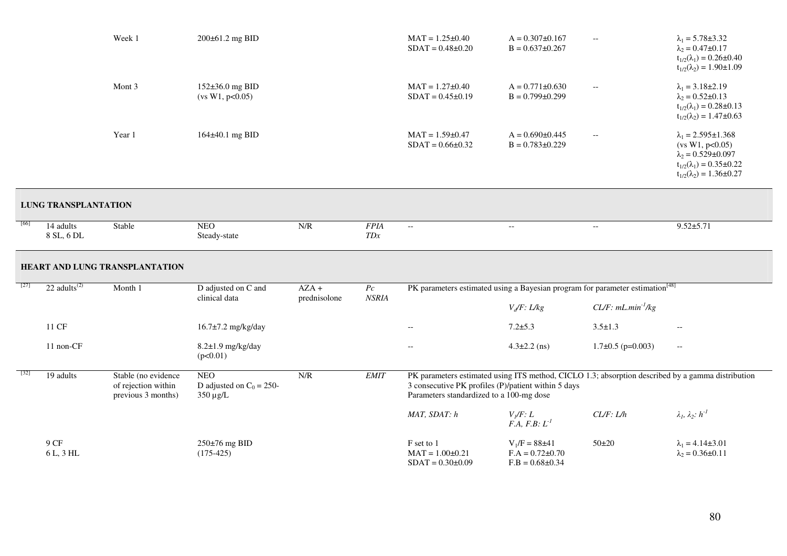|        |                                       | Week 1                                                           | 200±61.2 mg BID                                       |                         |                    | $MAT = 1.25 \pm 0.40$<br>$SDAT = 0.48 \pm 0.20$ | $A = 0.307 \pm 0.167$<br>$B = 0.637 \pm 0.267$                                                                                                                                                       | $\overline{\phantom{m}}$  | $\lambda_1 = 5.78 \pm 3.32$<br>$\lambda_2 = 0.47 \pm 0.17$<br>$t_{1/2}(\lambda_1) = 0.26 \pm 0.40$<br>$t_{1/2}(\lambda_2) = 1.90 \pm 1.09$                        |  |  |
|--------|---------------------------------------|------------------------------------------------------------------|-------------------------------------------------------|-------------------------|--------------------|-------------------------------------------------|------------------------------------------------------------------------------------------------------------------------------------------------------------------------------------------------------|---------------------------|-------------------------------------------------------------------------------------------------------------------------------------------------------------------|--|--|
|        |                                       | Mont 3                                                           | 152±36.0 mg BID<br>(vs W1, p<0.05)                    |                         |                    | $MAT = 1.27 \pm 0.40$<br>$SDAT = 0.45 \pm 0.19$ | $A = 0.771 \pm 0.630$<br>$B = 0.799 \pm 0.299$                                                                                                                                                       | $\overline{\phantom{m}}$  | $\lambda_1 = 3.18 \pm 2.19$<br>$\lambda_2 = 0.52 \pm 0.13$<br>$t_{1/2}(\lambda_1) = 0.28 \pm 0.13$<br>$t_{1/2}(\lambda_2) = 1.47 \pm 0.63$                        |  |  |
|        |                                       | Year 1                                                           | 164±40.1 mg BID                                       |                         |                    | $MAT = 1.59 \pm 0.47$<br>$SDAT = 0.66 \pm 0.32$ | $A = 0.690 \pm 0.445$<br>$B = 0.783 \pm 0.229$                                                                                                                                                       | $-$                       | $\lambda_1 = 2.595 \pm 1.368$<br>(vs W1, p<0.05)<br>$\lambda_2 = 0.529 \pm 0.097$<br>$t_{1/2}(\lambda_1) = 0.35 \pm 0.22$<br>$t_{1/2}(\lambda_2) = 1.36 \pm 0.27$ |  |  |
|        | <b>LUNG TRANSPLANTATION</b>           |                                                                  |                                                       |                         |                    |                                                 |                                                                                                                                                                                                      |                           |                                                                                                                                                                   |  |  |
| [66]   | 14 adults<br>8 SL, 6 DL               | Stable                                                           | <b>NEO</b><br>Steady-state                            | N/R                     | <b>FPIA</b><br>TDx | $\mathbb{L}^{\mathbb{L}}$                       | $\overline{\phantom{a}}$                                                                                                                                                                             | $\mathbb{L}^{\mathbb{L}}$ | $9.52 \pm 5.71$                                                                                                                                                   |  |  |
|        |                                       | HEART AND LUNG TRANSPLANTATION                                   |                                                       |                         |                    |                                                 |                                                                                                                                                                                                      |                           |                                                                                                                                                                   |  |  |
| $[27]$ | 22 adults <sup><math>(2)</math></sup> | Month 1                                                          | D adjusted on C and<br>clinical data                  | $AZA +$<br>prednisolone | Pc<br><b>NSRIA</b> |                                                 | PK parameters estimated using a Bayesian program for parameter estimation <sup>[48]</sup>                                                                                                            |                           |                                                                                                                                                                   |  |  |
|        |                                       |                                                                  |                                                       |                         |                    |                                                 | $V_d/F$ : L/kg                                                                                                                                                                                       | $CL/F: mL.min^{-1}/kg$    |                                                                                                                                                                   |  |  |
|        | 11 CF                                 |                                                                  | 16.7±7.2 mg/kg/day                                    |                         |                    | $\overline{a}$                                  | $7.2 + 5.3$                                                                                                                                                                                          | $3.5 \pm 1.3$             | $\overline{\phantom{a}}$                                                                                                                                          |  |  |
|        | 11 non-CF                             |                                                                  | 8.2±1.9 mg/kg/day<br>(p<0.01)                         |                         |                    | $-$                                             | $4.3 \pm 2.2$ (ns)                                                                                                                                                                                   | $1.7\pm0.5$ (p=0.003)     | $\mathbb{H}^{\mathbb{H}}$                                                                                                                                         |  |  |
| [32]   | 19 adults                             | Stable (no evidence<br>of rejection within<br>previous 3 months) | <b>NEO</b><br>D adjusted on $C_0 = 250$ -<br>350 µg/L | N/R                     | <b>EMIT</b>        |                                                 | PK parameters estimated using ITS method, CICLO 1.3; absorption described by a gamma distribution<br>3 consecutive PK profiles (P)/patient within 5 days<br>Parameters standardized to a 100-mg dose |                           |                                                                                                                                                                   |  |  |
|        |                                       |                                                                  |                                                       |                         |                    | MAT, SDAT: h                                    | $V_I/F: L$<br>$F.A, F.B: L-1$                                                                                                                                                                        | CL/F: L/h                 | $\lambda_1, \lambda_2: h^{-1}$                                                                                                                                    |  |  |
|        | 9 CF<br>6 L, 3 HL                     |                                                                  | 250±76 mg BID<br>$(175-425)$                          |                         |                    | F set to 1<br>$MAT = 1.00 \pm 0.21$             | $V_1/F = 88\pm 41$<br>$F.A = 0.72 \pm 0.70$                                                                                                                                                          | $50+20$                   | $\lambda_1 = 4.14 \pm 3.01$<br>$\lambda_2 = 0.36 \pm 0.11$                                                                                                        |  |  |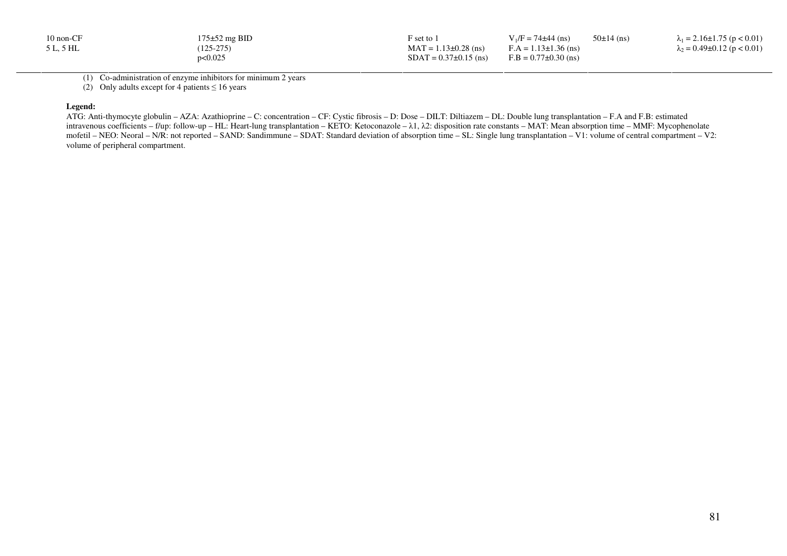| $10 \text{ non-CF}$ | $175\pm52$ mg BID | $F$ set to 1                | $V_1/F = 74\pm44$ (ns)     | $50±14$ (ns) | $\lambda_1 = 2.16 \pm 1.75$ (p < 0.01) |
|---------------------|-------------------|-----------------------------|----------------------------|--------------|----------------------------------------|
| 5 L, 5 HL           | $(125-275)$       | $MAT = 1.13 \pm 0.28$ (ns)  | $F.A = 1.13 \pm 1.36$ (ns) |              | $\lambda_2 = 0.49 \pm 0.12$ (p < 0.01) |
|                     | p<0.025           | $SDAT = 0.37 \pm 0.15$ (ns) | $F.B = 0.77 \pm 0.30$ (ns) |              |                                        |

(1) Co-administration of enzyme inhibitors for minimum 2 years

(2) Only adults except for 4 patients  $\leq 16$  years

#### **Legend:**

 ATG: Anti-thymocyte globulin – AZA: Azathioprine – C: concentration – CF: Cystic fibrosis – D: Dose – DILT: Diltiazem – DL: Double lung transplantation – F.A and F.B: estimated intravenous coefficients – f/up: follow-up – HL: Heart-lung transplantation – KETO: Ketoconazole – λ1, λ2: disposition rate constants – MAT: Mean absorption time – MMF: Mycophenolate mofetil – NEO: Neoral – N/R: not reported – SAND: Sandimmune – SDAT: Standard deviation of absorption time – SL: Single lung transplantation – V1: volume of central compartment – V2: volume of peripheral compartment.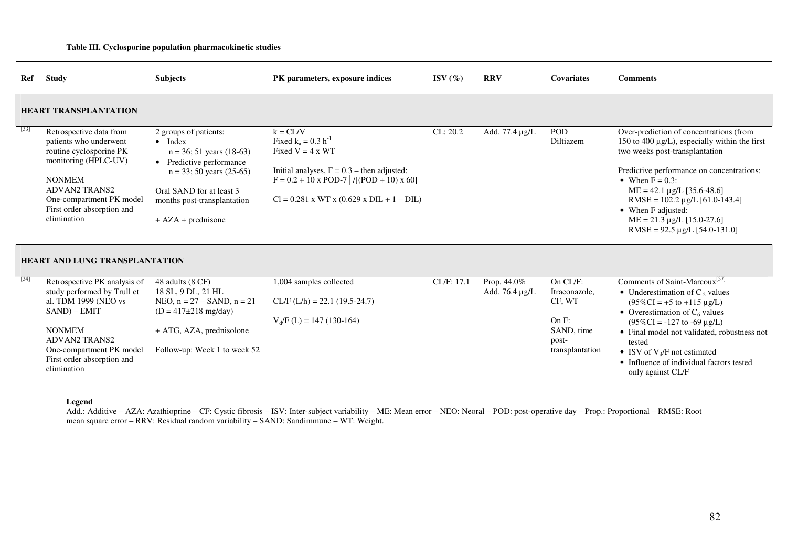#### **Table III. Cyclosporine population pharmacokinetic studies**

| Ref  | <b>Study</b>                                                                                                                                                                                                           | <b>Subjects</b>                                                                                                                                                                                                       | PK parameters, exposure indices                                                                                                                                                                                    | ISV $(\%)$ | <b>RRV</b>                    | <b>Covariates</b>                            | <b>Comments</b>                                                                                                                                                                                                                                                                                                                                                             |
|------|------------------------------------------------------------------------------------------------------------------------------------------------------------------------------------------------------------------------|-----------------------------------------------------------------------------------------------------------------------------------------------------------------------------------------------------------------------|--------------------------------------------------------------------------------------------------------------------------------------------------------------------------------------------------------------------|------------|-------------------------------|----------------------------------------------|-----------------------------------------------------------------------------------------------------------------------------------------------------------------------------------------------------------------------------------------------------------------------------------------------------------------------------------------------------------------------------|
|      | <b>HEART TRANSPLANTATION</b>                                                                                                                                                                                           |                                                                                                                                                                                                                       |                                                                                                                                                                                                                    |            |                               |                                              |                                                                                                                                                                                                                                                                                                                                                                             |
| [33] | Retrospective data from<br>patients who underwent<br>routine cyclosporine PK<br>monitoring (HPLC-UV)<br><b>NONMEM</b><br><b>ADVAN2 TRANS2</b><br>One-compartment PK model<br>First order absorption and<br>elimination | 2 groups of patients:<br>$\bullet$ Index<br>$n = 36$ ; 51 years (18-63)<br>• Predictive performance<br>$n = 33$ ; 50 years (25-65)<br>Oral SAND for at least 3<br>months post-transplantation<br>$+ AZA + prednisone$ | $k = CL/V$<br>Fixed $k_a = 0.3 h^{-1}$<br>Fixed $V = 4 \times WT$<br>Initial analyses, $F = 0.3$ – then adjusted:<br>$F = 0.2 + 10 \times POD-7$ /[(POD + 10) x 60]<br>$Cl = 0.281$ x WT x (0.629 x DIL + 1 - DIL) | CL: 20.2   | Add. 77.4 µg/L                | POD<br>Diltiazem                             | Over-prediction of concentrations (from<br>150 to 400 $\mu$ g/L), especially within the first<br>two weeks post-transplantation<br>Predictive performance on concentrations:<br>• When $F = 0.3$ :<br>$ME = 42.1 \mu g/L$ [35.6-48.6]<br>RMSE = $102.2 \mu g/L$ [61.0-143.4]<br>• When F adjusted:<br>$ME = 21.3 \mu g/L$ [15.0-27.6]<br>RMSE = $92.5 \mu g/L$ [54.0-131.0] |
|      | <b>HEART AND LUNG TRANSPLANTATION</b>                                                                                                                                                                                  |                                                                                                                                                                                                                       |                                                                                                                                                                                                                    |            |                               |                                              |                                                                                                                                                                                                                                                                                                                                                                             |
| [34] | Retrospective PK analysis of<br>study performed by Trull et<br>al. TDM 1999 (NEO vs<br>$SAND$ ) – $EMIT$                                                                                                               | 48 adults (8 CF)<br>18 SL, 9 DL, 21 HL<br>NEO, $n = 27 -$ SAND, $n = 21$<br>$(D = 417 \pm 218 \text{ mg/day})$                                                                                                        | 1,004 samples collected<br>$CL/F (L/h) = 22.1 (19.5-24.7)$<br>$V_d/F (L) = 147 (130-164)$                                                                                                                          | CL/F: 17.1 | Prop. 44.0%<br>Add. 76.4 µg/L | On CL/F:<br>Itraconazole,<br>CF, WT<br>On F: | Comments of Saint-Marcoux <sup>[37]</sup><br>• Underestimation of C <sub>2</sub> values<br>$(95\%CI = +5$ to $+115 \mu g/L)$<br>• Overestimation of $C_6$ values<br>$(95\%CI = -127$ to -69 $\mu$ g/L)                                                                                                                                                                      |
|      | <b>NONMEM</b><br><b>ADVAN2 TRANS2</b><br>One-compartment PK model<br>First order absorption and<br>elimination                                                                                                         | + ATG, AZA, prednisolone<br>Follow-up: Week 1 to week 52                                                                                                                                                              |                                                                                                                                                                                                                    |            |                               | SAND, time<br>post-<br>transplantation       | • Final model not validated, robustness not<br>tested<br>• ISV of $V_d$ /F not estimated<br>• Influence of individual factors tested<br>only against $\overline{CI}/\overline{E}$                                                                                                                                                                                           |

only against CL/F

#### **Legend**

 Add.: Additive – AZA: Azathioprine – CF: Cystic fibrosis – ISV: Inter-subject variability – ME: Mean error – NEO: Neoral – POD: post-operative day – Prop.: Proportional – RMSE: Root mean square error – RRV: Residual random variability – SAND: Sandimmune – WT: Weight.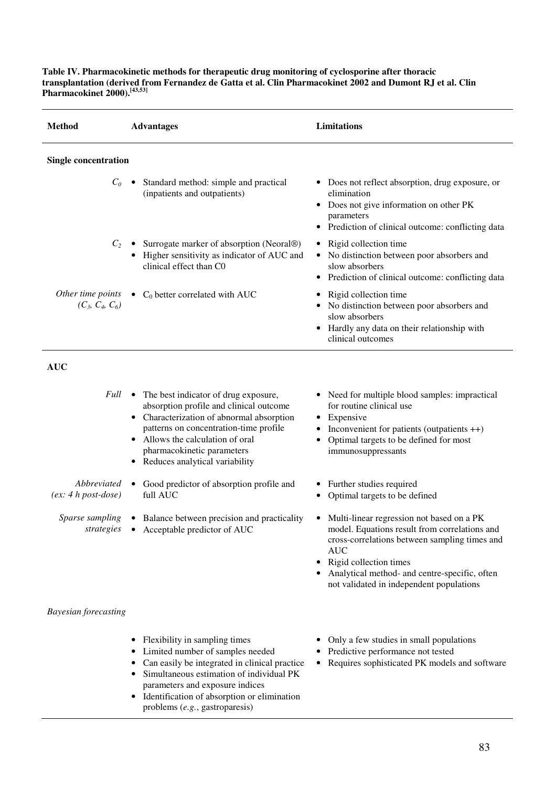**Table IV. Pharmacokinetic methods for therapeutic drug monitoring of cyclosporine after thoracic transplantation (derived from Fernandez de Gatta et al. Clin Pharmacokinet 2002 and Dumont RJ et al. Clin Pharmacokinet 2000).[43,53]**

| <b>Method</b>                        | <b>Advantages</b>                                                                                                                                                                                                                                                              | Limitations                                                                                                                                                                                                                                                                        |
|--------------------------------------|--------------------------------------------------------------------------------------------------------------------------------------------------------------------------------------------------------------------------------------------------------------------------------|------------------------------------------------------------------------------------------------------------------------------------------------------------------------------------------------------------------------------------------------------------------------------------|
| <b>Single concentration</b>          |                                                                                                                                                                                                                                                                                |                                                                                                                                                                                                                                                                                    |
| $C_0$                                | Standard method: simple and practical<br>(inpatients and outpatients)                                                                                                                                                                                                          | • Does not reflect absorption, drug exposure, or<br>elimination<br>• Does not give information on other PK<br>parameters<br>• Prediction of clinical outcome: conflicting data                                                                                                     |
| $C_2$                                | Surrogate marker of absorption (Neoral®)<br>Higher sensitivity as indicator of AUC and<br>clinical effect than C0                                                                                                                                                              | • Rigid collection time<br>• No distinction between poor absorbers and<br>slow absorbers<br>Prediction of clinical outcome: conflicting data                                                                                                                                       |
| $(C_3, C_4, C_6)$                    | Other time points $\bullet$ C <sub>0</sub> better correlated with AUC                                                                                                                                                                                                          | • Rigid collection time<br>• No distinction between poor absorbers and<br>slow absorbers<br>• Hardly any data on their relationship with<br>clinical outcomes                                                                                                                      |
| <b>AUC</b>                           |                                                                                                                                                                                                                                                                                |                                                                                                                                                                                                                                                                                    |
| Full                                 | • The best indicator of drug exposure,<br>absorption profile and clinical outcome<br>• Characterization of abnormal absorption<br>patterns on concentration-time profile<br>• Allows the calculation of oral<br>pharmacokinetic parameters<br>• Reduces analytical variability | • Need for multiple blood samples: impractical<br>for routine clinical use<br>• Expensive<br>• Inconvenient for patients (outpatients $++$ )<br>Optimal targets to be defined for most<br>immunosuppressants                                                                       |
| Abbreviated<br>$(ex: 4 h post-dose)$ | Good predictor of absorption profile and<br>full AUC                                                                                                                                                                                                                           | • Further studies required<br>• Optimal targets to be defined                                                                                                                                                                                                                      |
| <i>Sparse sampling</i><br>strategies | • Balance between precision and practicality<br>• Acceptable predictor of AUC                                                                                                                                                                                                  | • Multi-linear regression not based on a PK<br>model. Equations result from correlations and<br>cross-correlations between sampling times and<br><b>AUC</b><br>Rigid collection times<br>Analytical method- and centre-specific, often<br>not validated in independent populations |
| <b>Bayesian forecasting</b>          |                                                                                                                                                                                                                                                                                |                                                                                                                                                                                                                                                                                    |
|                                      | Flexibility in sampling times<br>Limited number of samples needed<br>Can easily be integrated in clinical practice<br>Simultaneous estimation of individual PK<br>parameters and exposure indices                                                                              | Only a few studies in small populations<br>• Predictive performance not tested<br>• Requires sophisticated PK models and software                                                                                                                                                  |

• Identification of absorption or elimination problems (*e.g.*, gastroparesis)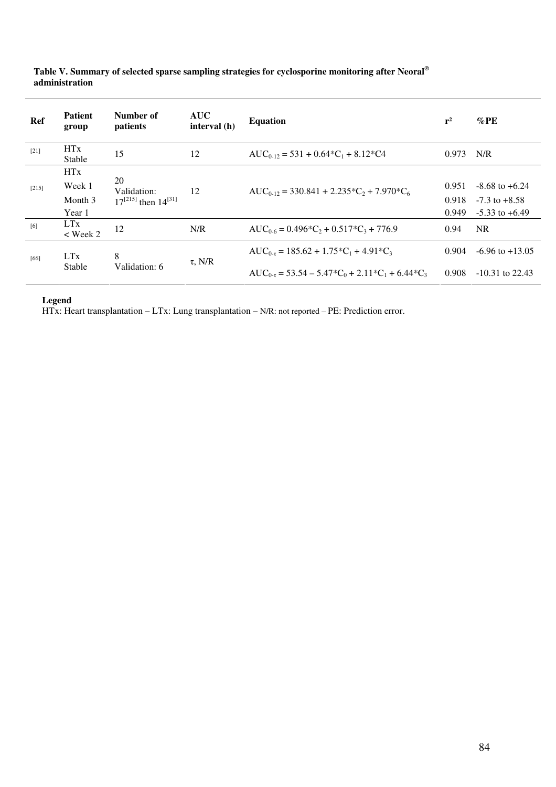| Ref    | <b>Patient</b><br>group  | Number of<br>patients                              | <b>AUC</b><br>interval (h) | <b>Equation</b>                                                        | $r^2$ | $\%$ PE             |
|--------|--------------------------|----------------------------------------------------|----------------------------|------------------------------------------------------------------------|-------|---------------------|
| $[21]$ | <b>HTx</b><br>Stable     | 15                                                 | 12                         | $AUC_{0-12} = 531 + 0.64*C_1 + 8.12*C4$                                | 0.973 | N/R                 |
|        | <b>HTx</b>               | 20<br>Validation:<br>$17^{[215]}$ then $14^{[31]}$ |                            |                                                                        |       |                     |
| [215]  | Week 1                   |                                                    | 12                         | $AUC_{0-12} = 330.841 + 2.235 \cdot C_2 + 7.970 \cdot C_6$             | 0.951 | $-8.68$ to $+6.24$  |
|        | Month 3                  |                                                    |                            |                                                                        |       | $-7.3$ to $+8.58$   |
|        | Year 1                   |                                                    |                            |                                                                        |       | $-5.33$ to $+6.49$  |
| [6]    | <b>LTx</b><br>$<$ Week 2 | 12                                                 | N/R                        | $AUC_{0.6} = 0.496*C_2 + 0.517*C_3 + 776.9$                            | 0.94  | <b>NR</b>           |
| [66]   | <b>LTx</b>               | 8                                                  | $\tau$ , N/R               | $AUC_{0.7} = 185.62 + 1.75 \times C_1 + 4.91 \times C_3$               | 0.904 | $-6.96$ to $+13.05$ |
|        | Stable                   | Validation: 6                                      |                            | $AUC_{0.7} = 53.54 - 5.47 \cdot C_0 + 2.11 \cdot C_1 + 6.44 \cdot C_3$ | 0.908 | $-10.31$ to 22.43   |

## **Table V. Summary of selected sparse sampling strategies for cyclosporine monitoring after Neoral® administration**

**Legend** 

HTx: Heart transplantation – LTx: Lung transplantation – N/R: not reported – PE: Prediction error.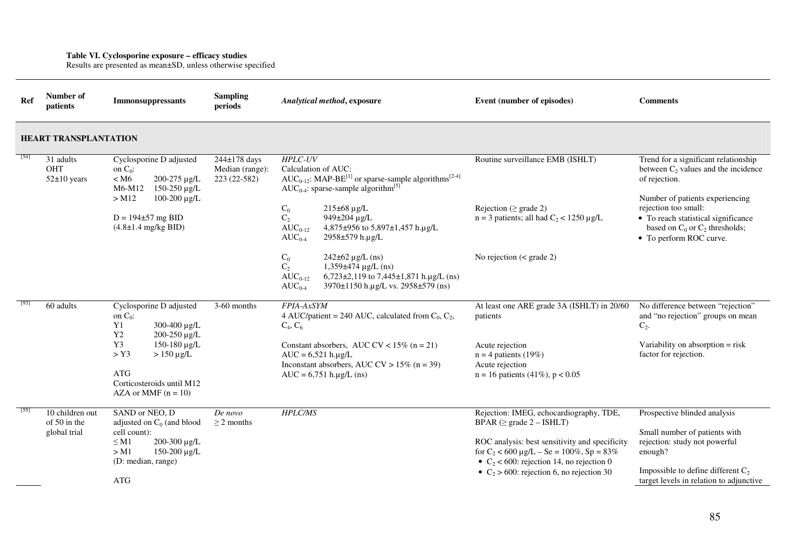**Table VI. Cyclosporine exposure – efficacy studies**  Results are presented as mean±SD, unless otherwise specified

| Ref  | Number of<br>patients                           | <b>Immonsuppressants</b>                                                                                                                                                                                                        | <b>Sampling</b><br>periods                      | Analytical method, exposure                                                                                                                                                                                                                                                                                                                                                                                                                                                                                                                     | Event (number of episodes)                                                                                                                                                                                                                                                    | <b>Comments</b>                                                                                                                                                                                                                                                     |
|------|-------------------------------------------------|---------------------------------------------------------------------------------------------------------------------------------------------------------------------------------------------------------------------------------|-------------------------------------------------|-------------------------------------------------------------------------------------------------------------------------------------------------------------------------------------------------------------------------------------------------------------------------------------------------------------------------------------------------------------------------------------------------------------------------------------------------------------------------------------------------------------------------------------------------|-------------------------------------------------------------------------------------------------------------------------------------------------------------------------------------------------------------------------------------------------------------------------------|---------------------------------------------------------------------------------------------------------------------------------------------------------------------------------------------------------------------------------------------------------------------|
|      | <b>HEART TRANSPLANTATION</b>                    |                                                                                                                                                                                                                                 |                                                 |                                                                                                                                                                                                                                                                                                                                                                                                                                                                                                                                                 |                                                                                                                                                                                                                                                                               |                                                                                                                                                                                                                                                                     |
| [54] | 31 adults<br><b>OHT</b><br>$52\pm10$ years      | Cyclosporine D adjusted<br>on $C_0$ :<br>< M6<br>200-275 µg/L<br>$150 - 250 \mu g/L$<br>M6-M12<br>$>$ M12<br>100-200 μg/L<br>$D = 194 \pm 57$ mg BID<br>$(4.8\pm1.4 \text{ mg/kg BID})$                                         | 244±178 days<br>Median (range):<br>223 (22-582) | <b>HPLC-UV</b><br>Calculation of AUC:<br>$AUC_{0-12}$ : MAP-BE <sup>[1]</sup> or sparse-sample algorithms <sup>[2-4]</sup><br>AUC <sub>0-4</sub> : sparse-sample algorithm <sup>[5]</sup><br>$C_0$<br>$215\pm68 \,\mu g/L$<br>$C_2$<br>949±204 µg/L<br>$AUC_{0-12}$<br>4,875±956 to 5,897±1,457 h.µg/L<br>2958±579 h.µg/L<br>$AUC_{0-4}$<br>$C_0$<br>$242\pm62 \,\mu g/L$ (ns)<br>$C_{2}$<br>$1,359\pm474 \mu g/L$ (ns)<br>$6,723\pm2,119$ to 7,445 $\pm1,871$ h.µg/L (ns)<br>$AUC_{0-12}$<br>$AUC_{0-4}$<br>3970±1150 h.µg/L vs. 2958±579 (ns) | Routine surveillance EMB (ISHLT)<br>Rejection ( $\geq$ grade 2)<br>$n = 3$ patients; all had $C_2 < 1250 \mu g/L$<br>No rejection $(<$ grade 2)                                                                                                                               | Trend for a significant relationship<br>between $C_2$ values and the incidence<br>of rejection.<br>Number of patients experiencing<br>rejection too small:<br>• To reach statistical significance<br>based on $C_0$ or $C_2$ thresholds;<br>• To perform ROC curve. |
|      | 60 adults                                       | Cyclosporine D adjusted<br>on $C_0$ :<br>Y1<br>300-400 µg/L<br>200-250 µg/L<br>Y <sub>2</sub><br>Y <sub>3</sub><br>150-180 µg/L<br>$>$ Y3<br>$>150 \mu g/L$<br><b>ATG</b><br>Corticosteroids until M12<br>AZA or MMF $(n = 10)$ | 3-60 months                                     | FPIA-AxSYM<br>4 AUC/patient = 240 AUC, calculated from $C_0$ , $C_2$ ,<br>$C_4, C_6$<br>Constant absorbers, AUC CV < $15\%$ (n = 21)<br>$AUC = 6,521 h.\mu g/L$<br>Inconstant absorbers, AUC CV > $15\%$ (n = 39)<br>$AUC = 6,751 h.\mu g/L$ (ns)                                                                                                                                                                                                                                                                                               | At least one ARE grade 3A (ISHLT) in 20/60<br>patients<br>Acute rejection<br>$n = 4$ patients (19%)<br>Acute rejection<br>$n = 16$ patients (41%), $p < 0.05$                                                                                                                 | No difference between "rejection"<br>and "no rejection" groups on mean<br>$C_2$ .<br>Variability on absorption $=$ risk<br>factor for rejection.                                                                                                                    |
| [55] | 10 children out<br>of 50 in the<br>global trial | SAND or NEO, D<br>adjusted on $C_0$ (and blood<br>cell count):<br>200-300 µg/L<br>$\leq M1$<br>150-200 µg/L<br>$>$ M1<br>(D: median, range)<br><b>ATG</b>                                                                       | De novo<br>$\geq$ 2 months                      | <b>HPLC/MS</b>                                                                                                                                                                                                                                                                                                                                                                                                                                                                                                                                  | Rejection: IMEG, echocardiography, TDE,<br>BPAR ( $\geq$ grade 2 – ISHLT)<br>ROC analysis: best sensitivity and specificity<br>for $C_2$ < 600 $\mu$ g/L – Se = 100%, Sp = 83%<br>• $C_2$ < 600: rejection 14, no rejection 0<br>• $C_2 > 600$ : rejection 6, no rejection 30 | Prospective blinded analysis<br>Small number of patients with<br>rejection: study not powerful<br>enough?<br>Impossible to define different $C_2$<br>target levels in relation to adjunctive                                                                        |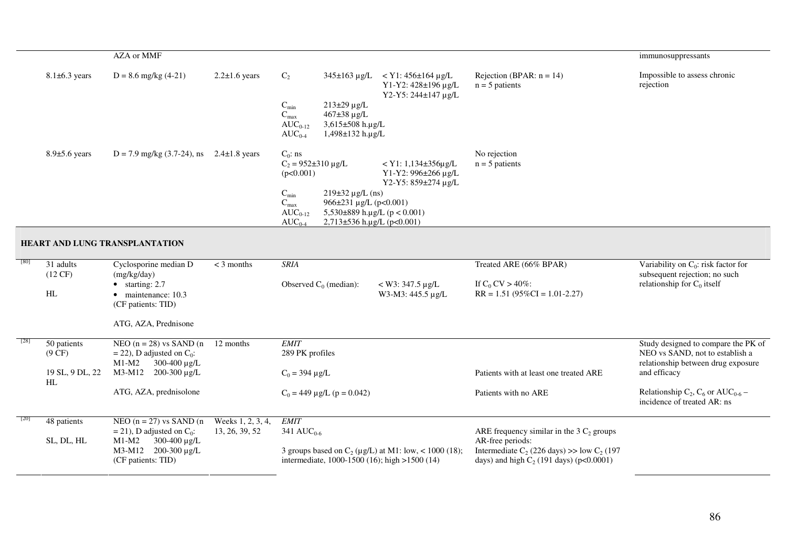|                                      | <b>AZA</b> or MMF                                                                                            |                                     |                                                                                                                                       |                                                                                            |                                                                                               | immunosuppressants                                                                                           |
|--------------------------------------|--------------------------------------------------------------------------------------------------------------|-------------------------------------|---------------------------------------------------------------------------------------------------------------------------------------|--------------------------------------------------------------------------------------------|-----------------------------------------------------------------------------------------------|--------------------------------------------------------------------------------------------------------------|
| $8.1\pm6.3$ years                    | $D = 8.6$ mg/kg (4-21)                                                                                       | $2.2 \pm 1.6$ years                 | $C_2$                                                                                                                                 | $345\pm163$ µg/L < Y1: 456 $\pm164$ µg/L<br>Y1-Y2: 428±196 μg/L<br>Y2-Y5: 244±147 µg/L     | Rejection (BPAR: $n = 14$ )<br>$n = 5$ patients                                               | Impossible to assess chronic<br>rejection                                                                    |
|                                      |                                                                                                              |                                     | $C_{\min}$<br>$213\pm29 \,\mu g/L$<br>$C_{max}$<br>467±38 µg/L<br>3,615±508 h.µg/L<br>$AUC_{0-12}$<br>$AUC_{0-4}$<br>1,498±132 h.µg/L |                                                                                            |                                                                                               |                                                                                                              |
| $8.9\pm5.6$ years                    | $D = 7.9$ mg/kg (3.7-24), ns 2.4±1.8 years                                                                   |                                     | $C_0$ : ns<br>$C_2 = 952 \pm 310 \text{ µg/L}$<br>(p<0.001)                                                                           | $<$ Y1: 1,134 $\pm$ 356 $\mu$ g/L<br>Y1-Y2: 996±266 μg/L<br>Y2-Y5: 859±274 µg/L            | No rejection<br>$n = 5$ patients                                                              |                                                                                                              |
|                                      |                                                                                                              |                                     | $C_{\min}$<br>$219\pm32 \,\mu g/L$ (ns)<br>$C_{max}$<br>$AUC_{0-12}$<br>$AUC_{0-4}$                                                   | 966±231 µg/L (p<0.001)<br>5,530 $\pm$ 889 h.µg/L (p < 0.001)<br>2,713±536 h.µg/L (p<0.001) |                                                                                               |                                                                                                              |
|                                      | HEART AND LUNG TRANSPLANTATION                                                                               |                                     |                                                                                                                                       |                                                                                            |                                                                                               |                                                                                                              |
| 31 adults<br>$(12 \text{ CF})$<br>HL | Cyclosporine median D<br>(mg/kg/day)<br>$\bullet$ starting: 2.7<br>· maintenance: 10.3<br>(CF patients: TID) | $<$ 3 months                        | <b>SRIA</b><br>Observed $C_0$ (median):                                                                                               | $<$ W3: 347.5 µg/L<br>W3-M3: 445.5 µg/L                                                    | Treated ARE (66% BPAR)<br>If $C_0$ CV > 40%:<br>$RR = 1.51 (95\% CI = 1.01 - 2.27)$           | Variability on $C_0$ : risk factor for<br>subsequent rejection; no such<br>relationship for $C_0$ itself     |
|                                      | ATG, AZA, Prednisone                                                                                         |                                     |                                                                                                                                       |                                                                                            |                                                                                               |                                                                                                              |
| 50 patients<br>$(9 \text{ CF})$      | NEO $(n = 28)$ vs SAND $(n$<br>$=$ 22), D adjusted on $C_0$ :<br>300-400 µg/L<br>$M1-M2$                     | 12 months                           | <b>EMIT</b><br>289 PK profiles                                                                                                        |                                                                                            |                                                                                               | Study designed to compare the PK of<br>NEO vs SAND, not to establish a<br>relationship between drug exposure |
| 19 SL, 9 DL, 22<br>HL                | M3-M12 200-300 µg/L                                                                                          |                                     | $C_0 = 394 \mu g/L$                                                                                                                   |                                                                                            | Patients with at least one treated ARE                                                        | and efficacy                                                                                                 |
|                                      | ATG, AZA, prednisolone                                                                                       |                                     | $C_0 = 449 \mu g/L$ (p = 0.042)                                                                                                       |                                                                                            | Patients with no ARE                                                                          | Relationship $C_2$ , $C_6$ or AUC <sub>0-6</sub> –<br>incidence of treated AR: ns                            |
| 48 patients<br>SL, DL, HL            | NEO $(n = 27)$ vs SAND $(n$<br>$=$ 21), D adjusted on $C_0$ :<br>$M1-M2$<br>300-400 µg/L                     | Weeks 1, 2, 3, 4,<br>13, 26, 39, 52 | <b>EMIT</b><br>341 $AUC_{0.6}$                                                                                                        |                                                                                            | ARE frequency similar in the $3 C2$ groups<br>AR-free periods:                                |                                                                                                              |
|                                      | M3-M12 200-300 µg/L<br>(CF patients: TID)                                                                    |                                     | intermediate, 1000-1500 (16); high >1500 (14)                                                                                         | 3 groups based on $C_2$ (µg/L) at M1: low, < 1000 (18);                                    | Intermediate $C_2$ (226 days) >> low $C_2$ (197<br>days) and high $C_2$ (191 days) (p<0.0001) |                                                                                                              |
|                                      |                                                                                                              |                                     |                                                                                                                                       |                                                                                            |                                                                                               |                                                                                                              |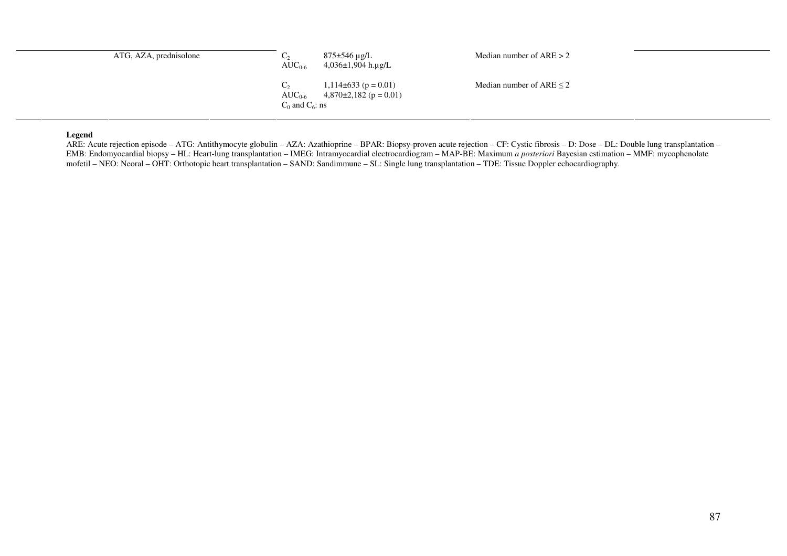| ATG, AZA, prednisolone | $AUC_{0.6}$                         | 875±546 µg/L<br>4,036±1,904 h.µg/L                      | Median number of $ARE > 2$    |
|------------------------|-------------------------------------|---------------------------------------------------------|-------------------------------|
|                        | $AUC_{0.6}$<br>$C_0$ and $C_6$ : ns | $1,114\pm 633$ (p = 0.01)<br>$4,870\pm2,182$ (p = 0.01) | Median number of ARE $\leq$ 2 |

#### **Legend**

 ARE: Acute rejection episode – ATG: Antithymocyte globulin – AZA: Azathioprine – BPAR: Biopsy-proven acute rejection – CF: Cystic fibrosis – D: Dose – DL: Double lung transplantation – EMB: Endomyocardial biopsy – HL: Heart-lung transplantation – IMEG: Intramyocardial electrocardiogram – MAP-BE: Maximum *a posteriori* Bayesian estimation – MMF: mycophenolate<br>mofetil – NEO: Neoral – OHT: Orthotopic heart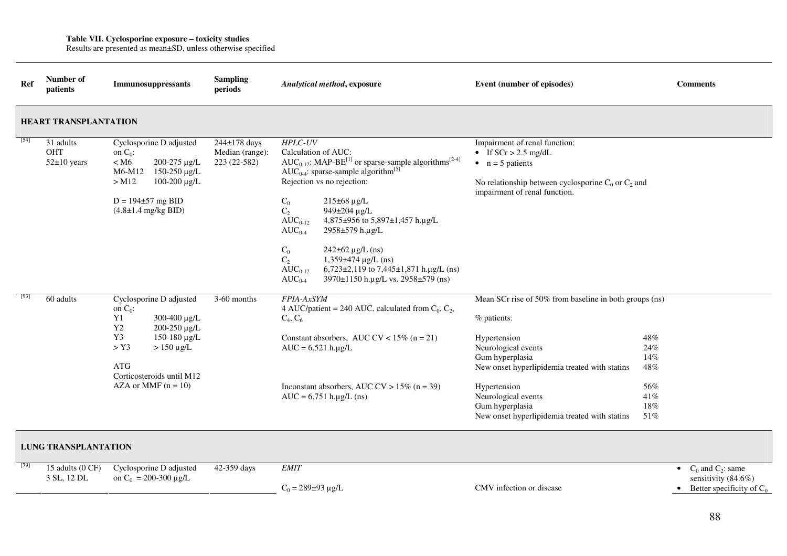**Table VII. Cyclosporine exposure – toxicity studies** Results are presented as mean±SD, unless otherwise specified

| Ref         | Number of<br>patients               | Immunosuppressants                                                                                                                                                                                       | <b>Sampling</b><br>periods                      | Analytical method, exposure                                                                                                                                                                                                                                                                                                                                                                                                                                                                                                                                                            | Event (number of episodes)                                                                                                                                                                                                                                                                                                                          | <b>Comments</b>                                                                  |
|-------------|-------------------------------------|----------------------------------------------------------------------------------------------------------------------------------------------------------------------------------------------------------|-------------------------------------------------|----------------------------------------------------------------------------------------------------------------------------------------------------------------------------------------------------------------------------------------------------------------------------------------------------------------------------------------------------------------------------------------------------------------------------------------------------------------------------------------------------------------------------------------------------------------------------------------|-----------------------------------------------------------------------------------------------------------------------------------------------------------------------------------------------------------------------------------------------------------------------------------------------------------------------------------------------------|----------------------------------------------------------------------------------|
|             | <b>HEART TRANSPLANTATION</b>        |                                                                                                                                                                                                          |                                                 |                                                                                                                                                                                                                                                                                                                                                                                                                                                                                                                                                                                        |                                                                                                                                                                                                                                                                                                                                                     |                                                                                  |
| [54]        | 31 adults<br>OHT<br>$52\pm10$ years | Cyclosporine D adjusted<br>on $C_0$ :<br>$<$ M <sub>6</sub><br>200-275 µg/L<br>M6-M12<br>$150-250 \,\mu g/L$<br>$>$ M12<br>100-200 μg/L<br>$D = 194 \pm 57$ mg BID<br>$(4.8 \pm 1.4 \text{ mg/kg BID})$  | 244±178 days<br>Median (range):<br>223 (22-582) | <b>HPLC-UV</b><br>Calculation of AUC:<br>$AUC_{0-12}$ : MAP-BE <sup>[1]</sup> or sparse-sample algorithms <sup>[2-4]</sup><br>AUC <sub>0-4</sub> : sparse-sample algorithm <sup>[5]</sup><br>Rejection vs no rejection:<br>$C_0$<br>$215\pm68 \,\mu g/L$<br>$C_2$<br>949±204 µg/L<br>$AUC_{0-12}$<br>4,875±956 to 5,897±1,457 h.µg/L<br>$AUC_{0-4}$<br>2958±579 h.µg/L<br>$C_0$<br>$242\pm62 \,\mu g/L$ (ns)<br>C <sub>2</sub><br>$1,359\pm474 \,\mu g/L$ (ns)<br>$6,723\pm2,119$ to 7,445 $\pm1,871$ h.µg/L (ns)<br>$AUC_{0-12}$<br>3970±1150 h.µg/L vs. 2958±579 (ns)<br>$AUC_{0.4}$ | Impairment of renal function:<br>• If $SCr > 2.5$ mg/dL<br>$\bullet$ n = 5 patients<br>No relationship between cyclosporine $C_0$ or $C_2$ and<br>impairment of renal function.                                                                                                                                                                     |                                                                                  |
| <b>1931</b> | 60 adults                           | Cyclosporine D adjusted<br>on $C_0$ :<br>Y1<br>300-400 µg/L<br>Y2<br>200-250 µg/L<br>Y3<br>150-180 µg/L<br>$>$ Y3<br>$> 150 \mu g/L$<br><b>ATG</b><br>Corticosteroids until M12<br>AZA or MMF $(n = 10)$ | 3-60 months                                     | FPIA-AxSYM<br>4 AUC/patient = 240 AUC, calculated from $C_0$ , $C_2$ ,<br>$C_4, C_6$<br>Constant absorbers, AUC CV < $15\%$ (n = 21)<br>$AUC = 6,521 h.\mu g/L$<br>Inconstant absorbers, AUC CV > $15\%$ (n = 39)<br>$AUC = 6,751 h.\mu g/L$ (ns)                                                                                                                                                                                                                                                                                                                                      | Mean SCr rise of 50% from baseline in both groups (ns)<br>% patients:<br>Hypertension<br>48%<br>Neurological events<br>24%<br>Gum hyperplasia<br>14%<br>New onset hyperlipidemia treated with statins<br>48%<br>Hypertension<br>56%<br>Neurological events<br>41%<br>Gum hyperplasia<br>18%<br>New onset hyperlipidemia treated with statins<br>51% |                                                                                  |
|             | <b>LUNG TRANSPLANTATION</b>         |                                                                                                                                                                                                          |                                                 |                                                                                                                                                                                                                                                                                                                                                                                                                                                                                                                                                                                        |                                                                                                                                                                                                                                                                                                                                                     |                                                                                  |
| [79]        | 15 adults (0 CF)<br>3 SL, 12 DL     | Cyclosporine D adjusted<br>on $C_0$ = 200-300 $\mu$ g/L                                                                                                                                                  | 42-359 days                                     | <b>EMIT</b><br>$C_0 = 289 \pm 93 \text{ µg/L}$                                                                                                                                                                                                                                                                                                                                                                                                                                                                                                                                         | CMV infection or disease                                                                                                                                                                                                                                                                                                                            | • $C_0$ and $C_2$ : same<br>sensitivity (84.6%)<br>• Better specificity of $C_0$ |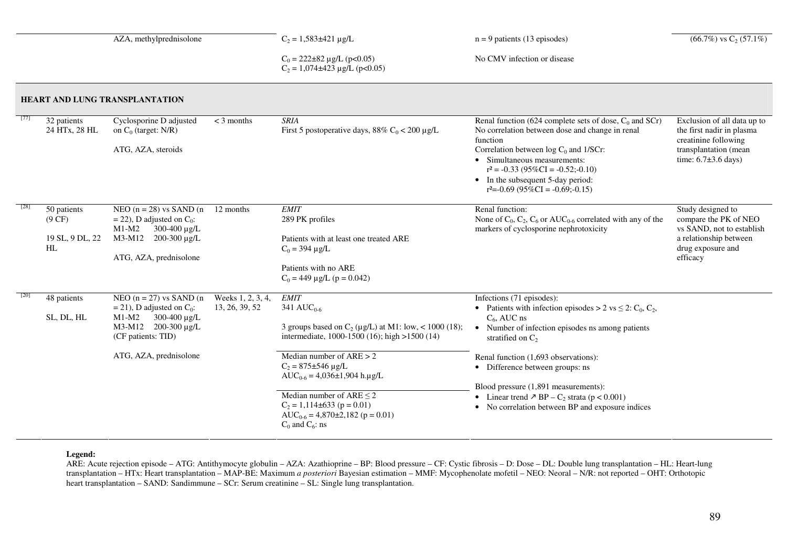|        |                                                | AZA, methylprednisolone                                                                                                                                                   |                                     | $C_2 = 1,583 \pm 421 \text{ µg/L}$<br>$n = 9$ patients (13 episodes)                                                                                                                                                                                                                                                                                                                                     |                                                                                                                                                                                                                                                                                                                                                                                                                                                                           | $(66.7\%)$ vs C <sub>2</sub> (57.1%)                                                                                                 |
|--------|------------------------------------------------|---------------------------------------------------------------------------------------------------------------------------------------------------------------------------|-------------------------------------|----------------------------------------------------------------------------------------------------------------------------------------------------------------------------------------------------------------------------------------------------------------------------------------------------------------------------------------------------------------------------------------------------------|---------------------------------------------------------------------------------------------------------------------------------------------------------------------------------------------------------------------------------------------------------------------------------------------------------------------------------------------------------------------------------------------------------------------------------------------------------------------------|--------------------------------------------------------------------------------------------------------------------------------------|
|        |                                                |                                                                                                                                                                           |                                     | No CMV infection or disease<br>$C_0 = 222 \pm 82 \mu g/L$ (p<0.05)<br>$C_2 = 1,074\pm423 \text{ µg/L} (p<0.05)$                                                                                                                                                                                                                                                                                          |                                                                                                                                                                                                                                                                                                                                                                                                                                                                           |                                                                                                                                      |
|        |                                                | HEART AND LUNG TRANSPLANTATION                                                                                                                                            |                                     |                                                                                                                                                                                                                                                                                                                                                                                                          |                                                                                                                                                                                                                                                                                                                                                                                                                                                                           |                                                                                                                                      |
| $[77]$ | 32 patients<br>24 HTx, 28 HL                   | Cyclosporine D adjusted<br>on $C_0$ (target: N/R)<br>ATG, AZA, steroids                                                                                                   | $<$ 3 months                        | <b>SRIA</b><br>First 5 postoperative days, 88% $C_0$ < 200 µg/L                                                                                                                                                                                                                                                                                                                                          | Renal function (624 complete sets of dose, $C_0$ and SCr)<br>No correlation between dose and change in renal<br>function<br>Correlation between $log C_0$ and 1/SCr:<br>• Simultaneous measurements:<br>$r^2 = -0.33$ (95%CI = $-0.52$ ; -0.10)<br>• In the subsequent 5-day period:<br>$r^2 = -0.69$ (95%CI = $-0.69$ ; -0.15)                                                                                                                                           | Exclusion of all data up to<br>the first nadir in plasma<br>creatinine following<br>transplantation (mean<br>time: $6.7\pm3.6$ days) |
| $[28]$ | 50 patients<br>(9 CF)<br>19 SL, 9 DL, 22<br>HL | NEO $(n = 28)$ vs SAND $(n$<br>$=$ 22), D adjusted on C <sub>0</sub> :<br>$M1-M2$<br>$300-400 \mu g/L$<br>M3-M12 200-300 µg/L<br>ATG, AZA, prednisolone                   | 12 months                           | <b>EMIT</b><br>289 PK profiles<br>Patients with at least one treated ARE<br>$C_0 = 394 \mu g/L$<br>Patients with no ARE<br>$C_0 = 449 \mu g/L$ (p = 0.042)                                                                                                                                                                                                                                               | Renal function:<br>None of $C_0$ , $C_2$ , $C_6$ or AUC <sub>0-6</sub> correlated with any of the<br>markers of cyclosporine nephrotoxicity                                                                                                                                                                                                                                                                                                                               | Study designed to<br>compare the PK of NEO<br>vs SAND, not to establish<br>a relationship between<br>drug exposure and<br>efficacy   |
| [20]   | 48 patients<br>SL, DL, HL                      | NEO $(n = 27)$ vs SAND $(n$<br>$= 21$ ), D adjusted on C <sub>0</sub> :<br>$M1-M2$<br>300-400 µg/L<br>M3-M12 200-300 µg/L<br>(CF patients: TID)<br>ATG, AZA, prednisolone | Weeks 1, 2, 3, 4,<br>13, 26, 39, 52 | <b>EMIT</b><br>341 $AUC_{0.6}$<br>3 groups based on $C_2$ ( $\mu$ g/L) at M1: low, < 1000 (18);<br>intermediate, 1000-1500 (16); high >1500 (14)<br>Median number of $ARE > 2$<br>$C_2 = 875 \pm 546 \,\mu g/L$<br>$AUC_{0.6} = 4,036 \pm 1,904$ h.ug/L<br>Median number of $ARE \leq 2$<br>$C_2 = 1,114\pm 633$ (p = 0.01)<br>AUC <sub>0-6</sub> = 4,870 $\pm$ 2,182 (p = 0.01)<br>$C_0$ and $C_6$ : ns | Infections (71 episodes):<br>• Patients with infection episodes > 2 vs $\leq$ 2: C <sub>0</sub> , C <sub>2</sub> ,<br>$C_6$ , AUC ns<br>Number of infection episodes ns among patients<br>$\bullet$<br>stratified on $C_2$<br>Renal function (1,693 observations):<br>• Difference between groups: ns<br>Blood pressure (1,891 measurements):<br>Linear trend $\ge$ BP – C <sub>2</sub> strata (p < 0.001)<br>No correlation between BP and exposure indices<br>$\bullet$ |                                                                                                                                      |

### **Legend:**

 ARE: Acute rejection episode – ATG: Antithymocyte globulin – AZA: Azathioprine – BP: Blood pressure – CF: Cystic fibrosis – D: Dose – DL: Double lung transplantation – HL: Heart-lung transplantation – HTx: Heart transplantation – MAP-BE: Maximum *a posteriori* Bayesian estimation – MMF: Mycophenolate mofetil – NEO: Neoral – N/R: not reported – OHT: Orthotopic heart transplantation – SAND: Sandimmune – SCr: Serum creatinine – SL: Single lung transplantation.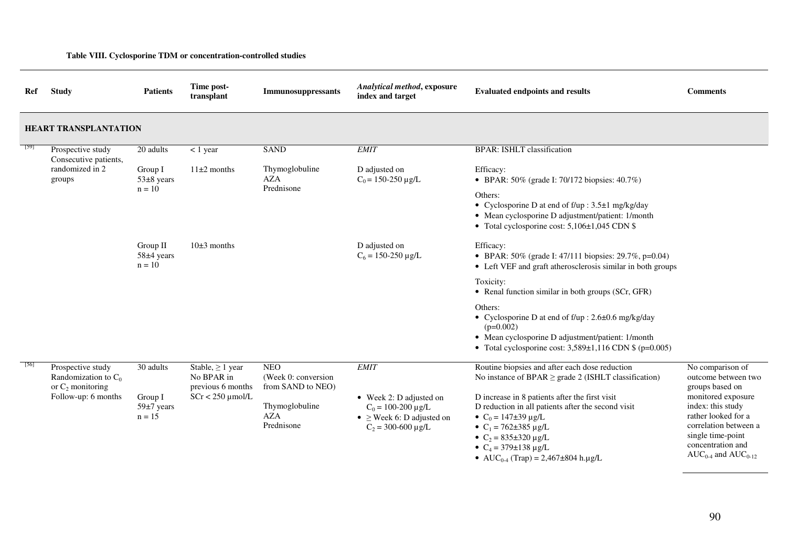| Ref  | <b>Study</b>                                                       | <b>Patients</b>                                             | Time post-<br>transplant                                 | <b>Immunosuppressants</b>                                                                                                 | Analytical method, exposure<br>index and target                                                                                                                                                                                                                                                         | <b>Evaluated endpoints and results</b>                                                                                                                                                            | <b>Comments</b>                                            |
|------|--------------------------------------------------------------------|-------------------------------------------------------------|----------------------------------------------------------|---------------------------------------------------------------------------------------------------------------------------|---------------------------------------------------------------------------------------------------------------------------------------------------------------------------------------------------------------------------------------------------------------------------------------------------------|---------------------------------------------------------------------------------------------------------------------------------------------------------------------------------------------------|------------------------------------------------------------|
|      | <b>HEART TRANSPLANTATION</b>                                       |                                                             |                                                          |                                                                                                                           |                                                                                                                                                                                                                                                                                                         |                                                                                                                                                                                                   |                                                            |
| [59] | Prospective study<br>Consecutive patients,                         | 20 adults                                                   | $< 1$ year                                               | <b>SAND</b>                                                                                                               | <b>EMIT</b>                                                                                                                                                                                                                                                                                             | <b>BPAR: ISHLT classification</b>                                                                                                                                                                 |                                                            |
|      | randomized in 2<br>groups                                          | Group I<br>$11\pm2$ months<br>$53\pm8$ years<br>$n = 10$    |                                                          | Thymoglobuline<br><b>AZA</b>                                                                                              | D adjusted on<br>$C_0$ = 150-250 µg/L                                                                                                                                                                                                                                                                   | Efficacy:<br>• BPAR: 50% (grade I: 70/172 biopsies: 40.7%)                                                                                                                                        |                                                            |
|      |                                                                    |                                                             |                                                          | Prednisone                                                                                                                |                                                                                                                                                                                                                                                                                                         | Others:<br>• Cyclosporine D at end of $f/\psi$ : 3.5 $\pm$ 1 mg/kg/day<br>• Mean cyclosporine D adjustment/patient: 1/month<br>• Total cyclosporine cost: 5,106±1,045 CDN \$                      |                                                            |
|      |                                                                    | $10\pm3$ months<br>Group II<br>58±4 years<br>$n = 10$       |                                                          | D adjusted on<br>$C_6 = 150-250 \mu g/L$                                                                                  | Efficacy:<br>• BPAR: 50% (grade I: 47/111 biopsies: 29.7%, p=0.04)<br>• Left VEF and graft atherosclerosis similar in both groups                                                                                                                                                                       |                                                                                                                                                                                                   |                                                            |
|      |                                                                    |                                                             |                                                          |                                                                                                                           |                                                                                                                                                                                                                                                                                                         | Toxicity:<br>• Renal function similar in both groups (SCr, GFR)                                                                                                                                   |                                                            |
|      |                                                                    |                                                             |                                                          |                                                                                                                           |                                                                                                                                                                                                                                                                                                         | Others:<br>• Cyclosporine D at end of f/up : 2.6±0.6 mg/kg/day<br>$(p=0.002)$<br>• Mean cyclosporine D adjustment/patient: 1/month<br>• Total cyclosporine cost: $3,589\pm1,116$ CDN \$ (p=0.005) |                                                            |
| [56] | Prospective study<br>Randomization to $C_0$<br>or $C_2$ monitoring | 30 adults                                                   | Stable, $\geq 1$ year<br>No BPAR in<br>previous 6 months | <b>NEO</b><br>(Week 0: conversion)<br>from SAND to NEO)                                                                   | <b>EMIT</b>                                                                                                                                                                                                                                                                                             | Routine biopsies and after each dose reduction<br>No instance of BPAR $\geq$ grade 2 (ISHLT classification)                                                                                       | No comparison of<br>outcome between two<br>groups based on |
|      | Follow-up: 6 months                                                | $SCr < 250$ µmol/L<br>Group I<br>$59\pm7$ years<br>$n = 15$ | Thymoglobuline<br><b>AZA</b><br>Prednisone               | $\bullet$ Week 2: D adjusted on<br>$C_0 = 100-200 \mu g/L$<br>• $\geq$ Week 6: D adjusted on<br>$C_2 = 300 - 600 \mu g/L$ | D increase in 8 patients after the first visit<br>D reduction in all patients after the second visit<br>• $C_0 = 147 \pm 39 \,\mu g/L$<br>• $C_1 = 762 \pm 385 \text{ µg/L}$<br>• $C_2 = 835 \pm 320 \text{ µg/L}$<br>• $C_4 = 379 \pm 138 \,\mu g/L$<br>• AUC <sub>0-4</sub> (Trap) = 2,467±804 h.µg/L | monitored exposure<br>index: this study<br>rather looked for a<br>correlation between a<br>single time-point<br>concentration and<br>$AUC_{0-4}$ and $AUC_{0-12}$                                 |                                                            |

**Table VIII. Cyclosporine TDM or concentration-controlled studies** 

90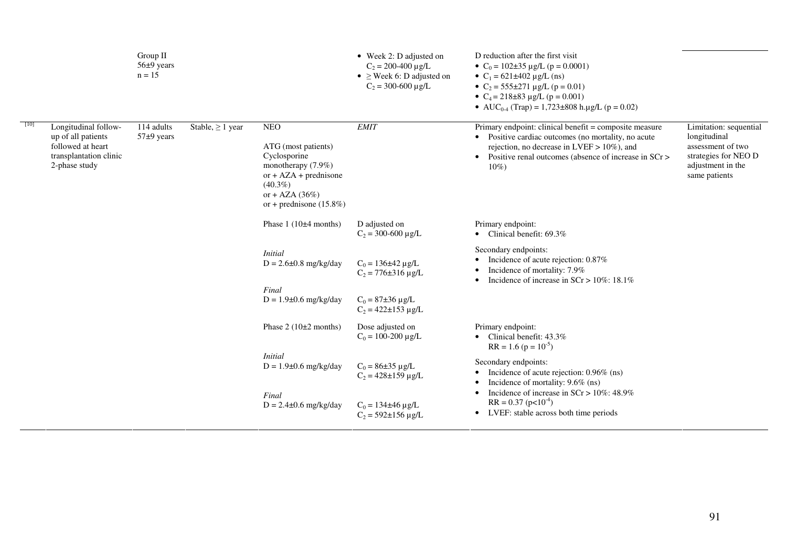|                                                                                                            | Group II<br>56±9 years<br>$n = 15$ |                                                                                                                |                                                                                                                                                                     | • Week 2: D adjusted on<br>$C_2 = 200 - 400 \mu g/L$<br>• $\geq$ Week 6: D adjusted on<br>$C_2 = 300 - 600 \text{ µg/L}$                                  | D reduction after the first visit<br>• $C_0 = 102 \pm 35 \mu g/L$ (p = 0.0001)<br>• $C_1 = 621 \pm 402 \text{ µg/L} (ns)$<br>• $C_2 = 555 \pm 271 \text{ µg/L}$ (p = 0.01)<br>• $C_4 = 218 \pm 83 \text{ µg/L} (p = 0.001)$<br>• AUC <sub>0-4</sub> (Trap) = 1,723±808 h.µg/L (p = 0.02) |                                                                                                                           |
|------------------------------------------------------------------------------------------------------------|------------------------------------|----------------------------------------------------------------------------------------------------------------|---------------------------------------------------------------------------------------------------------------------------------------------------------------------|-----------------------------------------------------------------------------------------------------------------------------------------------------------|------------------------------------------------------------------------------------------------------------------------------------------------------------------------------------------------------------------------------------------------------------------------------------------|---------------------------------------------------------------------------------------------------------------------------|
| Longitudinal follow-<br>up of all patients<br>followed at heart<br>transplantation clinic<br>2-phase study | 114 adults<br>$57±9$ years         | Stable, $\geq 1$ year                                                                                          | <b>NEO</b><br>ATG (most patients)<br>Cyclosporine<br>monotherapy (7.9%)<br>or $+ AZA + prednisone$<br>$(40.3\%)$<br>or + AZA $(36\%)$<br>or + prednisone $(15.8\%)$ | <b>EMIT</b>                                                                                                                                               | Primary endpoint: clinical benefit = composite measure<br>• Positive cardiac outcomes (no mortality, no acute<br>rejection, no decrease in LVEF $> 10\%$ ), and<br>Positive renal outcomes (absence of increase in SCr ><br>$\bullet$<br>$10\%)$                                         | Limitation: sequential<br>longitudinal<br>assessment of two<br>strategies for NEO D<br>adjustment in the<br>same patients |
|                                                                                                            |                                    |                                                                                                                | Phase $1(10\pm4$ months)<br>D adjusted on<br>$C_2 = 300 - 600 \mu g/L$                                                                                              |                                                                                                                                                           | Primary endpoint:<br>• Clinical benefit: $69.3\%$                                                                                                                                                                                                                                        |                                                                                                                           |
|                                                                                                            |                                    | <i>Initial</i><br>$D = 2.6 \pm 0.8$ mg/kg/day<br>$C_0 = 136 \pm 42 \,\mu g/L$<br>$C_2 = 776 \pm 316 \,\mu g/L$ |                                                                                                                                                                     | Secondary endpoints:<br>Incidence of acute rejection: 0.87%<br>Incidence of mortality: 7.9%<br>Incidence of increase in $SCr > 10\%$ : 18.1%<br>$\bullet$ |                                                                                                                                                                                                                                                                                          |                                                                                                                           |
|                                                                                                            |                                    |                                                                                                                | Final<br>$D = 1.9\pm 0.6$ mg/kg/day                                                                                                                                 | $C_0 = 87 \pm 36 \,\mu g/L$<br>$C_2 = 422 \pm 153 \,\mu g/L$                                                                                              |                                                                                                                                                                                                                                                                                          |                                                                                                                           |
|                                                                                                            |                                    |                                                                                                                | Phase $2(10\pm2$ months)                                                                                                                                            | Dose adjusted on<br>$C_0 = 100-200 \mu g/L$                                                                                                               | Primary endpoint:<br>• Clinical benefit: $43.3\%$<br>$RR = 1.6 (p = 10-5)$                                                                                                                                                                                                               |                                                                                                                           |
|                                                                                                            |                                    |                                                                                                                | <i>Initial</i><br>$D = 1.9 \pm 0.6$ mg/kg/day                                                                                                                       | $C_0 = 86 \pm 35 \,\mu g/L$<br>$C_2 = 428 \pm 159 \,\mu g/L$                                                                                              | Secondary endpoints:<br>Incidence of acute rejection: 0.96% (ns)<br>٠<br>Incidence of mortality: 9.6% (ns)                                                                                                                                                                               |                                                                                                                           |
|                                                                                                            |                                    |                                                                                                                | Final<br>$D = 2.4 \pm 0.6$ mg/kg/day                                                                                                                                | $\bullet$<br>$C_0 = 134 \pm 46 \,\mu g/L$<br>$\bullet$<br>$C_2 = 592 \pm 156 \,\mu g/L$                                                                   | Incidence of increase in $SCr > 10\%$ : 48.9%<br>$RR = 0.37$ (p<10 <sup>-4</sup> )<br>LVEF: stable across both time periods                                                                                                                                                              |                                                                                                                           |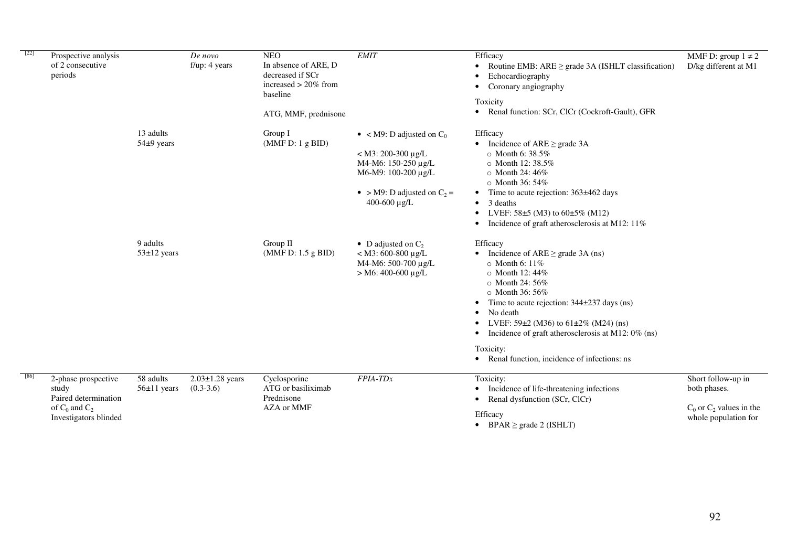| $[22]$ | Prospective analysis<br>of 2 consecutive<br>periods                                                 |                               | De novo<br>$f/\mu p$ : 4 years       | <b>NEO</b><br>In absence of ARE, D<br>decreased if SCr<br>increased $> 20\%$ from<br>baseline<br>ATG, MMF, prednisone | <b>EMIT</b>                                                                                                                                             | Efficacy<br>Routine EMB: $ARE \geq grade 3A (ISHLT classification)$<br>Echocardiography<br>Coronary angiography<br>Toxicity<br>Renal function: SCr, ClCr (Cockroft-Gault), GFR                                                                                                                                     | MMF D: group $1 \neq 2$<br>D/kg different at M1                                            |
|--------|-----------------------------------------------------------------------------------------------------|-------------------------------|--------------------------------------|-----------------------------------------------------------------------------------------------------------------------|---------------------------------------------------------------------------------------------------------------------------------------------------------|--------------------------------------------------------------------------------------------------------------------------------------------------------------------------------------------------------------------------------------------------------------------------------------------------------------------|--------------------------------------------------------------------------------------------|
|        |                                                                                                     | 13 adults<br>$54\pm9$ years   |                                      | Group I<br>(MMF D: 1 g BID)                                                                                           | • < M9: D adjusted on $C_0$<br>$<$ M3: 200-300 µg/L<br>M4-M6: 150-250 μg/L<br>M6-M9: 100-200 μg/L<br>• > M9: D adjusted on $C_2$ =<br>400-600 $\mu$ g/L | Efficacy<br>Incidence of $ARE \geq$ grade 3A<br>$\circ$ Month 6: 38.5%<br>o Month 12:38.5%<br>$\circ$ Month 24: 46%<br>$\circ$ Month 36: 54%<br>Time to acute rejection: 363±462 days<br>3 deaths<br>LVEF: $58\pm5$ (M3) to $60\pm5\%$ (M12)<br>Incidence of graft atherosclerosis at M12: 11%                     |                                                                                            |
|        |                                                                                                     | 9 adults<br>$53 \pm 12$ years |                                      | Group II<br>(MMF D: 1.5 g BID)                                                                                        | • D adjusted on $C_2$<br>$<$ M3: 600-800 µg/L<br>M4-M6: 500-700 µg/L<br>$> M6$ : 400-600 µg/L                                                           | Efficacy<br>Incidence of $ARE \geq grade 3A$ (ns)<br>$\circ$ Month 6: 11%<br>○ Month 12:44%<br>$\circ$ Month 24: 56%<br>$\circ$ Month 36: 56%<br>Time to acute rejection: $344\pm237$ days (ns)<br>No death<br>LVEF: $59\pm2$ (M36) to $61\pm2\%$ (M24) (ns)<br>Incidence of graft atherosclerosis at M12: 0% (ns) |                                                                                            |
|        |                                                                                                     |                               |                                      |                                                                                                                       |                                                                                                                                                         | Toxicity:<br>Renal function, incidence of infections: ns                                                                                                                                                                                                                                                           |                                                                                            |
| [86]   | 2-phase prospective<br>study<br>Paired determination<br>of $C_0$ and $C_2$<br>Investigators blinded | 58 adults<br>$56±11$ years    | $2.03 \pm 1.28$ years<br>$(0.3-3.6)$ | Cyclosporine<br>ATG or basiliximab<br>Prednisone<br>AZA or MMF                                                        | FPIA-TDx                                                                                                                                                | Toxicity:<br>Incidence of life-threatening infections<br>Renal dysfunction (SCr, ClCr)<br>Efficacy<br>$\sim$ $\sim$ $\sim$ $\sim$ $\sim$ $\sim$                                                                                                                                                                    | Short follow-up in<br>both phases.<br>$C_0$ or $C_2$ values in the<br>whole population for |

Efficacy • BPAR ≥ grade 2 (ISHLT)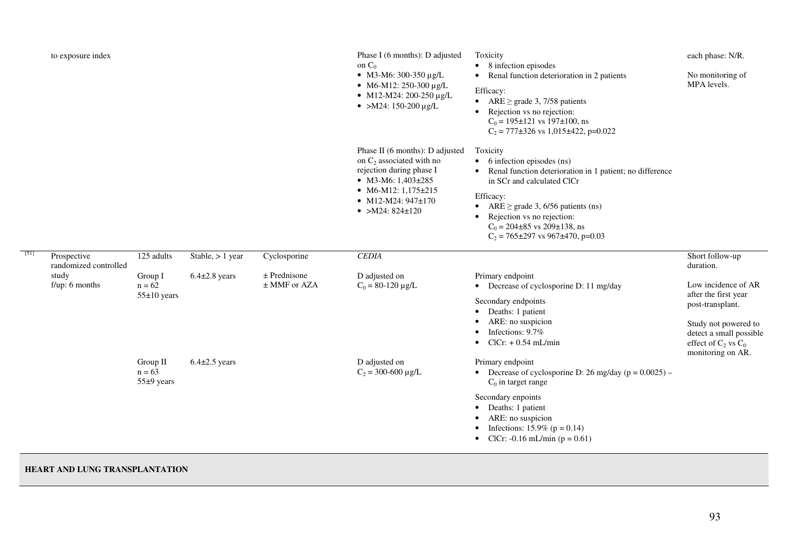|      | to exposure index                    |                                        |                    |                                  | Phase I (6 months): D adjusted<br>on $C_0$<br>• M3-M6: 300-350 µg/L<br>• M6-M12: 250-300 µg/L<br>• M12-M24: 200-250 $\mu$ g/L<br>• >M24: 150-200 $\mu$ g/L                                          | Toxicity<br>• 8 infection episodes<br>Renal function deterioration in 2 patients<br>$\bullet$<br>Efficacy:<br>ARE $\geq$ grade 3, 7/58 patients<br>$\bullet$<br>Rejection vs no rejection:<br>$\bullet$<br>$C_0 = 195 \pm 121$ vs 197 $\pm 100$ , ns<br>$C_2 = 777 \pm 326$ vs 1,015 $\pm$ 422, p=0.022                                                 | each phase: N/R.<br>No monitoring of<br>MPA levels.                                                                                            |
|------|--------------------------------------|----------------------------------------|--------------------|----------------------------------|-----------------------------------------------------------------------------------------------------------------------------------------------------------------------------------------------------|---------------------------------------------------------------------------------------------------------------------------------------------------------------------------------------------------------------------------------------------------------------------------------------------------------------------------------------------------------|------------------------------------------------------------------------------------------------------------------------------------------------|
|      |                                      |                                        |                    |                                  | Phase II (6 months): D adjusted<br>on $C_2$ associated with no<br>rejection during phase I<br>• M3-M6: $1,403\pm285$<br>• M6-M12: $1,175\pm215$<br>• M12-M24: $947\pm170$<br>• > M24: $824 \pm 120$ | Toxicity<br>6 infection episodes (ns)<br>$\bullet$<br>Renal function deterioration in 1 patient; no difference<br>$\bullet$<br>in SCr and calculated ClCr<br>Efficacy:<br>ARE $\geq$ grade 3, 6/56 patients (ns)<br>$\bullet$<br>Rejection vs no rejection:<br>$C_0 = 204 \pm 85$ vs 209 $\pm$ 138, ns<br>$C_2 = 765 \pm 297$ vs 967 $\pm 470$ , p=0.03 |                                                                                                                                                |
| [51] | Prospective<br>randomized controlled | 125 adults                             | Stable, $> 1$ year | Cyclosporine                     | <b>CEDIA</b>                                                                                                                                                                                        |                                                                                                                                                                                                                                                                                                                                                         | Short follow-up<br>duration.                                                                                                                   |
|      | study<br>$f/\mu p$ : 6 months        | Group I<br>$n = 62$<br>$55\pm10$ years | $6.4\pm2.8$ years  | $±$ Prednisone<br>$±$ MMF or AZA | D adjusted on<br>$C_0 = 80 - 120 \mu g/L$                                                                                                                                                           | Primary endpoint<br>• Decrease of cyclosporine D: 11 mg/day<br>Secondary endpoints<br>Deaths: 1 patient<br>$\bullet$<br>ARE: no suspicion<br>$\bullet$<br>Infections: 9.7%<br>$\bullet$<br>$ClCr: +0.54$ mL/min<br>$\bullet$                                                                                                                            | Low incidence of AR<br>after the first year<br>post-transplant.<br>Study not powered to<br>detect a small possible<br>effect of $C_2$ vs $C_0$ |
|      |                                      | Group II<br>$n = 63$<br>55±9 years     | $6.4\pm2.5$ years  |                                  | D adjusted on<br>$C_2$ = 300-600 µg/L                                                                                                                                                               | Primary endpoint<br>• Decrease of cyclosporine D: 26 mg/day ( $p = 0.0025$ ) –<br>$C_0$ in target range<br>Secondary enpoints<br>Deaths: 1 patient<br>$\bullet$<br>ARE: no suspicion<br>$\bullet$<br>Infections: $15.9\%$ (p = 0.14)<br>$\bullet$<br>ClCr: -0.16 mL/min ( $p = 0.61$ )<br>$\bullet$                                                     | monitoring on AR.                                                                                                                              |

### **HEART AND LUNG TRANSPLANTATION**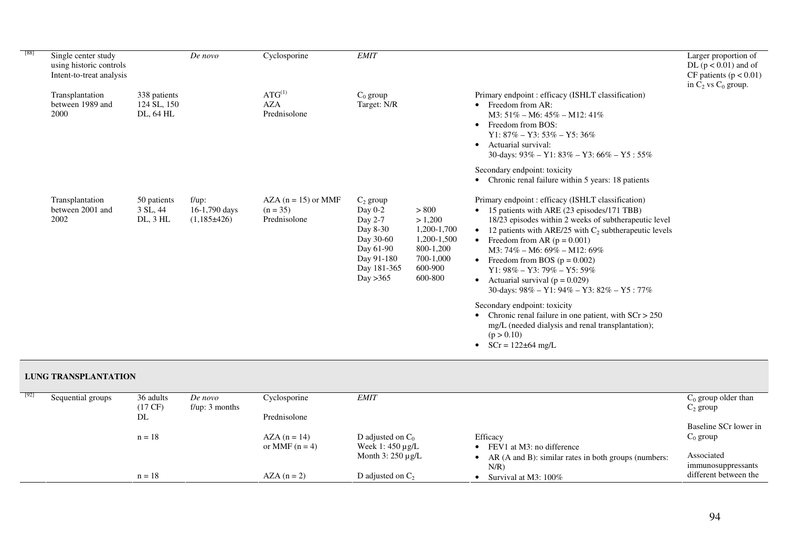| [88] | Single center study<br>using historic controls<br>Intent-to-treat analysis |                                          | $De\; novo$                                      | Cyclosporine                                        | <b>EMIT</b>                                                                                                        |                                                                                                |                                                                                                                                                                                                                                                                                                                                                                                                                                                                                                                          | Larger proportion of<br>DL ( $p < 0.01$ ) and of<br>CF patients ( $p < 0.01$ )<br>in $C_2$ vs $C_0$ group. |
|------|----------------------------------------------------------------------------|------------------------------------------|--------------------------------------------------|-----------------------------------------------------|--------------------------------------------------------------------------------------------------------------------|------------------------------------------------------------------------------------------------|--------------------------------------------------------------------------------------------------------------------------------------------------------------------------------------------------------------------------------------------------------------------------------------------------------------------------------------------------------------------------------------------------------------------------------------------------------------------------------------------------------------------------|------------------------------------------------------------------------------------------------------------|
|      | Transplantation<br>between 1989 and<br>2000                                | 338 patients<br>124 SL, 150<br>DL, 64 HL |                                                  | $ATG^{(1)}$<br><b>AZA</b><br>Prednisolone           | $C_0$ group<br>Target: N/R                                                                                         |                                                                                                | Primary endpoint: efficacy (ISHLT classification)<br>Freedom from AR:<br>$\bullet$<br>$M3: 51\% - M6: 45\% - M12: 41\%$<br>Freedom from BOS:<br>$\bullet$<br>$Y1: 87\% - Y3: 53\% - Y5: 36\%$<br>Actuarial survival:<br>$\bullet$<br>30-days: $93\% - Y1$ : $83\% - Y3$ : $66\% - Y5$ : $55\%$                                                                                                                                                                                                                           |                                                                                                            |
|      |                                                                            |                                          |                                                  |                                                     |                                                                                                                    |                                                                                                | Secondary endpoint: toxicity<br>Chronic renal failure within 5 years: 18 patients                                                                                                                                                                                                                                                                                                                                                                                                                                        |                                                                                                            |
|      | Transplantation<br>between 2001 and<br>2002                                | 50 patients<br>3 SL, 44<br>$DL$ , $3HL$  | $f/\mu$ p:<br>$16-1,790$ days<br>$(1,185\pm426)$ | $AZA (n = 15)$ or MMF<br>$(n = 35)$<br>Prednisolone | $C_2$ group<br>Day 0-2<br>Day 2-7<br>Day 8-30<br>Day 30-60<br>Day 61-90<br>Day 91-180<br>Day 181-365<br>Day $>365$ | > 800<br>> 1,200<br>1,200-1,700<br>1,200-1,500<br>800-1,200<br>700-1,000<br>600-900<br>600-800 | Primary endpoint: efficacy (ISHLT classification)<br>15 patients with ARE (23 episodes/171 TBB)<br>$\bullet$<br>18/23 episodes within 2 weeks of subtherapeutic level<br>12 patients with ARE/25 with $C_2$ subtherapeutic levels<br>$\bullet$<br>Freedom from AR ( $p = 0.001$ )<br>$M3: 74\% - M6: 69\% - M12: 69\%$<br>Freedom from BOS ( $p = 0.002$ )<br>$\bullet$<br>$Y1:98\% - Y3:79\% - Y5:59\%$<br>Actuarial survival ( $p = 0.029$ )<br>$\bullet$<br>30-days: $98\% - Y1$ : $94\% - Y3$ : $82\% - Y5$ : $77\%$ |                                                                                                            |
|      |                                                                            |                                          |                                                  |                                                     |                                                                                                                    |                                                                                                | Secondary endpoint: toxicity<br>Chronic renal failure in one patient, with $SCr > 250$<br>mg/L (needed dialysis and renal transplantation);<br>(p > 0.10)<br>$SCr = 122 \pm 64$ mg/L                                                                                                                                                                                                                                                                                                                                     |                                                                                                            |

### **LUNG TRANSPLANTATION**

| [92] | Sequential groups | 36 adults<br>$(17 \text{ CF})$ | De novo<br>$f/\mu p$ : 3 months | Cyclosporine                      | <b>EMIT</b>                                                           |                                                                 | $C_0$ group older than<br>$C_2$ group |
|------|-------------------|--------------------------------|---------------------------------|-----------------------------------|-----------------------------------------------------------------------|-----------------------------------------------------------------|---------------------------------------|
|      |                   | DL                             |                                 | Prednisolone                      |                                                                       |                                                                 | Baseline SCr lower in                 |
|      |                   | $n = 18$                       |                                 | $AZA(n = 14)$<br>or MMF $(n = 4)$ | D adjusted on $C_0$<br>Week 1: $450 \mu g/L$<br>Month $3:250 \mu g/L$ | Efficacy<br>FEV1 at M3: no difference                           | $C_0$ group<br>Associated             |
|      |                   |                                |                                 |                                   |                                                                       | AR (A and B): similar rates in both groups (numbers:<br>$N/R$ ) | immunosuppressants                    |
|      |                   | $n = 18$                       |                                 | $AZA(n=2)$                        | D adjusted on $C_2$                                                   | Survival at M3: $100\%$                                         | different between the                 |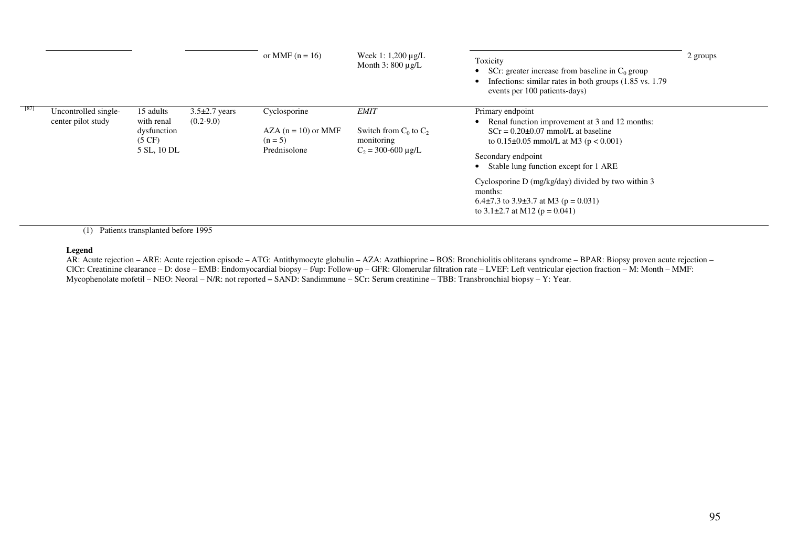|      |                                            |                                                                           |                                    | or MMF $(n = 16)$                                                  | Week 1: $1,200 \mu g/L$<br>Month $3:800 \mu g/L$                                     | Toxicity<br>SCr: greater increase from baseline in $C_0$ group<br>Infections: similar rates in both groups (1.85 vs. 1.79)<br>events per 100 patients-days)                                                                                                                                                                                                                                  | 2 groups |
|------|--------------------------------------------|---------------------------------------------------------------------------|------------------------------------|--------------------------------------------------------------------|--------------------------------------------------------------------------------------|----------------------------------------------------------------------------------------------------------------------------------------------------------------------------------------------------------------------------------------------------------------------------------------------------------------------------------------------------------------------------------------------|----------|
| [87] | Uncontrolled single-<br>center pilot study | 15 adults<br>with renal<br>dysfunction<br>$(5 \text{ CF})$<br>5 SL, 10 DL | $3.5\pm2.7$ years<br>$(0.2 - 9.0)$ | Cyclosporine<br>$AZA (n = 10)$ or MMF<br>$(n = 5)$<br>Prednisolone | <b>EMIT</b><br>Switch from $C_0$ to $C_2$<br>monitoring<br>$C_2 = 300 - 600 \mu g/L$ | Primary endpoint<br>• Renal function improvement at 3 and 12 months:<br>$SCr = 0.20 \pm 0.07$ mmol/L at baseline<br>to $0.15\pm0.05$ mmol/L at M3 ( $p < 0.001$ )<br>Secondary endpoint<br>Stable lung function except for 1 ARE<br>Cyclosporine D (mg/kg/day) divided by two within 3<br>months:<br>6.4 $\pm$ 7.3 to 3.9 $\pm$ 3.7 at M3 (p = 0.031)<br>to 3.1 $\pm$ 2.7 at M12 (p = 0.041) |          |

(1) Patients transplanted before 1995

#### **Legend**

 AR: Acute rejection – ARE: Acute rejection episode – ATG: Antithymocyte globulin – AZA: Azathioprine – BOS: Bronchiolitis obliterans syndrome – BPAR: Biopsy proven acute rejection – ClCr: Creatinine clearance – D: dose – EMB: Endomyocardial biopsy – f/up: Follow-up – GFR: Glomerular filtration rate – LVEF: Left ventricular ejection fraction – M: Month – MMF: Mycophenolate mofetil – NEO: Neoral – N/R: not reported **–** SAND: Sandimmune – SCr: Serum creatinine – TBB: Transbronchial biopsy – Y: Year.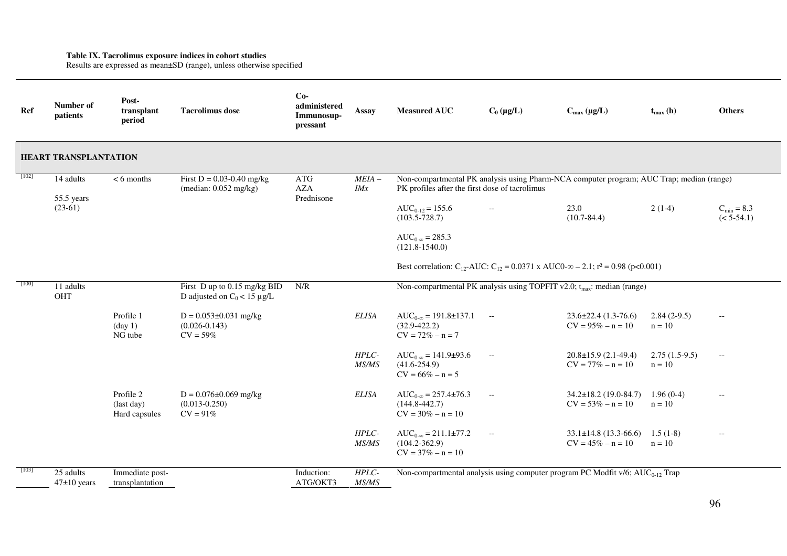**Table IX. Tacrolimus exposure indices in cohort studies**  Results are expressed as mean±SD (range), unless otherwise specified

| Ref     | Number of<br>patients                | Post-<br>transplant<br>period             | <b>Tacrolimus</b> dose                                           | $Co-$<br>administered<br>Immunosup-<br>pressant | <b>Assay</b>    | <b>Measured AUC</b>                                                                                                                                                | $C_0 (\mu g/L)$ | $C_{max} (\mu g/L)$                                 | $t_{max}$ (h)               | <b>Others</b>          |
|---------|--------------------------------------|-------------------------------------------|------------------------------------------------------------------|-------------------------------------------------|-----------------|--------------------------------------------------------------------------------------------------------------------------------------------------------------------|-----------------|-----------------------------------------------------|-----------------------------|------------------------|
|         | <b>HEART TRANSPLANTATION</b>         |                                           |                                                                  |                                                 |                 |                                                                                                                                                                    |                 |                                                     |                             |                        |
| $[102]$ | 14 adults<br>55.5 years<br>$(23-61)$ | $< 6$ months                              | First $D = 0.03 - 0.40$ mg/kg<br>(median: 0.052 mg/kg)           | ATG<br><b>AZA</b><br>Prednisone                 | $MEIA -$<br>IMx | Non-compartmental PK analysis using Pharm-NCA computer program; AUC Trap; median (range)<br>PK profiles after the first dose of tacrolimus<br>$AUC_{0-12} = 155.6$ | $- -$           | 23.0                                                | $2(1-4)$                    | $C_{\text{min}} = 8.3$ |
|         |                                      |                                           |                                                                  |                                                 |                 | $(103.5 - 728.7)$<br>$AUC_{0-\infty} = 285.3$<br>$(121.8 - 1540.0)$                                                                                                |                 | $(10.7 - 84.4)$                                     |                             | $(< 5-54.1)$           |
|         |                                      |                                           |                                                                  |                                                 |                 | Best correlation: C <sub>12</sub> -AUC: C <sub>12</sub> = 0.0371 x AUC0- $\infty$ – 2.1; r <sup>2</sup> = 0.98 (p<0.001)                                           |                 |                                                     |                             |                        |
| $[100]$ | 11 adults<br>OHT                     |                                           | First D up to 0.15 mg/kg BID<br>D adjusted on $C_0 < 15 \mu g/L$ | N/R                                             |                 | Non-compartmental PK analysis using TOPFIT v2.0; $t_{max}$ : median (range)                                                                                        |                 |                                                     |                             |                        |
|         |                                      | Profile 1<br>$(\text{day } 1)$<br>NG tube | $D = 0.053 \pm 0.031$ mg/kg<br>$(0.026 - 0.143)$<br>$CV = 59%$   |                                                 | <b>ELISA</b>    | $AUC_{0-\infty} = 191.8 \pm 137.1$<br>$(32.9 - 422.2)$<br>$CV = 72\% - n = 7$                                                                                      | $\sim$ $ -$     | $23.6 \pm 22.4$ (1.3-76.6)<br>$CV = 95\% - n = 10$  | $2.84(2-9.5)$<br>$n = 10$   | $-\!$                  |
|         |                                      |                                           |                                                                  |                                                 | HPLC-<br>MS/MS  | $AUC_{0-\infty} = 141.9 \pm 93.6$<br>$(41.6 - 254.9)$<br>$CV = 66\% - n = 5$                                                                                       | $- -$           | $20.8 \pm 15.9$ (2.1-49.4)<br>$CV = 77\% - n = 10$  | $2.75(1.5-9.5)$<br>$n = 10$ | $- -$                  |
|         |                                      | Profile 2<br>(last day)<br>Hard capsules  | $D = 0.076 \pm 0.069$ mg/kg<br>$(0.013 - 0.250)$<br>$CV = 91%$   |                                                 | <b>ELISA</b>    | $AUC_{0-\infty} = 257.4 \pm 76.3$<br>$(144.8 - 442.7)$<br>$CV = 30\% - n = 10$                                                                                     | $- -$           | $34.2 \pm 18.2$ (19.0-84.7)<br>$CV = 53\% - n = 10$ | $1.96(0-4)$<br>$n = 10$     |                        |
|         |                                      |                                           |                                                                  |                                                 | HPLC-<br>MS/MS  | $AUC_{0-\infty} = 211.1 \pm 77.2$<br>$(104.2 - 362.9)$<br>$CV = 37\% - n = 10$                                                                                     | $- -$           | $33.1 \pm 14.8$ (13.3-66.6)<br>$CV = 45\% - n = 10$ | $1.5(1-8)$<br>$n = 10$      | $-$                    |
| [103]   | 25 adults<br>$47\pm10$ years         | Immediate post-<br>transplantation        |                                                                  | Induction:<br>ATG/OKT3                          | HPLC-<br>MS/MS  | Non-compartmental analysis using computer program PC Modfit $v/6$ ; AUC <sub>0-12</sub> Trap                                                                       |                 |                                                     |                             |                        |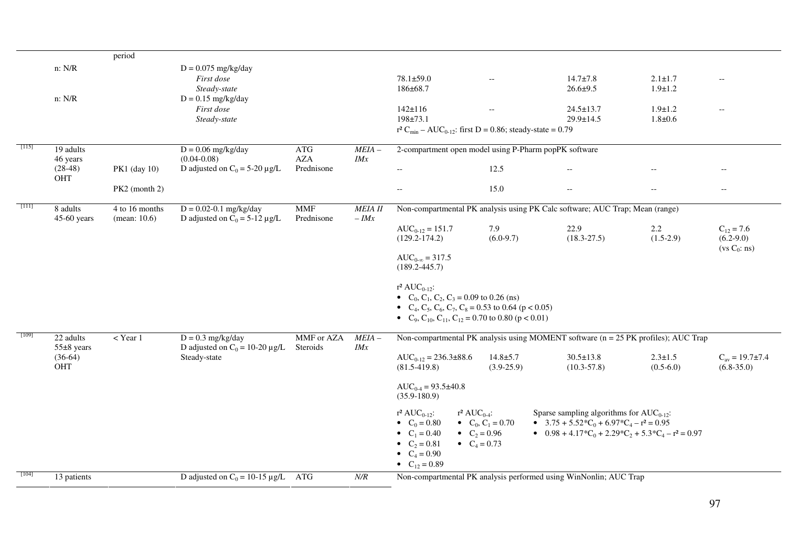|         |                                    | period                            |                                                                  |                          |                                  |                                                                                                                                                                                                                                                    |                                                            |                                                                                                                                                                                     |                              |                                                 |
|---------|------------------------------------|-----------------------------------|------------------------------------------------------------------|--------------------------|----------------------------------|----------------------------------------------------------------------------------------------------------------------------------------------------------------------------------------------------------------------------------------------------|------------------------------------------------------------|-------------------------------------------------------------------------------------------------------------------------------------------------------------------------------------|------------------------------|-------------------------------------------------|
|         | n: N/R                             |                                   | $D = 0.075$ mg/kg/day<br>First dose                              |                          |                                  | $78.1 \pm 59.0$                                                                                                                                                                                                                                    | $\overline{\phantom{a}}$                                   | $14.7 \pm 7.8$                                                                                                                                                                      | $2.1 \pm 1.7$                | $\overline{\phantom{m}}$                        |
|         | n: N/R                             |                                   | Steady-state<br>$D = 0.15$ mg/kg/day                             |                          |                                  | 186±68.7                                                                                                                                                                                                                                           |                                                            | $26.6 \pm 9.5$                                                                                                                                                                      | $1.9 \pm 1.2$                |                                                 |
|         |                                    |                                   | First dose<br>Steady-state                                       |                          |                                  | $142 \pm 116$<br>$198 + 73.1$                                                                                                                                                                                                                      | $-$                                                        | $24.5 \pm 13.7$<br>29.9±14.5                                                                                                                                                        | $1.9 \pm 1.2$<br>$1.8 + 0.6$ | $\overline{\phantom{m}}$                        |
|         |                                    |                                   |                                                                  |                          |                                  | $r^2 C_{min} - AUC_{0-12}$ : first D = 0.86; steady-state = 0.79                                                                                                                                                                                   |                                                            |                                                                                                                                                                                     |                              |                                                 |
| [115]   | 19 adults<br>46 years              |                                   | $D = 0.06$ mg/kg/day<br>$(0.04 - 0.08)$                          | <b>ATG</b><br><b>AZA</b> | $MEIA -$<br>IMx                  | 2-compartment open model using P-Pharm popPK software                                                                                                                                                                                              |                                                            |                                                                                                                                                                                     |                              |                                                 |
|         | $(28-48)$<br><b>OHT</b>            | PK1 (day 10)                      | D adjusted on $C_0 = 5-20 \mu g/L$                               | Prednisone               |                                  | $\overline{a}$                                                                                                                                                                                                                                     | 12.5                                                       |                                                                                                                                                                                     |                              |                                                 |
|         |                                    | PK2 (month 2)                     |                                                                  |                          |                                  | $\overline{\phantom{a}}$                                                                                                                                                                                                                           | 15.0                                                       | $\hspace{0.05cm} -\hspace{0.05cm} -\hspace{0.05cm}$                                                                                                                                 | $--$                         | $\overline{\phantom{a}}$                        |
| - [111] | 8 adults<br>$45-60$ years          | 4 to 16 months<br>(mean: $10.6$ ) | $D = 0.02 - 0.1$ mg/kg/day<br>D adjusted on $C_0 = 5-12 \mu g/L$ | <b>MMF</b><br>Prednisone | <b>MEIA II</b><br>$-$ <i>IMx</i> |                                                                                                                                                                                                                                                    |                                                            | Non-compartmental PK analysis using PK Calc software; AUC Trap; Mean (range)                                                                                                        |                              |                                                 |
|         |                                    |                                   |                                                                  |                          |                                  | $AUC_{0-12} = 151.7$<br>$(129.2 - 174.2)$                                                                                                                                                                                                          | 7.9<br>$(6.0-9.7)$                                         | 22.9<br>$(18.3 - 27.5)$                                                                                                                                                             | 2.2<br>$(1.5-2.9)$           | $C_{12} = 7.6$<br>$(6.2-9.0)$<br>$(vs C_0: ns)$ |
|         |                                    |                                   |                                                                  |                          |                                  | $AUC_{0-\infty} = 317.5$<br>$(189.2 - 445.7)$                                                                                                                                                                                                      |                                                            |                                                                                                                                                                                     |                              |                                                 |
|         |                                    |                                   |                                                                  |                          |                                  | $r^2 AUC_{0-12}$ :<br>• $C_0$ , $C_1$ , $C_2$ , $C_3$ = 0.09 to 0.26 (ns)<br>• $C_4$ , $C_5$ , $C_6$ , $C_7$ , $C_8$ = 0.53 to 0.64 (p < 0.05)<br>• C <sub>9</sub> , C <sub>10</sub> , C <sub>11</sub> , C <sub>12</sub> = 0.70 to 0.80 (p < 0.01) |                                                            |                                                                                                                                                                                     |                              |                                                 |
| [109]   | 22 adults                          | $<$ Year 1                        | $D = 0.3$ mg/kg/day                                              | MMF or AZA               | $MEIA -$                         |                                                                                                                                                                                                                                                    |                                                            | Non-compartmental PK analysis using MOMENT software (n = 25 PK profiles); AUC Trap                                                                                                  |                              |                                                 |
|         | $55\pm8$ years<br>$(36-64)$<br>OHT |                                   | D adjusted on $C_0 = 10-20 \mu g/L$<br>Steady-state              | Steroids                 | IMx                              | $AUC_{0-12} = 236.3 \pm 88.6$<br>$(81.5-419.8)$                                                                                                                                                                                                    | $14.8 + 5.7$<br>$(3.9-25.9)$                               | $30.5 \pm 13.8$<br>$(10.3 - 57.8)$                                                                                                                                                  | $2.3 \pm 1.5$<br>$(0.5-6.0)$ | $C_{av} = 19.7 \pm 7.4$<br>$(6.8-35.0)$         |
|         |                                    |                                   |                                                                  |                          |                                  | $AUC_{0.4} = 93.5 \pm 40.8$<br>$(35.9 - 180.9)$                                                                                                                                                                                                    |                                                            |                                                                                                                                                                                     |                              |                                                 |
|         |                                    |                                   |                                                                  |                          |                                  | $r^2 AUC_{0.4}$ :<br>$r^2 AUC_{0-12}$ :<br>• $C_0 = 0.80$<br>• $C_1 = 0.40$<br>• $C_2 = 0.81$<br>• $C_4 = 0.90$<br>• $C_{12} = 0.89$                                                                                                               | • $C_0$ , $C_1 = 0.70$<br>• $C_2 = 0.96$<br>• $C_4 = 0.73$ | Sparse sampling algorithms for $AUC_{0-12}$ :<br>• $3.75 + 5.52 \cdot C_0 + 6.97 \cdot C_4 - r^2 = 0.95$<br>• $0.98 + 4.17 \cdot C_0 + 2.29 \cdot C_2 + 5.3 \cdot C_4 - r^2 = 0.97$ |                              |                                                 |
| $[104]$ | 13 patients                        |                                   | D adjusted on $C_0 = 10-15 \mu g/L$ ATG                          |                          | N/R                              |                                                                                                                                                                                                                                                    |                                                            | Non-compartmental PK analysis performed using WinNonlin; AUC Trap                                                                                                                   |                              |                                                 |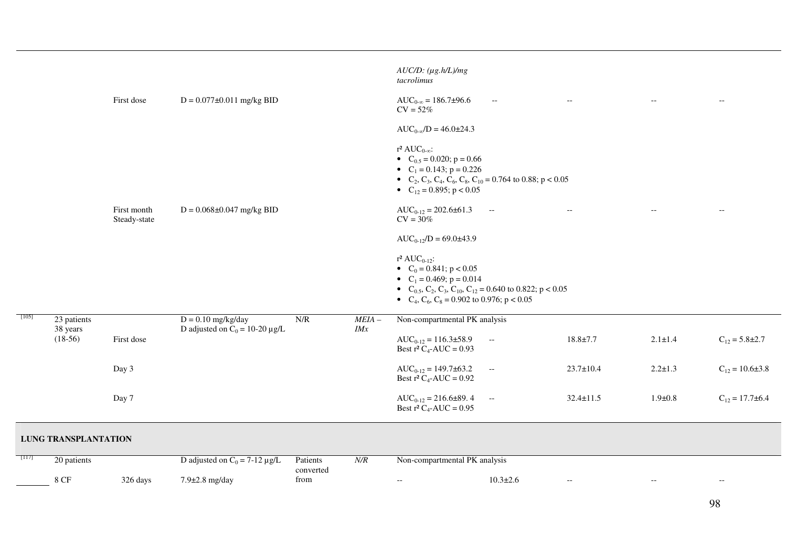|         |                                      | First dose                  | $D = 0.077 \pm 0.011$ mg/kg BID                             |                       |                 | $AUC/D$ : $(\mu g.h/L)/mg$<br>tacrolimus<br>$AUC_{0-\infty} = 186.7\pm96.6$<br>$CV = 52%$<br>$AUC_{0-\infty}/D = 46.0 \pm 24.3$                                                                                                                                                                                              | $\hspace{0.05cm} -\hspace{0.05cm} -\hspace{0.05cm}$ | $\hspace{0.05cm} -\hspace{0.05cm} -\hspace{0.05cm}$ |               | $-\,-$                                              |
|---------|--------------------------------------|-----------------------------|-------------------------------------------------------------|-----------------------|-----------------|------------------------------------------------------------------------------------------------------------------------------------------------------------------------------------------------------------------------------------------------------------------------------------------------------------------------------|-----------------------------------------------------|-----------------------------------------------------|---------------|-----------------------------------------------------|
|         |                                      | First month<br>Steady-state | $D = 0.068 \pm 0.047$ mg/kg BID                             |                       |                 | r <sup>2</sup> AUC <sub>0-∞</sub> :<br>• $C_{0.5} = 0.020$ ; $p = 0.66$<br>• $C_1 = 0.143$ ; $p = 0.226$<br>• C <sub>2</sub> , C <sub>3</sub> , C <sub>4</sub> , C <sub>6</sub> , C <sub>8</sub> , C <sub>10</sub> = 0.764 to 0.88; p < 0.05<br>• $C_{12} = 0.895$ ; p < 0.05<br>$AUC_{0-12} = 202.6 \pm 61.3$<br>$CV = 30%$ | $\sim$                                              | $\hspace{0.05cm} -\hspace{0.05cm} -\hspace{0.05cm}$ |               | $- -$                                               |
|         |                                      |                             |                                                             |                       |                 | $AUC_{0-12}/D = 69.0 \pm 43.9$<br>$r^2 AUC_{0-12}$ :<br>• $C_0 = 0.841$ ; $p < 0.05$<br>• $C_1 = 0.469$ ; $p = 0.014$<br>• C <sub>0.5</sub> , C <sub>2</sub> , C <sub>3</sub> , C <sub>10</sub> , C <sub>12</sub> = 0.640 to 0.822; p < 0.05<br>• $C_4$ , $C_6$ , $C_8$ = 0.902 to 0.976; p < 0.05                           |                                                     |                                                     |               |                                                     |
| $[105]$ | 23 patients<br>38 years<br>$(18-56)$ | First dose                  | $D = 0.10$ mg/kg/day<br>D adjusted on $C_0 = 10-20 \mu g/L$ | N/R                   | $MEIA -$<br>IMx | Non-compartmental PK analysis<br>$AUC_{0-12} = 116.3 \pm 58.9$<br>Best $r^2 C_4$ -AUC = 0.93                                                                                                                                                                                                                                 | $- -$                                               | $18.8 \pm 7.7$                                      | $2.1 \pm 1.4$ | $C_{12} = 5.8 \pm 2.7$                              |
|         |                                      | Day 3                       |                                                             |                       |                 | $AUC_{0-12} = 149.7 \pm 63.2$<br>Best $r^2 C_4$ -AUC = 0.92                                                                                                                                                                                                                                                                  | $\overline{\phantom{a}}$                            | $23.7 \pm 10.4$                                     | $2.2 \pm 1.3$ | $C_{12} = 10.6 \pm 3.8$                             |
|         |                                      | Day 7                       |                                                             |                       |                 | $AUC_{0-12} = 216.6 \pm 89.4$<br>Best $r^2 C_4$ -AUC = 0.95                                                                                                                                                                                                                                                                  | $\sim$ $\sim$                                       | $32.4 \pm 11.5$                                     | $1.9 \pm 0.8$ | $C_{12} = 17.7 \pm 6.4$                             |
|         | <b>LUNG TRANSPLANTATION</b>          |                             |                                                             |                       |                 |                                                                                                                                                                                                                                                                                                                              |                                                     |                                                     |               |                                                     |
| [117]   | 20 patients                          |                             | D adjusted on $C_0 = 7-12 \mu g/L$                          | Patients<br>converted | N/R             | Non-compartmental PK analysis                                                                                                                                                                                                                                                                                                |                                                     |                                                     |               |                                                     |
|         | $8~\mathrm{CF}$                      | 326 days                    | 7.9±2.8 mg/day                                              | from                  |                 | $\overline{\phantom{m}}$                                                                                                                                                                                                                                                                                                     | $10.3 \pm 2.6$                                      | $\hspace{0.05cm} -\hspace{0.05cm} -\hspace{0.05cm}$ | $-$           | $\hspace{0.05cm} -\hspace{0.05cm} -\hspace{0.05cm}$ |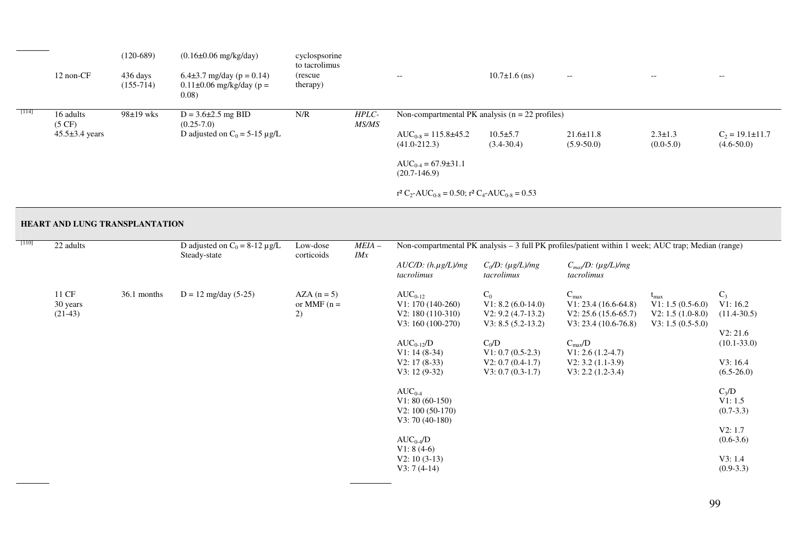|       | 12 non-CF                     | $(120-689)$<br>436 days<br>$(155-714)$ | $(0.16\pm0.06 \text{ mg/kg/day})$<br>6.4 $\pm$ 3.7 mg/day (p = 0.14)<br>$0.11\pm0.06$ mg/kg/day (p =<br>0.08) | cyclospsorine<br>to tacrolimus<br>(rescue)<br>therapy) |                       | $--$                                                                                                               | $10.7\pm1.6$ (ns)                | $\overline{\phantom{a}}$          | $- -$                        | $- -$                                 |
|-------|-------------------------------|----------------------------------------|---------------------------------------------------------------------------------------------------------------|--------------------------------------------------------|-----------------------|--------------------------------------------------------------------------------------------------------------------|----------------------------------|-----------------------------------|------------------------------|---------------------------------------|
| [114] | 16 adults<br>$(5 \text{ CF})$ | $98\pm19$ wks                          | $D = 3.6 \pm 2.5$ mg BID<br>$(0.25 - 7.0)$                                                                    | N/R                                                    | HPLC-<br><i>MS/MS</i> | Non-compartmental PK analysis $(n = 22 \text{ profiles})$                                                          |                                  |                                   |                              |                                       |
|       | $45.5\pm3.4$ years            |                                        | D adjusted on $C_0 = 5-15 \mu g/L$                                                                            |                                                        |                       | $AUC_{0.8} = 115.8 \pm 45.2$<br>$(41.0 - 212.3)$                                                                   | $10.5 \pm 5.7$<br>$(3.4 - 30.4)$ | $21.6 \pm 11.8$<br>$(5.9 - 50.0)$ | $2.3 \pm 1.3$<br>$(0.0-5.0)$ | $C_2 = 19.1 \pm 11.7$<br>$(4.6-50.0)$ |
|       |                               |                                        |                                                                                                               |                                                        |                       | $AUC_{0.4} = 67.9 \pm 31.1$<br>$(20.7-146.9)$                                                                      |                                  |                                   |                              |                                       |
|       |                               |                                        |                                                                                                               |                                                        |                       | r <sup>2</sup> C <sub>2</sub> -AUC <sub>0-8</sub> = 0.50; r <sup>2</sup> C <sub>4</sub> -AUC <sub>0-8</sub> = 0.53 |                                  |                                   |                              |                                       |

### **HEART AND LUNG TRANSPLANTATION**

| $[110]$<br>22 adults |                                |             | D adjusted on $C_0 = 8-12 \mu g/L$<br>Steady-state | Low-dose<br>corticoids            | Non-compartmental PK analysis - 3 full PK profiles/patient within 1 week; AUC trap; Median (range)<br>$MEIA-$<br>IMx |                                                                                                                                                                                                                                                                                                       |                                                                                                                                                               |                                                                                                                                                                               |                                                                                    |                                                                                                                                                                                      |
|----------------------|--------------------------------|-------------|----------------------------------------------------|-----------------------------------|----------------------------------------------------------------------------------------------------------------------|-------------------------------------------------------------------------------------------------------------------------------------------------------------------------------------------------------------------------------------------------------------------------------------------------------|---------------------------------------------------------------------------------------------------------------------------------------------------------------|-------------------------------------------------------------------------------------------------------------------------------------------------------------------------------|------------------------------------------------------------------------------------|--------------------------------------------------------------------------------------------------------------------------------------------------------------------------------------|
|                      |                                |             |                                                    |                                   |                                                                                                                      | $AUC/D$ : $(h.\mu g/L)/mg$<br>tacrolimus                                                                                                                                                                                                                                                              | $C_0/D$ : (µg/L)/mg<br>tacrolimus                                                                                                                             | $C_{max}/D$ : (µg/L)/mg<br>tacrolimus                                                                                                                                         |                                                                                    |                                                                                                                                                                                      |
|                      | 11 CF<br>30 years<br>$(21-43)$ | 36.1 months | $D = 12$ mg/day (5-25)                             | $AZA(n=5)$<br>or MMF $(n =$<br>2) |                                                                                                                      | $AUC_{0-12}$<br>$V1: 170(140-260)$<br>$V2: 180(110-310)$<br>$V3: 160(100-270)$<br>$AUC_{0-12}/D$<br>$V1: 14(8-34)$<br>$V2: 17(8-33)$<br>$V3: 12(9-32)$<br>$AUC_{0.4}$<br>$V1: 80(60-150)$<br>$V2: 100(50-170)$<br>$V3: 70(40-180)$<br>$AUC_{0.4}/D$<br>$V1: 8(4-6)$<br>$V2: 10(3-13)$<br>$V3:7(4-14)$ | $C_0$<br>$V1: 8.2 (6.0-14.0)$<br>$V2: 9.2 (4.7-13.2)$<br>$V3: 8.5 (5.2-13.2)$<br>$C_0/D$<br>$V1: 0.7 (0.5-2.3)$<br>$V2: 0.7 (0.4-1.7)$<br>$V3: 0.7 (0.3-1.7)$ | $C_{max}$<br>$V1: 23.4(16.6-64.8)$<br>$V2: 25.6(15.6-65.7)$<br>$V3: 23.4(10.6-76.8)$<br>$C_{\text{max}}/D$<br>$V1: 2.6(1.2-4.7)$<br>$V2: 3.2(1.1-3.9)$<br>$V3: 2.2 (1.2-3.4)$ | $t_{\text{max}}$<br>$V1: 1.5(0.5-6.0)$<br>$V2: 1.5(1.0-8.0)$<br>$V3: 1.5(0.5-5.0)$ | $C_3$<br>V1: 16.2<br>$(11.4 - 30.5)$<br>V2: 21.6<br>$(10.1 - 33.0)$<br>V3:16.4<br>$(6.5-26.0)$<br>$C_3/D$<br>V1:1.5<br>$(0.7-3.3)$<br>V2:1.7<br>$(0.6-3.6)$<br>V3:1.4<br>$(0.9-3.3)$ |
|                      |                                |             |                                                    |                                   |                                                                                                                      |                                                                                                                                                                                                                                                                                                       |                                                                                                                                                               |                                                                                                                                                                               |                                                                                    |                                                                                                                                                                                      |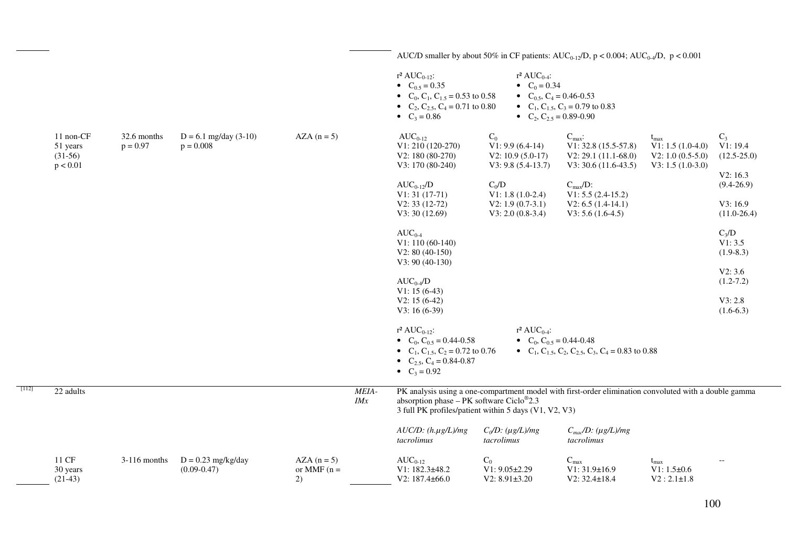|         |                                                |                           |                                         |                                   |              |                                                                                                                                                        |                                                                                                             | AUC/D smaller by about 50% in CF patients: AUC <sub>0-12</sub> /D, $p < 0.004$ ; AUC <sub>0-4</sub> /D, $p < 0.001$ |                                                                                  |                                                    |
|---------|------------------------------------------------|---------------------------|-----------------------------------------|-----------------------------------|--------------|--------------------------------------------------------------------------------------------------------------------------------------------------------|-------------------------------------------------------------------------------------------------------------|---------------------------------------------------------------------------------------------------------------------|----------------------------------------------------------------------------------|----------------------------------------------------|
|         |                                                |                           |                                         |                                   |              | $r^2 AUC_{0-12}$ :<br>• $C_{0.5} = 0.35$<br>• $C_0$ , $C_1$ , $C_{1.5} = 0.53$ to 0.58<br>• $C_2$ , $C_{2.5}$ , $C_4$ = 0.71 to 0.80<br>• $C_3 = 0.86$ | $r^2 AUC_{0.4}$ :<br>• $C_0 = 0.34$<br>• $C_{0.5}$ , $C_4$ = 0.46-0.53<br>• $C_2$ , $C_{2.5} = 0.89 - 0.90$ | • $C_1$ , $C_{1.5}$ , $C_3$ = 0.79 to 0.83                                                                          |                                                                                  |                                                    |
|         | 11 non-CF<br>51 years<br>$(31-56)$<br>p < 0.01 | 32.6 months<br>$p = 0.97$ | $D = 6.1$ mg/day (3-10)<br>$p = 0.008$  | $AZA(n=5)$                        |              | $AUC_{0-12}$<br>$V1: 210(120-270)$<br>$V2: 180(80-270)$<br>$V3: 170(80-240)$                                                                           | $C_0$<br>$V1: 9.9(6.4-14)$<br>$V2: 10.9(5.0-17)$<br>$V3: 9.8 (5.4-13.7)$                                    | $C_{\text{max}}$ :<br>$V1: 32.8(15.5-57.8)$<br>$V2: 29.1(11.1-68.0)$<br>$V3: 30.6 (11.6-43.5)$                      | $t_{\rm max}$<br>$V1: 1.5(1.0-4.0)$<br>$V2: 1.0 (0.5-5.0)$<br>$V3: 1.5(1.0-3.0)$ | $C_3$<br>V1: 19.4<br>$(12.5 - 25.0)$               |
|         |                                                |                           |                                         |                                   |              | $AUC_{0-12}/D$<br>$V1: 31(17-71)$<br>$V2: 33(12-72)$                                                                                                   | $C_0/D$<br>$V1: 1.8(1.0-2.4)$<br>$V2: 1.9(0.7-3.1)$                                                         | $C_{max}/D$ :<br>$V1: 5.5 (2.4-15.2)$<br>$V2: 6.5 (1.4-14.1)$                                                       |                                                                                  | V2:16.3<br>$(9.4 - 26.9)$<br>V3: 16.9              |
|         |                                                |                           |                                         |                                   |              | V3:30(12.69)<br>$AUC_{0.4}$<br>$V1: 110(60-140)$<br>$V2: 80 (40-150)$<br>$V3: 90(40-130)$                                                              | $V3: 2.0 (0.8-3.4)$                                                                                         | $V3: 5.6(1.6-4.5)$                                                                                                  |                                                                                  | $(11.0-26.4)$<br>$C_3/D$<br>V1: 3.5<br>$(1.9-8.3)$ |
|         |                                                |                           |                                         |                                   |              | $AUC_{0.4}/D$<br>$V1: 15(6-43)$                                                                                                                        |                                                                                                             |                                                                                                                     |                                                                                  | V2: 3.6<br>$(1.2 - 7.2)$                           |
|         |                                                |                           |                                         |                                   |              | $V2: 15(6-42)$<br>$V3: 16(6-39)$                                                                                                                       |                                                                                                             |                                                                                                                     |                                                                                  | V3: 2.8<br>$(1.6-6.3)$                             |
|         |                                                |                           |                                         |                                   |              | $r^2 AUC_{0-12}$ :<br>• $C_0$ , $C_{0.5} = 0.44 - 0.58$<br>• $C_1, C_{1.5}, C_2 = 0.72$ to 0.76<br>• $C_{2.5}$ , $C_4$ = 0.84-0.87<br>• $C_3 = 0.92$   | $r^2$ AUC <sub>0-4</sub> :<br>• $C_0$ , $C_{0.5} = 0.44 - 0.48$                                             | • $C_1$ , $C_{1.5}$ , $C_2$ , $C_{2.5}$ , $C_3$ , $C_4$ = 0.83 to 0.88                                              |                                                                                  |                                                    |
| $[112]$ | 22 adults                                      |                           |                                         |                                   | MEIA-<br>IMx | absorption phase $-$ PK software Ciclo <sup>®</sup> 2.3<br>3 full PK profiles/patient within 5 days (V1, V2, V3)                                       |                                                                                                             | PK analysis using a one-compartment model with first-order elimination convoluted with a double gamma               |                                                                                  |                                                    |
|         |                                                |                           |                                         |                                   |              | $AUC/D$ : $(h.\mu g/L)/mg$<br>tacrolimus                                                                                                               | $C_0/D$ : (µg/L)/mg<br>tacrolimus                                                                           | $C_{mac}/D$ : (µg/L)/mg<br>tacrolimus                                                                               |                                                                                  |                                                    |
|         | 11 CF<br>30 years<br>$(21-43)$                 | $3-116$ months            | $D = 0.23$ mg/kg/day<br>$(0.09 - 0.47)$ | $AZA(n=5)$<br>or MMF $(n =$<br>2) |              | $AUC_{0-12}$<br>V1: 182.3±48.2<br>V2: 187.4±66.0                                                                                                       | $C_0$<br>$V1: 9.05 \pm 2.29$<br>V2: 8.91±3.20                                                               | $C_{\text{max}}$<br>$V1: 31.9 \pm 16.9$<br>$V2: 32.4 \pm 18.4$                                                      | $t_{\text{max}}$<br>V1: $1.5\pm0.6$<br>$V2:2.1 \pm 1.8$                          |                                                    |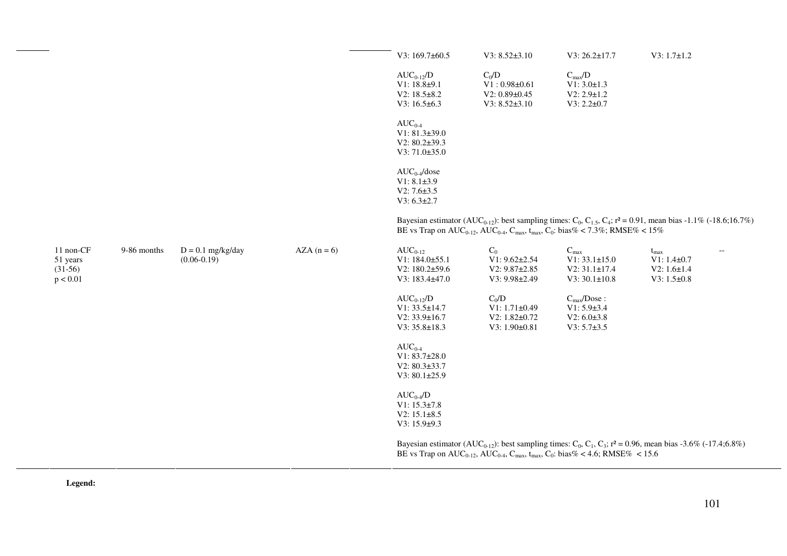|                                                |             |                                      |            | V3: $169.7\pm 60.5$                                                                  | $V3: 8.52 \pm 3.10$                                                                                                                       | V3: 26.2±17.7                                                                         | $V3: 1.7 \pm 1.2$                                                                                                                                                 |  |
|------------------------------------------------|-------------|--------------------------------------|------------|--------------------------------------------------------------------------------------|-------------------------------------------------------------------------------------------------------------------------------------------|---------------------------------------------------------------------------------------|-------------------------------------------------------------------------------------------------------------------------------------------------------------------|--|
|                                                |             |                                      |            | $AUC_{0-12}/D$<br>$V1: 18.8 + 9.1$<br>V2: $18.5 \pm 8.2$<br>$V3: 16.5 \pm 6.3$       | $C_0/D$<br>$V1:0.98\pm0.61$<br>$V2: 0.89 \pm 0.45$<br>$V3: 8.52 \pm 3.10$                                                                 | $C_{\rm max}/D$<br>$V1: 3.0 \pm 1.3$<br>$V2: 2.9 \pm 1.2$<br>$V3: 2.2 \pm 0.7$        |                                                                                                                                                                   |  |
|                                                |             |                                      |            | $AUC_{0-4}$<br>$V1: 81.3 \pm 39.0$<br>V2: $80.2\pm39.3$<br>V3: 71.0±35.0             |                                                                                                                                           |                                                                                       |                                                                                                                                                                   |  |
|                                                |             |                                      |            | $AUC_{0.4}/dose$<br>$V1: 8.1 \pm 3.9$<br>$V2: 7.6 \pm 3.5$<br>$V3: 6.3 \pm 2.7$      |                                                                                                                                           |                                                                                       |                                                                                                                                                                   |  |
|                                                |             |                                      |            |                                                                                      | BE vs Trap on AUC <sub>0-12</sub> , AUC <sub>0-4</sub> , C <sub>max</sub> , t <sub>max</sub> , C <sub>0</sub> : bias% < 7.3%; RMSE% < 15% |                                                                                       | Bayesian estimator (AUC <sub>0-12</sub> ): best sampling times: C <sub>0</sub> , C <sub>1,5</sub> , C <sub>4</sub> ; $r^2 = 0.91$ , mean bias -1.1% (-18.6;16.7%) |  |
| 11 non-CF<br>51 years<br>$(31-56)$<br>p < 0.01 | 9-86 months | $D = 0.1$ mg/kg/day<br>$(0.06-0.19)$ | $AZA(n=6)$ | $AUC_{0-12}$<br>$V1: 184.0 \pm 55.1$<br>V2: $180.2 \pm 59.6$<br>$V3: 183.4 \pm 47.0$ | $C_0$<br>$V1: 9.62 \pm 2.54$<br>$V2: 9.87 \pm 2.85$<br>$V3: 9.98 \pm 2.49$                                                                | $\mathbf{C}_{\max}$<br>$V1: 33.1 \pm 15.0$<br>V2: 31.1±17.4<br>$V3:30.1\pm10.8$       | $t_{\rm max}$<br>$V1: 1.4 \pm 0.7$<br>$V2: 1.6 \pm 1.4$<br>$V3: 1.5 \pm 0.8$                                                                                      |  |
|                                                |             |                                      |            | $AUC_{0-12}/D$<br>$V1: 33.5 \pm 14.7$<br>$V2: 33.9 \pm 16.7$<br>V3: 35.8±18.3        | $C_0/D$<br>$V1: 1.71 \pm 0.49$<br>V2: 1.82±0.72<br>$V3: 1.90 \pm 0.81$                                                                    | $C_{\text{max}}$ Dose:<br>$V1: 5.9 \pm 3.4$<br>$V2: 6.0 \pm 3.8$<br>$V3: 5.7 \pm 3.5$ |                                                                                                                                                                   |  |
|                                                |             |                                      |            | $AUC_{0-4}$<br>$V1: 83.7 \pm 28.0$<br>$V2: 80.3 \pm 33.7$<br>V3: 80.1±25.9           |                                                                                                                                           |                                                                                       |                                                                                                                                                                   |  |
|                                                |             |                                      |            | $AUC_{0.4}/D$<br>$V1: 15.3 \pm 7.8$<br>$V2: 15.1 \pm 8.5$<br>$V3: 15.9 \pm 9.3$      |                                                                                                                                           |                                                                                       |                                                                                                                                                                   |  |
|                                                |             |                                      |            |                                                                                      | BE vs Trap on AUC <sub>0-12</sub> , AUC <sub>0-4</sub> , C <sub>max</sub> , t <sub>max</sub> , C <sub>0</sub> : bias% < 4.6; RMSE% < 15.6 |                                                                                       | Bayesian estimator (AUC <sub>0-12</sub> ): best sampling times: C <sub>0</sub> , C <sub>1</sub> , C <sub>3</sub> ; $r^2 = 0.96$ , mean bias -3.6% (-17.4;6.8%)    |  |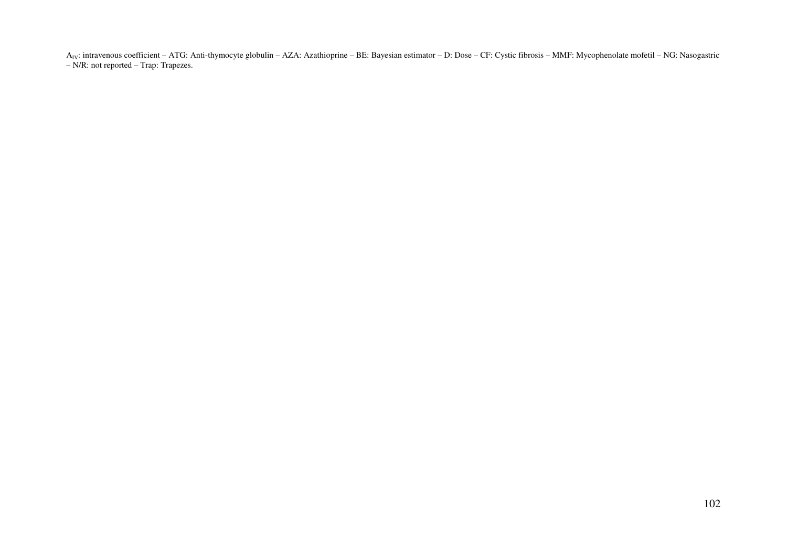AIV: intravenous coefficient – ATG: Anti-thymocyte globulin – AZA: Azathioprine – BE: Bayesian estimator – D: Dose – CF: Cystic fibrosis – MMF: Mycophenolate mofetil – NG: Nasogastric – N/R: not reported – Trap: Trapezes.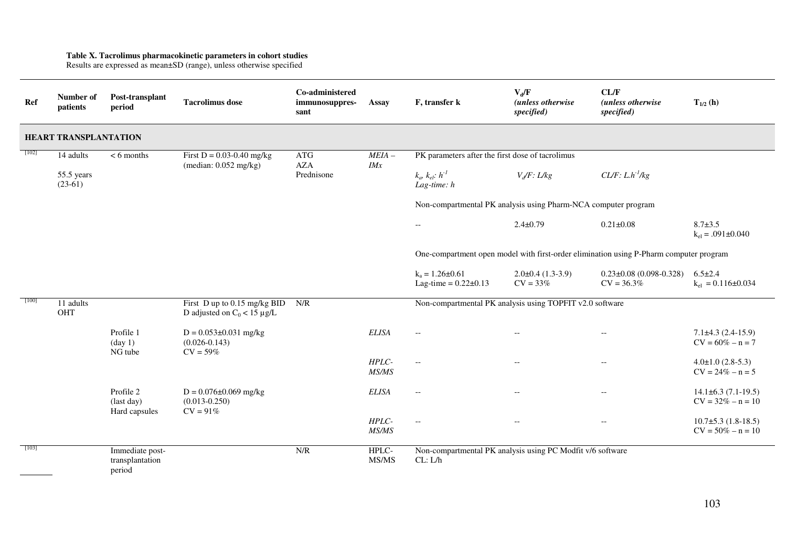**Table X. Tacrolimus pharmacokinetic parameters in cohort studies**  Results are expressed as mean±SD (range), unless otherwise specified

| Ref     | Number of<br>patients        | Post-transplant<br>period                    | <b>Tacrolimus</b> dose                                           | Co-administered<br>immunosuppres-<br>sant | Assay          | F, transfer k                                                         | $V_d/F$<br>(unless otherwise<br>specified)          | CL/F<br>(unless otherwise<br>specified)                                                | $T_{1/2}$ (h)                                   |
|---------|------------------------------|----------------------------------------------|------------------------------------------------------------------|-------------------------------------------|----------------|-----------------------------------------------------------------------|-----------------------------------------------------|----------------------------------------------------------------------------------------|-------------------------------------------------|
|         | <b>HEART TRANSPLANTATION</b> |                                              |                                                                  |                                           |                |                                                                       |                                                     |                                                                                        |                                                 |
| $[102]$ | 14 adults                    | $<$ 6 months                                 | First $D = 0.03 - 0.40$ mg/kg<br>(median: $0.052$ mg/kg)         | $\rm{ATG}$<br><b>AZA</b>                  | $MEIA-$<br>IMx | PK parameters after the first dose of tacrolimus                      |                                                     |                                                                                        |                                                 |
|         | 55.5 years<br>$(23-61)$      |                                              |                                                                  | Prednisone                                |                | $k_a, k_{el}: h^{-1}$<br>Lag-time: $h$                                | $V_d$ F: L/kg                                       | $CL/F: L.h^{-1}/kg$                                                                    |                                                 |
|         |                              |                                              |                                                                  |                                           |                | Non-compartmental PK analysis using Pharm-NCA computer program        |                                                     |                                                                                        |                                                 |
|         |                              |                                              |                                                                  |                                           |                | $- -$                                                                 | $2.4 \pm 0.79$                                      | $0.21 \pm 0.08$                                                                        | $8.7 \pm 3.5$<br>$k_{el} = .091 \pm 0.040$      |
|         |                              |                                              |                                                                  |                                           |                |                                                                       |                                                     | One-compartment open model with first-order elimination using P-Pharm computer program |                                                 |
|         |                              |                                              |                                                                  |                                           |                | $k_a = 1.26 \pm 0.61$<br>Lag-time = $0.22 \pm 0.13$                   | $2.0\pm0.4(1.3-3.9)$<br>$CV = 33%$                  | $0.23 \pm 0.08$ (0.098-0.328)<br>$CV = 36.3\%$                                         | $6.5 \pm 2.4$<br>$k_{el} = 0.116 \pm 0.034$     |
| $[100]$ | 11 adults<br>OHT             |                                              | First D up to 0.15 mg/kg BID<br>D adjusted on $C_0 < 15 \mu g/L$ | N/R                                       |                | Non-compartmental PK analysis using TOPFIT v2.0 software              |                                                     |                                                                                        |                                                 |
|         |                              | Profile 1<br>$(\text{day 1})$<br>NG tube     | $D = 0.053 \pm 0.031$ mg/kg<br>$(0.026 - 0.143)$<br>$CV = 59%$   |                                           | <b>ELISA</b>   | $\overline{\phantom{a}}$                                              |                                                     | $\overline{\phantom{a}}$                                                               | $7.1\pm4.3(2.4-15.9)$<br>$CV = 60\% - n = 7$    |
|         |                              |                                              |                                                                  |                                           | HPLC-<br>MS/MS | $\overline{\phantom{a}}$                                              | $\hspace{0.05cm} -\hspace{0.05cm} -\hspace{0.05cm}$ | $\overline{\phantom{a}}$                                                               | $4.0 \pm 1.0$ (2.8-5.3)<br>$CV = 24\% - n = 5$  |
|         |                              | Profile 2<br>(last day)<br>Hard capsules     | $D = 0.076 \pm 0.069$ mg/kg<br>$(0.013 - 0.250)$<br>$CV = 91%$   |                                           | <b>ELISA</b>   | $\hspace{0.05cm} -\hspace{0.05cm} -\hspace{0.05cm}$                   |                                                     | $- -$                                                                                  | $14.1\pm 6.3(7.1-19.5)$<br>$CV = 32\% - n = 10$ |
|         |                              |                                              |                                                                  |                                           | HPLC-<br>MS/MS | $\overline{\phantom{m}}$                                              | $\overline{\phantom{a}}$                            | $\hspace{0.05cm} -\hspace{0.05cm} -\hspace{0.05cm}$                                    | $10.7\pm5.3$ (1.8-18.5)<br>$CV = 50\% - n = 10$ |
| $[103]$ |                              | Immediate post-<br>transplantation<br>period |                                                                  | N/R                                       | HPLC-<br>MS/MS | Non-compartmental PK analysis using PC Modfit v/6 software<br>CL: L/h |                                                     |                                                                                        |                                                 |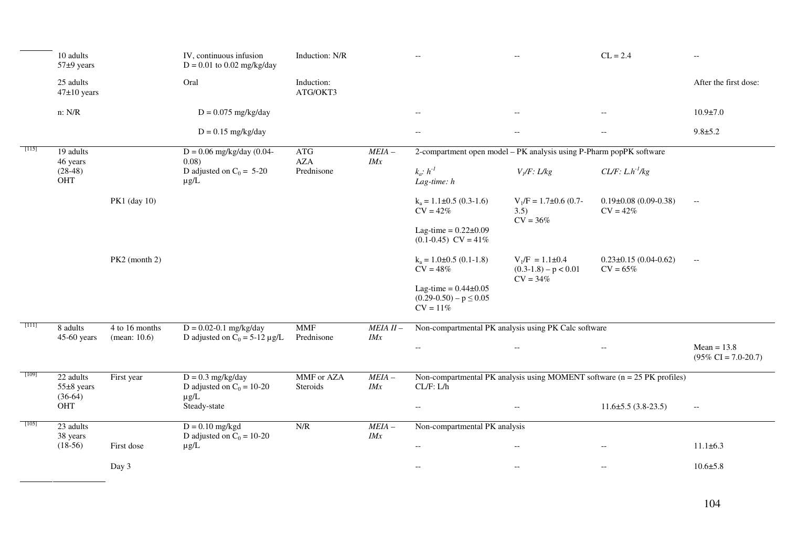|         | 10 adults<br>$57±9$ years                |                                   | IV, continuous infusion<br>$D = 0.01$ to 0.02 mg/kg/day          | Induction: N/R           |                    |                                                                                          |                                                               | $CL = 2.4$                                          | $- -$                                             |
|---------|------------------------------------------|-----------------------------------|------------------------------------------------------------------|--------------------------|--------------------|------------------------------------------------------------------------------------------|---------------------------------------------------------------|-----------------------------------------------------|---------------------------------------------------|
|         | 25 adults<br>$47\pm10$ years             |                                   | Oral                                                             | Induction:<br>ATG/OKT3   |                    |                                                                                          |                                                               |                                                     | After the first dose:                             |
|         | n: N/R                                   |                                   | $D = 0.075$ mg/kg/day                                            |                          |                    | $\overline{\phantom{m}}$                                                                 | $\hspace{0.05cm} -\hspace{0.05cm} -\hspace{0.05cm}$           | $-\, -$                                             | $10.9 \pm 7.0$                                    |
|         |                                          |                                   | $D = 0.15$ mg/kg/day                                             |                          |                    | $\hspace{0.05cm} -\hspace{0.05cm} -\hspace{0.05cm}$                                      | $\hspace{0.05cm} -\hspace{0.05cm} -\hspace{0.05cm}$           | $\overline{\phantom{a}}$                            | $9.8 + 5.2$                                       |
|         | 19 adults<br>46 years                    |                                   | $D = 0.06$ mg/kg/day (0.04-<br>$0.08$ )                          | <b>ATG</b><br>AZA        | $MEIA -$<br>IMx    | 2-compartment open model - PK analysis using P-Pharm popPK software                      |                                                               |                                                     |                                                   |
|         | $(28-48)$<br>OHT                         |                                   | D adjusted on $C_0 = 5-20$<br>$\mu$ g/L                          | Prednisone               |                    | $k_a$ : $h^{-1}$<br>Lag-time: $h$                                                        | $V_I/F$ : L/kg                                                | $CL/F: L.h^{-1}/kg$                                 |                                                   |
|         |                                          | PK1 (day 10)                      |                                                                  |                          |                    | $k_a = 1.1 \pm 0.5 (0.3 - 1.6)$<br>$CV = 42%$                                            | $V_1/F = 1.7 \pm 0.6$ (0.7-<br>3.5)<br>$CV = 36%$             | $0.19\pm0.08$ (0.09-0.38)<br>$CV = 42%$             | $- -$                                             |
|         |                                          |                                   |                                                                  |                          |                    | Lag-time = $0.22 \pm 0.09$<br>$(0.1 - 0.45)$ CV = 41%                                    |                                                               |                                                     |                                                   |
|         |                                          | PK2 (month 2)                     |                                                                  |                          |                    | $k_a = 1.0 \pm 0.5$ (0.1-1.8)<br>$CV = 48%$                                              | $V_1/F = 1.1 \pm 0.4$<br>$(0.3-1.8) - p < 0.01$<br>$CV = 34%$ | $0.23 \pm 0.15$ (0.04-0.62)<br>$CV = 65%$           | $- -$                                             |
|         |                                          |                                   |                                                                  |                          |                    | Lag-time = $0.44 \pm 0.05$<br>$(0.29-0.50) - p \le 0.05$<br>$CV = 11%$                   |                                                               |                                                     |                                                   |
| - [111] | 8 adults<br>$45-60$ years                | 4 to 16 months<br>(mean: $10.6$ ) | $D = 0.02 - 0.1$ mg/kg/day<br>D adjusted on $C_0 = 5-12 \mu g/L$ | <b>MMF</b><br>Prednisone | $MEIA II -$<br>IMx | Non-compartmental PK analysis using PK Calc software                                     |                                                               |                                                     |                                                   |
|         |                                          |                                   |                                                                  |                          |                    | $-\, -$                                                                                  | $\overline{\phantom{m}}$                                      | $\hspace{0.05cm} -\hspace{0.05cm} -\hspace{0.05cm}$ | $Mean = 13.8$<br>$(95\% \text{ CI} = 7.0 - 20.7)$ |
| [109]   | 22 adults<br>$55\pm8$ years<br>$(36-64)$ | First year                        | $D = 0.3$ mg/kg/day<br>D adjusted on $C_0 = 10-20$<br>$\mu$ g/L  | MMF or AZA<br>Steroids   | $MEIA -$<br>IMx    | Non-compartmental PK analysis using MOMENT software $(n = 25)$ PK profiles)<br>CL/F: L/h |                                                               |                                                     |                                                   |
|         | OHT                                      |                                   | Steady-state                                                     |                          |                    | $\overline{\phantom{m}}$                                                                 | $\hspace{0.05cm} -\hspace{0.05cm} -\hspace{0.05cm}$           | $11.6\pm 5.5(3.8-23.5)$                             | $\mathord{\hspace{1pt}\text{--}\hspace{1pt}}$     |
| $[105]$ | 23 adults<br>38 years                    |                                   | $D = 0.10$ mg/kgd<br>D adjusted on $C_0 = 10-20$                 | N/R                      | $MEIA -$<br>IMx    | Non-compartmental PK analysis                                                            |                                                               |                                                     |                                                   |
|         | $(18-56)$                                | First dose                        | $\mu$ g/L                                                        |                          |                    | $\overline{\phantom{a}}$                                                                 | $\hspace{0.05cm} -\hspace{0.05cm} -\hspace{0.05cm}$           | $\overline{\phantom{a}}$                            | $11.1 \pm 6.3$                                    |
|         |                                          | Day 3                             |                                                                  |                          |                    | $\sim$                                                                                   | $\hspace{0.05cm} -\hspace{0.05cm} -\hspace{0.05cm}$           | $\overline{\phantom{m}}$                            | $10.6{\pm}5.8$                                    |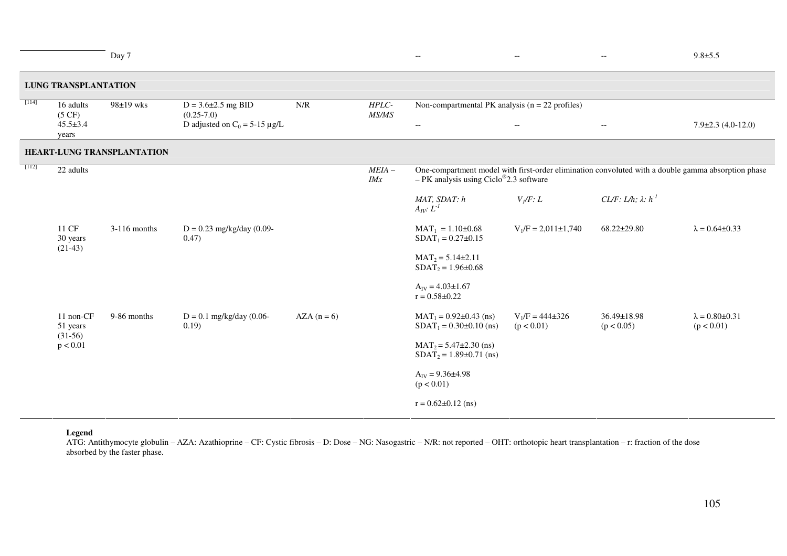|         |                                                | Day 7                      |                                                                                                           |            |                | $\overline{\phantom{m}}$                                                                                                                                    | $\overline{\phantom{m}}$                            | $-\,-$                          | $9.8 + 5.5$                             |  |
|---------|------------------------------------------------|----------------------------|-----------------------------------------------------------------------------------------------------------|------------|----------------|-------------------------------------------------------------------------------------------------------------------------------------------------------------|-----------------------------------------------------|---------------------------------|-----------------------------------------|--|
|         | <b>LUNG TRANSPLANTATION</b>                    |                            |                                                                                                           |            |                |                                                                                                                                                             |                                                     |                                 |                                         |  |
| [114]   | 16 adults<br>(5 CF)<br>$45.5 \pm 3.4$<br>years | $98\pm19$ wks              | N/R<br>HPLC-<br>$D = 3.6 \pm 2.5$ mg BID<br>MS/MS<br>$(0.25 - 7.0)$<br>D adjusted on $C_0 = 5-15 \mu g/L$ |            |                | Non-compartmental PK analysis ( $n = 22$ profiles)<br>$\mathord{\hspace{1pt}\text{--}\hspace{1pt}}$                                                         | $\hspace{0.05cm} -\hspace{0.05cm} -\hspace{0.05cm}$ | $\overline{\phantom{a}}$        | $7.9 \pm 2.3$ (4.0-12.0)                |  |
|         |                                                | HEART-LUNG TRANSPLANTATION |                                                                                                           |            |                |                                                                                                                                                             |                                                     |                                 |                                         |  |
| $[112]$ | $\overline{22}$ adults                         |                            |                                                                                                           |            | $MEIA-$<br>IMx | One-compartment model with first-order elimination convoluted with a double gamma absorption phase<br>$-$ PK analysis using Ciclo <sup>®</sup> 2.3 software |                                                     |                                 |                                         |  |
|         |                                                |                            |                                                                                                           |            |                | MAT, SDAT: h<br>$A_{IV}: L^{-1}$                                                                                                                            | $V_I/F: L$                                          | CL/F: L/h; $\lambda$ : $h^{-1}$ |                                         |  |
|         | 11 CF<br>30 years<br>$(21-43)$                 | $3-116$ months             | $D = 0.23$ mg/kg/day (0.09-<br>0.47)                                                                      |            |                | $MAT_1 = 1.10 \pm 0.68$<br>$SDAT_1 = 0.27 \pm 0.15$                                                                                                         | $V_1/F = 2,011 \pm 1,740$                           | 68.22±29.80                     | $\lambda = 0.64 \pm 0.33$               |  |
|         |                                                |                            |                                                                                                           |            |                | $MAT_2 = 5.14 \pm 2.11$<br>$SDAT_2 = 1.96 \pm 0.68$                                                                                                         |                                                     |                                 |                                         |  |
|         |                                                |                            |                                                                                                           |            |                | $A_{IV} = 4.03 \pm 1.67$<br>$r = 0.58 \pm 0.22$                                                                                                             |                                                     |                                 |                                         |  |
|         | 11 non-CF<br>51 years<br>$(31-56)$<br>p < 0.01 | 9-86 months                | $D = 0.1$ mg/kg/day (0.06-<br>0.19)                                                                       | $AZA(n=6)$ |                | $MAT_1 = 0.92 \pm 0.43$ (ns)<br>$SDAT_1 = 0.30 \pm 0.10$ (ns)                                                                                               | $V_1/F = 444\pm 326$<br>(p < 0.01)                  | $36.49 \pm 18.98$<br>(p < 0.05) | $\lambda = 0.80 \pm 0.31$<br>(p < 0.01) |  |
|         |                                                |                            |                                                                                                           |            |                | $MAT_2 = 5.47 \pm 2.30$ (ns)<br>$SDAT_2 = 1.89 \pm 0.71$ (ns)                                                                                               |                                                     |                                 |                                         |  |
|         |                                                |                            |                                                                                                           |            |                | $A_{IV} = 9.36 \pm 4.98$<br>(p < 0.01)                                                                                                                      |                                                     |                                 |                                         |  |
|         |                                                |                            |                                                                                                           |            |                | $r = 0.62 \pm 0.12$ (ns)                                                                                                                                    |                                                     |                                 |                                         |  |

#### **Legend**

ATG: Antithymocyte globulin - AZA: Azathioprine - CF: Cystic fibrosis - D: Dose - NG: Nasogastric - N/R: not reported - OHT: orthotopic heart transplantation - r: fraction of the dose absorbed by the faster phase.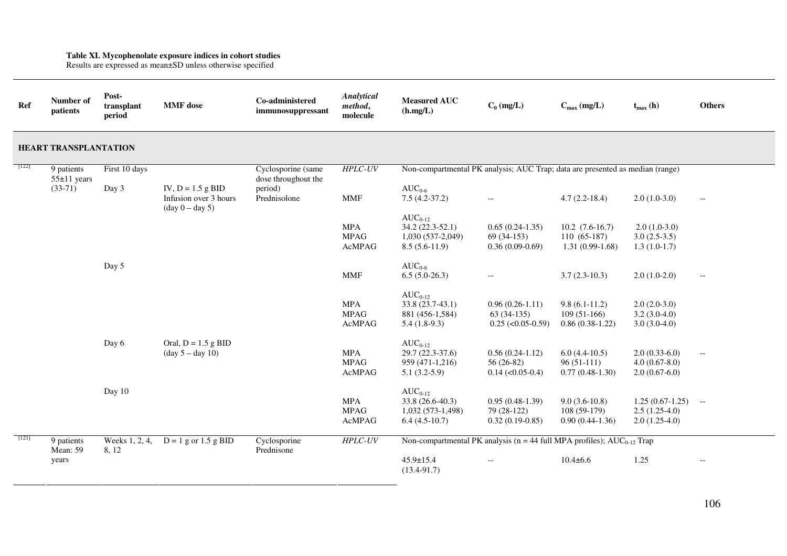**Table XI. Mycophenolate exposure indices in cohort studies**  Results are expressed as mean±SD unless otherwise specified

| Ref                          | Number of<br>patients       | Post-<br>transplant<br>period | <b>MMF</b> dose                                                                   | Co-administered<br>immunosuppressant      | Analytical<br>method,<br>molecule          | <b>Measured AUC</b><br>(h.mg/L)                                               | $C_0$ (mg/L)                                                                   | $C_{\text{max}}$ (mg/L)                                   | $t_{max}$ (h)                                           | <b>Others</b>            |
|------------------------------|-----------------------------|-------------------------------|-----------------------------------------------------------------------------------|-------------------------------------------|--------------------------------------------|-------------------------------------------------------------------------------|--------------------------------------------------------------------------------|-----------------------------------------------------------|---------------------------------------------------------|--------------------------|
| <b>HEART TRANSPLANTATION</b> |                             |                               |                                                                                   |                                           |                                            |                                                                               |                                                                                |                                                           |                                                         |                          |
| $[122]$                      | 9 patients<br>$55±11$ years | First 10 days                 |                                                                                   | Cyclosporine (same<br>dose throughout the | <b>HPLC-UV</b>                             | Non-compartmental PK analysis; AUC Trap; data are presented as median (range) |                                                                                |                                                           |                                                         |                          |
|                              | $(33-71)$                   | Day 3                         | IV, $D = 1.5$ g BID<br>Infusion over 3 hours<br>$(\text{day } 0 - \text{day } 5)$ | period)<br>Prednisolone                   | <b>MMF</b>                                 | $AUC_{0.6}$<br>$7.5(4.2-37.2)$                                                | $- -$                                                                          | $4.7(2.2-18.4)$                                           | $2.0(1.0-3.0)$                                          | $-$                      |
|                              |                             |                               |                                                                                   |                                           | <b>MPA</b><br><b>MPAG</b><br>AcMPAG        | $AUC_{0-12}$<br>$34.2(22.3-52.1)$<br>$1,030(537-2,049)$<br>$8.5(5.6-11.9)$    | $0.65(0.24-1.35)$<br>$69(34-153)$<br>$0.36(0.09-0.69)$                         | $10.2$ $(7.6-16.7)$<br>$110(65-187)$<br>$1.31(0.99-1.68)$ | $2.0(1.0-3.0)$<br>$3.0(2.5-3.5)$<br>$1.3(1.0-1.7)$      |                          |
|                              |                             | Day 5                         |                                                                                   |                                           | <b>MMF</b>                                 | $AUC_{0.6}$<br>$6.5(5.0-26.3)$                                                | $\overline{\phantom{a}}$                                                       | $3.7(2.3-10.3)$                                           | $2.0(1.0-2.0)$                                          | $-\,-$                   |
|                              |                             |                               |                                                                                   |                                           | <b>MPA</b><br><b>MPAG</b><br><b>AcMPAG</b> | $AUC_{0-12}$<br>$33.8(23.7-43.1)$<br>881 (456-1,584)<br>$5.4(1.8-9.3)$        | $0.96(0.26-1.11)$<br>$63(34-135)$<br>$0.25$ ( $< 0.05 - 0.59$ )                | $9.8(6.1-11.2)$<br>$109(51-166)$<br>$0.86(0.38-1.22)$     | $2.0(2.0-3.0)$<br>$3.2(3.0-4.0)$<br>$3.0(3.0-4.0)$      |                          |
|                              |                             | Day 6                         | Oral, $D = 1.5$ g BID<br>$(\text{day } 5 - \text{day } 10)$                       |                                           | <b>MPA</b><br><b>MPAG</b><br>AcMPAG        | $AUC_{0-12}$<br>$29.7(22.3-37.6)$<br>959 (471-1,216)<br>$5.1(3.2-5.9)$        | $0.56(0.24-1.12)$<br>56 (26-82)<br>$0.14$ (<0.05-0.4)                          | $6.0(4.4-10.5)$<br>$96(51-111)$<br>$0.77(0.48-1.30)$      | $2.0(0.33-6.0)$<br>$4.0(0.67-8.0)$<br>$2.0(0.67-6.0)$   | $\overline{\phantom{m}}$ |
|                              |                             | Day 10                        |                                                                                   |                                           | <b>MPA</b><br><b>MPAG</b><br>AcMPAG        | $AUC_{0-12}$<br>33.8 (26.6-40.3)<br>$1,032(573-1,498)$<br>$6.4(4.5-10.7)$     | $0.95(0.48-1.39)$<br>79 (28-122)<br>$0.32(0.19-0.85)$                          | $9.0(3.6-10.8)$<br>$108(59-179)$<br>$0.90(0.44-1.36)$     | $1.25(0.67-1.25)$<br>$2.5(1.25-4.0)$<br>$2.0(1.25-4.0)$ | $--$                     |
| $[121]$                      | 9 patients<br>Mean: 59      | Weeks 1, 2, 4,<br>8, 12       | $D = 1$ g or 1.5 g BID                                                            | Cyclosporine<br>Prednisone                | $HPLC-UV$                                  |                                                                               | Non-compartmental PK analysis ( $n = 44$ full MPA profiles); $AUC_{0-12}$ Trap |                                                           |                                                         |                          |
|                              | years                       |                               |                                                                                   |                                           |                                            | $45.9 \pm 15.4$<br>$(13.4 - 91.7)$                                            | $\overline{\phantom{a}}$                                                       | $10.4 \pm 6.6$                                            | 1.25                                                    | $\overline{\phantom{a}}$ |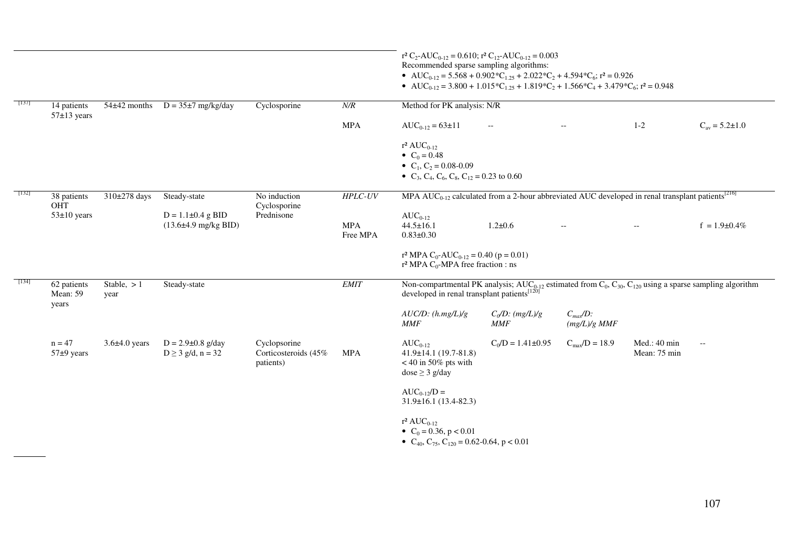|                                                                                                                                                                                                                              |                                | $54\pm42$ months     | $D = 35\pm7$ mg/kg/day                                      | Cyclosporine                                      | $N\!/\!R$              | $r^2 C_2$ -AUC <sub>0-12</sub> = 0.610; $r^2 C_{12}$ -AUC <sub>0-12</sub> = 0.003<br>Recommended sparse sampling algorithms:<br>• AUC <sub>0-12</sub> = 5.568 + 0.902 $^{\circ}$ C <sub>1.25</sub> + 2.022 $^{\circ}$ C <sub>2</sub> + 4.594 $^{\circ}$ C <sub>6</sub> ; r <sup>2</sup> = 0.926<br>• AUC <sub>0-12</sub> = 3.800 + 1.015 $^{\circ}$ C <sub>1.25</sub> + 1.819 $^{\circ}$ C <sub>2</sub> + 1.566 $^{\circ}$ C <sub>4</sub> + 3.479 $^{\circ}$ C <sub>6</sub> ; r <sup>2</sup> = 0.948 |                                    |                                               |                              |                        |  |
|------------------------------------------------------------------------------------------------------------------------------------------------------------------------------------------------------------------------------|--------------------------------|----------------------|-------------------------------------------------------------|---------------------------------------------------|------------------------|------------------------------------------------------------------------------------------------------------------------------------------------------------------------------------------------------------------------------------------------------------------------------------------------------------------------------------------------------------------------------------------------------------------------------------------------------------------------------------------------------|------------------------------------|-----------------------------------------------|------------------------------|------------------------|--|
| $[137]$                                                                                                                                                                                                                      | 14 patients<br>$57\pm13$ years |                      |                                                             |                                                   |                        | Method for PK analysis: N/R                                                                                                                                                                                                                                                                                                                                                                                                                                                                          |                                    |                                               |                              |                        |  |
|                                                                                                                                                                                                                              |                                |                      |                                                             |                                                   | <b>MPA</b>             | $AUC_{0-12} = 63 \pm 11$                                                                                                                                                                                                                                                                                                                                                                                                                                                                             | $\mathcal{L}_{\mathcal{L}}$        | $\mathord{\hspace{1pt}\text{--}\hspace{1pt}}$ | $1-2$                        | $C_{av} = 5.2 \pm 1.0$ |  |
|                                                                                                                                                                                                                              |                                |                      |                                                             |                                                   |                        | $r^2 AUC_{0-12}$<br>• $C_0 = 0.48$<br>• $C_1$ , $C_2$ = 0.08-0.09<br>• C <sub>3</sub> , C <sub>4</sub> , C <sub>6</sub> , C <sub>8</sub> , C <sub>12</sub> = 0.23 to 0.60                                                                                                                                                                                                                                                                                                                            |                                    |                                               |                              |                        |  |
| $[132]$<br>MPA AUC <sub>0-12</sub> calculated from a 2-hour abbreviated AUC developed in renal transplant patients <sup>[216]</sup><br>310±278 days<br>$HPLC-UV$<br>$\overline{38}$ patients<br>Steady-state<br>No induction |                                |                      |                                                             |                                                   |                        |                                                                                                                                                                                                                                                                                                                                                                                                                                                                                                      |                                    |                                               |                              |                        |  |
|                                                                                                                                                                                                                              | OHT<br>$53\pm10$ years         |                      | $D = 1.1 \pm 0.4$ g BID<br>$(13.6\pm4.9 \text{ mg/kg BID})$ | Cyclosporine<br>Prednisone                        | <b>MPA</b><br>Free MPA | $AUC_{0-12}$<br>$44.5 \pm 16.1$<br>$0.83 \pm 0.30$                                                                                                                                                                                                                                                                                                                                                                                                                                                   | $1.2 \pm 0.6$                      | $\overline{a}$                                |                              | $f = 1.9 \pm 0.4\%$    |  |
|                                                                                                                                                                                                                              |                                |                      |                                                             |                                                   |                        | r <sup>2</sup> MPA C <sub>0</sub> -AUC <sub>0-12</sub> = 0.40 (p = 0.01)<br>r <sup>2</sup> MPA $C_0$ -MPA free fraction : ns                                                                                                                                                                                                                                                                                                                                                                         |                                    |                                               |                              |                        |  |
| $[134]$                                                                                                                                                                                                                      | 62 patients<br>Mean: 59        | Stable, $>1$<br>year | Steady-state                                                |                                                   | <b>EMIT</b>            | Non-compartmental PK analysis; AUC <sub>0-12</sub> estimated from C <sub>0</sub> , C <sub>30</sub> , C <sub>120</sub> using a sparse sampling algorithm<br>developed in renal transplant patients <sup>[120]</sup>                                                                                                                                                                                                                                                                                   |                                    |                                               |                              |                        |  |
|                                                                                                                                                                                                                              | years                          |                      |                                                             |                                                   |                        | $AUC/D$ : $(h.mg/L)/g$<br><b>MMF</b>                                                                                                                                                                                                                                                                                                                                                                                                                                                                 | $C_0/D$ : $(mg/L)/g$<br><b>MMF</b> | $C_{max}/D$ :<br>$(mg/L)/g$ MMF               |                              |                        |  |
|                                                                                                                                                                                                                              | $n = 47$<br>$57±9$ years       | $3.6\pm4.0$ years    | $D = 2.9 \pm 0.8$ g/day<br>$D \ge 3$ g/d, n = 32            | Cyclopsorine<br>Corticosteroids (45%<br>patients) | <b>MPA</b>             | $AUC_{0-12}$<br>$41.9 \pm 14.1$ (19.7-81.8)<br>$<$ 40 in 50% pts with<br>$dose \geq 3$ g/day                                                                                                                                                                                                                                                                                                                                                                                                         | $C_0/D = 1.41 \pm 0.95$            | $C_{\text{max}}/D = 18.9$                     | Med.: 40 min<br>Mean: 75 min | $-\, -$                |  |
|                                                                                                                                                                                                                              |                                |                      |                                                             |                                                   |                        | $AUC_{0-12}/D =$<br>$31.9\pm 16.1$ (13.4-82.3)                                                                                                                                                                                                                                                                                                                                                                                                                                                       |                                    |                                               |                              |                        |  |
|                                                                                                                                                                                                                              |                                |                      |                                                             |                                                   |                        | $r^2 AUC_{0-12}$<br>• $C_0 = 0.36$ , $p < 0.01$<br>• $C_{40}$ , $C_{75}$ , $C_{120}$ = 0.62-0.64, p < 0.01                                                                                                                                                                                                                                                                                                                                                                                           |                                    |                                               |                              |                        |  |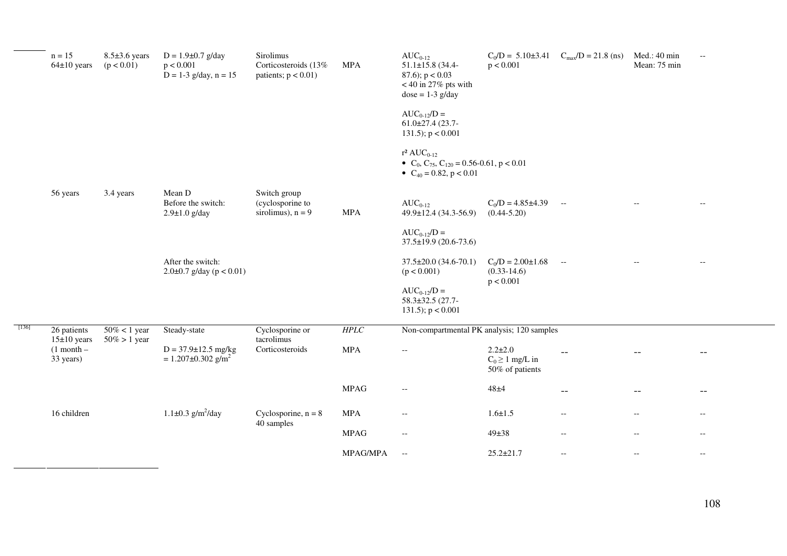|         | $n = 15$<br>$64\pm10$ years  | $8.5\pm3.6$ years<br>(p < 0.01)    | $D = 1.9 \pm 0.7$ g/day<br>p < 0.001<br>$D = 1-3$ g/day, $n = 15$ | Sirolimus<br>Corticosteroids (13%<br>patients; $p < 0.01$ ) | <b>MPA</b>  | $AUC_{0-12}$<br>$51.1 \pm 15.8$ (34.4-<br>87.6); $p < 0.03$<br>$<$ 40 in 27% pts with<br>$dose = 1-3$ g/day<br>$AUC_{0-12}/D =$<br>$61.0\pm27.4$ (23.7-<br>131.5); $p < 0.001$<br>$r^2 AUC_{0-12}$<br>• $C_0$ , $C_{75}$ , $C_{120} = 0.56$ -0.61, $p < 0.01$ | $C_0/D = 5.10 \pm 3.41$<br>p < 0.001                     | $C_{max}/D = 21.8$ (ns)                             | Med.: 40 min<br>Mean: 75 min                        | $-\,-$                   |
|---------|------------------------------|------------------------------------|-------------------------------------------------------------------|-------------------------------------------------------------|-------------|---------------------------------------------------------------------------------------------------------------------------------------------------------------------------------------------------------------------------------------------------------------|----------------------------------------------------------|-----------------------------------------------------|-----------------------------------------------------|--------------------------|
|         |                              |                                    |                                                                   |                                                             |             | • $C_{40} = 0.82$ , $p < 0.01$                                                                                                                                                                                                                                |                                                          |                                                     |                                                     |                          |
|         | 56 years                     | 3.4 years                          | Mean D<br>Before the switch:<br>$2.9 \pm 1.0$ g/day               | Switch group<br>(cyclosporine to<br>sirolimus), $n = 9$     | $\sf{MPA}$  | $AUC_{0-12}$<br>$49.9 \pm 12.4$ (34.3-56.9)                                                                                                                                                                                                                   | $C_0/D = 4.85 \pm 4.39$<br>$(0.44 - 5.20)$               | $\sim$ $-$                                          |                                                     |                          |
|         |                              |                                    |                                                                   |                                                             |             | $AUC_{0-12}/D =$<br>37.5±19.9 (20.6-73.6)                                                                                                                                                                                                                     |                                                          |                                                     |                                                     |                          |
|         |                              |                                    | After the switch:<br>$2.0\pm0.7$ g/day (p < 0.01)                 |                                                             |             | $37.5 \pm 20.0$ (34.6-70.1)<br>(p < 0.001)                                                                                                                                                                                                                    | $C_0/D = 2.00 \pm 1.68$<br>$(0.33-14.6)$<br>p < 0.001    | $\sim$ $-$                                          |                                                     |                          |
|         |                              |                                    |                                                                   |                                                             |             | $AUC_{0-12}/D =$<br>58.3±32.5 (27.7-<br>131.5); $p < 0.001$                                                                                                                                                                                                   |                                                          |                                                     |                                                     |                          |
| $[136]$ | 26 patients<br>$15±10$ years | $50\% < 1$ year<br>$50\% > 1$ year | Steady-state                                                      | Cyclosporine or<br>tacrolimus                               | HPLC        | Non-compartmental PK analysis; 120 samples                                                                                                                                                                                                                    |                                                          |                                                     |                                                     |                          |
|         | $(1$ month –<br>33 years)    |                                    | $D = 37.9 \pm 12.5$ mg/kg<br>$= 1.207 \pm 0.302$ g/m <sup>2</sup> | Corticosteroids                                             | $\sf{MPA}$  | $\overline{\phantom{a}}$                                                                                                                                                                                                                                      | $2.2 \pm 2.0$<br>$C_0 \geq 1$ mg/L in<br>50% of patients |                                                     |                                                     |                          |
|         |                              |                                    |                                                                   |                                                             | <b>MPAG</b> | $-\,-$                                                                                                                                                                                                                                                        | $48 + 4$                                                 | $-$                                                 | $- -$                                               | $\overline{\phantom{m}}$ |
|         | 16 children                  |                                    | $1.1 \pm 0.3$ g/m <sup>2</sup> /day                               | Cyclosporine, $n = 8$<br>40 samples                         | <b>MPA</b>  | $-\,-$                                                                                                                                                                                                                                                        | $1.6 \pm 1.5$                                            | $\hspace{0.05cm} -\hspace{0.05cm} -\hspace{0.05cm}$ | $\hspace{0.05cm} -\hspace{0.05cm} -\hspace{0.05cm}$ | $- -$                    |
|         |                              |                                    |                                                                   |                                                             | <b>MPAG</b> | $- -$                                                                                                                                                                                                                                                         | $49 + 38$                                                | $\overline{\phantom{a}}$                            | $\overline{\phantom{m}}$                            | $\overline{\phantom{a}}$ |
|         |                              |                                    |                                                                   |                                                             | MPAG/MPA    | $\hspace{0.05cm} -\hspace{0.05cm} -\hspace{0.05cm}$                                                                                                                                                                                                           | $25.2 \pm 21.7$                                          | $\hspace{0.05cm} -\hspace{0.05cm} -\hspace{0.05cm}$ | $\hspace{0.05cm} -\hspace{0.05cm} -\hspace{0.05cm}$ | $-\,-$                   |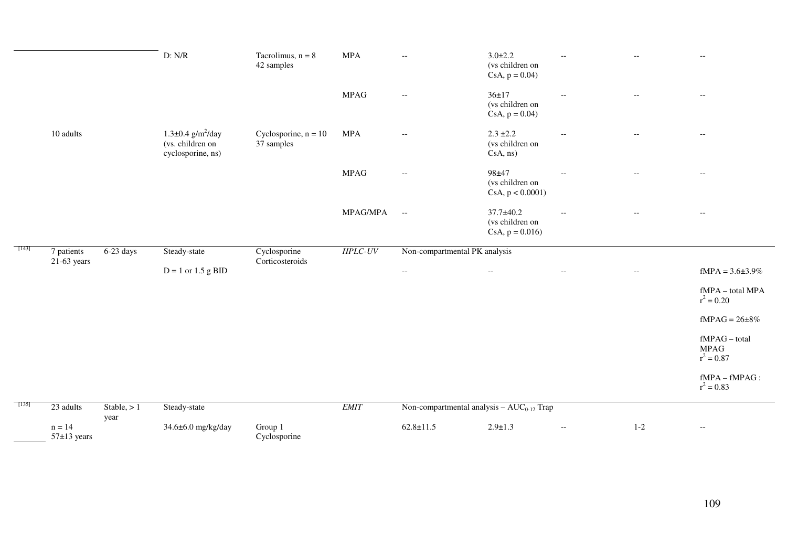|       |                    |                       | D: N/R                                                                       | Tacrolimus, $n = 8$<br>42 samples    | <b>MPA</b>  | $-\,-$                                              | $3.0 \pm 2.2$<br>(vs children on<br>$CsA, p = 0.04$    |                          | $-$                      | $\hspace{0.05cm} -\hspace{0.05cm} -\hspace{0.05cm}$ |
|-------|--------------------|-----------------------|------------------------------------------------------------------------------|--------------------------------------|-------------|-----------------------------------------------------|--------------------------------------------------------|--------------------------|--------------------------|-----------------------------------------------------|
|       |                    |                       |                                                                              |                                      | <b>MPAG</b> | $\hspace{0.05cm} -\hspace{0.05cm} -\hspace{0.05cm}$ | $36 + 17$<br>(vs children on<br>$CsA, p = 0.04$        | $-$                      | $\overline{\phantom{a}}$ | $\hspace{0.05cm} -\hspace{0.05cm} -\hspace{0.05cm}$ |
|       | $10 \ \rm{adults}$ |                       | $1.3 \pm 0.4$ g/m <sup>2</sup> /day<br>(vs. children on<br>cyclosporine, ns) | Cyclosporine, $n = 10$<br>37 samples | <b>MPA</b>  | $-\,-$                                              | $2.3 \pm 2.2$<br>(vs children on<br>$CsA$ , $ns)$      | $\qquad \qquad -$        | $\overline{\phantom{a}}$ | $\overline{\phantom{m}}$                            |
|       |                    |                       |                                                                              |                                      | <b>MPAG</b> | $\overline{\phantom{m}}$                            | 98±47<br>(vs children on<br>CsA, p < 0.0001            |                          |                          | $- -$                                               |
|       |                    |                       |                                                                              |                                      | MPAG/MPA    | $\overline{\phantom{a}}$                            | $37.7 \pm 40.2$<br>(vs children on<br>$CsA, p = 0.016$ | $\overline{\phantom{a}}$ | $\overline{\phantom{a}}$ | $\overline{\phantom{m}}$                            |
|       |                    |                       |                                                                              |                                      |             |                                                     |                                                        |                          |                          |                                                     |
| [143] | 7 patients         | $6-23$ days           | Steady-state                                                                 | Cyclosporine                         | $HPLC-UV$   | Non-compartmental PK analysis                       |                                                        |                          |                          |                                                     |
|       | $21-63$ years      |                       | $D = 1$ or 1.5 g BID                                                         | Corticosteroids                      |             | $--$                                                | $- -$                                                  | $- -$                    | $\overline{\phantom{a}}$ | $fMPA = 3.6 \pm 3.9\%$                              |
|       |                    |                       |                                                                              |                                      |             |                                                     |                                                        |                          |                          | fMPA - total MPA<br>$r^2 = 0.20$                    |
|       |                    |                       |                                                                              |                                      |             |                                                     |                                                        |                          |                          | fMPAG = $26\pm8\%$                                  |
|       |                    |                       |                                                                              |                                      |             |                                                     |                                                        |                          |                          | fMPAG - total<br><b>MPAG</b><br>$r^2 = 0.87$        |
|       |                    |                       |                                                                              |                                      |             |                                                     |                                                        |                          |                          | $f\mathbf{MPA} - f\mathbf{MPAG}$ :<br>$r^2 = 0.83$  |
| [135] | 23 adults          | Stable, $> 1$<br>year | Steady-state                                                                 |                                      | <b>EMIT</b> | Non-compartmental analysis - $AUC_{0-12}$ Trap      |                                                        |                          |                          |                                                     |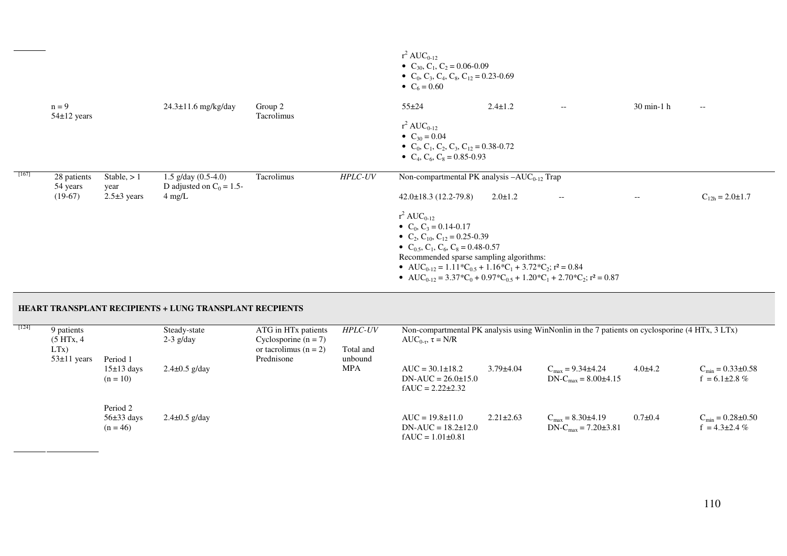|         |                            |                       |                                                        |                       |           | $r^2$ AUC <sub>0-12</sub><br>• $C_{30}$ , $C_1$ , $C_2$ = 0.06-0.09<br>• $C_0$ , $C_3$ , $C_4$ , $C_8$ , $C_{12} = 0.23 - 0.69$<br>• $C_6 = 0.60$                                                                                                                                                                                                                                                                                                                                                        |               |                          |                      |                                                     |
|---------|----------------------------|-----------------------|--------------------------------------------------------|-----------------------|-----------|----------------------------------------------------------------------------------------------------------------------------------------------------------------------------------------------------------------------------------------------------------------------------------------------------------------------------------------------------------------------------------------------------------------------------------------------------------------------------------------------------------|---------------|--------------------------|----------------------|-----------------------------------------------------|
|         | $n = 9$<br>$54\pm12$ years |                       | $24.3 \pm 11.6$ mg/kg/day                              | Group 2<br>Tacrolimus |           | $55 + 24$<br>$r^2 AUC_{0-12}$<br>• $C_{30} = 0.04$<br>• $C_0$ , $C_1$ , $C_2$ , $C_3$ , $C_{12} = 0.38 - 0.72$                                                                                                                                                                                                                                                                                                                                                                                           | $2.4 \pm 1.2$ | $\overline{\phantom{a}}$ | $30 \text{ min-1}$ h | $\hspace{0.05cm} -\hspace{0.05cm} -\hspace{0.05cm}$ |
|         |                            |                       |                                                        |                       |           | • $C_4$ , $C_6$ , $C_8 = 0.85 - 0.93$                                                                                                                                                                                                                                                                                                                                                                                                                                                                    |               |                          |                      |                                                     |
| $[167]$ | 28 patients<br>54 years    | Stable, $> 1$<br>year | $1.5$ g/day $(0.5-4.0)$<br>D adjusted on $C_0 = 1.5$ - | Tacrolimus            | $HPLC-UV$ | Non-compartmental PK analysis $-AUC_{0-12}$ Trap                                                                                                                                                                                                                                                                                                                                                                                                                                                         |               |                          |                      |                                                     |
|         | $(19-67)$                  | $2.5\pm3$ years       | $4 \text{ mg/L}$                                       |                       |           | $42.0\pm18.3$ (12.2-79.8)                                                                                                                                                                                                                                                                                                                                                                                                                                                                                | $2.0 \pm 1.2$ | $- -$                    | $--$                 | $C_{12h} = 2.0 \pm 1.7$                             |
|         |                            |                       |                                                        |                       |           | $r^2 AUC_{0-12}$<br>• $C_0$ , $C_3 = 0.14 - 0.17$<br>• C <sub>2</sub> , C <sub>10</sub> , C <sub>12</sub> = 0.25-0.39<br>• $C_{0.5}$ , $C_1$ , $C_6$ , $C_8$ = 0.48-0.57<br>Recommended sparse sampling algorithms:<br>• AUC <sub>0-12</sub> = 1.11 <sup>*</sup> C <sub>0.5</sub> + 1.16 <sup>*</sup> C <sub>1</sub> + 3.72 <sup>*</sup> C <sub>2</sub> ; $r^2$ = 0.84<br>• AUC <sub>0-12</sub> = 3.37*C <sub>0</sub> + 0.97*C <sub>0.5</sub> + 1.20*C <sub>1</sub> + 2.70*C <sub>2</sub> ; $r^2$ = 0.87 |               |                          |                      |                                                     |

## **HEART TRANSPLANT RECIPIENTS + LUNG TRANSPLANT RECPIENTS**

| $[124]$ | 9 patients<br>(5 HTx, 4   |                                          | Steady-state<br>$2-3$ g/day | ATG in HT <sub>x</sub> patients<br>Cyclosporine $(n = 7)$ | <b>HPLC-UV</b>       | AUC <sub>0-<math>\tau</math></sub> , $\tau = N/R$                           |                 | Non-compartmental PK analysis using WinNonlin in the 7 patients on cyclosporine (4 HTx, 3 LTx) |               |                                                          |
|---------|---------------------------|------------------------------------------|-----------------------------|-----------------------------------------------------------|----------------------|-----------------------------------------------------------------------------|-----------------|------------------------------------------------------------------------------------------------|---------------|----------------------------------------------------------|
|         | LTx)<br>$53 \pm 11$ years | Period 1                                 |                             | or tacrolimus ( $n = 2$ )<br>Prednisone                   | Total and<br>unbound |                                                                             |                 |                                                                                                |               |                                                          |
|         |                           | $15\pm 13$ days<br>$(n = 10)$            | $2.4 \pm 0.5$ g/day         |                                                           | <b>MPA</b>           | $AUC = 30.1 \pm 18.2$<br>$DN-AUC = 26.0 \pm 15.0$<br>$fAUC = 2.22 \pm 2.32$ | $3.79{\pm}4.04$ | $C_{\text{max}} = 9.34 \pm 4.24$<br>$DN-C_{max} = 8.00\pm4.15$                                 | $4.0\pm4.2$   | $C_{\text{min}} = 0.33 \pm 0.58$<br>$f = 6.1 \pm 2.8 \%$ |
|         |                           | Period 2<br>$56\pm33$ days<br>$(n = 46)$ | $2.4 \pm 0.5$ g/day         |                                                           |                      | $AUC = 19.8 \pm 11.0$<br>$DN-AUC = 18.2 \pm 12.0$<br>$fAUC = 1.01\pm0.81$   | $2.21 \pm 2.63$ | $C_{\text{max}} = 8.30 \pm 4.19$<br>$DN-C_{max} = 7.20 \pm 3.81$                               | $0.7 \pm 0.4$ | $C_{\text{min}} = 0.28 \pm 0.50$<br>$f = 4.3 \pm 2.4 \%$ |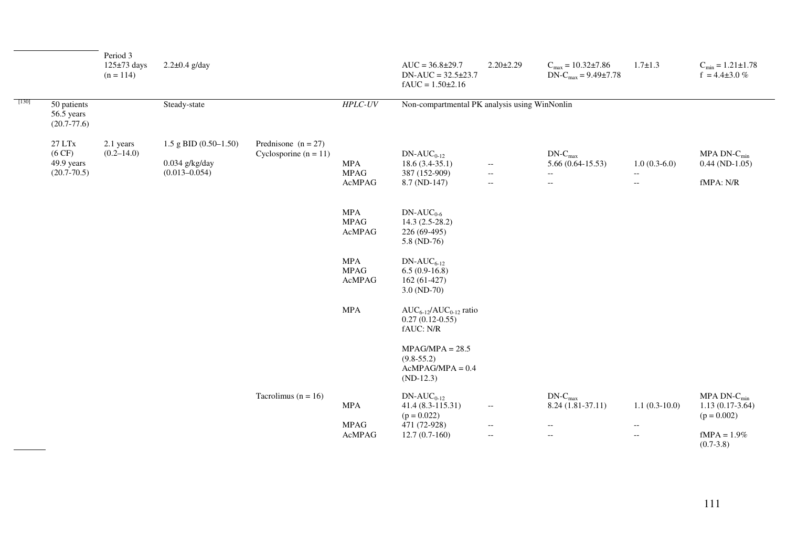|       |                                                               | Period 3<br>$125\pm73$ days<br>$(n = 114)$ | $2.2 \pm 0.4$ g/day                                              |                                                  |                                                                               | $AUC = 36.8{\pm}29.7$<br>$DN-AUC = 32.5 \pm 23.7$<br>$fAUC = 1.50{\pm}2.16$              | $2.20 \pm 2.29$                                                                    | $C_{\text{max}} = 10.32 \pm 7.86$<br>$DN-C_{max} = 9.49 \pm 7.78$                          | $1.7 \pm 1.3$                                                                                                           | $C_{\text{min}} = 1.21 \pm 1.78$<br>$f = 4.4 \pm 3.0 \%$                                        |
|-------|---------------------------------------------------------------|--------------------------------------------|------------------------------------------------------------------|--------------------------------------------------|-------------------------------------------------------------------------------|------------------------------------------------------------------------------------------|------------------------------------------------------------------------------------|--------------------------------------------------------------------------------------------|-------------------------------------------------------------------------------------------------------------------------|-------------------------------------------------------------------------------------------------|
| [130] | 50 patients<br>56.5 years<br>$(20.7 - 77.6)$                  |                                            | Steady-state                                                     |                                                  | <b>HPLC-UV</b>                                                                | Non-compartmental PK analysis using WinNonlin                                            |                                                                                    |                                                                                            |                                                                                                                         |                                                                                                 |
|       | $27\,\mathrm{LTx}$<br>(6 CF)<br>49.9 years<br>$(20.7 - 70.5)$ | 2.1 years<br>$(0.2 - 14.0)$                | 1.5 g BID $(0.50-1.50)$<br>$0.034$ g/kg/day<br>$(0.013 - 0.054)$ | Prednisone $(n = 27)$<br>Cyclosporine $(n = 11)$ | MPA<br><b>MPAG</b><br>AcMPAG                                                  | $DN-AUC_{0-12}$<br>$18.6(3.4-35.1)$<br>387 (152-909)<br>8.7 (ND-147)                     | $\mathbb{H}^{\mathbb{H}}$<br>$\mathbb{H}^{\mathbb{H}}$<br>$\overline{\phantom{a}}$ | $DN-C_{max}$<br>$5.66(0.64-15.53)$<br>$\overline{\phantom{a}}$<br>$\overline{\phantom{a}}$ | $1.0(0.3-6.0)$<br>$-\,-$<br>$\overline{\phantom{m}}$                                                                    | MPA DN- $C_{min}$<br>$0.44$ (ND-1.05)<br>fMPA: N/R                                              |
|       |                                                               |                                            |                                                                  |                                                  | <b>MPA</b><br><b>MPAG</b><br>AcMPAG                                           | $DN-AUC_{0.6}$<br>$14.3(2.5-28.2)$<br>226 (69-495)<br>5.8 (ND-76)                        |                                                                                    |                                                                                            |                                                                                                                         |                                                                                                 |
|       |                                                               |                                            |                                                                  |                                                  | <b>MPA</b><br><b>MPAG</b><br>$\mbox{{\sc A}c} \mbox{{\sc M}P}\mbox{{\sc A}G}$ | $DN-AUC_{6-12}$<br>$6.5(0.9-16.8)$<br>162 (61-427)<br>$3.0 (ND-70)$                      |                                                                                    |                                                                                            |                                                                                                                         |                                                                                                 |
|       |                                                               |                                            |                                                                  |                                                  | $\sf{MPA}$                                                                    | $AUC_{6-12}/AUC_{0-12}$ ratio<br>$0.27(0.12-0.55)$<br>fAUC: N/R                          |                                                                                    |                                                                                            |                                                                                                                         |                                                                                                 |
|       |                                                               |                                            |                                                                  |                                                  |                                                                               | $MPAG/MPA = 28.5$<br>$(9.8-55.2)$<br>$AcMPAG/MPA = 0.4$<br>$(ND-12.3)$                   |                                                                                    |                                                                                            |                                                                                                                         |                                                                                                 |
|       |                                                               |                                            |                                                                  | Tacrolimus ( $n = 16$ )                          | $\sf{MPA}$<br><b>MPAG</b><br>AcMPAG                                           | $DN-AUC_{0-12}$<br>41.4 (8.3-115.31)<br>$(p = 0.022)$<br>471 (72-928)<br>$12.7(0.7-160)$ | $\overline{\phantom{a}}$<br>$\overline{\phantom{a}}$<br>$\overline{\phantom{a}}$   | $DN-C_{max}$<br>8.24 (1.81-37.11)<br>$\overline{\phantom{a}}$<br>$\overline{\phantom{a}}$  | $1.1(0.3-10.0)$<br>$\hspace{0.05cm} -\hspace{0.05cm} -\hspace{0.05cm}$<br>$\mathord{\hspace{1pt}\text{--}\hspace{1pt}}$ | MPA DN- $C_{\text{min}}$<br>$1.13(0.17-3.64)$<br>$(p = 0.002)$<br>$fMPA = 1.9\%$<br>$(0.7-3.8)$ |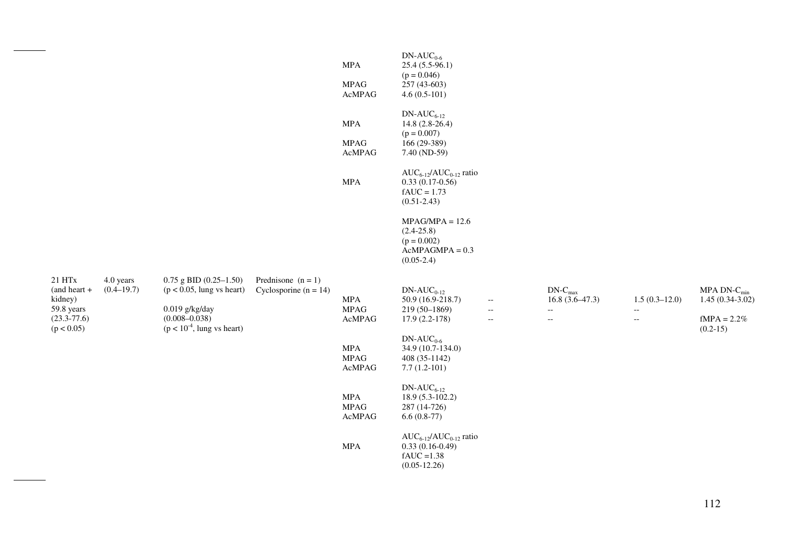|                                                                                    |                             |                                                                                                                                         |                                                 | <b>MPA</b><br>$\operatorname{MPAG}$<br>AcMPAG | $DN-AUC_{0.6}$<br>$25.4(5.5-96.1)$<br>$(p = 0.046)$<br>257 (43-603)<br>$4.6(0.5-101)$     |                                                                                  |                                                                                          |                                                                                                    |                                                                       |
|------------------------------------------------------------------------------------|-----------------------------|-----------------------------------------------------------------------------------------------------------------------------------------|-------------------------------------------------|-----------------------------------------------|-------------------------------------------------------------------------------------------|----------------------------------------------------------------------------------|------------------------------------------------------------------------------------------|----------------------------------------------------------------------------------------------------|-----------------------------------------------------------------------|
|                                                                                    |                             |                                                                                                                                         |                                                 | <b>MPA</b><br><b>MPAG</b><br>AcMPAG           | $DN-AUC_{6-12}$<br>14.8 (2.8-26.4)<br>$(p = 0.007)$<br>166 (29-389)<br>7.40 (ND-59)       |                                                                                  |                                                                                          |                                                                                                    |                                                                       |
|                                                                                    |                             |                                                                                                                                         |                                                 | $\sf{MPA}$                                    | $AUC_{6-12}/AUC_{0-12}$ ratio<br>$0.33(0.17-0.56)$<br>$fAUC = 1.73$<br>$(0.51 - 2.43)$    |                                                                                  |                                                                                          |                                                                                                    |                                                                       |
|                                                                                    |                             |                                                                                                                                         |                                                 |                                               | $MPAG/MPA = 12.6$<br>$(2.4 - 25.8)$<br>$(p = 0.002)$<br>$AcMPAGMPA = 0.3$<br>$(0.05-2.4)$ |                                                                                  |                                                                                          |                                                                                                    |                                                                       |
| 21 HTx<br>$(and heart +$<br>kidney)<br>59.8 years<br>$(23.3 - 77.6)$<br>(p < 0.05) | 4.0 years<br>$(0.4 - 19.7)$ | $0.75$ g BID $(0.25-1.50)$<br>$(p < 0.05$ , lung vs heart)<br>$0.019$ g/kg/day<br>$(0.008 - 0.038)$<br>$(p < 10^{-4})$ , lung vs heart) | Prednisone $(n = 1)$<br>Cyclosporine $(n = 14)$ | $\sf{MPA}$<br><b>MPAG</b><br>AcMPAG           | $DN-AUC_{0-12}$<br>50.9 (16.9-218.7)<br>219 (50-1869)<br>$17.9(2.2-178)$                  | $\overline{\phantom{a}}$<br>$\overline{\phantom{a}}$<br>$\overline{\phantom{a}}$ | $DN-C_{max}$<br>$16.8(3.6-47.3)$<br>$\overline{\phantom{a}}$<br>$\overline{\phantom{a}}$ | $1.5(0.3-12.0)$<br>$\hspace{0.05cm} -\hspace{0.05cm} -\hspace{0.05cm}$<br>$\overline{\phantom{a}}$ | MPA DN- $C_{min}$<br>$1.45(0.34-3.02)$<br>$fMPA = 2.2%$<br>$(0.2-15)$ |
|                                                                                    |                             |                                                                                                                                         |                                                 | $\sf{MPA}$<br><b>MPAG</b><br>AcMPAG           | $DN-AUC_{0.6}$<br>34.9 (10.7-134.0)<br>408 (35-1142)<br>$7.7(1.2-101)$                    |                                                                                  |                                                                                          |                                                                                                    |                                                                       |
|                                                                                    |                             |                                                                                                                                         |                                                 | <b>MPA</b><br><b>MPAG</b><br>AcMPAG           | $DN-AUC_{6-12}$<br>18.9 (5.3-102.2)<br>287 (14-726)<br>$6.6(0.8-77)$                      |                                                                                  |                                                                                          |                                                                                                    |                                                                       |
|                                                                                    |                             |                                                                                                                                         |                                                 | <b>MPA</b>                                    | $AUC_{6-12}/AUC_{0-12}$ ratio<br>$0.33(0.16-0.49)$<br>$fAUC = 1.38$<br>$(0.05 - 12.26)$   |                                                                                  |                                                                                          |                                                                                                    |                                                                       |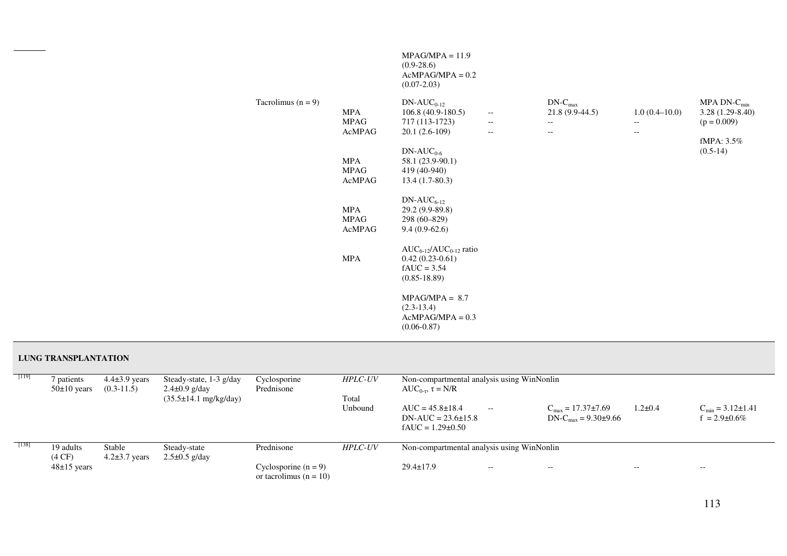|                      |                              | $MPAG/MPA = 11.9$<br>$(0.9-28.6)$<br>$AcMPAG/MPA = 0.2$<br>$(0.07 - 2.03)$              |                                                                                  |                                                                                          |                                                                         |                                                                         |
|----------------------|------------------------------|-----------------------------------------------------------------------------------------|----------------------------------------------------------------------------------|------------------------------------------------------------------------------------------|-------------------------------------------------------------------------|-------------------------------------------------------------------------|
| Tacrolimus $(n = 9)$ | MPA<br><b>MPAG</b><br>AcMPAG | $DN-AUC_{0-12}$<br>$106.8(40.9-180.5)$<br>717 (113-1723)<br>$20.1(2.6-109)$             | $\overline{\phantom{m}}$<br>$\overline{\phantom{m}}$<br>$\overline{\phantom{m}}$ | $DN-C_{max}$<br>$21.8(9.9-44.5)$<br>$\overline{\phantom{a}}$<br>$\overline{\phantom{m}}$ | $1.0(0.4-10.0)$<br>$\overline{\phantom{a}}$<br>$\overline{\phantom{m}}$ | MPA DN- $C_{min}$<br>3.28 (1.29-8.40)<br>$(p = 0.009)$<br>fMPA: $3.5\%$ |
|                      | MPA<br><b>MPAG</b><br>AcMPAG | $DN-AUC_{0.6}$<br>58.1 (23.9-90.1)<br>419 (40-940)<br>$13.4(1.7-80.3)$                  |                                                                                  |                                                                                          |                                                                         | $(0.5-14)$                                                              |
|                      | MPA<br><b>MPAG</b><br>AcMPAG | $DN-AUC_{6-12}$<br>29.2 (9.9-89.8)<br>298 (60-829)<br>$9.4(0.9-62.6)$                   |                                                                                  |                                                                                          |                                                                         |                                                                         |
|                      | MPA                          | $AUC_{6-12}/AUC_{0-12}$ ratio<br>$0.42(0.23-0.61)$<br>$fAUC = 3.54$<br>$(0.85 - 18.89)$ |                                                                                  |                                                                                          |                                                                         |                                                                         |
|                      |                              | $MPAG/MPA = 8.7$<br>$(2.3-13.4)$<br>$AcMPAG/MPA = 0.3$<br>$(0.06 - 0.87)$               |                                                                                  |                                                                                          |                                                                         |                                                                         |

### **LUNG TRANSPLANTATION**

| $[119]$ | patients<br>$50\pm10$ years   | $4.4\pm3.9$ years<br>$(0.3-11.5)$ | Steady-state, $1-3$ g/day<br>$2.4 \pm 0.9$ g/day<br>$(35.5 \pm 14.1 \text{ mg/kg/day})$ | Cyclosporine<br>Prednisone                           | <b>HPLC-UV</b><br>Total | Non-compartmental analysis using WinNonlin<br>AUC <sub>0-τ</sub> , $\tau = N/R$ |       |                                                                 |               |                                                       |
|---------|-------------------------------|-----------------------------------|-----------------------------------------------------------------------------------------|------------------------------------------------------|-------------------------|---------------------------------------------------------------------------------|-------|-----------------------------------------------------------------|---------------|-------------------------------------------------------|
|         |                               |                                   |                                                                                         |                                                      | Unbound                 | $AUC = 45.8 \pm 18.4$<br>$DN-AUC = 23.6 \pm 15.8$<br>$fAUC = 1.29 \pm 0.50$     | $--$  | $C_{\text{max}} = 17.37 \pm 7.69$<br>$DN-C_{max} = 9.30\pm9.66$ | $1.2 \pm 0.4$ | $C_{\text{min}} = 3.12 \pm 1.41$<br>$= 2.9 \pm 0.6\%$ |
| $[138]$ | 19 adults<br>$(4 \text{ CF})$ | Stable<br>$4.2\pm3.7$ years       | Steady-state<br>$2.5\pm0.5$ g/day                                                       | Prednisone                                           | <b>HPLC-UV</b>          | Non-compartmental analysis using WinNonlin                                      |       |                                                                 |               |                                                       |
|         | $48\pm15$ years               |                                   |                                                                                         | Cyclosporine $(n = 9)$<br>or tacrolimus ( $n = 10$ ) |                         | $29.4 \pm 17.9$                                                                 | $- -$ | $- -$                                                           | $- -$         | $\hspace{0.05cm} - \hspace{0.05cm} - \hspace{0.05cm}$ |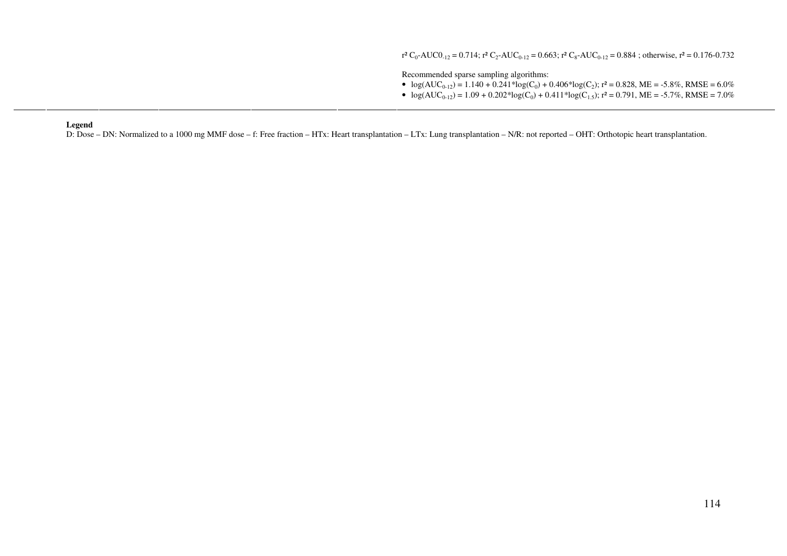$r^2 C_0$ -AUCO<sub>-12</sub> = 0.714;  $r^2 C_2$ -AUC<sub>0-12</sub> = 0.663;  $r^2 C_8$ -AUC<sub>0-12</sub> = 0.884; otherwise,  $r^2$  = 0.176-0.732

Recommended sparse sampling algorithms:

- $log(AUC_{0-12}) = 1.140 + 0.241 * log(C_0) + 0.406 * log(C_2);$   $r^2 = 0.828$ , ME = -5.8%, RMSE = 6.0%
- $\log(AUC_{0-12}) = 1.09 + 0.202 * \log(C_0) + 0.411 * \log(C_{1.5}); r^2 = 0.791, ME = -5.7\%, RMSE = 7.0\%$

#### **Legend**

D: Dose – DN: Normalized to a 1000 mg MMF dose – f: Free fraction – HTx: Heart transplantation – LTx: Lung transplantation – N/R: not reported – OHT: Orthotopic heart transplantation.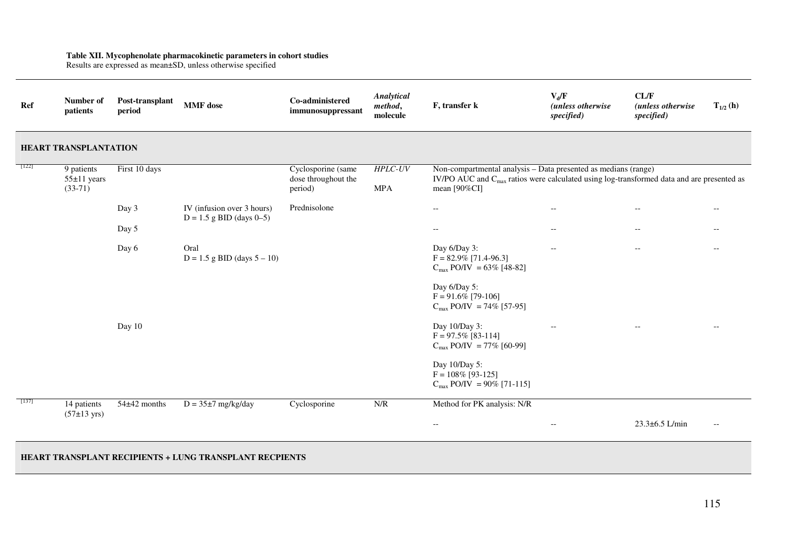# **Table XII. Mycophenolate pharmacokinetic parameters in cohort studies**  Results are expressed as mean±SD, unless otherwise specified

| Ref     | Number of<br>patients                        | Post-transplant<br>period | <b>MMF</b> dose                                                | Co-administered<br>immunosuppressant                 | <b>Analytical</b><br>method,<br>molecule | F, transfer k                                                                                                                                                                           | $V_d/F$<br>(unless otherwise<br>specified) | CL/F<br>(unless otherwise<br>specified) | $T_{1/2}$ (h)            |
|---------|----------------------------------------------|---------------------------|----------------------------------------------------------------|------------------------------------------------------|------------------------------------------|-----------------------------------------------------------------------------------------------------------------------------------------------------------------------------------------|--------------------------------------------|-----------------------------------------|--------------------------|
|         | HEART TRANSPLANTATION                        |                           |                                                                |                                                      |                                          |                                                                                                                                                                                         |                                            |                                         |                          |
| $[122]$ | 9 patients<br>$55 \pm 11$ years<br>$(33-71)$ | First 10 days             |                                                                | Cyclosporine (same<br>dose throughout the<br>period) | $HPLC-UV$<br><b>MPA</b>                  | Non-compartmental analysis - Data presented as medians (range)<br>IV/PO AUC and C <sub>max</sub> ratios were calculated using log-transformed data and are presented as<br>mean [90%CI] |                                            |                                         |                          |
|         |                                              | Day 3                     | IV (infusion over 3 hours)<br>$D = 1.5$ g BID (days 0-5)       | Prednisolone                                         |                                          | $\overline{\phantom{a}}$                                                                                                                                                                | $\overline{\phantom{m}}$                   | $-\,-$                                  | $-$                      |
|         |                                              | Day 5                     |                                                                |                                                      |                                          | $\overline{\phantom{a}}$                                                                                                                                                                | $\overline{\phantom{m}}$                   | $-\,-$                                  | $\overline{\phantom{a}}$ |
|         |                                              | Day 6                     | Oral<br>$D = 1.5$ g BID (days $5 - 10$ )                       |                                                      |                                          | Day $6/Day$ 3:<br>$F = 82.9\%$ [71.4-96.3]<br>$C_{\text{max}}$ PO/IV = 63% [48-82]                                                                                                      | $\overline{\phantom{m}}$                   | $\overline{\phantom{a}}$                | $--$                     |
|         |                                              |                           |                                                                |                                                      |                                          | Day 6/Day 5:<br>$F = 91.6\%$ [79-106]<br>$C_{\text{max}}$ PO/IV = 74% [57-95]                                                                                                           |                                            |                                         |                          |
|         |                                              | Day 10                    |                                                                |                                                      |                                          | Day 10/Day 3:<br>$F = 97.5\%$ [83-114]<br>$C_{\text{max}}$ PO/IV = 77% [60-99]                                                                                                          |                                            |                                         |                          |
|         |                                              |                           |                                                                |                                                      |                                          | Day 10/Day 5:<br>$F = 108\%$ [93-125]<br>$C_{\text{max}}$ PO/IV = 90% [71-115]                                                                                                          |                                            |                                         |                          |
| $[137]$ | 14 patients<br>$(57±13 \text{ yrs})$         | 54±42 months              | $D = 35\pm 7$ mg/kg/day                                        | Cyclosporine                                         | N/R                                      | Method for PK analysis: N/R                                                                                                                                                             |                                            |                                         |                          |
|         |                                              |                           |                                                                |                                                      |                                          | $\overline{\phantom{a}}$                                                                                                                                                                | $\overline{\phantom{a}}$                   | 23.3±6.5 L/min                          | $-\,-$                   |
|         |                                              |                           | <b>HEART TRANSPLANT RECIPIENTS + LUNG TRANSPLANT RECPIENTS</b> |                                                      |                                          |                                                                                                                                                                                         |                                            |                                         |                          |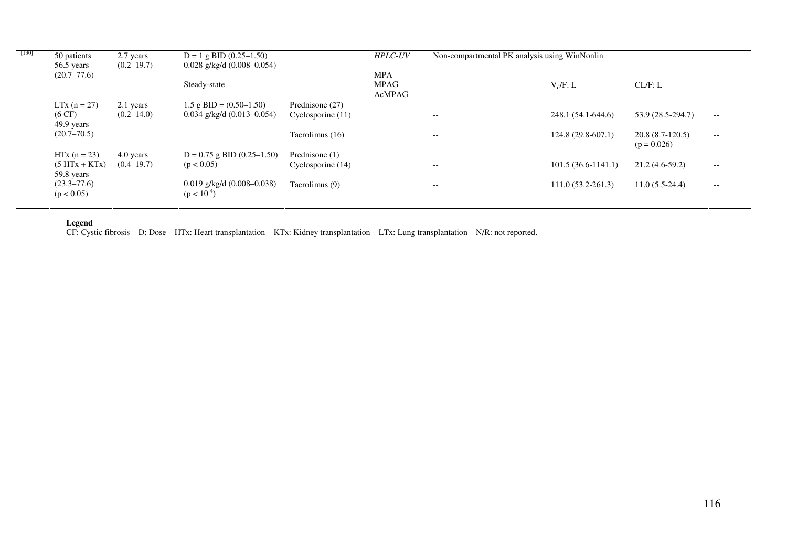| $[130]$ | 50 patients                    | 2.7 years      | $D = 1$ g BID (0.25–1.50)                           |                   | <b>HPLC-UV</b>        | Non-compartmental PK analysis using WinNonlin |                       |                                    |                                                     |
|---------|--------------------------------|----------------|-----------------------------------------------------|-------------------|-----------------------|-----------------------------------------------|-----------------------|------------------------------------|-----------------------------------------------------|
|         | 56.5 years                     | $(0.2 - 19.7)$ | $0.028$ g/kg/d $(0.008 - 0.054)$                    |                   |                       |                                               |                       |                                    |                                                     |
|         | $(20.7 - 77.6)$                |                |                                                     |                   | <b>MPA</b>            |                                               |                       |                                    |                                                     |
|         |                                |                | Steady-state                                        |                   | <b>MPAG</b><br>AcMPAG |                                               | $V_d/F: L$            | CL/F: L                            |                                                     |
|         | $LTx (n = 27)$                 | 2.1 years      | $1.5$ g BID = $(0.50-1.50)$                         | Prednisone (27)   |                       |                                               |                       |                                    |                                                     |
|         | $(6 \text{ CF})$<br>49.9 years | $(0.2 - 14.0)$ | $0.034$ g/kg/d $(0.013 - 0.054)$                    | Cyclosporine (11) |                       | $- -$                                         | 248.1 (54.1-644.6)    | 53.9 (28.5-294.7)                  | $\hspace{0.05cm} -\hspace{0.05cm} -\hspace{0.05cm}$ |
|         | $(20.7 - 70.5)$                |                |                                                     | Tacrolimus (16)   |                       | $-\!$ $\!-$                                   | $124.8(29.8-607.1)$   | $20.8(8.7-120.5)$<br>$(p = 0.026)$ | $\hspace{0.05cm} -\hspace{0.05cm} -\hspace{0.05cm}$ |
|         | $HTx (n = 23)$                 | 4.0 years      | $D = 0.75$ g BID $(0.25-1.50)$                      | Prednisone (1)    |                       |                                               |                       |                                    |                                                     |
|         | $(5 HTx + KTx)$<br>59.8 years  | $(0.4 - 19.7)$ | (p < 0.05)                                          | Cyclosporine (14) |                       | $- -$                                         | $101.5(36.6-1141.1)$  | $21.2(4.6-59.2)$                   | $- -$                                               |
|         | $(23.3 - 77.6)$<br>(p < 0.05)  |                | $0.019$ g/kg/d $(0.008 - 0.038)$<br>$(p < 10^{-4})$ | Tacrolimus (9)    |                       | $- -$                                         | $111.0(53.2 - 261.3)$ | $11.0(5.5-24.4)$                   | $- -$                                               |

**Legend**<br>CF: Cystic fibrosis – D: Dose – HTx: Heart transplantation – KTx: Kidney transplantation – LTx: Lung transplantation – N/R: not reported.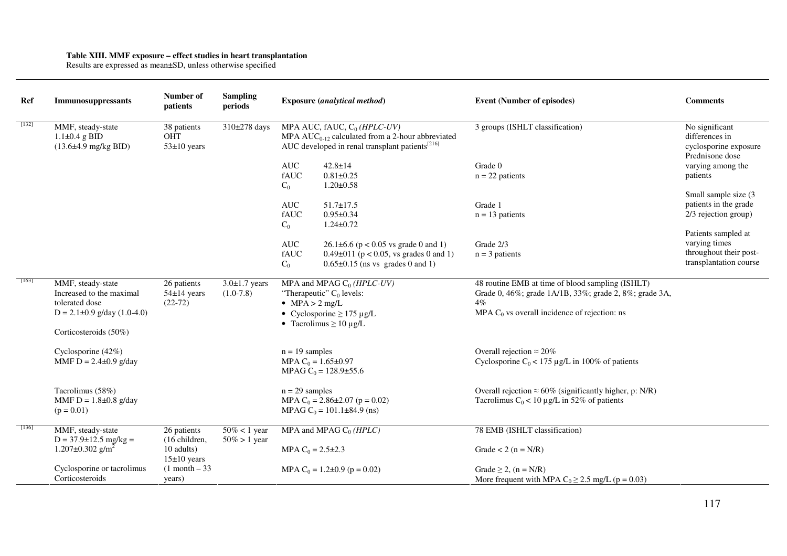## **Table XIII. MMF exposure – effect studies in heart transplantation**  Results are expressed as mean±SD, unless otherwise specified

| Ref     | Immunosuppressants                                                         | Number of<br>patients                        | <b>Sampling</b><br>periods | <b>Exposure</b> (analytical method)                                                                                                                    | <b>Event (Number of episodes)</b>                               | <b>Comments</b>                                                              |
|---------|----------------------------------------------------------------------------|----------------------------------------------|----------------------------|--------------------------------------------------------------------------------------------------------------------------------------------------------|-----------------------------------------------------------------|------------------------------------------------------------------------------|
| $[132]$ | MMF, steady-state<br>$1.1\pm0.4$ g BID<br>$(13.6\pm4.9 \text{ mg/kg BID})$ | 38 patients<br><b>OHT</b><br>$53\pm10$ years | 310±278 days               | MPA AUC, fAUC, $C_0$ (HPLC-UV)<br>MPA $AUC_{0-12}$ calculated from a 2-hour abbreviated<br>AUC developed in renal transplant patients <sup>[216]</sup> | 3 groups (ISHLT classification)                                 | No significant<br>differences in<br>cyclosporine exposure<br>Prednisone dose |
|         |                                                                            |                                              |                            | <b>AUC</b><br>$42.8 \pm 14$                                                                                                                            | Grade 0                                                         | varying among the                                                            |
|         |                                                                            |                                              |                            | fAUC<br>$0.81 \pm 0.25$                                                                                                                                | $n = 22$ patients                                               | patients                                                                     |
|         |                                                                            |                                              |                            | $1.20 \pm 0.58$<br>$C_0$                                                                                                                               |                                                                 |                                                                              |
|         |                                                                            |                                              |                            | <b>AUC</b><br>$51.7 \pm 17.5$                                                                                                                          | Grade 1                                                         | Small sample size (3)<br>patients in the grade                               |
|         |                                                                            |                                              |                            | fAUC<br>$0.95 \pm 0.34$                                                                                                                                | $n = 13$ patients                                               | 2/3 rejection group)                                                         |
|         |                                                                            |                                              |                            | $C_0$<br>$1.24 \pm 0.72$                                                                                                                               |                                                                 |                                                                              |
|         |                                                                            |                                              |                            |                                                                                                                                                        |                                                                 | Patients sampled at                                                          |
|         |                                                                            |                                              |                            | $\mathbf A\mathbf U\mathbf C$<br>$26.1\pm6.6$ (p < 0.05 vs grade 0 and 1)                                                                              | Grade 2/3                                                       | varying times                                                                |
|         |                                                                            |                                              |                            | fAUC<br>$0.49\pm011$ (p < 0.05, vs grades 0 and 1)                                                                                                     | $n = 3$ patients                                                | throughout their post-<br>transplantation course                             |
|         |                                                                            |                                              |                            | $C_0$<br>$0.65\pm0.15$ (ns vs grades 0 and 1)                                                                                                          |                                                                 |                                                                              |
| $[163]$ | MMF, steady-state                                                          | 26 patients                                  | $3.0 \pm 1.7$ years        | MPA and MPAG $C_0$ (HPLC-UV)                                                                                                                           | 48 routine EMB at time of blood sampling (ISHLT)                |                                                                              |
|         | Increased to the maximal                                                   | $54\pm14$ years                              | $(1.0-7.8)$                | "Therapeutic" $C_0$ levels:                                                                                                                            | Grade 0, 46%; grade 1A/1B, 33%; grade 2, 8%; grade 3A,          |                                                                              |
|         | tolerated dose                                                             | $(22-72)$                                    |                            | $MPA > 2$ mg/L                                                                                                                                         | $4\%$                                                           |                                                                              |
|         | $D = 2.1 \pm 0.9$ g/day (1.0-4.0)                                          |                                              |                            | • Cyclosporine $\geq$ 175 µg/L                                                                                                                         | MPA $C_0$ vs overall incidence of rejection: ns                 |                                                                              |
|         | Corticosteroids (50%)                                                      |                                              |                            | • Tacrolimus $\geq 10 \mu g/L$                                                                                                                         |                                                                 |                                                                              |
|         |                                                                            |                                              |                            |                                                                                                                                                        |                                                                 |                                                                              |
|         | Cyclosporine (42%)                                                         |                                              |                            | $n = 19$ samples                                                                                                                                       | Overall rejection $\approx 20\%$                                |                                                                              |
|         | MMF D = $2.4 \pm 0.9$ g/day                                                |                                              |                            | MPA $C_0 = 1.65 \pm 0.97$<br>MPAG $C_0 = 128.9 \pm 55.6$                                                                                               | Cyclosporine $C_0$ < 175 µg/L in 100% of patients               |                                                                              |
|         | Tacrolimus (58%)                                                           |                                              |                            | $n = 29$ samples                                                                                                                                       | Overall rejection $\approx 60\%$ (significantly higher, p: N/R) |                                                                              |
|         | MMF $D = 1.8 \pm 0.8$ g/day                                                |                                              |                            | MPA $C_0 = 2.86 \pm 2.07$ (p = 0.02)                                                                                                                   | Tacrolimus $C_0$ < 10 µg/L in 52% of patients                   |                                                                              |
|         | $(p = 0.01)$                                                               |                                              |                            | MPAG $C_0 = 101.1 \pm 84.9$ (ns)                                                                                                                       |                                                                 |                                                                              |
| $[136]$ | MMF, steady-state                                                          | 26 patients                                  | $50\% < 1$ year            | MPA and MPAG $C_0$ (HPLC)                                                                                                                              | 78 EMB (ISHLT classification)                                   |                                                                              |
|         | $D = 37.9 \pm 12.5$ mg/kg =                                                | (16 children,                                | $50\% > 1$ year            |                                                                                                                                                        |                                                                 |                                                                              |
|         | 1.207 $\pm$ 0.302 g/m <sup>2</sup>                                         | 10 adults)                                   |                            | MPA $C_0 = 2.5 \pm 2.3$                                                                                                                                | Grade $< 2$ (n = N/R)                                           |                                                                              |
|         |                                                                            | $15±10$ years                                |                            |                                                                                                                                                        |                                                                 |                                                                              |
|         | Cyclosporine or tacrolimus<br>Corticosteroids                              | $(1$ month $-33$                             |                            | MPA C <sub>0</sub> = 1.2±0.9 (p = 0.02)                                                                                                                | Grade $\geq$ 2, (n = N/R)                                       |                                                                              |
|         |                                                                            | years)                                       |                            |                                                                                                                                                        | More frequent with MPA $C_0 \ge 2.5$ mg/L (p = 0.03)            |                                                                              |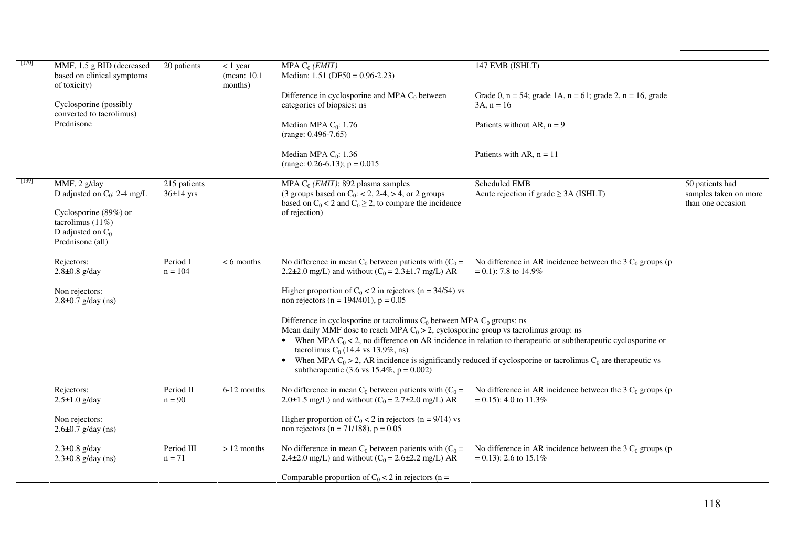| $[170]$ | MMF, 1.5 g BID (decreased<br>based on clinical symptoms<br>of toxicity)                 | 20 patients                   | $< 1$ year<br>(mean: 10.1)<br>months) | MPA $C_0$ ( <i>EMIT</i> )<br>Median: $1.51$ (DF50 = 0.96-2.23)<br>Difference in cyclosporine and MPA $C_0$ between                                                                                                      | 147 EMB (ISHLT)<br>Grade 0, $n = 54$ ; grade 1A, $n = 61$ ; grade 2, $n = 16$ , grade                               |                                                               |
|---------|-----------------------------------------------------------------------------------------|-------------------------------|---------------------------------------|-------------------------------------------------------------------------------------------------------------------------------------------------------------------------------------------------------------------------|---------------------------------------------------------------------------------------------------------------------|---------------------------------------------------------------|
|         | Cyclosporine (possibly<br>converted to tacrolimus)<br>Prednisone                        |                               |                                       | categories of biopsies: ns<br>Median MPA $C_0$ : 1.76                                                                                                                                                                   | $3A. n = 16$<br>Patients without AR, $n = 9$                                                                        |                                                               |
|         |                                                                                         |                               |                                       | $(range: 0.496-7.65)$                                                                                                                                                                                                   |                                                                                                                     |                                                               |
|         |                                                                                         |                               |                                       | Median MPA $C_0$ : 1.36<br>(range: 0.26-6.13); $p = 0.015$                                                                                                                                                              | Patients with AR, $n = 11$                                                                                          |                                                               |
| [139]   | MMF, 2 g/day<br>D adjusted on $C_0$ : 2-4 mg/L                                          | 215 patients<br>$36\pm14$ yrs |                                       | MPA $C_0$ ( <i>EMIT</i> ); 892 plasma samples<br>(3 groups based on $C_0$ : < 2, 2-4, > 4, or 2 groups<br>based on $C_0 < 2$ and $C_0 \ge 2$ , to compare the incidence                                                 | Scheduled EMB<br>Acute rejection if grade $\geq$ 3A (ISHLT)                                                         | 50 patients had<br>samples taken on more<br>than one occasion |
|         | Cyclosporine (89%) or<br>tacrolimus $(11\%)$<br>D adjusted on $C_0$<br>Prednisone (all) |                               |                                       | of rejection)                                                                                                                                                                                                           |                                                                                                                     |                                                               |
|         | Rejectors:<br>$2.8 \pm 0.8$ g/day                                                       | Period I<br>$n = 104$         | $< 6$ months                          | No difference in mean $C_0$ between patients with $(C_0 =$<br>2.2 $\pm$ 2.0 mg/L) and without (C <sub>0</sub> = 2.3 $\pm$ 1.7 mg/L) AR                                                                                  | No difference in AR incidence between the 3 $C_0$ groups (p<br>$= 0.1$ : 7.8 to 14.9%                               |                                                               |
|         | Non rejectors:<br>$2.8 \pm 0.7$ g/day (ns)                                              |                               |                                       | Higher proportion of $C_0 < 2$ in rejectors (n = 34/54) vs<br>non rejectors (n = 194/401), p = $0.05$                                                                                                                   |                                                                                                                     |                                                               |
|         |                                                                                         |                               |                                       | Difference in cyclosporine or tacrolimus $C_0$ between MPA $C_0$ groups: ns<br>Mean daily MMF dose to reach MPA $C_0 > 2$ , cyclosporine group vs tacrolimus group: ns<br>tacrolimus C <sub>0</sub> (14.4 vs 13.9%, ns) | • When MPA $C_0 < 2$ , no difference on AR incidence in relation to the appeartic or subtherapeutic cyclosporine or |                                                               |
|         |                                                                                         |                               |                                       | subtherapeutic (3.6 vs 15.4%, $p = 0.002$ )                                                                                                                                                                             | • When MPA $C_0 > 2$ , AR incidence is significantly reduced if cyclosporine or tacrolimus $C_0$ are therapeutic vs |                                                               |
|         | Rejectors:<br>$2.5 \pm 1.0$ g/day                                                       | Period II<br>$n = 90$         | 6-12 months                           | No difference in mean $C_0$ between patients with $(C_0 =$<br>2.0±1.5 mg/L) and without ( $C_0 = 2.7 \pm 2.0$ mg/L) AR                                                                                                  | No difference in AR incidence between the 3 $C_0$ groups (p<br>$= 0.15$ : 4.0 to 11.3%                              |                                                               |
|         | Non rejectors:<br>$2.6 \pm 0.7$ g/day (ns)                                              |                               |                                       | Higher proportion of $C_0 < 2$ in rejectors (n = 9/14) vs<br>non rejectors (n = $71/188$ ), p = 0.05                                                                                                                    |                                                                                                                     |                                                               |
|         | $2.3\pm0.8$ g/day<br>$2.3\pm0.8$ g/day (ns)                                             | Period III<br>$n = 71$        | $> 12$ months                         | No difference in mean $C_0$ between patients with $(C_0 =$<br>2.4±2.0 mg/L) and without ( $C_0 = 2.6 \pm 2.2$ mg/L) AR                                                                                                  | No difference in AR incidence between the 3 $C_0$ groups (p<br>$= 0.13$ : 2.6 to 15.1%                              |                                                               |
|         |                                                                                         |                               |                                       | Comparable proportion of $C_0 < 2$ in rejectors (n =                                                                                                                                                                    |                                                                                                                     |                                                               |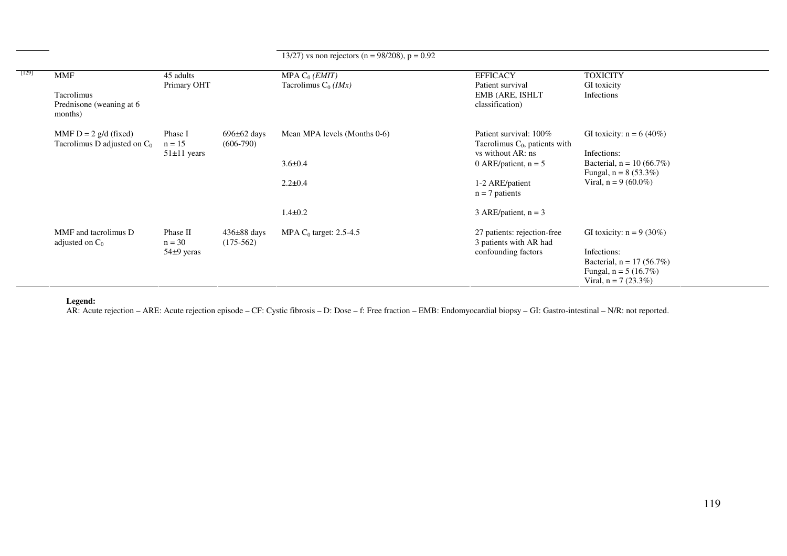|       |                                                           |                          |                                | 13/27) vs non rejectors (n = 98/208), p = 0.92               |                                                                                 |                                                        |
|-------|-----------------------------------------------------------|--------------------------|--------------------------------|--------------------------------------------------------------|---------------------------------------------------------------------------------|--------------------------------------------------------|
| [129] | <b>MMF</b>                                                | 45 adults<br>Primary OHT |                                | MPA $C_0$ ( <i>EMIT</i> )<br>Tacrolimus $C_0$ ( <i>IMx</i> ) | <b>EFFICACY</b><br>Patient survival                                             | <b>TOXICITY</b><br>GI toxicity                         |
|       | Tacrolimus<br>Prednisone (weaning at 6)<br>months)        |                          |                                |                                                              | EMB (ARE, ISHLT<br>classification)                                              | Infections                                             |
|       | MMF $D = 2$ g/d (fixed)<br>Tacrolimus D adjusted on $C_0$ | Phase I<br>$n = 15$      | $696\pm62$ days<br>$(606-790)$ | Mean MPA levels (Months 0-6)                                 | Patient survival: 100%<br>Tacrolimus $C_0$ , patients with<br>vs without AR: ns | GI toxicity: $n = 6 (40\%)$<br>Infections:             |
|       |                                                           | $51 \pm 11$ years        |                                | $3.6 \pm 0.4$                                                | 0 ARE/patient, $n = 5$                                                          | Bacterial, $n = 10 (66.7%)$<br>Fungal, $n = 8$ (53.3%) |
|       |                                                           |                          |                                | $2.2 \pm 0.4$                                                | 1-2 ARE/patient<br>$n = 7$ patients                                             | Viral, $n = 9$ (60.0%)                                 |
|       |                                                           |                          |                                | $1.4 \pm 0.2$                                                | 3 ARE/patient, $n = 3$                                                          |                                                        |
|       | MMF and tacrolimus D<br>adjusted on $C_0$                 | Phase II<br>$n = 30$     | $436\pm88$ days<br>$(175-562)$ | MPA $C_0$ target: 2.5-4.5                                    | 27 patients: rejection-free<br>3 patients with AR had                           | GI toxicity: $n = 9$ (30%)                             |
|       |                                                           | $54\pm9$ yeras           |                                |                                                              | confounding factors                                                             | Infections:                                            |
|       |                                                           |                          |                                |                                                              |                                                                                 | Bacterial, $n = 17 (56.7%)$<br>Fungal, $n = 5 (16.7%)$ |
|       |                                                           |                          |                                |                                                              |                                                                                 | Viral, $n = 7$ (23.3%)                                 |

**Legend:**<br>AR: Acute rejection – ARE: Acute rejection episode – CF: Cystic fibrosis – D: Dose – f: Free fraction – EMB: Endomyocardial biopsy – GI: Gastro-intestinal – N/R: not reported.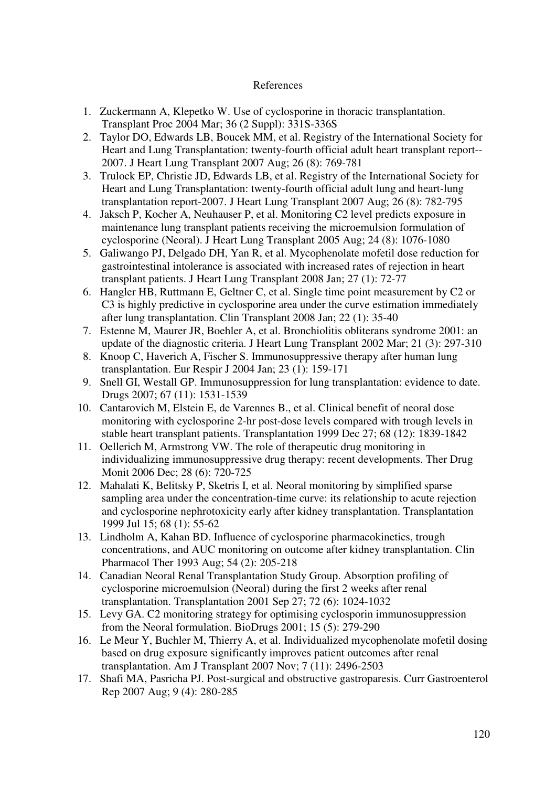## References

- 1. Zuckermann A, Klepetko W. Use of cyclosporine in thoracic transplantation. Transplant Proc 2004 Mar; 36 (2 Suppl): 331S-336S
- 2. Taylor DO, Edwards LB, Boucek MM, et al. Registry of the International Society for Heart and Lung Transplantation: twenty-fourth official adult heart transplant report-- 2007. J Heart Lung Transplant 2007 Aug; 26 (8): 769-781
- 3. Trulock EP, Christie JD, Edwards LB, et al. Registry of the International Society for Heart and Lung Transplantation: twenty-fourth official adult lung and heart-lung transplantation report-2007. J Heart Lung Transplant 2007 Aug; 26 (8): 782-795
- 4. Jaksch P, Kocher A, Neuhauser P, et al. Monitoring C2 level predicts exposure in maintenance lung transplant patients receiving the microemulsion formulation of cyclosporine (Neoral). J Heart Lung Transplant 2005 Aug; 24 (8): 1076-1080
- 5. Galiwango PJ, Delgado DH, Yan R, et al. Mycophenolate mofetil dose reduction for gastrointestinal intolerance is associated with increased rates of rejection in heart transplant patients. J Heart Lung Transplant 2008 Jan; 27 (1): 72-77
- 6. Hangler HB, Ruttmann E, Geltner C, et al. Single time point measurement by C2 or C3 is highly predictive in cyclosporine area under the curve estimation immediately after lung transplantation. Clin Transplant 2008 Jan; 22 (1): 35-40
- 7. Estenne M, Maurer JR, Boehler A, et al. Bronchiolitis obliterans syndrome 2001: an update of the diagnostic criteria. J Heart Lung Transplant 2002 Mar; 21 (3): 297-310
- 8. Knoop C, Haverich A, Fischer S. Immunosuppressive therapy after human lung transplantation. Eur Respir J 2004 Jan; 23 (1): 159-171
- 9. Snell GI, Westall GP. Immunosuppression for lung transplantation: evidence to date. Drugs 2007; 67 (11): 1531-1539
- 10. Cantarovich M, Elstein E, de Varennes B., et al. Clinical benefit of neoral dose monitoring with cyclosporine 2-hr post-dose levels compared with trough levels in stable heart transplant patients. Transplantation 1999 Dec 27; 68 (12): 1839-1842
- 11. Oellerich M, Armstrong VW. The role of therapeutic drug monitoring in individualizing immunosuppressive drug therapy: recent developments. Ther Drug Monit 2006 Dec; 28 (6): 720-725
- 12. Mahalati K, Belitsky P, Sketris I, et al. Neoral monitoring by simplified sparse sampling area under the concentration-time curve: its relationship to acute rejection and cyclosporine nephrotoxicity early after kidney transplantation. Transplantation 1999 Jul 15; 68 (1): 55-62
- 13. Lindholm A, Kahan BD. Influence of cyclosporine pharmacokinetics, trough concentrations, and AUC monitoring on outcome after kidney transplantation. Clin Pharmacol Ther 1993 Aug; 54 (2): 205-218
- 14. Canadian Neoral Renal Transplantation Study Group. Absorption profiling of cyclosporine microemulsion (Neoral) during the first 2 weeks after renal transplantation. Transplantation 2001 Sep 27; 72 (6): 1024-1032
- 15. Levy GA. C2 monitoring strategy for optimising cyclosporin immunosuppression from the Neoral formulation. BioDrugs 2001; 15 (5): 279-290
- 16. Le Meur Y, Buchler M, Thierry A, et al. Individualized mycophenolate mofetil dosing based on drug exposure significantly improves patient outcomes after renal transplantation. Am J Transplant 2007 Nov; 7 (11): 2496-2503
- 17. Shafi MA, Pasricha PJ. Post-surgical and obstructive gastroparesis. Curr Gastroenterol Rep 2007 Aug; 9 (4): 280-285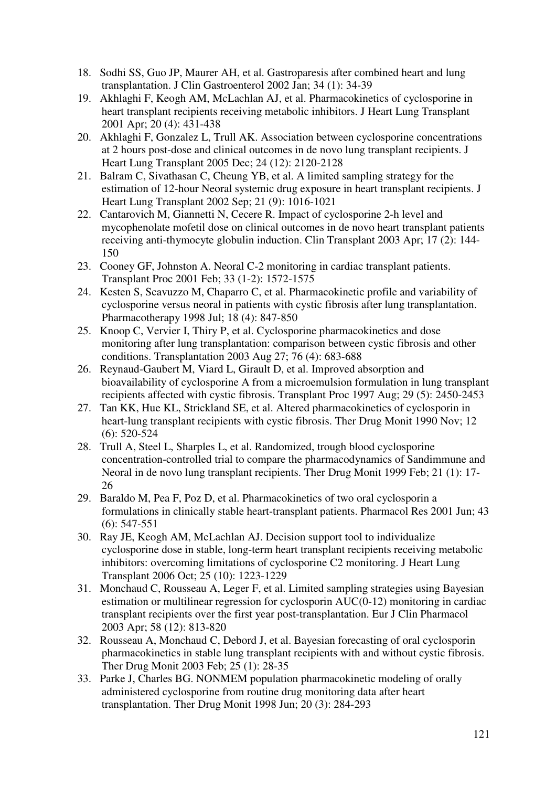- 18. Sodhi SS, Guo JP, Maurer AH, et al. Gastroparesis after combined heart and lung transplantation. J Clin Gastroenterol 2002 Jan; 34 (1): 34-39
- 19. Akhlaghi F, Keogh AM, McLachlan AJ, et al. Pharmacokinetics of cyclosporine in heart transplant recipients receiving metabolic inhibitors. J Heart Lung Transplant 2001 Apr; 20 (4): 431-438
- 20. Akhlaghi F, Gonzalez L, Trull AK. Association between cyclosporine concentrations at 2 hours post-dose and clinical outcomes in de novo lung transplant recipients. J Heart Lung Transplant 2005 Dec; 24 (12): 2120-2128
- 21. Balram C, Sivathasan C, Cheung YB, et al. A limited sampling strategy for the estimation of 12-hour Neoral systemic drug exposure in heart transplant recipients. J Heart Lung Transplant 2002 Sep; 21 (9): 1016-1021
- 22. Cantarovich M, Giannetti N, Cecere R. Impact of cyclosporine 2-h level and mycophenolate mofetil dose on clinical outcomes in de novo heart transplant patients receiving anti-thymocyte globulin induction. Clin Transplant 2003 Apr; 17 (2): 144- 150
- 23. Cooney GF, Johnston A. Neoral C-2 monitoring in cardiac transplant patients. Transplant Proc 2001 Feb; 33 (1-2): 1572-1575
- 24. Kesten S, Scavuzzo M, Chaparro C, et al. Pharmacokinetic profile and variability of cyclosporine versus neoral in patients with cystic fibrosis after lung transplantation. Pharmacotherapy 1998 Jul; 18 (4): 847-850
- 25. Knoop C, Vervier I, Thiry P, et al. Cyclosporine pharmacokinetics and dose monitoring after lung transplantation: comparison between cystic fibrosis and other conditions. Transplantation 2003 Aug 27; 76 (4): 683-688
- 26. Reynaud-Gaubert M, Viard L, Girault D, et al. Improved absorption and bioavailability of cyclosporine A from a microemulsion formulation in lung transplant recipients affected with cystic fibrosis. Transplant Proc 1997 Aug; 29 (5): 2450-2453
- 27. Tan KK, Hue KL, Strickland SE, et al. Altered pharmacokinetics of cyclosporin in heart-lung transplant recipients with cystic fibrosis. Ther Drug Monit 1990 Nov; 12 (6): 520-524
- 28. Trull A, Steel L, Sharples L, et al. Randomized, trough blood cyclosporine concentration-controlled trial to compare the pharmacodynamics of Sandimmune and Neoral in de novo lung transplant recipients. Ther Drug Monit 1999 Feb; 21 (1): 17- 26
- 29. Baraldo M, Pea F, Poz D, et al. Pharmacokinetics of two oral cyclosporin a formulations in clinically stable heart-transplant patients. Pharmacol Res 2001 Jun; 43 (6): 547-551
- 30. Ray JE, Keogh AM, McLachlan AJ. Decision support tool to individualize cyclosporine dose in stable, long-term heart transplant recipients receiving metabolic inhibitors: overcoming limitations of cyclosporine C2 monitoring. J Heart Lung Transplant 2006 Oct; 25 (10): 1223-1229
- 31. Monchaud C, Rousseau A, Leger F, et al. Limited sampling strategies using Bayesian estimation or multilinear regression for cyclosporin AUC(0-12) monitoring in cardiac transplant recipients over the first year post-transplantation. Eur J Clin Pharmacol 2003 Apr; 58 (12): 813-820
- 32. Rousseau A, Monchaud C, Debord J, et al. Bayesian forecasting of oral cyclosporin pharmacokinetics in stable lung transplant recipients with and without cystic fibrosis. Ther Drug Monit 2003 Feb; 25 (1): 28-35
- 33. Parke J, Charles BG. NONMEM population pharmacokinetic modeling of orally administered cyclosporine from routine drug monitoring data after heart transplantation. Ther Drug Monit 1998 Jun; 20 (3): 284-293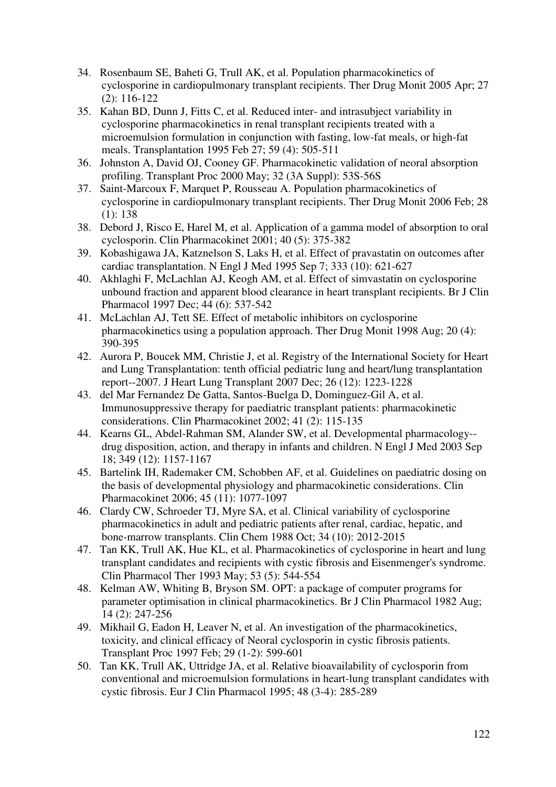- 34. Rosenbaum SE, Baheti G, Trull AK, et al. Population pharmacokinetics of cyclosporine in cardiopulmonary transplant recipients. Ther Drug Monit 2005 Apr; 27 (2): 116-122
- 35. Kahan BD, Dunn J, Fitts C, et al. Reduced inter- and intrasubject variability in cyclosporine pharmacokinetics in renal transplant recipients treated with a microemulsion formulation in conjunction with fasting, low-fat meals, or high-fat meals. Transplantation 1995 Feb 27; 59 (4): 505-511
- 36. Johnston A, David OJ, Cooney GF. Pharmacokinetic validation of neoral absorption profiling. Transplant Proc 2000 May; 32 (3A Suppl): 53S-56S
- 37. Saint-Marcoux F, Marquet P, Rousseau A. Population pharmacokinetics of cyclosporine in cardiopulmonary transplant recipients. Ther Drug Monit 2006 Feb; 28 (1): 138
- 38. Debord J, Risco E, Harel M, et al. Application of a gamma model of absorption to oral cyclosporin. Clin Pharmacokinet 2001; 40 (5): 375-382
- 39. Kobashigawa JA, Katznelson S, Laks H, et al. Effect of pravastatin on outcomes after cardiac transplantation. N Engl J Med 1995 Sep 7; 333 (10): 621-627
- 40. Akhlaghi F, McLachlan AJ, Keogh AM, et al. Effect of simvastatin on cyclosporine unbound fraction and apparent blood clearance in heart transplant recipients. Br J Clin Pharmacol 1997 Dec; 44 (6): 537-542
- 41. McLachlan AJ, Tett SE. Effect of metabolic inhibitors on cyclosporine pharmacokinetics using a population approach. Ther Drug Monit 1998 Aug; 20 (4): 390-395
- 42. Aurora P, Boucek MM, Christie J, et al. Registry of the International Society for Heart and Lung Transplantation: tenth official pediatric lung and heart/lung transplantation report--2007. J Heart Lung Transplant 2007 Dec; 26 (12): 1223-1228
- 43. del Mar Fernandez De Gatta, Santos-Buelga D, Dominguez-Gil A, et al. Immunosuppressive therapy for paediatric transplant patients: pharmacokinetic considerations. Clin Pharmacokinet 2002; 41 (2): 115-135
- 44. Kearns GL, Abdel-Rahman SM, Alander SW, et al. Developmental pharmacology- drug disposition, action, and therapy in infants and children. N Engl J Med 2003 Sep 18; 349 (12): 1157-1167
- 45. Bartelink IH, Rademaker CM, Schobben AF, et al. Guidelines on paediatric dosing on the basis of developmental physiology and pharmacokinetic considerations. Clin Pharmacokinet 2006; 45 (11): 1077-1097
- 46. Clardy CW, Schroeder TJ, Myre SA, et al. Clinical variability of cyclosporine pharmacokinetics in adult and pediatric patients after renal, cardiac, hepatic, and bone-marrow transplants. Clin Chem 1988 Oct; 34 (10): 2012-2015
- 47. Tan KK, Trull AK, Hue KL, et al. Pharmacokinetics of cyclosporine in heart and lung transplant candidates and recipients with cystic fibrosis and Eisenmenger's syndrome. Clin Pharmacol Ther 1993 May; 53 (5): 544-554
- 48. Kelman AW, Whiting B, Bryson SM. OPT: a package of computer programs for parameter optimisation in clinical pharmacokinetics. Br J Clin Pharmacol 1982 Aug; 14 (2): 247-256
- 49. Mikhail G, Eadon H, Leaver N, et al. An investigation of the pharmacokinetics, toxicity, and clinical efficacy of Neoral cyclosporin in cystic fibrosis patients. Transplant Proc 1997 Feb; 29 (1-2): 599-601
- 50. Tan KK, Trull AK, Uttridge JA, et al. Relative bioavailability of cyclosporin from conventional and microemulsion formulations in heart-lung transplant candidates with cystic fibrosis. Eur J Clin Pharmacol 1995; 48 (3-4): 285-289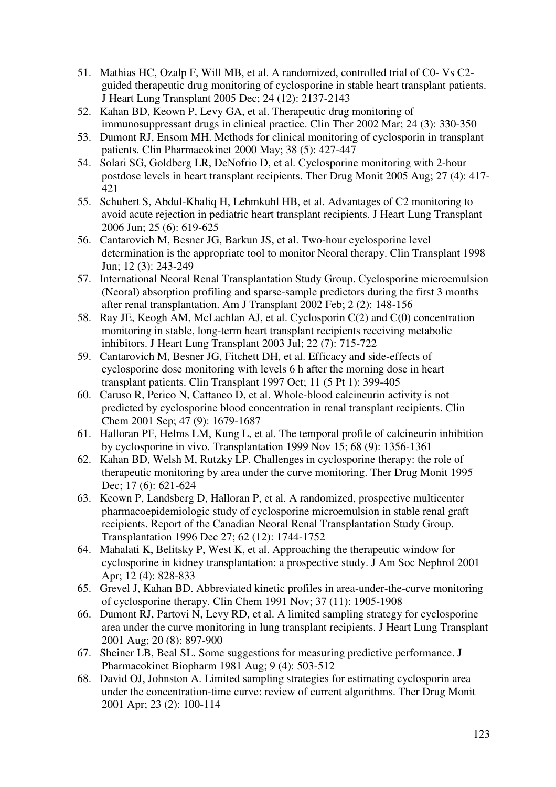- 51. Mathias HC, Ozalp F, Will MB, et al. A randomized, controlled trial of C0- Vs C2 guided therapeutic drug monitoring of cyclosporine in stable heart transplant patients. J Heart Lung Transplant 2005 Dec; 24 (12): 2137-2143
- 52. Kahan BD, Keown P, Levy GA, et al. Therapeutic drug monitoring of immunosuppressant drugs in clinical practice. Clin Ther 2002 Mar; 24 (3): 330-350
- 53. Dumont RJ, Ensom MH. Methods for clinical monitoring of cyclosporin in transplant patients. Clin Pharmacokinet 2000 May; 38 (5): 427-447
- 54. Solari SG, Goldberg LR, DeNofrio D, et al. Cyclosporine monitoring with 2-hour postdose levels in heart transplant recipients. Ther Drug Monit 2005 Aug; 27 (4): 417- 421
- 55. Schubert S, Abdul-Khaliq H, Lehmkuhl HB, et al. Advantages of C2 monitoring to avoid acute rejection in pediatric heart transplant recipients. J Heart Lung Transplant 2006 Jun; 25 (6): 619-625
- 56. Cantarovich M, Besner JG, Barkun JS, et al. Two-hour cyclosporine level determination is the appropriate tool to monitor Neoral therapy. Clin Transplant 1998 Jun; 12 (3): 243-249
- 57. International Neoral Renal Transplantation Study Group. Cyclosporine microemulsion (Neoral) absorption profiling and sparse-sample predictors during the first 3 months after renal transplantation. Am J Transplant 2002 Feb; 2 (2): 148-156
- 58. Ray JE, Keogh AM, McLachlan AJ, et al. Cyclosporin C(2) and C(0) concentration monitoring in stable, long-term heart transplant recipients receiving metabolic inhibitors. J Heart Lung Transplant 2003 Jul; 22 (7): 715-722
- 59. Cantarovich M, Besner JG, Fitchett DH, et al. Efficacy and side-effects of cyclosporine dose monitoring with levels 6 h after the morning dose in heart transplant patients. Clin Transplant 1997 Oct; 11 (5 Pt 1): 399-405
- 60. Caruso R, Perico N, Cattaneo D, et al. Whole-blood calcineurin activity is not predicted by cyclosporine blood concentration in renal transplant recipients. Clin Chem 2001 Sep; 47 (9): 1679-1687
- 61. Halloran PF, Helms LM, Kung L, et al. The temporal profile of calcineurin inhibition by cyclosporine in vivo. Transplantation 1999 Nov 15; 68 (9): 1356-1361
- 62. Kahan BD, Welsh M, Rutzky LP. Challenges in cyclosporine therapy: the role of therapeutic monitoring by area under the curve monitoring. Ther Drug Monit 1995 Dec; 17 (6): 621-624
- 63. Keown P, Landsberg D, Halloran P, et al. A randomized, prospective multicenter pharmacoepidemiologic study of cyclosporine microemulsion in stable renal graft recipients. Report of the Canadian Neoral Renal Transplantation Study Group. Transplantation 1996 Dec 27; 62 (12): 1744-1752
- 64. Mahalati K, Belitsky P, West K, et al. Approaching the therapeutic window for cyclosporine in kidney transplantation: a prospective study. J Am Soc Nephrol 2001 Apr; 12 (4): 828-833
- 65. Grevel J, Kahan BD. Abbreviated kinetic profiles in area-under-the-curve monitoring of cyclosporine therapy. Clin Chem 1991 Nov; 37 (11): 1905-1908
- 66. Dumont RJ, Partovi N, Levy RD, et al. A limited sampling strategy for cyclosporine area under the curve monitoring in lung transplant recipients. J Heart Lung Transplant 2001 Aug; 20 (8): 897-900
- 67. Sheiner LB, Beal SL. Some suggestions for measuring predictive performance. J Pharmacokinet Biopharm 1981 Aug; 9 (4): 503-512
- 68. David OJ, Johnston A. Limited sampling strategies for estimating cyclosporin area under the concentration-time curve: review of current algorithms. Ther Drug Monit 2001 Apr; 23 (2): 100-114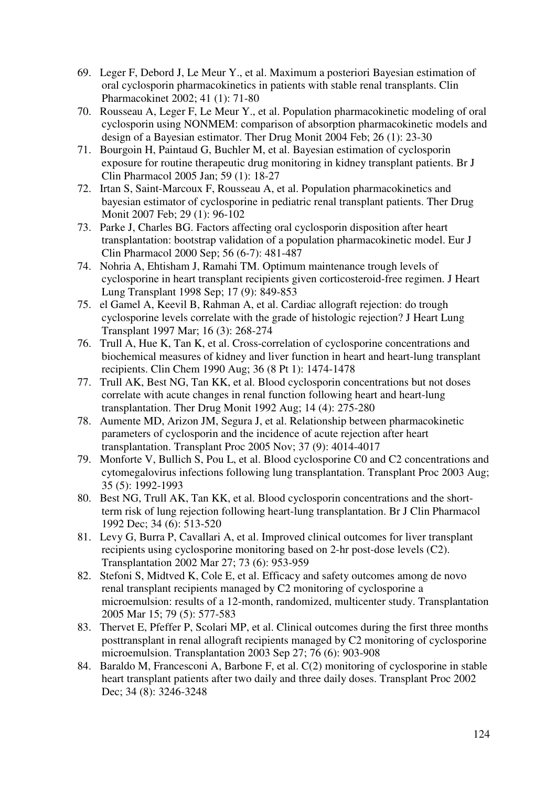- 69. Leger F, Debord J, Le Meur Y., et al. Maximum a posteriori Bayesian estimation of oral cyclosporin pharmacokinetics in patients with stable renal transplants. Clin Pharmacokinet 2002; 41 (1): 71-80
- 70. Rousseau A, Leger F, Le Meur Y., et al. Population pharmacokinetic modeling of oral cyclosporin using NONMEM: comparison of absorption pharmacokinetic models and design of a Bayesian estimator. Ther Drug Monit 2004 Feb; 26 (1): 23-30
- 71. Bourgoin H, Paintaud G, Buchler M, et al. Bayesian estimation of cyclosporin exposure for routine therapeutic drug monitoring in kidney transplant patients. Br J Clin Pharmacol 2005 Jan; 59 (1): 18-27
- 72. Irtan S, Saint-Marcoux F, Rousseau A, et al. Population pharmacokinetics and bayesian estimator of cyclosporine in pediatric renal transplant patients. Ther Drug Monit 2007 Feb; 29 (1): 96-102
- 73. Parke J, Charles BG. Factors affecting oral cyclosporin disposition after heart transplantation: bootstrap validation of a population pharmacokinetic model. Eur J Clin Pharmacol 2000 Sep; 56 (6-7): 481-487
- 74. Nohria A, Ehtisham J, Ramahi TM. Optimum maintenance trough levels of cyclosporine in heart transplant recipients given corticosteroid-free regimen. J Heart Lung Transplant 1998 Sep; 17 (9): 849-853
- 75. el Gamel A, Keevil B, Rahman A, et al. Cardiac allograft rejection: do trough cyclosporine levels correlate with the grade of histologic rejection? J Heart Lung Transplant 1997 Mar; 16 (3): 268-274
- 76. Trull A, Hue K, Tan K, et al. Cross-correlation of cyclosporine concentrations and biochemical measures of kidney and liver function in heart and heart-lung transplant recipients. Clin Chem 1990 Aug; 36 (8 Pt 1): 1474-1478
- 77. Trull AK, Best NG, Tan KK, et al. Blood cyclosporin concentrations but not doses correlate with acute changes in renal function following heart and heart-lung transplantation. Ther Drug Monit 1992 Aug; 14 (4): 275-280
- 78. Aumente MD, Arizon JM, Segura J, et al. Relationship between pharmacokinetic parameters of cyclosporin and the incidence of acute rejection after heart transplantation. Transplant Proc 2005 Nov; 37 (9): 4014-4017
- 79. Monforte V, Bullich S, Pou L, et al. Blood cyclosporine C0 and C2 concentrations and cytomegalovirus infections following lung transplantation. Transplant Proc 2003 Aug; 35 (5): 1992-1993
- 80. Best NG, Trull AK, Tan KK, et al. Blood cyclosporin concentrations and the shortterm risk of lung rejection following heart-lung transplantation. Br J Clin Pharmacol 1992 Dec; 34 (6): 513-520
- 81. Levy G, Burra P, Cavallari A, et al. Improved clinical outcomes for liver transplant recipients using cyclosporine monitoring based on 2-hr post-dose levels (C2). Transplantation 2002 Mar 27; 73 (6): 953-959
- 82. Stefoni S, Midtved K, Cole E, et al. Efficacy and safety outcomes among de novo renal transplant recipients managed by C2 monitoring of cyclosporine a microemulsion: results of a 12-month, randomized, multicenter study. Transplantation 2005 Mar 15; 79 (5): 577-583
- 83. Thervet E, Pfeffer P, Scolari MP, et al. Clinical outcomes during the first three months posttransplant in renal allograft recipients managed by C2 monitoring of cyclosporine microemulsion. Transplantation 2003 Sep 27; 76 (6): 903-908
- 84. Baraldo M, Francesconi A, Barbone F, et al. C(2) monitoring of cyclosporine in stable heart transplant patients after two daily and three daily doses. Transplant Proc 2002 Dec; 34 (8): 3246-3248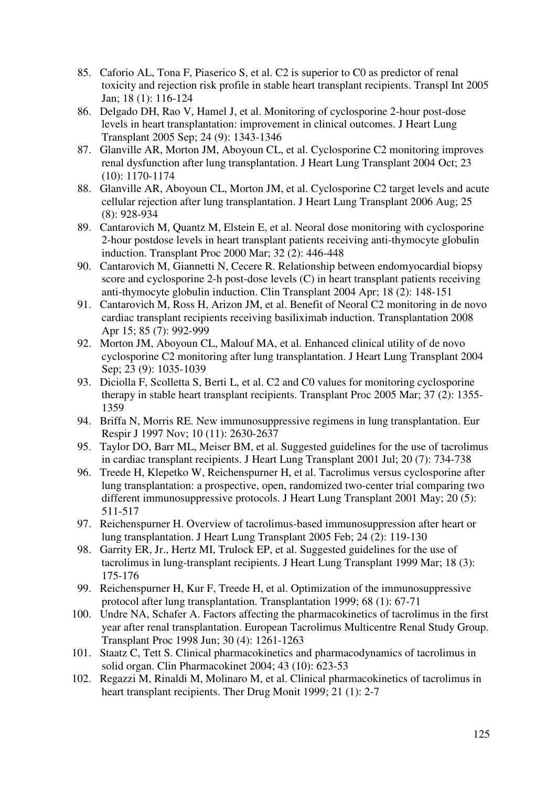- 85. Caforio AL, Tona F, Piaserico S, et al. C2 is superior to C0 as predictor of renal toxicity and rejection risk profile in stable heart transplant recipients. Transpl Int 2005 Jan; 18 (1): 116-124
- 86. Delgado DH, Rao V, Hamel J, et al. Monitoring of cyclosporine 2-hour post-dose levels in heart transplantation: improvement in clinical outcomes. J Heart Lung Transplant 2005 Sep; 24 (9): 1343-1346
- 87. Glanville AR, Morton JM, Aboyoun CL, et al. Cyclosporine C2 monitoring improves renal dysfunction after lung transplantation. J Heart Lung Transplant 2004 Oct; 23 (10): 1170-1174
- 88. Glanville AR, Aboyoun CL, Morton JM, et al. Cyclosporine C2 target levels and acute cellular rejection after lung transplantation. J Heart Lung Transplant 2006 Aug; 25 (8): 928-934
- 89. Cantarovich M, Quantz M, Elstein E, et al. Neoral dose monitoring with cyclosporine 2-hour postdose levels in heart transplant patients receiving anti-thymocyte globulin induction. Transplant Proc 2000 Mar; 32 (2): 446-448
- 90. Cantarovich M, Giannetti N, Cecere R. Relationship between endomyocardial biopsy score and cyclosporine 2-h post-dose levels (C) in heart transplant patients receiving anti-thymocyte globulin induction. Clin Transplant 2004 Apr; 18 (2): 148-151
- 91. Cantarovich M, Ross H, Arizon JM, et al. Benefit of Neoral C2 monitoring in de novo cardiac transplant recipients receiving basiliximab induction. Transplantation 2008 Apr 15; 85 (7): 992-999
- 92. Morton JM, Aboyoun CL, Malouf MA, et al. Enhanced clinical utility of de novo cyclosporine C2 monitoring after lung transplantation. J Heart Lung Transplant 2004 Sep; 23 (9): 1035-1039
- 93. Diciolla F, Scolletta S, Berti L, et al. C2 and C0 values for monitoring cyclosporine therapy in stable heart transplant recipients. Transplant Proc 2005 Mar; 37 (2): 1355- 1359
- 94. Briffa N, Morris RE. New immunosuppressive regimens in lung transplantation. Eur Respir J 1997 Nov; 10 (11): 2630-2637
- 95. Taylor DO, Barr ML, Meiser BM, et al. Suggested guidelines for the use of tacrolimus in cardiac transplant recipients. J Heart Lung Transplant 2001 Jul; 20 (7): 734-738
- 96. Treede H, Klepetko W, Reichenspurner H, et al. Tacrolimus versus cyclosporine after lung transplantation: a prospective, open, randomized two-center trial comparing two different immunosuppressive protocols. J Heart Lung Transplant 2001 May; 20 (5): 511-517
- 97. Reichenspurner H. Overview of tacrolimus-based immunosuppression after heart or lung transplantation. J Heart Lung Transplant 2005 Feb; 24 (2): 119-130
- 98. Garrity ER, Jr., Hertz MI, Trulock EP, et al. Suggested guidelines for the use of tacrolimus in lung-transplant recipients. J Heart Lung Transplant 1999 Mar; 18 (3): 175-176
- 99. Reichenspurner H, Kur F, Treede H, et al. Optimization of the immunosuppressive protocol after lung transplantation. Transplantation 1999; 68 (1): 67-71
- 100. Undre NA, Schafer A. Factors affecting the pharmacokinetics of tacrolimus in the first year after renal transplantation. European Tacrolimus Multicentre Renal Study Group. Transplant Proc 1998 Jun; 30 (4): 1261-1263
- 101. Staatz C, Tett S. Clinical pharmacokinetics and pharmacodynamics of tacrolimus in solid organ. Clin Pharmacokinet 2004; 43 (10): 623-53
- 102. Regazzi M, Rinaldi M, Molinaro M, et al. Clinical pharmacokinetics of tacrolimus in heart transplant recipients. Ther Drug Monit 1999; 21 (1): 2-7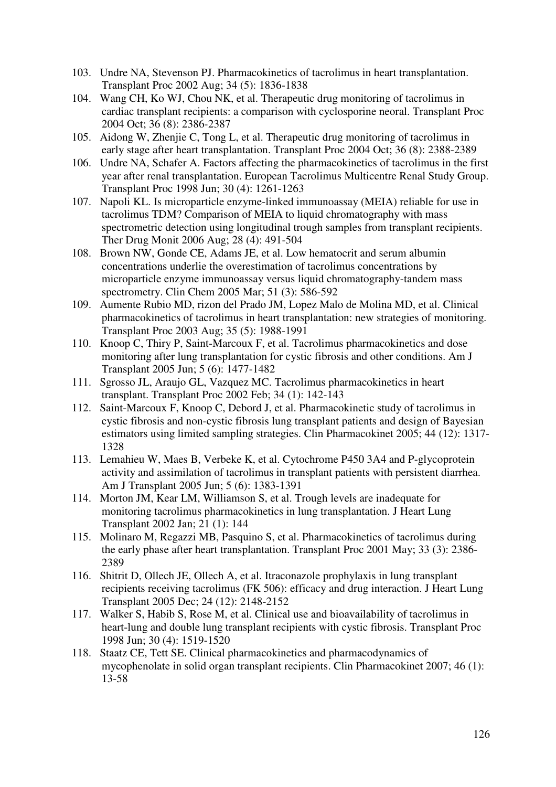- 103. Undre NA, Stevenson PJ. Pharmacokinetics of tacrolimus in heart transplantation. Transplant Proc 2002 Aug; 34 (5): 1836-1838
- 104. Wang CH, Ko WJ, Chou NK, et al. Therapeutic drug monitoring of tacrolimus in cardiac transplant recipients: a comparison with cyclosporine neoral. Transplant Proc 2004 Oct; 36 (8): 2386-2387
- 105. Aidong W, Zhenjie C, Tong L, et al. Therapeutic drug monitoring of tacrolimus in early stage after heart transplantation. Transplant Proc 2004 Oct; 36 (8): 2388-2389
- 106. Undre NA, Schafer A. Factors affecting the pharmacokinetics of tacrolimus in the first year after renal transplantation. European Tacrolimus Multicentre Renal Study Group. Transplant Proc 1998 Jun; 30 (4): 1261-1263
- 107. Napoli KL. Is microparticle enzyme-linked immunoassay (MEIA) reliable for use in tacrolimus TDM? Comparison of MEIA to liquid chromatography with mass spectrometric detection using longitudinal trough samples from transplant recipients. Ther Drug Monit 2006 Aug; 28 (4): 491-504
- 108. Brown NW, Gonde CE, Adams JE, et al. Low hematocrit and serum albumin concentrations underlie the overestimation of tacrolimus concentrations by microparticle enzyme immunoassay versus liquid chromatography-tandem mass spectrometry. Clin Chem 2005 Mar; 51 (3): 586-592
- 109. Aumente Rubio MD, rizon del Prado JM, Lopez Malo de Molina MD, et al. Clinical pharmacokinetics of tacrolimus in heart transplantation: new strategies of monitoring. Transplant Proc 2003 Aug; 35 (5): 1988-1991
- 110. Knoop C, Thiry P, Saint-Marcoux F, et al. Tacrolimus pharmacokinetics and dose monitoring after lung transplantation for cystic fibrosis and other conditions. Am J Transplant 2005 Jun; 5 (6): 1477-1482
- 111. Sgrosso JL, Araujo GL, Vazquez MC. Tacrolimus pharmacokinetics in heart transplant. Transplant Proc 2002 Feb; 34 (1): 142-143
- 112. Saint-Marcoux F, Knoop C, Debord J, et al. Pharmacokinetic study of tacrolimus in cystic fibrosis and non-cystic fibrosis lung transplant patients and design of Bayesian estimators using limited sampling strategies. Clin Pharmacokinet 2005; 44 (12): 1317- 1328
- 113. Lemahieu W, Maes B, Verbeke K, et al. Cytochrome P450 3A4 and P-glycoprotein activity and assimilation of tacrolimus in transplant patients with persistent diarrhea. Am J Transplant 2005 Jun; 5 (6): 1383-1391
- 114. Morton JM, Kear LM, Williamson S, et al. Trough levels are inadequate for monitoring tacrolimus pharmacokinetics in lung transplantation. J Heart Lung Transplant 2002 Jan; 21 (1): 144
- 115. Molinaro M, Regazzi MB, Pasquino S, et al. Pharmacokinetics of tacrolimus during the early phase after heart transplantation. Transplant Proc 2001 May; 33 (3): 2386- 2389
- 116. Shitrit D, Ollech JE, Ollech A, et al. Itraconazole prophylaxis in lung transplant recipients receiving tacrolimus (FK 506): efficacy and drug interaction. J Heart Lung Transplant 2005 Dec; 24 (12): 2148-2152
- 117. Walker S, Habib S, Rose M, et al. Clinical use and bioavailability of tacrolimus in heart-lung and double lung transplant recipients with cystic fibrosis. Transplant Proc 1998 Jun; 30 (4): 1519-1520
- 118. Staatz CE, Tett SE. Clinical pharmacokinetics and pharmacodynamics of mycophenolate in solid organ transplant recipients. Clin Pharmacokinet 2007; 46 (1): 13-58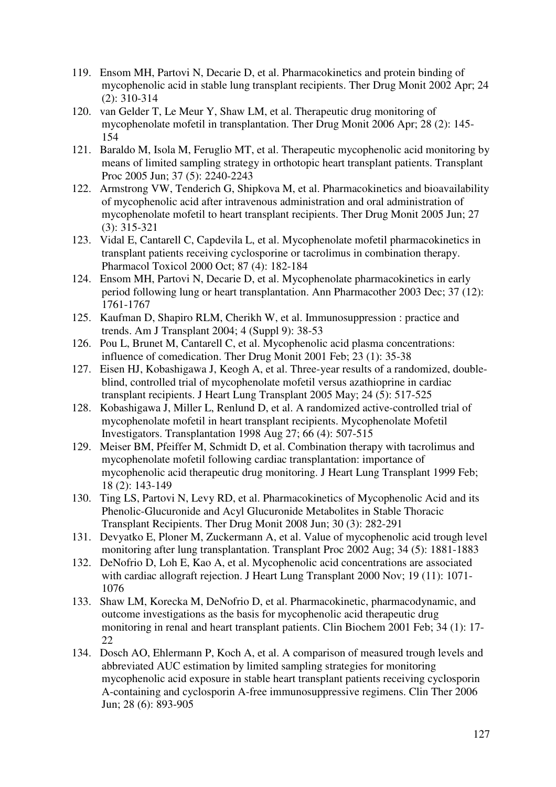- 119. Ensom MH, Partovi N, Decarie D, et al. Pharmacokinetics and protein binding of mycophenolic acid in stable lung transplant recipients. Ther Drug Monit 2002 Apr; 24 (2): 310-314
- 120. van Gelder T, Le Meur Y, Shaw LM, et al. Therapeutic drug monitoring of mycophenolate mofetil in transplantation. Ther Drug Monit 2006 Apr; 28 (2): 145- 154
- 121. Baraldo M, Isola M, Feruglio MT, et al. Therapeutic mycophenolic acid monitoring by means of limited sampling strategy in orthotopic heart transplant patients. Transplant Proc 2005 Jun; 37 (5): 2240-2243
- 122. Armstrong VW, Tenderich G, Shipkova M, et al. Pharmacokinetics and bioavailability of mycophenolic acid after intravenous administration and oral administration of mycophenolate mofetil to heart transplant recipients. Ther Drug Monit 2005 Jun; 27 (3): 315-321
- 123. Vidal E, Cantarell C, Capdevila L, et al. Mycophenolate mofetil pharmacokinetics in transplant patients receiving cyclosporine or tacrolimus in combination therapy. Pharmacol Toxicol 2000 Oct; 87 (4): 182-184
- 124. Ensom MH, Partovi N, Decarie D, et al. Mycophenolate pharmacokinetics in early period following lung or heart transplantation. Ann Pharmacother 2003 Dec; 37 (12): 1761-1767
- 125. Kaufman D, Shapiro RLM, Cherikh W, et al. Immunosuppression : practice and trends. Am J Transplant 2004; 4 (Suppl 9): 38-53
- 126. Pou L, Brunet M, Cantarell C, et al. Mycophenolic acid plasma concentrations: influence of comedication. Ther Drug Monit 2001 Feb; 23 (1): 35-38
- 127. Eisen HJ, Kobashigawa J, Keogh A, et al. Three-year results of a randomized, doubleblind, controlled trial of mycophenolate mofetil versus azathioprine in cardiac transplant recipients. J Heart Lung Transplant 2005 May; 24 (5): 517-525
- 128. Kobashigawa J, Miller L, Renlund D, et al. A randomized active-controlled trial of mycophenolate mofetil in heart transplant recipients. Mycophenolate Mofetil Investigators. Transplantation 1998 Aug 27; 66 (4): 507-515
- 129. Meiser BM, Pfeiffer M, Schmidt D, et al. Combination therapy with tacrolimus and mycophenolate mofetil following cardiac transplantation: importance of mycophenolic acid therapeutic drug monitoring. J Heart Lung Transplant 1999 Feb; 18 (2): 143-149
- 130. Ting LS, Partovi N, Levy RD, et al. Pharmacokinetics of Mycophenolic Acid and its Phenolic-Glucuronide and Acyl Glucuronide Metabolites in Stable Thoracic Transplant Recipients. Ther Drug Monit 2008 Jun; 30 (3): 282-291
- 131. Devyatko E, Ploner M, Zuckermann A, et al. Value of mycophenolic acid trough level monitoring after lung transplantation. Transplant Proc 2002 Aug; 34 (5): 1881-1883
- 132. DeNofrio D, Loh E, Kao A, et al. Mycophenolic acid concentrations are associated with cardiac allograft rejection. J Heart Lung Transplant 2000 Nov; 19 (11): 1071- 1076
- 133. Shaw LM, Korecka M, DeNofrio D, et al. Pharmacokinetic, pharmacodynamic, and outcome investigations as the basis for mycophenolic acid therapeutic drug monitoring in renal and heart transplant patients. Clin Biochem 2001 Feb; 34 (1): 17- 22
- 134. Dosch AO, Ehlermann P, Koch A, et al. A comparison of measured trough levels and abbreviated AUC estimation by limited sampling strategies for monitoring mycophenolic acid exposure in stable heart transplant patients receiving cyclosporin A-containing and cyclosporin A-free immunosuppressive regimens. Clin Ther 2006 Jun; 28 (6): 893-905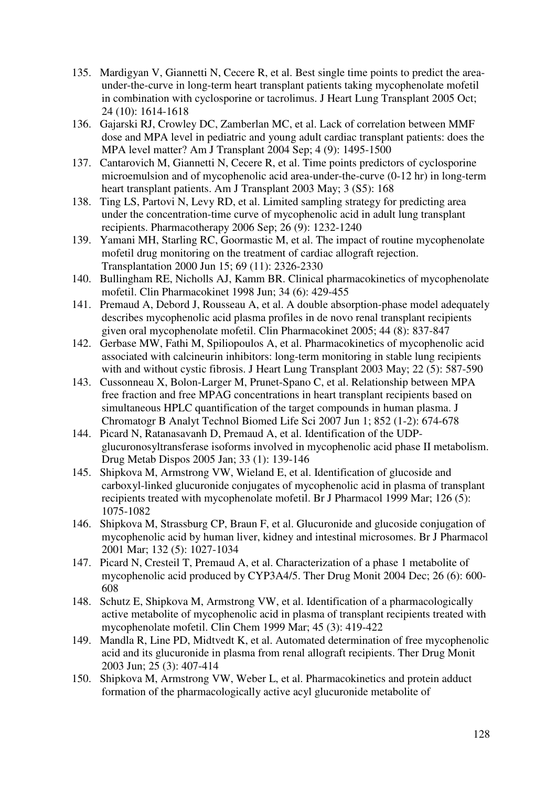- 135. Mardigyan V, Giannetti N, Cecere R, et al. Best single time points to predict the areaunder-the-curve in long-term heart transplant patients taking mycophenolate mofetil in combination with cyclosporine or tacrolimus. J Heart Lung Transplant 2005 Oct; 24 (10): 1614-1618
- 136. Gajarski RJ, Crowley DC, Zamberlan MC, et al. Lack of correlation between MMF dose and MPA level in pediatric and young adult cardiac transplant patients: does the MPA level matter? Am J Transplant 2004 Sep; 4 (9): 1495-1500
- 137. Cantarovich M, Giannetti N, Cecere R, et al. Time points predictors of cyclosporine microemulsion and of mycophenolic acid area-under-the-curve (0-12 hr) in long-term heart transplant patients. Am J Transplant 2003 May; 3 (S5): 168
- 138. Ting LS, Partovi N, Levy RD, et al. Limited sampling strategy for predicting area under the concentration-time curve of mycophenolic acid in adult lung transplant recipients. Pharmacotherapy 2006 Sep; 26 (9): 1232-1240
- 139. Yamani MH, Starling RC, Goormastic M, et al. The impact of routine mycophenolate mofetil drug monitoring on the treatment of cardiac allograft rejection. Transplantation 2000 Jun 15; 69 (11): 2326-2330
- 140. Bullingham RE, Nicholls AJ, Kamm BR. Clinical pharmacokinetics of mycophenolate mofetil. Clin Pharmacokinet 1998 Jun; 34 (6): 429-455
- 141. Premaud A, Debord J, Rousseau A, et al. A double absorption-phase model adequately describes mycophenolic acid plasma profiles in de novo renal transplant recipients given oral mycophenolate mofetil. Clin Pharmacokinet 2005; 44 (8): 837-847
- 142. Gerbase MW, Fathi M, Spiliopoulos A, et al. Pharmacokinetics of mycophenolic acid associated with calcineurin inhibitors: long-term monitoring in stable lung recipients with and without cystic fibrosis. J Heart Lung Transplant 2003 May; 22 (5): 587-590
- 143. Cussonneau X, Bolon-Larger M, Prunet-Spano C, et al. Relationship between MPA free fraction and free MPAG concentrations in heart transplant recipients based on simultaneous HPLC quantification of the target compounds in human plasma. J Chromatogr B Analyt Technol Biomed Life Sci 2007 Jun 1; 852 (1-2): 674-678
- 144. Picard N, Ratanasavanh D, Premaud A, et al. Identification of the UDPglucuronosyltransferase isoforms involved in mycophenolic acid phase II metabolism. Drug Metab Dispos 2005 Jan; 33 (1): 139-146
- 145. Shipkova M, Armstrong VW, Wieland E, et al. Identification of glucoside and carboxyl-linked glucuronide conjugates of mycophenolic acid in plasma of transplant recipients treated with mycophenolate mofetil. Br J Pharmacol 1999 Mar; 126 (5): 1075-1082
- 146. Shipkova M, Strassburg CP, Braun F, et al. Glucuronide and glucoside conjugation of mycophenolic acid by human liver, kidney and intestinal microsomes. Br J Pharmacol 2001 Mar; 132 (5): 1027-1034
- 147. Picard N, Cresteil T, Premaud A, et al. Characterization of a phase 1 metabolite of mycophenolic acid produced by CYP3A4/5. Ther Drug Monit 2004 Dec; 26 (6): 600- 608
- 148. Schutz E, Shipkova M, Armstrong VW, et al. Identification of a pharmacologically active metabolite of mycophenolic acid in plasma of transplant recipients treated with mycophenolate mofetil. Clin Chem 1999 Mar; 45 (3): 419-422
- 149. Mandla R, Line PD, Midtvedt K, et al. Automated determination of free mycophenolic acid and its glucuronide in plasma from renal allograft recipients. Ther Drug Monit 2003 Jun; 25 (3): 407-414
- 150. Shipkova M, Armstrong VW, Weber L, et al. Pharmacokinetics and protein adduct formation of the pharmacologically active acyl glucuronide metabolite of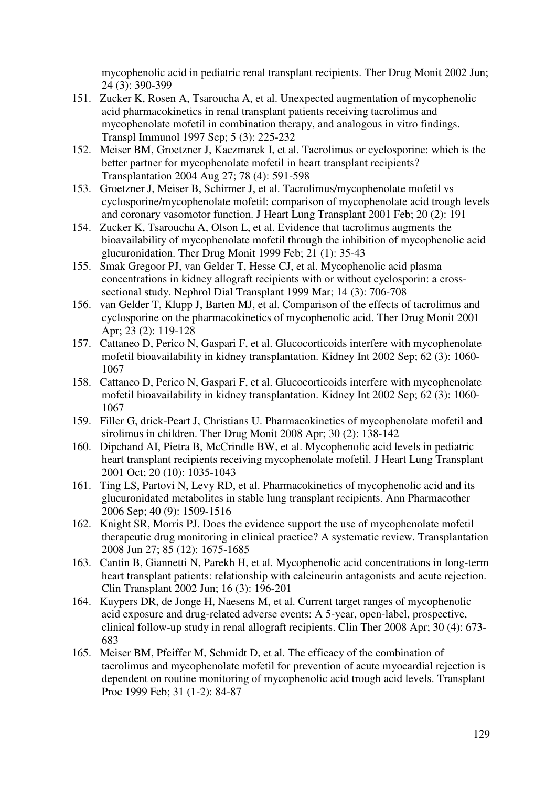mycophenolic acid in pediatric renal transplant recipients. Ther Drug Monit 2002 Jun; 24 (3): 390-399

- 151. Zucker K, Rosen A, Tsaroucha A, et al. Unexpected augmentation of mycophenolic acid pharmacokinetics in renal transplant patients receiving tacrolimus and mycophenolate mofetil in combination therapy, and analogous in vitro findings. Transpl Immunol 1997 Sep; 5 (3): 225-232
- 152. Meiser BM, Groetzner J, Kaczmarek I, et al. Tacrolimus or cyclosporine: which is the better partner for mycophenolate mofetil in heart transplant recipients? Transplantation 2004 Aug 27; 78 (4): 591-598
- 153. Groetzner J, Meiser B, Schirmer J, et al. Tacrolimus/mycophenolate mofetil vs cyclosporine/mycophenolate mofetil: comparison of mycophenolate acid trough levels and coronary vasomotor function. J Heart Lung Transplant 2001 Feb; 20 (2): 191
- 154. Zucker K, Tsaroucha A, Olson L, et al. Evidence that tacrolimus augments the bioavailability of mycophenolate mofetil through the inhibition of mycophenolic acid glucuronidation. Ther Drug Monit 1999 Feb; 21 (1): 35-43
- 155. Smak Gregoor PJ, van Gelder T, Hesse CJ, et al. Mycophenolic acid plasma concentrations in kidney allograft recipients with or without cyclosporin: a crosssectional study. Nephrol Dial Transplant 1999 Mar; 14 (3): 706-708
- 156. van Gelder T, Klupp J, Barten MJ, et al. Comparison of the effects of tacrolimus and cyclosporine on the pharmacokinetics of mycophenolic acid. Ther Drug Monit 2001 Apr; 23 (2): 119-128
- 157. Cattaneo D, Perico N, Gaspari F, et al. Glucocorticoids interfere with mycophenolate mofetil bioavailability in kidney transplantation. Kidney Int 2002 Sep; 62 (3): 1060- 1067
- 158. Cattaneo D, Perico N, Gaspari F, et al. Glucocorticoids interfere with mycophenolate mofetil bioavailability in kidney transplantation. Kidney Int 2002 Sep; 62 (3): 1060- 1067
- 159. Filler G, drick-Peart J, Christians U. Pharmacokinetics of mycophenolate mofetil and sirolimus in children. Ther Drug Monit 2008 Apr; 30 (2): 138-142
- 160. Dipchand AI, Pietra B, McCrindle BW, et al. Mycophenolic acid levels in pediatric heart transplant recipients receiving mycophenolate mofetil. J Heart Lung Transplant 2001 Oct; 20 (10): 1035-1043
- 161. Ting LS, Partovi N, Levy RD, et al. Pharmacokinetics of mycophenolic acid and its glucuronidated metabolites in stable lung transplant recipients. Ann Pharmacother 2006 Sep; 40 (9): 1509-1516
- 162. Knight SR, Morris PJ. Does the evidence support the use of mycophenolate mofetil therapeutic drug monitoring in clinical practice? A systematic review. Transplantation 2008 Jun 27; 85 (12): 1675-1685
- 163. Cantin B, Giannetti N, Parekh H, et al. Mycophenolic acid concentrations in long-term heart transplant patients: relationship with calcineurin antagonists and acute rejection. Clin Transplant 2002 Jun; 16 (3): 196-201
- 164. Kuypers DR, de Jonge H, Naesens M, et al. Current target ranges of mycophenolic acid exposure and drug-related adverse events: A 5-year, open-label, prospective, clinical follow-up study in renal allograft recipients. Clin Ther 2008 Apr; 30 (4): 673- 683
- 165. Meiser BM, Pfeiffer M, Schmidt D, et al. The efficacy of the combination of tacrolimus and mycophenolate mofetil for prevention of acute myocardial rejection is dependent on routine monitoring of mycophenolic acid trough acid levels. Transplant Proc 1999 Feb; 31 (1-2): 84-87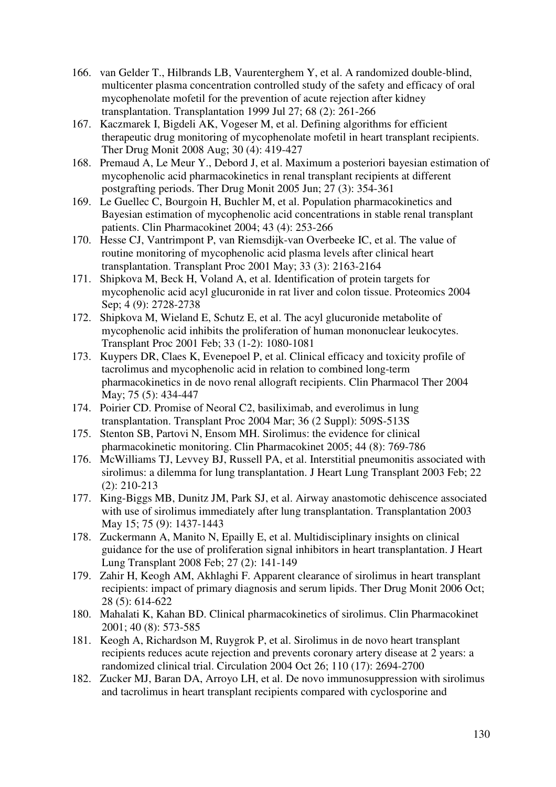- 166. van Gelder T., Hilbrands LB, Vaurenterghem Y, et al. A randomized double-blind, multicenter plasma concentration controlled study of the safety and efficacy of oral mycophenolate mofetil for the prevention of acute rejection after kidney transplantation. Transplantation 1999 Jul 27; 68 (2): 261-266
- 167. Kaczmarek I, Bigdeli AK, Vogeser M, et al. Defining algorithms for efficient therapeutic drug monitoring of mycophenolate mofetil in heart transplant recipients. Ther Drug Monit 2008 Aug; 30 (4): 419-427
- 168. Premaud A, Le Meur Y., Debord J, et al. Maximum a posteriori bayesian estimation of mycophenolic acid pharmacokinetics in renal transplant recipients at different postgrafting periods. Ther Drug Monit 2005 Jun; 27 (3): 354-361
- 169. Le Guellec C, Bourgoin H, Buchler M, et al. Population pharmacokinetics and Bayesian estimation of mycophenolic acid concentrations in stable renal transplant patients. Clin Pharmacokinet 2004; 43 (4): 253-266
- 170. Hesse CJ, Vantrimpont P, van Riemsdijk-van Overbeeke IC, et al. The value of routine monitoring of mycophenolic acid plasma levels after clinical heart transplantation. Transplant Proc 2001 May; 33 (3): 2163-2164
- 171. Shipkova M, Beck H, Voland A, et al. Identification of protein targets for mycophenolic acid acyl glucuronide in rat liver and colon tissue. Proteomics 2004 Sep; 4 (9): 2728-2738
- 172. Shipkova M, Wieland E, Schutz E, et al. The acyl glucuronide metabolite of mycophenolic acid inhibits the proliferation of human mononuclear leukocytes. Transplant Proc 2001 Feb; 33 (1-2): 1080-1081
- 173. Kuypers DR, Claes K, Evenepoel P, et al. Clinical efficacy and toxicity profile of tacrolimus and mycophenolic acid in relation to combined long-term pharmacokinetics in de novo renal allograft recipients. Clin Pharmacol Ther 2004 May; 75 (5): 434-447
- 174. Poirier CD. Promise of Neoral C2, basiliximab, and everolimus in lung transplantation. Transplant Proc 2004 Mar; 36 (2 Suppl): 509S-513S
- 175. Stenton SB, Partovi N, Ensom MH. Sirolimus: the evidence for clinical pharmacokinetic monitoring. Clin Pharmacokinet 2005; 44 (8): 769-786
- 176. McWilliams TJ, Levvey BJ, Russell PA, et al. Interstitial pneumonitis associated with sirolimus: a dilemma for lung transplantation. J Heart Lung Transplant 2003 Feb; 22 (2): 210-213
- 177. King-Biggs MB, Dunitz JM, Park SJ, et al. Airway anastomotic dehiscence associated with use of sirolimus immediately after lung transplantation. Transplantation 2003 May 15; 75 (9): 1437-1443
- 178. Zuckermann A, Manito N, Epailly E, et al. Multidisciplinary insights on clinical guidance for the use of proliferation signal inhibitors in heart transplantation. J Heart Lung Transplant 2008 Feb; 27 (2): 141-149
- 179. Zahir H, Keogh AM, Akhlaghi F. Apparent clearance of sirolimus in heart transplant recipients: impact of primary diagnosis and serum lipids. Ther Drug Monit 2006 Oct; 28 (5): 614-622
- 180. Mahalati K, Kahan BD. Clinical pharmacokinetics of sirolimus. Clin Pharmacokinet 2001; 40 (8): 573-585
- 181. Keogh A, Richardson M, Ruygrok P, et al. Sirolimus in de novo heart transplant recipients reduces acute rejection and prevents coronary artery disease at 2 years: a randomized clinical trial. Circulation 2004 Oct 26; 110 (17): 2694-2700
- 182. Zucker MJ, Baran DA, Arroyo LH, et al. De novo immunosuppression with sirolimus and tacrolimus in heart transplant recipients compared with cyclosporine and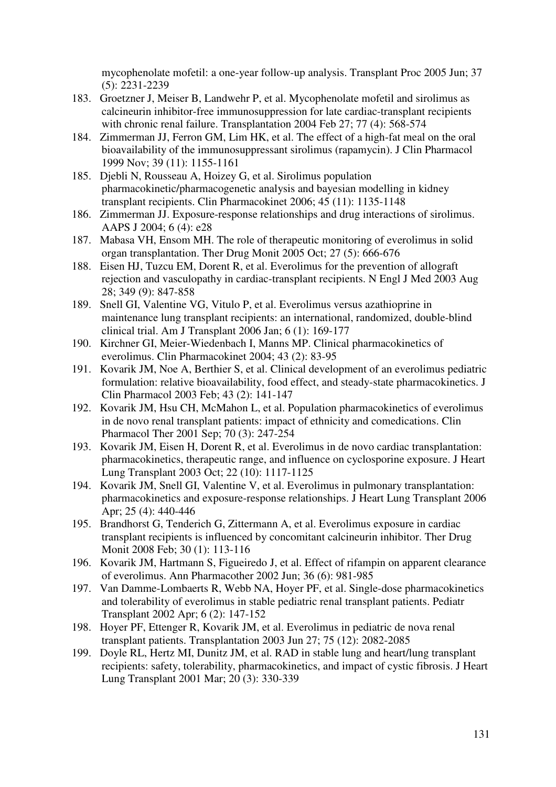mycophenolate mofetil: a one-year follow-up analysis. Transplant Proc 2005 Jun; 37 (5): 2231-2239

- 183. Groetzner J, Meiser B, Landwehr P, et al. Mycophenolate mofetil and sirolimus as calcineurin inhibitor-free immunosuppression for late cardiac-transplant recipients with chronic renal failure. Transplantation 2004 Feb 27; 77 (4): 568-574
- 184. Zimmerman JJ, Ferron GM, Lim HK, et al. The effect of a high-fat meal on the oral bioavailability of the immunosuppressant sirolimus (rapamycin). J Clin Pharmacol 1999 Nov; 39 (11): 1155-1161
- 185. Djebli N, Rousseau A, Hoizey G, et al. Sirolimus population pharmacokinetic/pharmacogenetic analysis and bayesian modelling in kidney transplant recipients. Clin Pharmacokinet 2006; 45 (11): 1135-1148
- 186. Zimmerman JJ. Exposure-response relationships and drug interactions of sirolimus. AAPS J 2004; 6 (4): e28
- 187. Mabasa VH, Ensom MH. The role of therapeutic monitoring of everolimus in solid organ transplantation. Ther Drug Monit 2005 Oct; 27 (5): 666-676
- 188. Eisen HJ, Tuzcu EM, Dorent R, et al. Everolimus for the prevention of allograft rejection and vasculopathy in cardiac-transplant recipients. N Engl J Med 2003 Aug 28; 349 (9): 847-858
- 189. Snell GI, Valentine VG, Vitulo P, et al. Everolimus versus azathioprine in maintenance lung transplant recipients: an international, randomized, double-blind clinical trial. Am J Transplant 2006 Jan; 6 (1): 169-177
- 190. Kirchner GI, Meier-Wiedenbach I, Manns MP. Clinical pharmacokinetics of everolimus. Clin Pharmacokinet 2004; 43 (2): 83-95
- 191. Kovarik JM, Noe A, Berthier S, et al. Clinical development of an everolimus pediatric formulation: relative bioavailability, food effect, and steady-state pharmacokinetics. J Clin Pharmacol 2003 Feb; 43 (2): 141-147
- 192. Kovarik JM, Hsu CH, McMahon L, et al. Population pharmacokinetics of everolimus in de novo renal transplant patients: impact of ethnicity and comedications. Clin Pharmacol Ther 2001 Sep; 70 (3): 247-254
- 193. Kovarik JM, Eisen H, Dorent R, et al. Everolimus in de novo cardiac transplantation: pharmacokinetics, therapeutic range, and influence on cyclosporine exposure. J Heart Lung Transplant 2003 Oct; 22 (10): 1117-1125
- 194. Kovarik JM, Snell GI, Valentine V, et al. Everolimus in pulmonary transplantation: pharmacokinetics and exposure-response relationships. J Heart Lung Transplant 2006 Apr; 25 (4): 440-446
- 195. Brandhorst G, Tenderich G, Zittermann A, et al. Everolimus exposure in cardiac transplant recipients is influenced by concomitant calcineurin inhibitor. Ther Drug Monit 2008 Feb; 30 (1): 113-116
- 196. Kovarik JM, Hartmann S, Figueiredo J, et al. Effect of rifampin on apparent clearance of everolimus. Ann Pharmacother 2002 Jun; 36 (6): 981-985
- 197. Van Damme-Lombaerts R, Webb NA, Hoyer PF, et al. Single-dose pharmacokinetics and tolerability of everolimus in stable pediatric renal transplant patients. Pediatr Transplant 2002 Apr; 6 (2): 147-152
- 198. Hoyer PF, Ettenger R, Kovarik JM, et al. Everolimus in pediatric de nova renal transplant patients. Transplantation 2003 Jun 27; 75 (12): 2082-2085
- 199. Doyle RL, Hertz MI, Dunitz JM, et al. RAD in stable lung and heart/lung transplant recipients: safety, tolerability, pharmacokinetics, and impact of cystic fibrosis. J Heart Lung Transplant 2001 Mar; 20 (3): 330-339